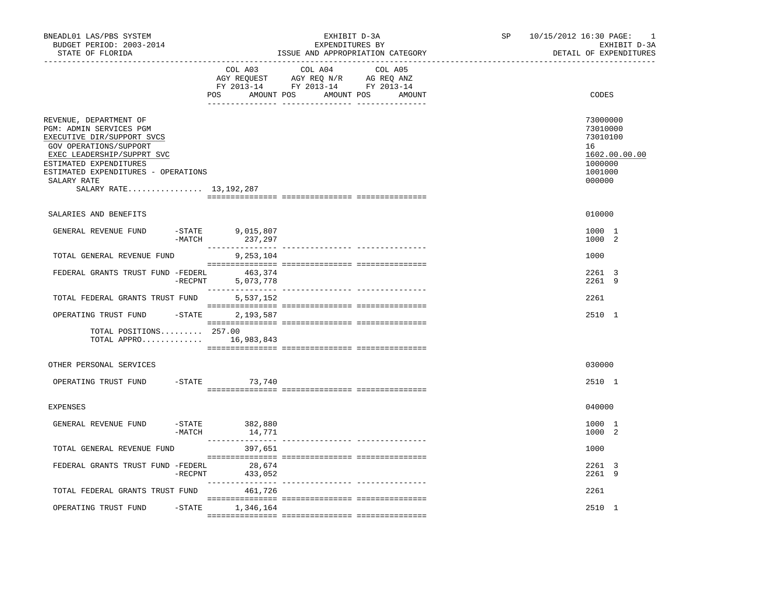| BNEADL01 LAS/PBS SYSTEM<br>BUDGET PERIOD: 2003-2014<br>STATE OF FLORIDA<br>-------------------                                                                                                                                                      |                       |                                                                                                                                                                                                                                                                              | EXHIBIT D-3A<br>EXPENDITURES BY<br>ISSUE AND APPROPRIATION CATEGORY | SP    | 10/15/2012 16:30 PAGE:<br>1<br>EXHIBIT D-3A<br>DETAIL OF EXPENDITURES                   |
|-----------------------------------------------------------------------------------------------------------------------------------------------------------------------------------------------------------------------------------------------------|-----------------------|------------------------------------------------------------------------------------------------------------------------------------------------------------------------------------------------------------------------------------------------------------------------------|---------------------------------------------------------------------|-------|-----------------------------------------------------------------------------------------|
|                                                                                                                                                                                                                                                     | COL A03               | COL A04<br>COL A05<br>$\begin{tabular}{lllllllll} \bf{AGY} & \bf{REQUEST} & \bf{AGY} & \bf{REQ} & \bf{N/R} & \bf{AG} & \bf{REQ} & \bf{ANZ} \\ \bf{FY} & \bf{2013-14} & \bf{FY} & \bf{2013-14} & \bf{FY} & \bf{2013-14} \\ \end{tabular}$<br>POS AMOUNT POS AMOUNT POS AMOUNT |                                                                     | CODES |                                                                                         |
| REVENUE, DEPARTMENT OF<br>PGM: ADMIN SERVICES PGM<br>EXECUTIVE DIR/SUPPORT SVCS<br>GOV OPERATIONS/SUPPORT<br>EXEC LEADERSHIP/SUPPRT SVC<br>ESTIMATED EXPENDITURES<br>ESTIMATED EXPENDITURES - OPERATIONS<br>SALARY RATE<br>SALARY RATE 13, 192, 287 |                       |                                                                                                                                                                                                                                                                              |                                                                     |       | 73000000<br>73010000<br>73010100<br>16<br>1602.00.00.00<br>1000000<br>1001000<br>000000 |
| SALARIES AND BENEFITS                                                                                                                                                                                                                               |                       |                                                                                                                                                                                                                                                                              |                                                                     |       | 010000                                                                                  |
| GENERAL REVENUE FUND                                                                                                                                                                                                                                | $-MATCH$              | $-$ STATE 9,015,807<br>H 237,297<br>--------------                                                                                                                                                                                                                           |                                                                     |       | 1000 1<br>1000 2                                                                        |
| TOTAL GENERAL REVENUE FUND                                                                                                                                                                                                                          |                       | 9,253,104                                                                                                                                                                                                                                                                    |                                                                     |       | 1000                                                                                    |
| FEDERAL GRANTS TRUST FUND -FEDERL                                                                                                                                                                                                                   | $-$ RECPNT            | 463,374<br>5,073,778                                                                                                                                                                                                                                                         |                                                                     |       | 2261 3<br>2261 9                                                                        |
| TOTAL FEDERAL GRANTS TRUST FUND                                                                                                                                                                                                                     |                       | 5,537,152                                                                                                                                                                                                                                                                    |                                                                     |       | 2261                                                                                    |
| OPERATING TRUST FUND                                                                                                                                                                                                                                | $-STATE$              | 2,193,587                                                                                                                                                                                                                                                                    |                                                                     |       | 2510 1                                                                                  |
| TOTAL POSITIONS 257.00<br>TOTAL APPRO 16,983,843                                                                                                                                                                                                    |                       |                                                                                                                                                                                                                                                                              |                                                                     |       |                                                                                         |
| OTHER PERSONAL SERVICES                                                                                                                                                                                                                             |                       |                                                                                                                                                                                                                                                                              |                                                                     |       | 030000                                                                                  |
| OPERATING TRUST FUND                                                                                                                                                                                                                                |                       | $-STATE$ 73,740                                                                                                                                                                                                                                                              |                                                                     |       | 2510 1                                                                                  |
| <b>EXPENSES</b>                                                                                                                                                                                                                                     |                       |                                                                                                                                                                                                                                                                              |                                                                     |       | 040000                                                                                  |
| GENERAL REVENUE FUND                                                                                                                                                                                                                                | $-$ STATE<br>$-MATCH$ | 382,880<br>14,771                                                                                                                                                                                                                                                            |                                                                     |       | 1000 1<br>1000 2                                                                        |
| TOTAL GENERAL REVENUE FUND                                                                                                                                                                                                                          |                       | 397,651                                                                                                                                                                                                                                                                      |                                                                     |       | 1000                                                                                    |
| FEDERAL GRANTS TRUST FUND -FEDERL                                                                                                                                                                                                                   | $-$ RECPNT            | 28,674<br>433,052                                                                                                                                                                                                                                                            |                                                                     |       | 2261 3<br>2261 9                                                                        |
| TOTAL FEDERAL GRANTS TRUST FUND                                                                                                                                                                                                                     |                       | 461,726                                                                                                                                                                                                                                                                      |                                                                     |       | 2261                                                                                    |
| OPERATING TRUST FUND                                                                                                                                                                                                                                |                       | $-$ STATE $1, 346, 164$                                                                                                                                                                                                                                                      |                                                                     |       | 2510 1                                                                                  |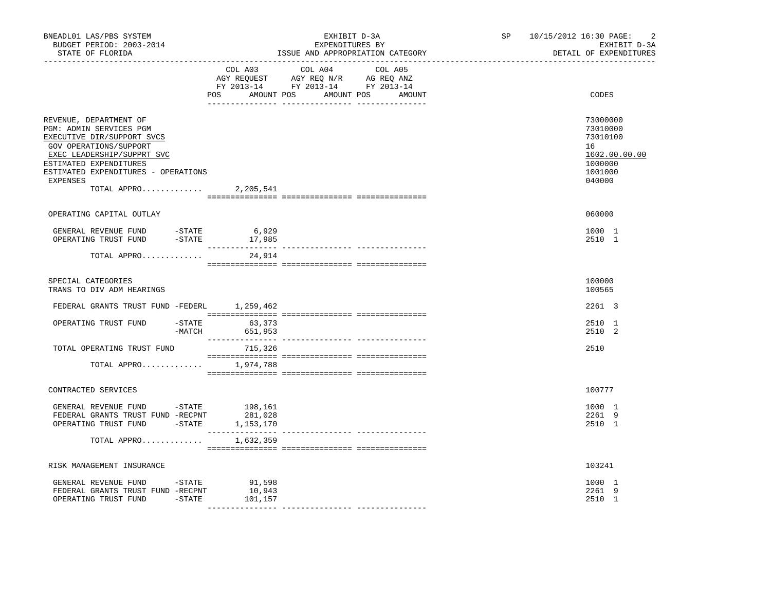| BNEADL01 LAS/PBS SYSTEM<br>BUDGET PERIOD: 2003-2014<br>STATE OF FLORIDA<br>-------------------                                                                                                                                                  |                                        | EXHIBIT D-3A<br>EXPENDITURES BY<br>ISSUE AND APPROPRIATION CATEGORY                                                           | $\overline{2}$<br>SP 10/15/2012 16:30 PAGE:<br>EXHIBIT D-3A<br>DETAIL OF EXPENDITURES   |
|-------------------------------------------------------------------------------------------------------------------------------------------------------------------------------------------------------------------------------------------------|----------------------------------------|-------------------------------------------------------------------------------------------------------------------------------|-----------------------------------------------------------------------------------------|
|                                                                                                                                                                                                                                                 | COL A03                                | COL A04 COL A05<br>AGY REQUEST AGY REQ N/R AG REQ ANZ<br>FY 2013-14 FY 2013-14 FY 2013-14<br>POS AMOUNT POS AMOUNT POS AMOUNT | CODES                                                                                   |
| REVENUE, DEPARTMENT OF<br>PGM: ADMIN SERVICES PGM<br>EXECUTIVE DIR/SUPPORT SVCS<br>GOV OPERATIONS/SUPPORT<br>EXEC LEADERSHIP/SUPPRT SVC<br>ESTIMATED EXPENDITURES<br>ESTIMATED EXPENDITURES - OPERATIONS<br>EXPENSES<br>TOTAL APPRO 2, 205, 541 |                                        |                                                                                                                               | 73000000<br>73010000<br>73010100<br>16<br>1602.00.00.00<br>1000000<br>1001000<br>040000 |
| OPERATING CAPITAL OUTLAY                                                                                                                                                                                                                        |                                        |                                                                                                                               | 060000                                                                                  |
|                                                                                                                                                                                                                                                 |                                        |                                                                                                                               | 1000 1<br>2510 1                                                                        |
| TOTAL APPRO                                                                                                                                                                                                                                     | 24,914                                 |                                                                                                                               |                                                                                         |
| SPECIAL CATEGORIES<br>TRANS TO DIV ADM HEARINGS                                                                                                                                                                                                 |                                        |                                                                                                                               | 100000<br>100565                                                                        |
| FEDERAL GRANTS TRUST FUND -FEDERL 1,259,462                                                                                                                                                                                                     |                                        |                                                                                                                               | 2261 3                                                                                  |
| OPERATING TRUST FUND                                                                                                                                                                                                                            | $-STATE$ 63,373<br>$-MATCH$<br>651,953 |                                                                                                                               | 2510 1<br>2510 2                                                                        |
| TOTAL OPERATING TRUST FUND                                                                                                                                                                                                                      | 715,326                                |                                                                                                                               | 2510                                                                                    |
| TOTAL APPRO 1,974,788                                                                                                                                                                                                                           |                                        |                                                                                                                               |                                                                                         |
| CONTRACTED SERVICES                                                                                                                                                                                                                             |                                        |                                                                                                                               | 100777                                                                                  |
| GENERAL REVENUE FUND -STATE 198,161<br>FEDERAL GRANTS TRUST FUND -RECPNT<br>OPERATING TRUST FUND -STATE 1,153,170                                                                                                                               | 281,028                                |                                                                                                                               | 1000 1<br>2261 9<br>2510 1                                                              |
| TOTAL APPRO                                                                                                                                                                                                                                     | 1,632,359                              |                                                                                                                               |                                                                                         |
| RISK MANAGEMENT INSURANCE                                                                                                                                                                                                                       |                                        |                                                                                                                               | 103241                                                                                  |
| GENERAL REVENUE FUND -STATE 91,598<br>FEDERAL GRANTS TRUST FUND -RECPNT<br>OPERATING TRUST FUND -STATE                                                                                                                                          | 10,943<br>101,157                      |                                                                                                                               | 1000 1<br>2261 9<br>2510 1                                                              |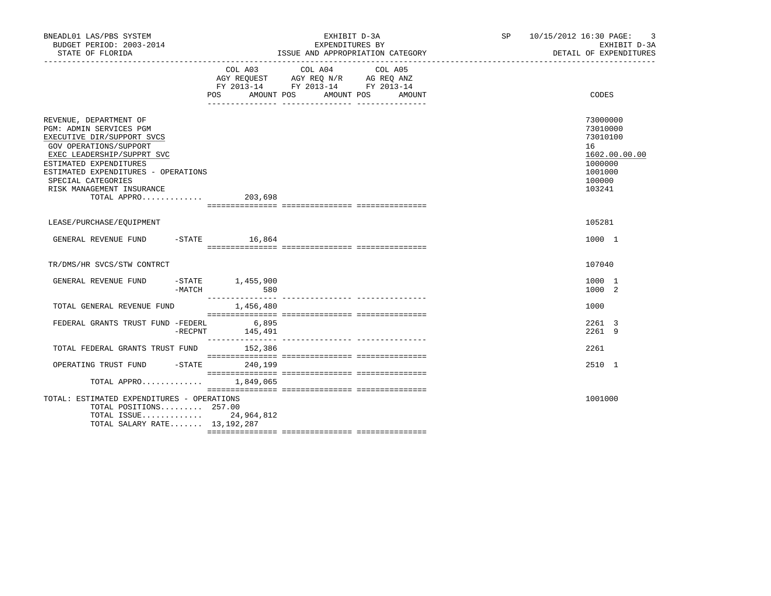| BNEADL01 LAS/PBS SYSTEM<br>BUDGET PERIOD: 2003-2014<br>STATE OF FLORIDA                                                                                                                                                                                                            |        |                                           | EXHIBIT D-3A<br>EXPENDITURES BY<br>ISSUE AND APPROPRIATION CATEGORY                       |         | SP 10/15/2012 16:30 PAGE: 3<br>EXHIBIT D-3A<br>DETAIL OF EXPENDITURES |  |                                                                                                   |
|------------------------------------------------------------------------------------------------------------------------------------------------------------------------------------------------------------------------------------------------------------------------------------|--------|-------------------------------------------|-------------------------------------------------------------------------------------------|---------|-----------------------------------------------------------------------|--|---------------------------------------------------------------------------------------------------|
|                                                                                                                                                                                                                                                                                    |        | POS AMOUNT POS AMOUNT POS AMOUNT          | COL A03 COL A04<br>AGY REQUEST AGY REQ N/R AG REQ ANZ<br>FY 2013-14 FY 2013-14 FY 2013-14 | COL A05 |                                                                       |  | CODES                                                                                             |
| REVENUE, DEPARTMENT OF<br>PGM: ADMIN SERVICES PGM<br>EXECUTIVE DIR/SUPPORT SVCS<br>GOV OPERATIONS/SUPPORT<br>EXEC LEADERSHIP/SUPPRT SVC<br>ESTIMATED EXPENDITURES<br>ESTIMATED EXPENDITURES - OPERATIONS<br>SPECIAL CATEGORIES<br>RISK MANAGEMENT INSURANCE<br>TOTAL APPRO 203,698 |        |                                           |                                                                                           |         |                                                                       |  | 73000000<br>73010000<br>73010100<br>16<br>1602.00.00.00<br>1000000<br>1001000<br>100000<br>103241 |
| LEASE/PURCHASE/EOUIPMENT                                                                                                                                                                                                                                                           |        |                                           |                                                                                           |         |                                                                       |  | 105281                                                                                            |
| GENERAL REVENUE FUND -STATE 16,864                                                                                                                                                                                                                                                 |        |                                           |                                                                                           |         |                                                                       |  | 1000 1                                                                                            |
| TR/DMS/HR SVCS/STW CONTRCT                                                                                                                                                                                                                                                         |        |                                           |                                                                                           |         |                                                                       |  | 107040                                                                                            |
| GENERAL REVENUE FUND                                                                                                                                                                                                                                                               | -MATCH | $-$ STATE 1,455,900<br>580<br>___________ |                                                                                           |         |                                                                       |  | 1000 1<br>1000 2                                                                                  |
| TOTAL GENERAL REVENUE FUND                                                                                                                                                                                                                                                         |        | 1,456,480                                 |                                                                                           |         |                                                                       |  | 1000                                                                                              |
| FEDERAL GRANTS TRUST FUND -FEDERL 6,895                                                                                                                                                                                                                                            |        | $-$ RECPNT $145,491$                      |                                                                                           |         |                                                                       |  | 2261 3<br>2261 9                                                                                  |
| TOTAL FEDERAL GRANTS TRUST FUND 152,386                                                                                                                                                                                                                                            |        |                                           |                                                                                           |         |                                                                       |  | 2261                                                                                              |
| OPERATING TRUST FUND -STATE 240,199                                                                                                                                                                                                                                                |        |                                           |                                                                                           |         |                                                                       |  | 2510 1                                                                                            |
| TOTAL APPRO 1,849,065                                                                                                                                                                                                                                                              |        |                                           |                                                                                           |         |                                                                       |  |                                                                                                   |
| TOTAL: ESTIMATED EXPENDITURES - OPERATIONS<br>TOTAL POSITIONS 257.00<br>TOTAL ISSUE 24,964,812<br>TOTAL SALARY RATE 13, 192, 287                                                                                                                                                   |        |                                           |                                                                                           |         |                                                                       |  | 1001000                                                                                           |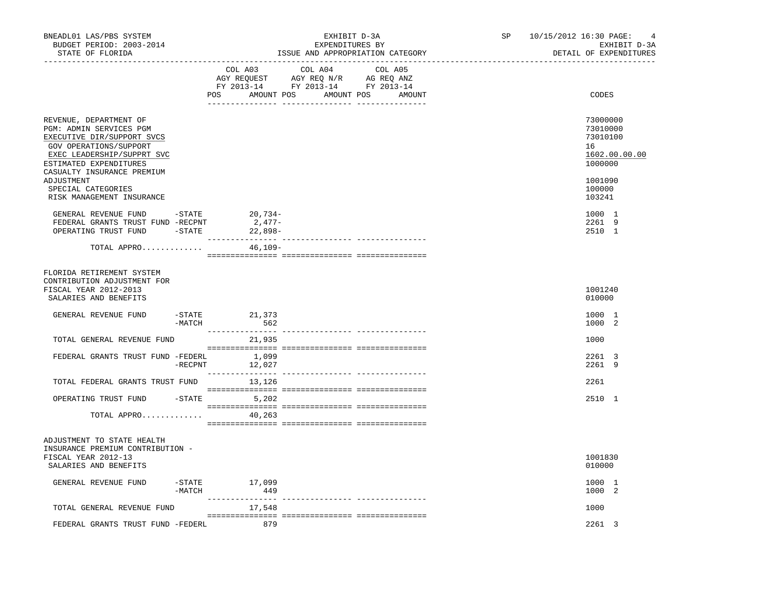| BNEADL01 LAS/PBS SYSTEM<br>BUDGET PERIOD: 2003-2014<br>STATE OF FLORIDA<br>. _ _ _ _ _ _ _ _ _ _ _ _ _ _ _ _                                                                                                                                                                                                                                                        |            |                                                                                                            | EXHIBIT D-3A<br>EXPENDITURES BY<br>ISSUE AND APPROPRIATION CATEGORY |  | SP | 10/15/2012 16:30 PAGE: | 4<br>EXHIBIT D-3A<br>DETAIL OF EXPENDITURES                                                                                     |
|---------------------------------------------------------------------------------------------------------------------------------------------------------------------------------------------------------------------------------------------------------------------------------------------------------------------------------------------------------------------|------------|------------------------------------------------------------------------------------------------------------|---------------------------------------------------------------------|--|----|------------------------|---------------------------------------------------------------------------------------------------------------------------------|
|                                                                                                                                                                                                                                                                                                                                                                     |            | AGY REQUEST AGY REQ N/R AG REQ ANZ<br>FY 2013-14 FY 2013-14 FY 2013-14<br>POS AMOUNT POS AMOUNT POS AMOUNT | COL A03 COL A04 COL A05                                             |  |    |                        | CODES                                                                                                                           |
| REVENUE, DEPARTMENT OF<br>PGM: ADMIN SERVICES PGM<br>EXECUTIVE DIR/SUPPORT SVCS<br>GOV OPERATIONS/SUPPORT<br>EXEC LEADERSHIP/SUPPRT SVC<br>ESTIMATED EXPENDITURES<br>CASUALTY INSURANCE PREMIUM<br>ADJUSTMENT<br>SPECIAL CATEGORIES<br>RISK MANAGEMENT INSURANCE<br>GENERAL REVENUE FUND -STATE<br>FEDERAL GRANTS TRUST FUND -RECPNT<br>OPERATING TRUST FUND -STATE |            | $20,734-$<br>$2,477-$<br>22,898-                                                                           |                                                                     |  |    |                        | 73000000<br>73010000<br>73010100<br>16<br>1602.00.00.00<br>1000000<br>1001090<br>100000<br>103241<br>1000 1<br>2261 9<br>2510 1 |
| TOTAL APPRO                                                                                                                                                                                                                                                                                                                                                         |            | $46,109-$                                                                                                  |                                                                     |  |    |                        |                                                                                                                                 |
| FLORIDA RETIREMENT SYSTEM<br>CONTRIBUTION ADJUSTMENT FOR<br>FISCAL YEAR 2012-2013<br>SALARIES AND BENEFITS                                                                                                                                                                                                                                                          |            |                                                                                                            |                                                                     |  |    |                        | 1001240<br>010000                                                                                                               |
| GENERAL REVENUE FUND                                                                                                                                                                                                                                                                                                                                                | $-MATCH$   | -STATE 21,373<br>562                                                                                       |                                                                     |  |    |                        | 1000 1<br>1000 2                                                                                                                |
| TOTAL GENERAL REVENUE FUND                                                                                                                                                                                                                                                                                                                                          |            | 21,935                                                                                                     |                                                                     |  |    |                        | 1000                                                                                                                            |
| FEDERAL GRANTS TRUST FUND -FEDERL                                                                                                                                                                                                                                                                                                                                   | $-$ RECPNT | 1,099<br>12,027                                                                                            |                                                                     |  |    |                        | 2261 3<br>2261 9                                                                                                                |
| TOTAL FEDERAL GRANTS TRUST FUND 13,126                                                                                                                                                                                                                                                                                                                              |            |                                                                                                            |                                                                     |  |    |                        | 2261                                                                                                                            |
| OPERATING TRUST FUND                                                                                                                                                                                                                                                                                                                                                |            | $-STATE$ 5,202                                                                                             |                                                                     |  |    |                        | 2510 1                                                                                                                          |
| TOTAL APPRO                                                                                                                                                                                                                                                                                                                                                         |            | 40,263                                                                                                     |                                                                     |  |    |                        |                                                                                                                                 |
| ADJUSTMENT TO STATE HEALTH<br>INSURANCE PREMIUM CONTRIBUTION -<br>FISCAL YEAR 2012-13<br>SALARIES AND BENEFITS                                                                                                                                                                                                                                                      |            |                                                                                                            |                                                                     |  |    |                        | 1001830<br>010000                                                                                                               |
| GENERAL REVENUE FUND                                                                                                                                                                                                                                                                                                                                                | $-MATCH$   | -STATE 17,099<br>449                                                                                       |                                                                     |  |    |                        | 1000 1<br>1000 2                                                                                                                |
| TOTAL GENERAL REVENUE FUND                                                                                                                                                                                                                                                                                                                                          |            | 17,548                                                                                                     |                                                                     |  |    |                        | 1000                                                                                                                            |
| FEDERAL GRANTS TRUST FUND -FEDERL                                                                                                                                                                                                                                                                                                                                   |            | 879                                                                                                        |                                                                     |  |    |                        | 2261 3                                                                                                                          |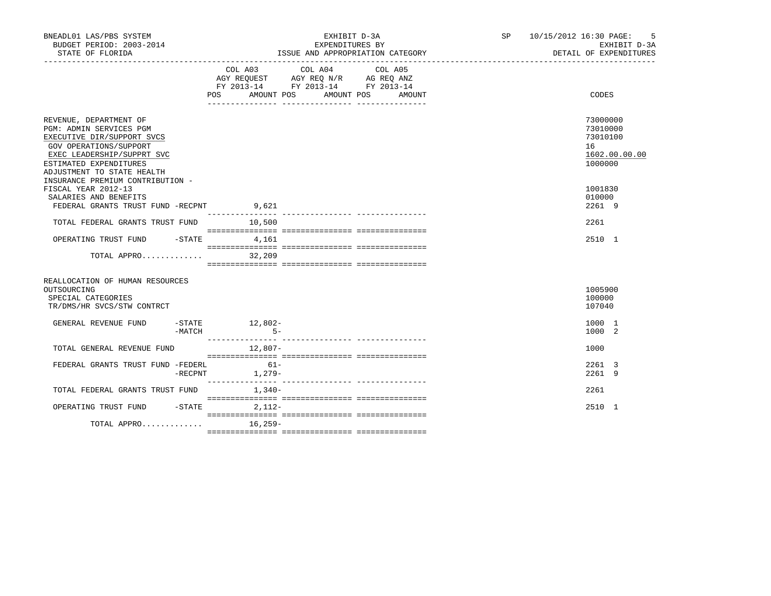| BNEADL01 LAS/PBS SYSTEM<br>BUDGET PERIOD: 2003-2014<br>STATE OF FLORIDA                                                                                                                         |                          | EXHIBIT D-3A<br>EXPENDITURES BY<br>ISSUE AND APPROPRIATION CATEGORY                                                                      | SP 10/15/2012 16:30 PAGE: | - 5<br>EXHIBIT D-3A<br>DETAIL OF EXPENDITURES                      |  |
|-------------------------------------------------------------------------------------------------------------------------------------------------------------------------------------------------|--------------------------|------------------------------------------------------------------------------------------------------------------------------------------|---------------------------|--------------------------------------------------------------------|--|
|                                                                                                                                                                                                 |                          | COL A03 COL A04<br>COL A05<br>AGY REQUEST AGY REQ N/R AG REQ ANZ<br>FY 2013-14 FY 2013-14 FY 2013-14<br>POS AMOUNT POS AMOUNT POS AMOUNT |                           | CODES                                                              |  |
| REVENUE, DEPARTMENT OF<br>PGM: ADMIN SERVICES PGM<br>EXECUTIVE DIR/SUPPORT SVCS<br>GOV OPERATIONS/SUPPORT<br>EXEC LEADERSHIP/SUPPRT SVC<br>ESTIMATED EXPENDITURES<br>ADJUSTMENT TO STATE HEALTH |                          |                                                                                                                                          |                           | 73000000<br>73010000<br>73010100<br>16<br>1602.00.00.00<br>1000000 |  |
| INSURANCE PREMIUM CONTRIBUTION -<br>FISCAL YEAR 2012-13<br>SALARIES AND BENEFITS<br>FEDERAL GRANTS TRUST FUND -RECPNT 9,621                                                                     |                          |                                                                                                                                          |                           | 1001830<br>010000<br>2261 9                                        |  |
| TOTAL FEDERAL GRANTS TRUST FUND 10,500                                                                                                                                                          |                          |                                                                                                                                          |                           | 2261                                                               |  |
| OPERATING TRUST FUND -STATE 4,161<br>TOTAL APPRO                                                                                                                                                | 32,209                   |                                                                                                                                          |                           | 2510 1                                                             |  |
|                                                                                                                                                                                                 |                          |                                                                                                                                          |                           |                                                                    |  |
| REALLOCATION OF HUMAN RESOURCES<br>OUTSOURCING<br>SPECIAL CATEGORIES<br>TR/DMS/HR SVCS/STW CONTRCT                                                                                              |                          |                                                                                                                                          |                           | 1005900<br>100000<br>107040                                        |  |
| GENERAL REVENUE FUND<br>$-MATCH$                                                                                                                                                                | $-STATE$ 12,802-<br>$5-$ |                                                                                                                                          |                           | 1000 1<br>1000 2                                                   |  |
| TOTAL GENERAL REVENUE FUND                                                                                                                                                                      | $12,807-$                |                                                                                                                                          |                           | 1000                                                               |  |
| FEDERAL GRANTS TRUST FUND -FEDERL<br>$-{\rm RECPNT}$                                                                                                                                            | $61-$<br>1,279-          |                                                                                                                                          |                           | 2261 3<br>2261 9                                                   |  |
| TOTAL FEDERAL GRANTS TRUST FUND 1,340-                                                                                                                                                          |                          |                                                                                                                                          |                           | 2261                                                               |  |
| OPERATING TRUST FUND -STATE 2,112-                                                                                                                                                              |                          |                                                                                                                                          |                           | 2510 1                                                             |  |
| TOTAL APPRO                                                                                                                                                                                     | $16.259-$                |                                                                                                                                          |                           |                                                                    |  |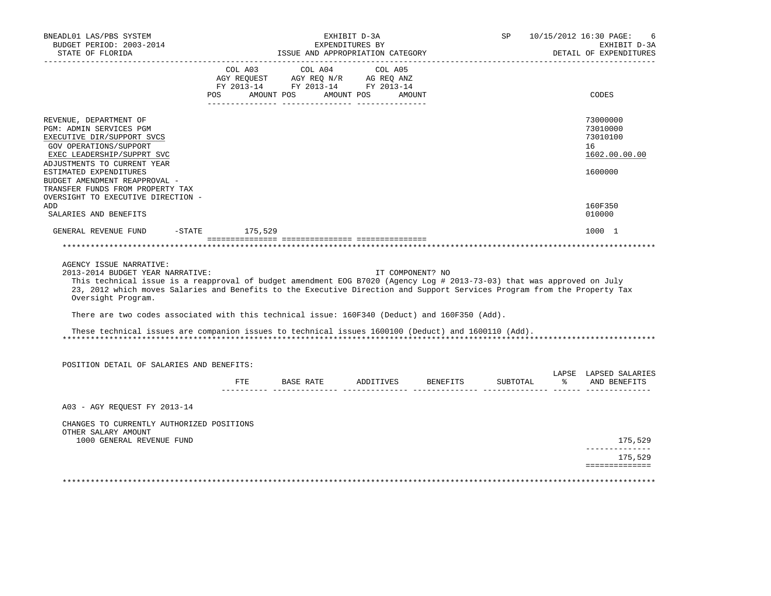| BNEADL01 LAS/PBS SYSTEM<br>BUDGET PERIOD: 2003-2014<br>STATE OF FLORIDA                                                                                                                                                                                                                                                                 |     | ISSUE AND APPROPRIATION CATEGORY          | EXHIBIT D-3A<br>EXPENDITURES BY |                  | SP | 10/15/2012 16:30 PAGE:<br>-6<br>EXHIBIT D-3A<br>DETAIL OF EXPENDITURES |
|-----------------------------------------------------------------------------------------------------------------------------------------------------------------------------------------------------------------------------------------------------------------------------------------------------------------------------------------|-----|-------------------------------------------|---------------------------------|------------------|----|------------------------------------------------------------------------|
| __________________                                                                                                                                                                                                                                                                                                                      |     | COL A03 COL A04 COL A05                   |                                 |                  |    |                                                                        |
|                                                                                                                                                                                                                                                                                                                                         |     |                                           |                                 |                  |    |                                                                        |
|                                                                                                                                                                                                                                                                                                                                         | POS | AMOUNT POS                                | AMOUNT POS                      | AMOUNT           |    | CODES                                                                  |
| REVENUE, DEPARTMENT OF                                                                                                                                                                                                                                                                                                                  |     |                                           |                                 |                  |    | 73000000                                                               |
| PGM: ADMIN SERVICES PGM                                                                                                                                                                                                                                                                                                                 |     |                                           |                                 |                  |    | 73010000                                                               |
| EXECUTIVE DIR/SUPPORT SVCS<br>GOV OPERATIONS/SUPPORT                                                                                                                                                                                                                                                                                    |     |                                           |                                 |                  |    | 73010100<br>16                                                         |
| EXEC LEADERSHIP/SUPPRT SVC                                                                                                                                                                                                                                                                                                              |     |                                           |                                 |                  |    | 1602.00.00.00                                                          |
| ADJUSTMENTS TO CURRENT YEAR                                                                                                                                                                                                                                                                                                             |     |                                           |                                 |                  |    |                                                                        |
| ESTIMATED EXPENDITURES                                                                                                                                                                                                                                                                                                                  |     |                                           |                                 |                  |    | 1600000                                                                |
| BUDGET AMENDMENT REAPPROVAL -<br>TRANSFER FUNDS FROM PROPERTY TAX                                                                                                                                                                                                                                                                       |     |                                           |                                 |                  |    |                                                                        |
| OVERSIGHT TO EXECUTIVE DIRECTION -                                                                                                                                                                                                                                                                                                      |     |                                           |                                 |                  |    |                                                                        |
| ADD                                                                                                                                                                                                                                                                                                                                     |     |                                           |                                 |                  |    | 160F350                                                                |
| SALARIES AND BENEFITS                                                                                                                                                                                                                                                                                                                   |     |                                           |                                 |                  |    | 010000                                                                 |
| GENERAL REVENUE FUND -STATE 175,529                                                                                                                                                                                                                                                                                                     |     |                                           |                                 |                  |    | 1000 1                                                                 |
|                                                                                                                                                                                                                                                                                                                                         |     |                                           |                                 |                  |    |                                                                        |
|                                                                                                                                                                                                                                                                                                                                         |     |                                           |                                 |                  |    |                                                                        |
| AGENCY ISSUE NARRATIVE:<br>2013-2014 BUDGET YEAR NARRATIVE:<br>This technical issue is a reapproval of budget amendment EOG B7020 (Agency Log # 2013-73-03) that was approved on July<br>23, 2012 which moves Salaries and Benefits to the Executive Direction and Support Services Program from the Property Tax<br>Oversight Program. |     |                                           |                                 | IT COMPONENT? NO |    |                                                                        |
| There are two codes associated with this technical issue: 160F340 (Deduct) and 160F350 (Add).                                                                                                                                                                                                                                           |     |                                           |                                 |                  |    |                                                                        |
|                                                                                                                                                                                                                                                                                                                                         |     |                                           |                                 |                  |    |                                                                        |
| These technical issues are companion issues to technical issues 1600100 (Deduct) and 1600110 (Add).                                                                                                                                                                                                                                     |     |                                           |                                 |                  |    |                                                                        |
| POSITION DETAIL OF SALARIES AND BENEFITS:                                                                                                                                                                                                                                                                                               |     |                                           |                                 |                  |    |                                                                        |
|                                                                                                                                                                                                                                                                                                                                         |     | FTE BASE RATE ADDITIVES BENEFITS SUBTOTAL |                                 |                  |    | LAPSE LAPSED SALARIES<br>% AND BENEFITS                                |
|                                                                                                                                                                                                                                                                                                                                         |     |                                           |                                 |                  |    |                                                                        |
| A03 - AGY REQUEST FY 2013-14                                                                                                                                                                                                                                                                                                            |     |                                           |                                 |                  |    |                                                                        |
| CHANGES TO CURRENTLY AUTHORIZED POSITIONS<br>OTHER SALARY AMOUNT                                                                                                                                                                                                                                                                        |     |                                           |                                 |                  |    |                                                                        |
| 1000 GENERAL REVENUE FUND                                                                                                                                                                                                                                                                                                               |     |                                           |                                 |                  |    | 175,529<br>_____________                                               |
|                                                                                                                                                                                                                                                                                                                                         |     |                                           |                                 |                  |    | 175,529                                                                |
|                                                                                                                                                                                                                                                                                                                                         |     |                                           |                                 |                  |    | ==============                                                         |
|                                                                                                                                                                                                                                                                                                                                         |     |                                           |                                 |                  |    |                                                                        |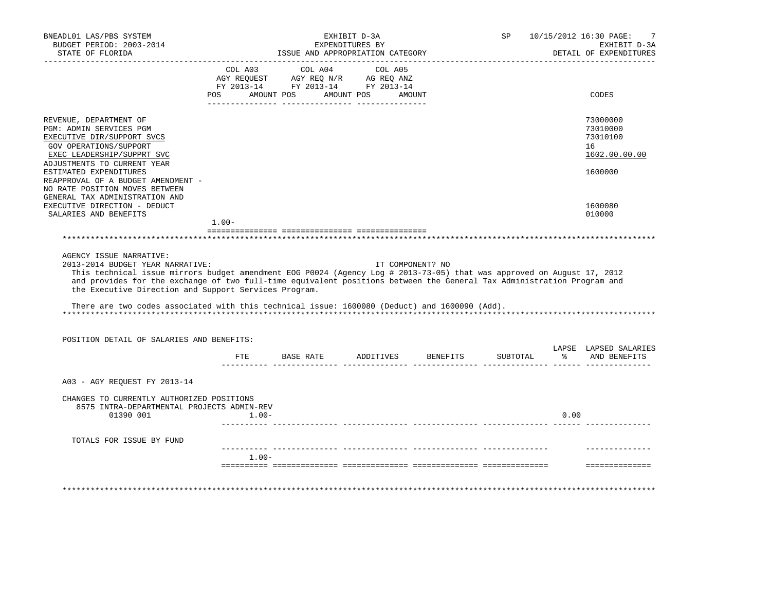| BUDGET PERIOD: 2003-2014<br>STATE OF FLORIDA                                                                                                                                                                                                                                                                                                                             |            |                                                                                                                                                                                                                                                                                                                                                                                                                                                                                    | EXHIBIT D-3A<br>EXPENDITURES BY<br>ISSUE AND APPROPRIATION CATEGORY |                  |          | 10/15/2012 16:30 PAGE: | 7<br>EXHIBIT D-3A<br>DETAIL OF EXPENDITURES |
|--------------------------------------------------------------------------------------------------------------------------------------------------------------------------------------------------------------------------------------------------------------------------------------------------------------------------------------------------------------------------|------------|------------------------------------------------------------------------------------------------------------------------------------------------------------------------------------------------------------------------------------------------------------------------------------------------------------------------------------------------------------------------------------------------------------------------------------------------------------------------------------|---------------------------------------------------------------------|------------------|----------|------------------------|---------------------------------------------|
|                                                                                                                                                                                                                                                                                                                                                                          |            |                                                                                                                                                                                                                                                                                                                                                                                                                                                                                    |                                                                     |                  |          |                        |                                             |
|                                                                                                                                                                                                                                                                                                                                                                          |            | $\begin{tabular}{lllllllllll} \multicolumn{4}{l}{{\small\mbox{\texttt{COL}}} & $\mbox{\texttt{AO1}}$ & $\mbox{\texttt{COL}}$ & $\mbox{\texttt{AO1}}$ & $\mbox{\texttt{COL}}$ & $\mbox{\texttt{AO5}}$ \\ \multicolumn{4}{l}{\small\mbox{\texttt{AGY}}} & $\mbox{\texttt{REGU}}$ & $\mbox{\texttt{AGY}}$ & $\mbox{\texttt{REGU}}$ & $\mbox{\texttt{NC}}$ & $\mbox{\texttt{AGEQ}}$ & $\mbox{\texttt{ANZ}}$ \\ \multicolumn{4}{l}{\small\mbox{\texttt{AGY}}} & $\mbox{\texttt{REGU}}$$ |                                                                     |                  |          |                        |                                             |
|                                                                                                                                                                                                                                                                                                                                                                          | <b>POS</b> | FY 2013-14 FY 2013-14 FY 2013-14<br>AMOUNT POS                                                                                                                                                                                                                                                                                                                                                                                                                                     | AMOUNT POS                                                          | AMOUNT           |          |                        | CODES                                       |
|                                                                                                                                                                                                                                                                                                                                                                          |            |                                                                                                                                                                                                                                                                                                                                                                                                                                                                                    |                                                                     |                  |          |                        |                                             |
| REVENUE, DEPARTMENT OF                                                                                                                                                                                                                                                                                                                                                   |            |                                                                                                                                                                                                                                                                                                                                                                                                                                                                                    |                                                                     |                  |          |                        | 73000000                                    |
| PGM: ADMIN SERVICES PGM                                                                                                                                                                                                                                                                                                                                                  |            |                                                                                                                                                                                                                                                                                                                                                                                                                                                                                    |                                                                     |                  |          |                        | 73010000                                    |
| EXECUTIVE DIR/SUPPORT SVCS                                                                                                                                                                                                                                                                                                                                               |            |                                                                                                                                                                                                                                                                                                                                                                                                                                                                                    |                                                                     |                  |          |                        | 73010100                                    |
| GOV OPERATIONS/SUPPORT                                                                                                                                                                                                                                                                                                                                                   |            |                                                                                                                                                                                                                                                                                                                                                                                                                                                                                    |                                                                     |                  |          |                        | 16                                          |
| EXEC LEADERSHIP/SUPPRT SVC<br>ADJUSTMENTS TO CURRENT YEAR                                                                                                                                                                                                                                                                                                                |            |                                                                                                                                                                                                                                                                                                                                                                                                                                                                                    |                                                                     |                  |          |                        | 1602.00.00.00                               |
| ESTIMATED EXPENDITURES                                                                                                                                                                                                                                                                                                                                                   |            |                                                                                                                                                                                                                                                                                                                                                                                                                                                                                    |                                                                     |                  |          |                        | 1600000                                     |
| REAPPROVAL OF A BUDGET AMENDMENT -                                                                                                                                                                                                                                                                                                                                       |            |                                                                                                                                                                                                                                                                                                                                                                                                                                                                                    |                                                                     |                  |          |                        |                                             |
| NO RATE POSITION MOVES BETWEEN                                                                                                                                                                                                                                                                                                                                           |            |                                                                                                                                                                                                                                                                                                                                                                                                                                                                                    |                                                                     |                  |          |                        |                                             |
| GENERAL TAX ADMINISTRATION AND                                                                                                                                                                                                                                                                                                                                           |            |                                                                                                                                                                                                                                                                                                                                                                                                                                                                                    |                                                                     |                  |          |                        |                                             |
| EXECUTIVE DIRECTION - DEDUCT<br>SALARIES AND BENEFITS                                                                                                                                                                                                                                                                                                                    |            |                                                                                                                                                                                                                                                                                                                                                                                                                                                                                    |                                                                     |                  |          |                        | 1600080<br>010000                           |
|                                                                                                                                                                                                                                                                                                                                                                          | $1.00-$    |                                                                                                                                                                                                                                                                                                                                                                                                                                                                                    |                                                                     |                  |          |                        |                                             |
|                                                                                                                                                                                                                                                                                                                                                                          |            |                                                                                                                                                                                                                                                                                                                                                                                                                                                                                    |                                                                     |                  |          |                        |                                             |
|                                                                                                                                                                                                                                                                                                                                                                          |            |                                                                                                                                                                                                                                                                                                                                                                                                                                                                                    |                                                                     |                  |          |                        |                                             |
| AGENCY ISSUE NARRATIVE:<br>2013-2014 BUDGET YEAR NARRATIVE:<br>This technical issue mirrors budget amendment EOG P0024 (Agency Log # 2013-73-05) that was approved on August 17, 2012<br>and provides for the exchange of two full-time equivalent positions between the General Tax Administration Program and<br>the Executive Direction and Support Services Program. |            |                                                                                                                                                                                                                                                                                                                                                                                                                                                                                    |                                                                     | IT COMPONENT? NO |          |                        |                                             |
| There are two codes associated with this technical issue: 1600080 (Deduct) and 1600090 (Add).                                                                                                                                                                                                                                                                            |            |                                                                                                                                                                                                                                                                                                                                                                                                                                                                                    |                                                                     |                  |          |                        |                                             |
|                                                                                                                                                                                                                                                                                                                                                                          |            |                                                                                                                                                                                                                                                                                                                                                                                                                                                                                    |                                                                     |                  |          |                        |                                             |
| POSITION DETAIL OF SALARIES AND BENEFITS:                                                                                                                                                                                                                                                                                                                                |            |                                                                                                                                                                                                                                                                                                                                                                                                                                                                                    |                                                                     |                  |          |                        | LAPSE LAPSED SALARIES                       |
|                                                                                                                                                                                                                                                                                                                                                                          | FTE        |                                                                                                                                                                                                                                                                                                                                                                                                                                                                                    | BASE RATE ADDITIVES                                                 | <b>BENEFITS</b>  | SUBTOTAL | ့                      | AND BENEFITS                                |
| A03 - AGY REQUEST FY 2013-14                                                                                                                                                                                                                                                                                                                                             |            |                                                                                                                                                                                                                                                                                                                                                                                                                                                                                    |                                                                     |                  |          |                        |                                             |
| CHANGES TO CURRENTLY AUTHORIZED POSITIONS                                                                                                                                                                                                                                                                                                                                |            |                                                                                                                                                                                                                                                                                                                                                                                                                                                                                    |                                                                     |                  |          |                        |                                             |
| 8575 INTRA-DEPARTMENTAL PROJECTS ADMIN-REV<br>01390 001                                                                                                                                                                                                                                                                                                                  | $1.00 -$   |                                                                                                                                                                                                                                                                                                                                                                                                                                                                                    |                                                                     |                  |          | 0.00                   |                                             |
| TOTALS FOR ISSUE BY FUND                                                                                                                                                                                                                                                                                                                                                 |            |                                                                                                                                                                                                                                                                                                                                                                                                                                                                                    |                                                                     |                  |          |                        |                                             |
|                                                                                                                                                                                                                                                                                                                                                                          | $1.00 -$   |                                                                                                                                                                                                                                                                                                                                                                                                                                                                                    |                                                                     |                  |          |                        |                                             |
|                                                                                                                                                                                                                                                                                                                                                                          |            |                                                                                                                                                                                                                                                                                                                                                                                                                                                                                    |                                                                     |                  |          |                        | ----------------                            |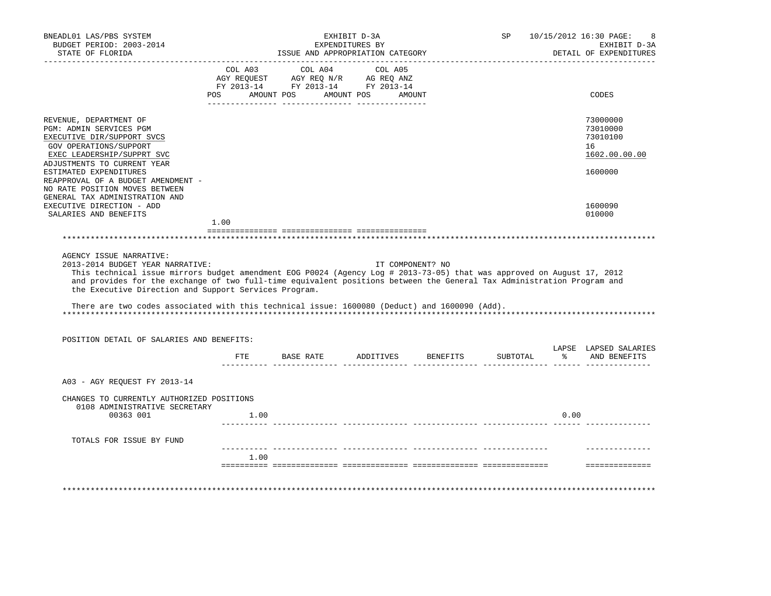| BNEADL01 LAS/PBS SYSTEM<br>BUDGET PERIOD: 2003-2014<br>STATE OF FLORIDA                                                                                                                                                                                                                                                                                                                                                                                 |            | ISSUE AND APPROPRIATION CATEGORY                                                                  | EXHIBIT D-3A<br>EXPENDITURES BY |          | SP       |      | 10/15/2012 16:30 PAGE:<br>8<br>EXHIBIT D-3A<br>DETAIL OF EXPENDITURES |
|---------------------------------------------------------------------------------------------------------------------------------------------------------------------------------------------------------------------------------------------------------------------------------------------------------------------------------------------------------------------------------------------------------------------------------------------------------|------------|---------------------------------------------------------------------------------------------------|---------------------------------|----------|----------|------|-----------------------------------------------------------------------|
|                                                                                                                                                                                                                                                                                                                                                                                                                                                         |            | COL A03 COL A04 COL A05<br>AGY REQUEST AGY REQ AVE AG REQ ANZ<br>FY 2013-14 FY 2013-14 FY 2013-14 |                                 |          |          |      |                                                                       |
|                                                                                                                                                                                                                                                                                                                                                                                                                                                         | <b>POS</b> | AMOUNT POS                                                                                        | AMOUNT POS AMOUNT               |          |          |      | CODES                                                                 |
| REVENUE, DEPARTMENT OF<br>PGM: ADMIN SERVICES PGM<br>EXECUTIVE DIR/SUPPORT SVCS<br>GOV OPERATIONS/SUPPORT<br>EXEC LEADERSHIP/SUPPRT SVC                                                                                                                                                                                                                                                                                                                 |            |                                                                                                   |                                 |          |          |      | 73000000<br>73010000<br>73010100<br>16<br>1602.00.00.00               |
| ADJUSTMENTS TO CURRENT YEAR<br>ESTIMATED EXPENDITURES<br>REAPPROVAL OF A BUDGET AMENDMENT -<br>NO RATE POSITION MOVES BETWEEN<br>GENERAL TAX ADMINISTRATION AND                                                                                                                                                                                                                                                                                         |            |                                                                                                   |                                 |          |          |      | 1600000                                                               |
| EXECUTIVE DIRECTION - ADD                                                                                                                                                                                                                                                                                                                                                                                                                               |            |                                                                                                   |                                 |          |          |      | 1600090                                                               |
| SALARIES AND BENEFITS                                                                                                                                                                                                                                                                                                                                                                                                                                   | 1.00       |                                                                                                   |                                 |          |          |      | 010000                                                                |
|                                                                                                                                                                                                                                                                                                                                                                                                                                                         |            |                                                                                                   |                                 |          |          |      |                                                                       |
| This technical issue mirrors budget amendment EOG P0024 (Agency Log # 2013-73-05) that was approved on August 17, 2012<br>and provides for the exchange of two full-time equivalent positions between the General Tax Administration Program and<br>the Executive Direction and Support Services Program.<br>There are two codes associated with this technical issue: 1600080 (Deduct) and 1600090 (Add).<br>POSITION DETAIL OF SALARIES AND BENEFITS: |            |                                                                                                   |                                 |          |          |      |                                                                       |
|                                                                                                                                                                                                                                                                                                                                                                                                                                                         | FTE        | BASE RATE ADDITIVES                                                                               |                                 | BENEFITS | SUBTOTAL |      | LAPSE LAPSED SALARIES<br>% AND BENEFITS                               |
| A03 - AGY REQUEST FY 2013-14                                                                                                                                                                                                                                                                                                                                                                                                                            |            |                                                                                                   |                                 |          |          |      |                                                                       |
| CHANGES TO CURRENTLY AUTHORIZED POSITIONS<br>0108 ADMINISTRATIVE SECRETARY                                                                                                                                                                                                                                                                                                                                                                              |            |                                                                                                   |                                 |          |          |      |                                                                       |
| 00363 001                                                                                                                                                                                                                                                                                                                                                                                                                                               | 1.00       |                                                                                                   |                                 |          |          | 0.00 |                                                                       |
| TOTALS FOR ISSUE BY FUND                                                                                                                                                                                                                                                                                                                                                                                                                                |            |                                                                                                   |                                 |          |          |      |                                                                       |
|                                                                                                                                                                                                                                                                                                                                                                                                                                                         | 1.00       |                                                                                                   |                                 |          |          |      | ---------------                                                       |
|                                                                                                                                                                                                                                                                                                                                                                                                                                                         |            |                                                                                                   |                                 |          |          |      |                                                                       |
|                                                                                                                                                                                                                                                                                                                                                                                                                                                         |            |                                                                                                   |                                 |          |          |      |                                                                       |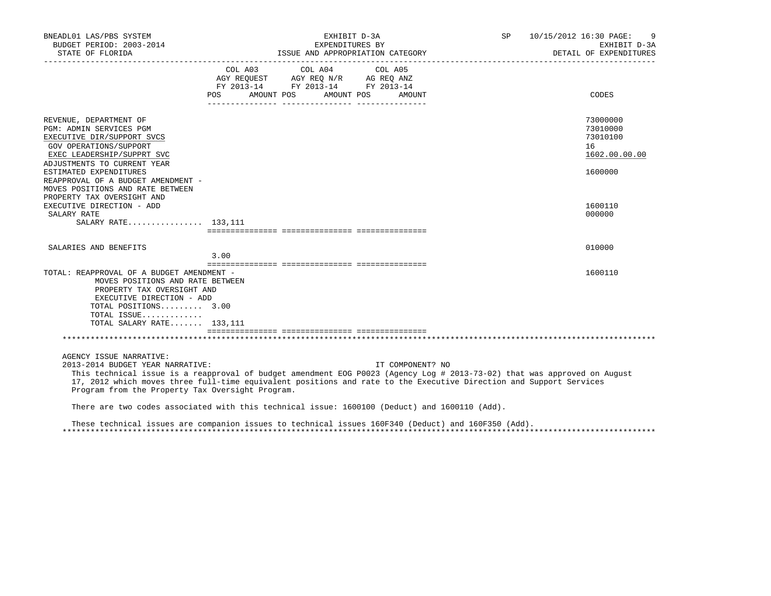| BNEADL01 LAS/PBS SYSTEM<br>BUDGET PERIOD: 2003-2014                                                                                                                                                                                                                                                                                                               |         | EXHIBIT D-3A<br>EXPENDITURES BY                                                                                       |                  | SP | 10/15/2012 16:30 PAGE:<br>9<br>EXHIBIT D-3A<br>DETAIL OF EXPENDITURES |
|-------------------------------------------------------------------------------------------------------------------------------------------------------------------------------------------------------------------------------------------------------------------------------------------------------------------------------------------------------------------|---------|-----------------------------------------------------------------------------------------------------------------------|------------------|----|-----------------------------------------------------------------------|
|                                                                                                                                                                                                                                                                                                                                                                   | COL A03 | COL A04<br>AGY REQUEST AGY REQ N/R AG REQ ANZ<br>FY 2013-14 FY 2013-14 FY 2013-14<br>POS AMOUNT POS AMOUNT POS AMOUNT | COL A05          |    | CODES                                                                 |
| REVENUE, DEPARTMENT OF<br>PGM: ADMIN SERVICES PGM<br>EXECUTIVE DIR/SUPPORT SVCS<br>GOV OPERATIONS/SUPPORT<br>EXEC LEADERSHIP/SUPPRT SVC<br>ADJUSTMENTS TO CURRENT YEAR                                                                                                                                                                                            |         |                                                                                                                       |                  |    | 73000000<br>73010000<br>73010100<br>16<br>1602.00.00.00               |
| ESTIMATED EXPENDITURES<br>REAPPROVAL OF A BUDGET AMENDMENT -<br>MOVES POSITIONS AND RATE BETWEEN<br>PROPERTY TAX OVERSIGHT AND<br>EXECUTIVE DIRECTION - ADD<br>SALARY RATE                                                                                                                                                                                        |         |                                                                                                                       |                  |    | 1600000<br>1600110<br>000000                                          |
| SALARY RATE 133,111                                                                                                                                                                                                                                                                                                                                               |         |                                                                                                                       |                  |    |                                                                       |
| SALARIES AND BENEFITS                                                                                                                                                                                                                                                                                                                                             | 3.00    |                                                                                                                       |                  |    | 010000                                                                |
| TOTAL: REAPPROVAL OF A BUDGET AMENDMENT -<br>MOVES POSITIONS AND RATE BETWEEN<br>PROPERTY TAX OVERSIGHT AND<br>EXECUTIVE DIRECTION - ADD<br>TOTAL POSITIONS 3.00<br>TOTAL ISSUE<br>TOTAL SALARY RATE 133,111                                                                                                                                                      |         |                                                                                                                       |                  |    | 1600110                                                               |
|                                                                                                                                                                                                                                                                                                                                                                   |         |                                                                                                                       |                  |    |                                                                       |
| AGENCY ISSUE NARRATIVE:<br>2013-2014 BUDGET YEAR NARRATIVE:<br>This technical issue is a reapproval of budget amendment EOG P0023 (Agency Log # 2013-73-02) that was approved on August<br>17, 2012 which moves three full-time equivalent positions and rate to the Executive Direction and Support Services<br>Program from the Property Tax Oversight Program. |         |                                                                                                                       | IT COMPONENT? NO |    |                                                                       |
| There are two codes associated with this technical issue: 1600100 (Deduct) and 1600110 (Add).                                                                                                                                                                                                                                                                     |         |                                                                                                                       |                  |    |                                                                       |
| These technical issues are companion issues to technical issues 160F340 (Deduct) and 160F350 (Add).                                                                                                                                                                                                                                                               |         |                                                                                                                       |                  |    |                                                                       |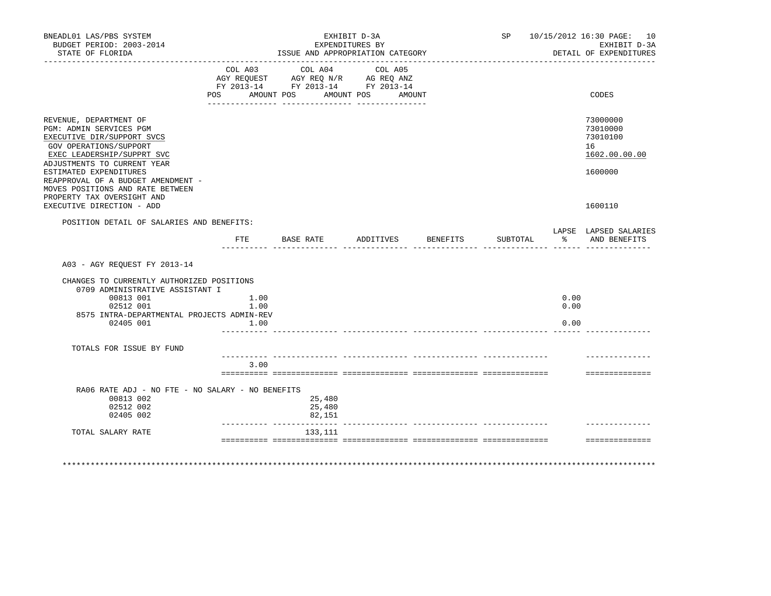| BNEADL01 LAS/PBS SYSTEM<br>BUDGET PERIOD: 2003-2014<br>STATE OF FLORIDA                                                                                                |              |                                                                                                                       | EXHIBIT D-3A<br>EXPENDITURES BY<br>ISSUE AND APPROPRIATION CATEGORY |          |          |                     | SP 10/15/2012 16:30 PAGE: 10<br>EXHIBIT D-3A<br>DETAIL OF EXPENDITURES |
|------------------------------------------------------------------------------------------------------------------------------------------------------------------------|--------------|-----------------------------------------------------------------------------------------------------------------------|---------------------------------------------------------------------|----------|----------|---------------------|------------------------------------------------------------------------|
|                                                                                                                                                                        | COL A03      | COL A04<br>AGY REQUEST AGY REQ N/R AG REQ ANZ<br>FY 2013-14 FY 2013-14 FY 2013-14<br>POS AMOUNT POS AMOUNT POS AMOUNT | COL A05                                                             |          |          |                     | CODES                                                                  |
|                                                                                                                                                                        |              |                                                                                                                       |                                                                     |          |          |                     |                                                                        |
| REVENUE, DEPARTMENT OF<br>PGM: ADMIN SERVICES PGM<br>EXECUTIVE DIR/SUPPORT SVCS<br>GOV OPERATIONS/SUPPORT<br>EXEC LEADERSHIP/SUPPRT SVC<br>ADJUSTMENTS TO CURRENT YEAR |              |                                                                                                                       |                                                                     |          |          |                     | 73000000<br>73010000<br>73010100<br>16<br>1602.00.00.00                |
| ESTIMATED EXPENDITURES<br>REAPPROVAL OF A BUDGET AMENDMENT -<br>MOVES POSITIONS AND RATE BETWEEN<br>PROPERTY TAX OVERSIGHT AND                                         |              |                                                                                                                       |                                                                     |          |          |                     | 1600000                                                                |
| EXECUTIVE DIRECTION - ADD                                                                                                                                              |              |                                                                                                                       |                                                                     |          |          |                     | 1600110                                                                |
| POSITION DETAIL OF SALARIES AND BENEFITS:                                                                                                                              |              |                                                                                                                       |                                                                     |          |          |                     | LAPSE LAPSED SALARIES                                                  |
|                                                                                                                                                                        | $_{\rm FTE}$ | BASE RATE                                                                                                             | ADDITIVES                                                           | BENEFITS | SUBTOTAL | 아이는 아이들이 아이들이 어려워요. | AND BENEFITS                                                           |
| A03 - AGY REOUEST FY 2013-14<br>CHANGES TO CURRENTLY AUTHORIZED POSITIONS<br>0709 ADMINISTRATIVE ASSISTANT I<br>00813 001                                              | 1.00         |                                                                                                                       |                                                                     |          |          | 0.00                |                                                                        |
| 02512 001<br>8575 INTRA-DEPARTMENTAL PROJECTS ADMIN-REV                                                                                                                | 1.00         |                                                                                                                       |                                                                     |          |          | 0.00                |                                                                        |
| 02405 001                                                                                                                                                              | 1.00         |                                                                                                                       |                                                                     |          |          | 0.00                |                                                                        |
| TOTALS FOR ISSUE BY FUND                                                                                                                                               |              |                                                                                                                       |                                                                     |          |          |                     |                                                                        |
|                                                                                                                                                                        | 3.00         |                                                                                                                       |                                                                     |          |          |                     | ==============                                                         |
|                                                                                                                                                                        |              |                                                                                                                       |                                                                     |          |          |                     |                                                                        |
| RA06 RATE ADJ - NO FTE - NO SALARY - NO BENEFITS<br>00813 002<br>02512 002                                                                                             |              | 25,480<br>25,480                                                                                                      |                                                                     |          |          |                     |                                                                        |
| 02405 002                                                                                                                                                              |              | 82,151                                                                                                                |                                                                     |          |          |                     |                                                                        |
| TOTAL SALARY RATE                                                                                                                                                      |              | 133,111                                                                                                               |                                                                     |          |          |                     |                                                                        |
|                                                                                                                                                                        |              |                                                                                                                       |                                                                     |          |          |                     | ==============                                                         |
|                                                                                                                                                                        |              |                                                                                                                       |                                                                     |          |          |                     |                                                                        |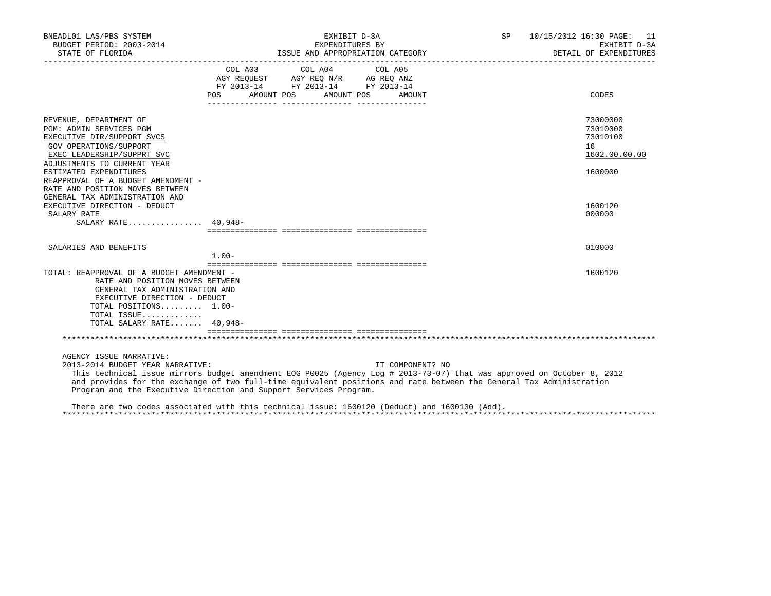| BNEADL01 LAS/PBS SYSTEM<br>BUDGET PERIOD: 2003-2014                                                                                                                                                                                                                                                                                                                               |         | EXHIBIT D-3A<br>EXPENDITURES BY                                                                                               |                  | SP 10/15/2012 16:30 PAGE: 11<br>EXHIBIT D-3A |                                                         |
|-----------------------------------------------------------------------------------------------------------------------------------------------------------------------------------------------------------------------------------------------------------------------------------------------------------------------------------------------------------------------------------|---------|-------------------------------------------------------------------------------------------------------------------------------|------------------|----------------------------------------------|---------------------------------------------------------|
|                                                                                                                                                                                                                                                                                                                                                                                   |         |                                                                                                                               |                  |                                              | DETAIL OF EXPENDITURES                                  |
|                                                                                                                                                                                                                                                                                                                                                                                   | POS     | COL A03 COL A04 COL A05<br>AGY REQUEST AGY REQ N/R AG REQ ANZ<br>FY 2013-14 FY 2013-14 FY 2013-14<br>AMOUNT POS<br>AMOUNT POS | AMOUNT           |                                              | CODES                                                   |
| REVENUE, DEPARTMENT OF<br>PGM: ADMIN SERVICES PGM<br>EXECUTIVE DIR/SUPPORT SVCS<br>GOV OPERATIONS/SUPPORT<br>EXEC LEADERSHIP/SUPPRT SVC                                                                                                                                                                                                                                           |         |                                                                                                                               |                  |                                              | 73000000<br>73010000<br>73010100<br>16<br>1602.00.00.00 |
| ADJUSTMENTS TO CURRENT YEAR<br>ESTIMATED EXPENDITURES<br>REAPPROVAL OF A BUDGET AMENDMENT -<br>RATE AND POSITION MOVES BETWEEN<br>GENERAL TAX ADMINISTRATION AND                                                                                                                                                                                                                  |         |                                                                                                                               |                  |                                              | 1600000                                                 |
| EXECUTIVE DIRECTION - DEDUCT<br>SALARY RATE<br>SALARY RATE 40,948-                                                                                                                                                                                                                                                                                                                |         |                                                                                                                               |                  |                                              | 1600120<br>000000                                       |
| SALARIES AND BENEFITS                                                                                                                                                                                                                                                                                                                                                             | $1.00-$ |                                                                                                                               |                  |                                              | 010000                                                  |
| TOTAL: REAPPROVAL OF A BUDGET AMENDMENT -<br>RATE AND POSITION MOVES BETWEEN<br>GENERAL TAX ADMINISTRATION AND<br>EXECUTIVE DIRECTION - DEDUCT<br>TOTAL POSITIONS 1.00-<br>TOTAL ISSUE<br>TOTAL SALARY RATE 40,948-                                                                                                                                                               |         |                                                                                                                               |                  |                                              | 1600120                                                 |
|                                                                                                                                                                                                                                                                                                                                                                                   |         |                                                                                                                               |                  |                                              |                                                         |
| AGENCY ISSUE NARRATIVE:<br>2013-2014 BUDGET YEAR NARRATIVE:<br>This technical issue mirrors budget amendment EOG P0025 (Agency Log # 2013-73-07) that was approved on October 8, 2012<br>and provides for the exchange of two full-time equivalent positions and rate between the General Tax Administration<br>Program and the Executive Direction and Support Services Program. |         |                                                                                                                               | IT COMPONENT? NO |                                              |                                                         |
| There are two codes associated with this technical issue: 1600120 (Deduct) and 1600130 (Add).                                                                                                                                                                                                                                                                                     |         |                                                                                                                               |                  |                                              |                                                         |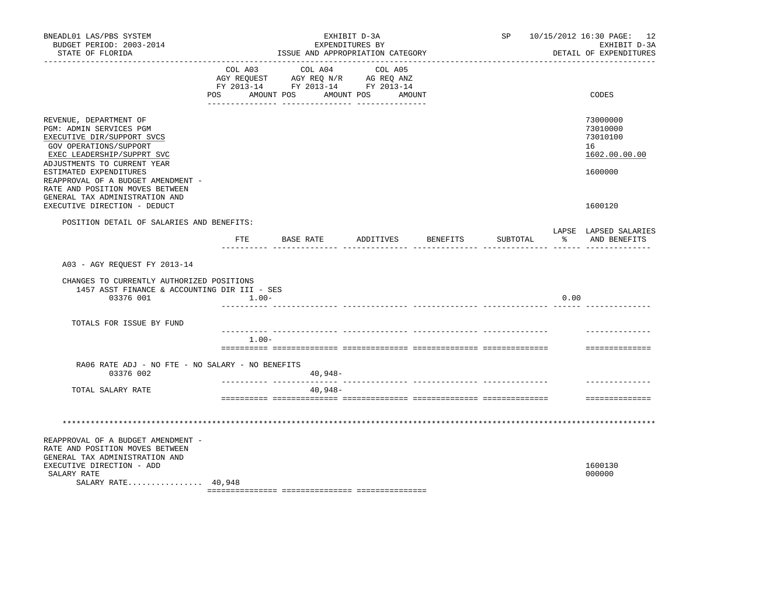| BNEADL01 LAS/PBS SYSTEM<br>BUDGET PERIOD: 2003-2014<br>STATE OF FLORIDA                                                                                                                          | EXHIBIT D-3A<br>EXPENDITURES BY<br>ISSUE AND APPROPRIATION CATEGORY |         |  |                                                                                                                                                                                                                               |            |        |                                  |      | SP 10/15/2012 16:30 PAGE: 12<br>EXHIBIT D-3A<br>DETAIL OF EXPENDITURES |
|--------------------------------------------------------------------------------------------------------------------------------------------------------------------------------------------------|---------------------------------------------------------------------|---------|--|-------------------------------------------------------------------------------------------------------------------------------------------------------------------------------------------------------------------------------|------------|--------|----------------------------------|------|------------------------------------------------------------------------|
|                                                                                                                                                                                                  | POS AMOUNT POS                                                      |         |  | COL A03 COL A04 COL A05<br>$\begin{tabular}{lllllll} \bf AGY \,\, REQUEST \,\, & \bf AGY \,\, REQ \,\, N/R & \,\, AG \,\, REQ \,\, ANZ \\ \bf FY \,\, 2013-14 & \,\, FY \,\, 2013-14 & \,\, FY \,\, 2013-14 \\ \end{tabular}$ | AMOUNT POS | AMOUNT |                                  |      | CODES                                                                  |
| REVENUE, DEPARTMENT OF<br>PGM: ADMIN SERVICES PGM<br>EXECUTIVE DIR/SUPPORT SVCS<br>GOV OPERATIONS/SUPPORT<br>EXEC LEADERSHIP/SUPPRT SVC<br>ADJUSTMENTS TO CURRENT YEAR<br>ESTIMATED EXPENDITURES |                                                                     |         |  |                                                                                                                                                                                                                               |            |        |                                  |      | 73000000<br>73010000<br>73010100<br>16<br>1602.00.00.00<br>1600000     |
| REAPPROVAL OF A BUDGET AMENDMENT -<br>RATE AND POSITION MOVES BETWEEN<br>GENERAL TAX ADMINISTRATION AND<br>EXECUTIVE DIRECTION - DEDUCT                                                          |                                                                     |         |  |                                                                                                                                                                                                                               |            |        |                                  |      | 1600120                                                                |
| POSITION DETAIL OF SALARIES AND BENEFITS:                                                                                                                                                        |                                                                     |         |  |                                                                                                                                                                                                                               |            |        | FTE BASE RATE ADDITIVES BENEFITS |      | LAPSE LAPSED SALARIES<br>SUBTOTAL % AND BENEFITS                       |
| A03 - AGY REQUEST FY 2013-14                                                                                                                                                                     |                                                                     |         |  |                                                                                                                                                                                                                               |            |        |                                  |      |                                                                        |
| CHANGES TO CURRENTLY AUTHORIZED POSITIONS<br>1457 ASST FINANCE & ACCOUNTING DIR III - SES<br>03376 001                                                                                           |                                                                     | $1.00-$ |  |                                                                                                                                                                                                                               |            |        |                                  | 0.00 |                                                                        |
| TOTALS FOR ISSUE BY FUND                                                                                                                                                                         |                                                                     |         |  |                                                                                                                                                                                                                               |            |        |                                  |      |                                                                        |
|                                                                                                                                                                                                  |                                                                     | $1.00-$ |  |                                                                                                                                                                                                                               |            |        |                                  |      | ==============                                                         |
| RA06 RATE ADJ - NO FTE - NO SALARY - NO BENEFITS<br>03376 002                                                                                                                                    |                                                                     |         |  | $40,948-$                                                                                                                                                                                                                     |            |        |                                  |      |                                                                        |
| TOTAL SALARY RATE                                                                                                                                                                                |                                                                     |         |  | $40,948-$                                                                                                                                                                                                                     |            |        |                                  |      | ==============                                                         |
|                                                                                                                                                                                                  |                                                                     |         |  |                                                                                                                                                                                                                               |            |        |                                  |      |                                                                        |
| REAPPROVAL OF A BUDGET AMENDMENT -<br>RATE AND POSITION MOVES BETWEEN<br>GENERAL TAX ADMINISTRATION AND<br>EXECUTIVE DIRECTION - ADD<br>SALARY RATE<br>SALARY RATE 40,948                        |                                                                     |         |  |                                                                                                                                                                                                                               |            |        |                                  |      | 1600130<br>000000                                                      |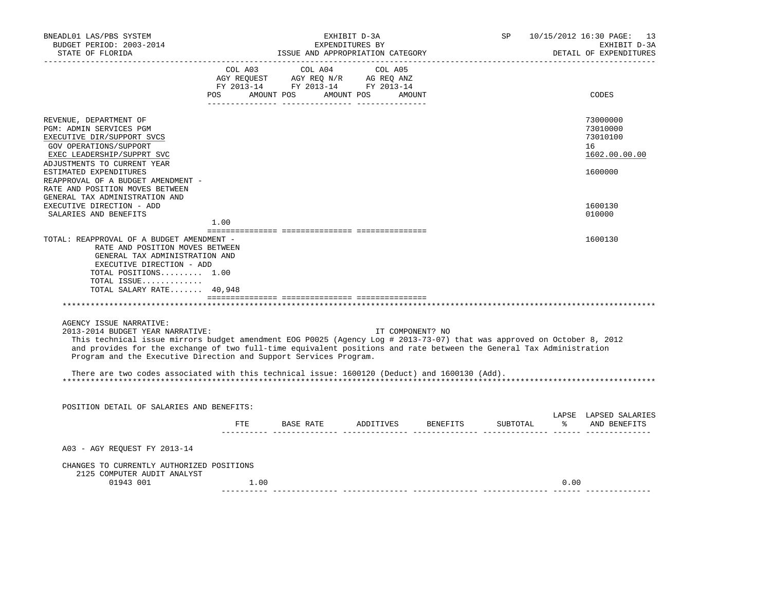| BNEADL01 LAS/PBS SYSTEM<br>BUDGET PERIOD: 2003-2014<br>STATE OF FLORIDA                                                                                                                                                                                                                                                                                                                                                                                                            |      | EXHIBIT D-3A<br>EXPENDITURES BY<br>ISSUE AND APPROPRIATION CATEGORY                                                                                                                                                                                                                                                                                                                                                                                               |                  | SP       |      | 10/15/2012 16:30 PAGE: 13<br>EXHIBIT D-3A<br>DETAIL OF EXPENDITURES |
|------------------------------------------------------------------------------------------------------------------------------------------------------------------------------------------------------------------------------------------------------------------------------------------------------------------------------------------------------------------------------------------------------------------------------------------------------------------------------------|------|-------------------------------------------------------------------------------------------------------------------------------------------------------------------------------------------------------------------------------------------------------------------------------------------------------------------------------------------------------------------------------------------------------------------------------------------------------------------|------------------|----------|------|---------------------------------------------------------------------|
|                                                                                                                                                                                                                                                                                                                                                                                                                                                                                    |      | COL A03 COL A04 COL A05<br>$\begin{array}{ccccccccc}\n\text{AGY REQUEST} & & \text{GUT} & \text{GUT} & & \text{GUT} & \text{GUT} & \text{GUT} & \text{GUT} & \text{GUT} & \text{GUT} & \text{GUT} & \text{GUT} & \text{GUT} & \text{GUT} & \text{GUT} & \text{GUT} & \text{GUT} & \text{GUT} & \text{GUT} & \text{GUT} & \text{GUT} & \text{GUT} & \text{GUT} & \text{GUT} & \text{GUT} & \text{GUT} & \text{GUT} & \text{GUT} & \text{GUT} & \text{GUT} & \text$ |                  |          |      |                                                                     |
|                                                                                                                                                                                                                                                                                                                                                                                                                                                                                    |      | POS AMOUNT POS AMOUNT POS AMOUNT                                                                                                                                                                                                                                                                                                                                                                                                                                  |                  |          |      | CODES                                                               |
| REVENUE, DEPARTMENT OF<br>PGM: ADMIN SERVICES PGM<br>EXECUTIVE DIR/SUPPORT SVCS<br>GOV OPERATIONS/SUPPORT<br>EXEC LEADERSHIP/SUPPRT SVC                                                                                                                                                                                                                                                                                                                                            |      |                                                                                                                                                                                                                                                                                                                                                                                                                                                                   |                  |          |      | 73000000<br>73010000<br>73010100<br>16<br>1602.00.00.00             |
| ADJUSTMENTS TO CURRENT YEAR<br>ESTIMATED EXPENDITURES<br>REAPPROVAL OF A BUDGET AMENDMENT -<br>RATE AND POSITION MOVES BETWEEN<br>GENERAL TAX ADMINISTRATION AND                                                                                                                                                                                                                                                                                                                   |      |                                                                                                                                                                                                                                                                                                                                                                                                                                                                   |                  |          |      | 1600000                                                             |
| EXECUTIVE DIRECTION - ADD                                                                                                                                                                                                                                                                                                                                                                                                                                                          |      |                                                                                                                                                                                                                                                                                                                                                                                                                                                                   |                  |          |      | 1600130                                                             |
| SALARIES AND BENEFITS                                                                                                                                                                                                                                                                                                                                                                                                                                                              | 1.00 |                                                                                                                                                                                                                                                                                                                                                                                                                                                                   |                  |          |      | 010000                                                              |
|                                                                                                                                                                                                                                                                                                                                                                                                                                                                                    |      |                                                                                                                                                                                                                                                                                                                                                                                                                                                                   |                  |          |      |                                                                     |
| RATE AND POSITION MOVES BETWEEN<br>GENERAL TAX ADMINISTRATION AND<br>EXECUTIVE DIRECTION - ADD<br>TOTAL POSITIONS 1.00<br>TOTAL ISSUE<br>TOTAL SALARY RATE 40,948                                                                                                                                                                                                                                                                                                                  |      |                                                                                                                                                                                                                                                                                                                                                                                                                                                                   |                  |          |      |                                                                     |
|                                                                                                                                                                                                                                                                                                                                                                                                                                                                                    |      |                                                                                                                                                                                                                                                                                                                                                                                                                                                                   |                  |          |      |                                                                     |
| AGENCY ISSUE NARRATIVE:<br>2013-2014 BUDGET YEAR NARRATIVE:<br>This technical issue mirrors budget amendment EOG P0025 (Agency Log # 2013-73-07) that was approved on October 8, 2012<br>and provides for the exchange of two full-time equivalent positions and rate between the General Tax Administration<br>Program and the Executive Direction and Support Services Program.<br>There are two codes associated with this technical issue: 1600120 (Deduct) and 1600130 (Add). |      |                                                                                                                                                                                                                                                                                                                                                                                                                                                                   | IT COMPONENT? NO |          |      |                                                                     |
|                                                                                                                                                                                                                                                                                                                                                                                                                                                                                    |      |                                                                                                                                                                                                                                                                                                                                                                                                                                                                   |                  |          |      |                                                                     |
| POSITION DETAIL OF SALARIES AND BENEFITS:                                                                                                                                                                                                                                                                                                                                                                                                                                          |      |                                                                                                                                                                                                                                                                                                                                                                                                                                                                   |                  |          |      |                                                                     |
|                                                                                                                                                                                                                                                                                                                                                                                                                                                                                    |      | FTE BASE RATE ADDITIVES BENEFITS                                                                                                                                                                                                                                                                                                                                                                                                                                  |                  | SUBTOTAL |      | LAPSE LAPSED SALARIES<br>% AND BENEFITS                             |
| A03 - AGY REQUEST FY 2013-14                                                                                                                                                                                                                                                                                                                                                                                                                                                       |      |                                                                                                                                                                                                                                                                                                                                                                                                                                                                   |                  |          |      |                                                                     |
| CHANGES TO CURRENTLY AUTHORIZED POSITIONS<br>2125 COMPUTER AUDIT ANALYST                                                                                                                                                                                                                                                                                                                                                                                                           |      |                                                                                                                                                                                                                                                                                                                                                                                                                                                                   |                  |          |      |                                                                     |
| 01943 001                                                                                                                                                                                                                                                                                                                                                                                                                                                                          | 1.00 |                                                                                                                                                                                                                                                                                                                                                                                                                                                                   |                  |          | 0.00 |                                                                     |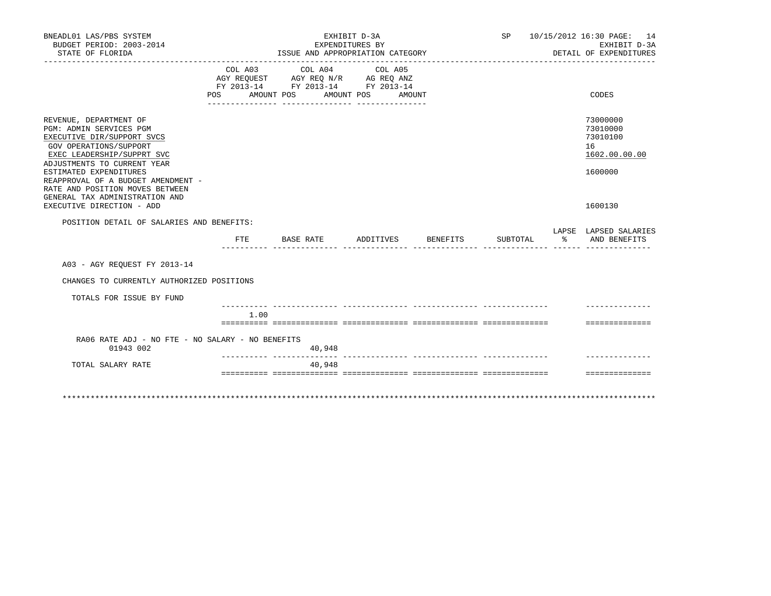| BNEADL01 LAS/PBS SYSTEM<br>BUDGET PERIOD: 2003-2014<br>STATE OF FLORIDA                                                                                                                                                                                                                                                                         |                                                                                          |      |           | EXHIBIT D-3A<br>EXPENDITURES BY | ISSUE AND APPROPRIATION CATEGORY             |          |          |                  | SP 10/15/2012 16:30 PAGE: 14<br>EXHIBIT D-3A<br>DETAIL OF EXPENDITURES        |
|-------------------------------------------------------------------------------------------------------------------------------------------------------------------------------------------------------------------------------------------------------------------------------------------------------------------------------------------------|------------------------------------------------------------------------------------------|------|-----------|---------------------------------|----------------------------------------------|----------|----------|------------------|-------------------------------------------------------------------------------|
|                                                                                                                                                                                                                                                                                                                                                 | AGY REQUEST AGY REQ N/R AG REQ ANZ<br>FY 2013-14 FY 2013-14 FY 2013-14<br>POS AMOUNT POS |      |           |                                 | COL A03 COL A04 COL A05<br>AMOUNT POS AMOUNT |          |          |                  | CODES                                                                         |
| REVENUE, DEPARTMENT OF<br><b>PGM: ADMIN SERVICES PGM</b><br>EXECUTIVE DIR/SUPPORT SVCS<br>GOV OPERATIONS/SUPPORT<br>EXEC LEADERSHIP/SUPPRT SVC<br>ADJUSTMENTS TO CURRENT YEAR<br>ESTIMATED EXPENDITURES<br>REAPPROVAL OF A BUDGET AMENDMENT -<br>RATE AND POSITION MOVES BETWEEN<br>GENERAL TAX ADMINISTRATION AND<br>EXECUTIVE DIRECTION - ADD |                                                                                          |      |           |                                 |                                              |          |          |                  | 73000000<br>73010000<br>73010100<br>16<br>1602.00.00.00<br>1600000<br>1600130 |
| POSITION DETAIL OF SALARIES AND BENEFITS:                                                                                                                                                                                                                                                                                                       |                                                                                          |      |           |                                 |                                              |          |          |                  |                                                                               |
|                                                                                                                                                                                                                                                                                                                                                 | FTE                                                                                      |      | BASE RATE |                                 | ADDITIVES                                    | BENEFITS | SUBTOTAL | $\sim$ $\approx$ | LAPSE LAPSED SALARIES<br>AND BENEFITS                                         |
| A03 - AGY REOUEST FY 2013-14                                                                                                                                                                                                                                                                                                                    |                                                                                          |      |           |                                 |                                              |          |          |                  |                                                                               |
| CHANGES TO CURRENTLY AUTHORIZED POSITIONS                                                                                                                                                                                                                                                                                                       |                                                                                          |      |           |                                 |                                              |          |          |                  |                                                                               |
| TOTALS FOR ISSUE BY FUND                                                                                                                                                                                                                                                                                                                        |                                                                                          |      |           |                                 |                                              |          |          |                  |                                                                               |
|                                                                                                                                                                                                                                                                                                                                                 |                                                                                          | 1.00 |           |                                 |                                              |          |          |                  |                                                                               |
| RA06 RATE ADJ - NO FTE - NO SALARY - NO BENEFITS<br>01943 002                                                                                                                                                                                                                                                                                   |                                                                                          |      |           | 40,948                          |                                              |          |          |                  | ==============                                                                |
| TOTAL SALARY RATE                                                                                                                                                                                                                                                                                                                               |                                                                                          |      |           | ------------<br>40,948          |                                              |          |          |                  |                                                                               |
|                                                                                                                                                                                                                                                                                                                                                 |                                                                                          |      |           |                                 |                                              |          |          |                  | ==============                                                                |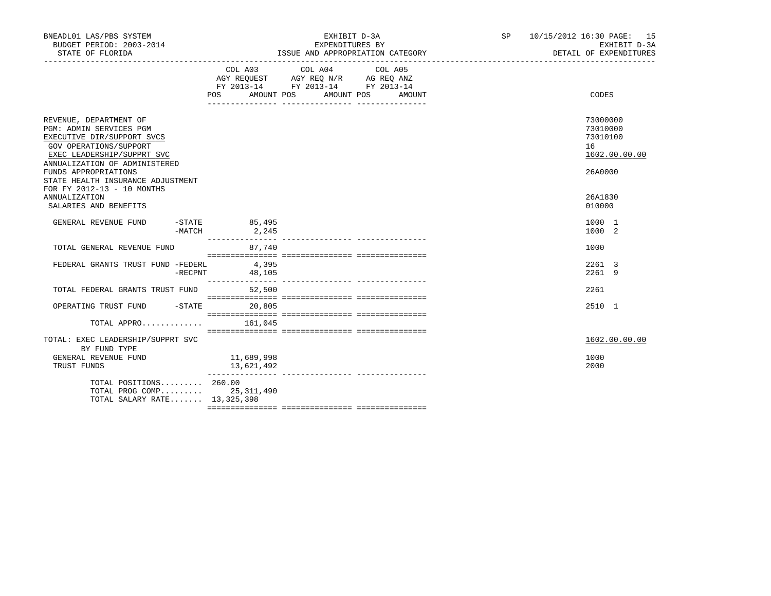| BNEADL01 LAS/PBS SYSTEM<br>BUDGET PERIOD: 2003-2014<br>STATE OF FLORIDA                                                                                                  |          |                                     | EXHIBIT D-3A<br>EXPENDITURES BY                                                                                       | ISSUE AND APPROPRIATION CATEGORY | SP and the set of the set of the set of the set of the set of the set of the set of the set of the set of the set of the set of the set of the set of the set of the set of the set of the set of the set of the set of the se | 10/15/2012 16:30 PAGE: 15<br>EXHIBIT D-3A<br>DETAIL OF EXPENDITURES |
|--------------------------------------------------------------------------------------------------------------------------------------------------------------------------|----------|-------------------------------------|-----------------------------------------------------------------------------------------------------------------------|----------------------------------|--------------------------------------------------------------------------------------------------------------------------------------------------------------------------------------------------------------------------------|---------------------------------------------------------------------|
|                                                                                                                                                                          |          | <b>POS</b>                          | COL A03 COL A04<br>AGY REQUEST AGY REQ N/R AG REQ ANZ<br>FY 2013-14 FY 2013-14 FY 2013-14<br>AMOUNT POS<br>AMOUNT POS | COL A05<br>AMOUNT                |                                                                                                                                                                                                                                | CODES                                                               |
| REVENUE, DEPARTMENT OF<br>PGM: ADMIN SERVICES PGM<br>EXECUTIVE DIR/SUPPORT SVCS<br>GOV OPERATIONS/SUPPORT<br>EXEC LEADERSHIP/SUPPRT SVC<br>ANNUALIZATION OF ADMINISTERED |          |                                     |                                                                                                                       |                                  |                                                                                                                                                                                                                                | 73000000<br>73010000<br>73010100<br>16<br>1602.00.00.00             |
| FUNDS APPROPRIATIONS<br>STATE HEALTH INSURANCE ADJUSTMENT<br>FOR FY 2012-13 - 10 MONTHS<br><b>ANNUALIZATION</b><br>SALARIES AND BENEFITS                                 |          |                                     |                                                                                                                       |                                  |                                                                                                                                                                                                                                | 26A0000<br>26A1830<br>010000                                        |
| GENERAL REVENUE FUND                                                                                                                                                     | $-MATCH$ | $-STATE$<br>85,495<br>2, 245        |                                                                                                                       |                                  |                                                                                                                                                                                                                                | 1000 1<br>1000 2                                                    |
| TOTAL GENERAL REVENUE FUND                                                                                                                                               |          | ---------------<br>87,740           | ---------------- ----------------                                                                                     |                                  |                                                                                                                                                                                                                                | 1000                                                                |
| FEDERAL GRANTS TRUST FUND -FEDERL                                                                                                                                        | -RECPNT  | 4,395<br>48,105<br>________________ |                                                                                                                       |                                  |                                                                                                                                                                                                                                | 2261 3<br>2261 9                                                    |
| TOTAL FEDERAL GRANTS TRUST FUND                                                                                                                                          |          | 52,500                              |                                                                                                                       |                                  |                                                                                                                                                                                                                                | 2261                                                                |
| OPERATING TRUST FUND -STATE                                                                                                                                              |          | 20,805                              |                                                                                                                       |                                  |                                                                                                                                                                                                                                | 2510 1                                                              |
| TOTAL APPRO $161,045$                                                                                                                                                    |          |                                     |                                                                                                                       |                                  |                                                                                                                                                                                                                                |                                                                     |
| TOTAL: EXEC LEADERSHIP/SUPPRT SVC<br>BY FUND TYPE                                                                                                                        |          |                                     |                                                                                                                       |                                  |                                                                                                                                                                                                                                | 1602.00.00.00                                                       |
| GENERAL REVENUE FUND<br>TRUST FUNDS                                                                                                                                      |          | 11,689,998<br>13,621,492            |                                                                                                                       |                                  |                                                                                                                                                                                                                                | 1000<br>2000                                                        |
| TOTAL POSITIONS 260.00<br>TOTAL PROG COMP 25,311,490<br>TOTAL SALARY RATE 13,325,398                                                                                     |          |                                     |                                                                                                                       |                                  |                                                                                                                                                                                                                                |                                                                     |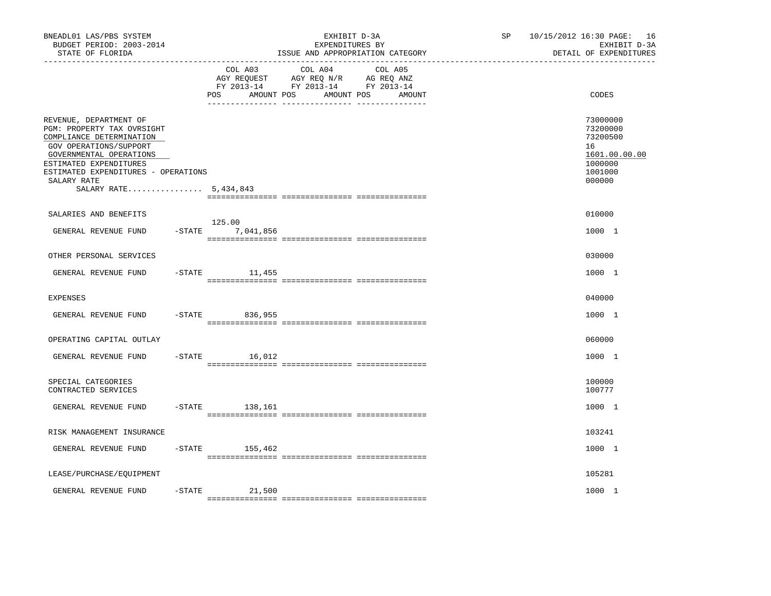| BNEADL01 LAS/PBS SYSTEM<br>BUDGET PERIOD: 2003-2014<br>STATE OF FLORIDA                                                                                                                                                                        |           |                                     | EXHIBIT D-3A<br>EXPENDITURES BY<br>ISSUE AND APPROPRIATION CATEGORY                             |                   | SP | 10/15/2012 16:30 PAGE: 16<br>EXHIBIT D-3A<br>DETAIL OF EXPENDITURES                     |
|------------------------------------------------------------------------------------------------------------------------------------------------------------------------------------------------------------------------------------------------|-----------|-------------------------------------|-------------------------------------------------------------------------------------------------|-------------------|----|-----------------------------------------------------------------------------------------|
|                                                                                                                                                                                                                                                |           | COL A03<br>AMOUNT POS<br><b>POS</b> | COL A04<br>AGY REQUEST AGY REQ N/R AG REQ ANZ<br>FY 2013-14 FY 2013-14 FY 2013-14<br>AMOUNT POS | COL A05<br>AMOUNT |    | CODES                                                                                   |
| REVENUE, DEPARTMENT OF<br>PGM: PROPERTY TAX OVRSIGHT<br>COMPLIANCE DETERMINATION<br>GOV OPERATIONS/SUPPORT<br>GOVERNMENTAL OPERATIONS<br>ESTIMATED EXPENDITURES<br>ESTIMATED EXPENDITURES - OPERATIONS<br>SALARY RATE<br>SALARY RATE 5,434,843 |           |                                     |                                                                                                 |                   |    | 73000000<br>73200000<br>73200500<br>16<br>1601.00.00.00<br>1000000<br>1001000<br>000000 |
| SALARIES AND BENEFITS                                                                                                                                                                                                                          |           |                                     |                                                                                                 |                   |    | 010000                                                                                  |
| GENERAL REVENUE FUND                                                                                                                                                                                                                           |           | 125.00<br>$-STATE$ 7,041,856        |                                                                                                 |                   |    | 1000 1                                                                                  |
| OTHER PERSONAL SERVICES                                                                                                                                                                                                                        |           |                                     |                                                                                                 |                   |    | 030000                                                                                  |
| GENERAL REVENUE FUND                                                                                                                                                                                                                           |           | $-$ STATE 11, 455                   |                                                                                                 |                   |    | 1000 1                                                                                  |
| <b>EXPENSES</b>                                                                                                                                                                                                                                |           |                                     |                                                                                                 |                   |    | 040000                                                                                  |
| GENERAL REVENUE FUND                                                                                                                                                                                                                           | $-$ STATE | 836,955                             |                                                                                                 |                   |    | 1000 1                                                                                  |
| OPERATING CAPITAL OUTLAY                                                                                                                                                                                                                       |           |                                     |                                                                                                 |                   |    | 060000                                                                                  |
| GENERAL REVENUE FUND                                                                                                                                                                                                                           | $-$ STATE | 16,012                              |                                                                                                 |                   |    | 1000 1                                                                                  |
| SPECIAL CATEGORIES<br>CONTRACTED SERVICES                                                                                                                                                                                                      |           |                                     |                                                                                                 |                   |    | 100000<br>100777                                                                        |
| GENERAL REVENUE FUND                                                                                                                                                                                                                           |           | $-$ STATE 138, 161                  |                                                                                                 |                   |    | 1000 1                                                                                  |
| RISK MANAGEMENT INSURANCE                                                                                                                                                                                                                      |           |                                     |                                                                                                 |                   |    | 103241                                                                                  |
| GENERAL REVENUE FUND                                                                                                                                                                                                                           |           | $-$ STATE 155,462                   |                                                                                                 |                   |    | 1000 1                                                                                  |
| LEASE/PURCHASE/EQUIPMENT                                                                                                                                                                                                                       |           |                                     |                                                                                                 |                   |    | 105281                                                                                  |
| GENERAL REVENUE FUND                                                                                                                                                                                                                           | $-$ STATE | 21,500                              |                                                                                                 |                   |    | 1000 1                                                                                  |
|                                                                                                                                                                                                                                                |           |                                     |                                                                                                 |                   |    |                                                                                         |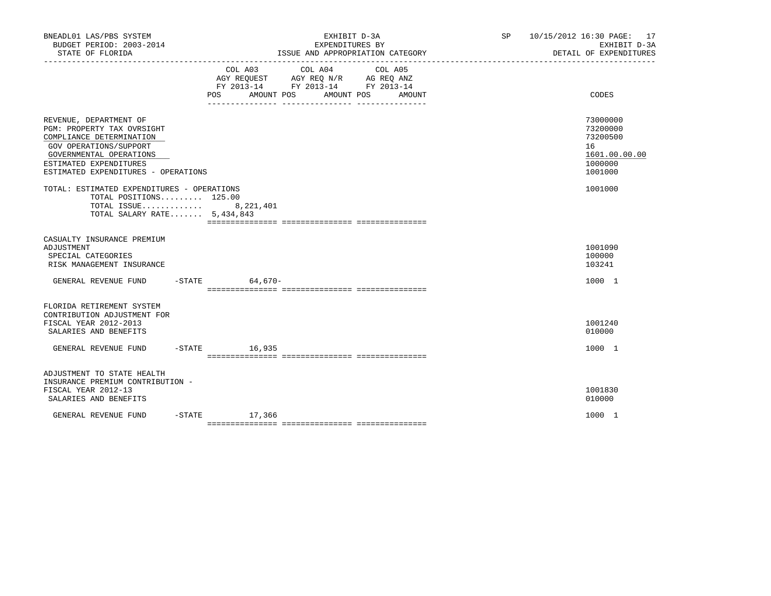| BNEADL01 LAS/PBS SYSTEM<br>BUDGET PERIOD: 2003-2014<br>STATE OF FLORIDA                                                                                                                                | EXHIBIT D-3A<br>EXPENDITURES BY<br>ISSUE AND APPROPRIATION CATEGORY                                                                   | SP 10/15/2012 16:30 PAGE: 17<br>EXHIBIT D-3A<br>DETAIL OF EXPENDITURES        |
|--------------------------------------------------------------------------------------------------------------------------------------------------------------------------------------------------------|---------------------------------------------------------------------------------------------------------------------------------------|-------------------------------------------------------------------------------|
|                                                                                                                                                                                                        | COL A03 COL A04 COL A05<br>AGY REQUEST AGY REQ N/R AG REQ ANZ<br>FY 2013-14 FY 2013-14 FY 2013-14<br>POS AMOUNT POS AMOUNT POS AMOUNT | CODES                                                                         |
| REVENUE, DEPARTMENT OF<br>PGM: PROPERTY TAX OVRSIGHT<br>COMPLIANCE DETERMINATION<br>GOV OPERATIONS/SUPPORT<br>GOVERNMENTAL OPERATIONS<br>ESTIMATED EXPENDITURES<br>ESTIMATED EXPENDITURES - OPERATIONS |                                                                                                                                       | 73000000<br>73200000<br>73200500<br>16<br>1601.00.00.00<br>1000000<br>1001000 |
| TOTAL: ESTIMATED EXPENDITURES - OPERATIONS<br>TOTAL POSITIONS 125.00<br>TOTAL ISSUE 8,221,401<br>TOTAL SALARY RATE $5,434,843$                                                                         |                                                                                                                                       | 1001000                                                                       |
| CASUALTY INSURANCE PREMIUM<br>ADJUSTMENT<br>SPECIAL CATEGORIES<br>RISK MANAGEMENT INSURANCE                                                                                                            |                                                                                                                                       | 1001090<br>100000<br>103241                                                   |
| GENERAL REVENUE FUND                                                                                                                                                                                   | -STATE 64,670-                                                                                                                        | 1000 1                                                                        |
| FLORIDA RETIREMENT SYSTEM<br>CONTRIBUTION ADJUSTMENT FOR<br>FISCAL YEAR 2012-2013<br>SALARIES AND BENEFITS                                                                                             |                                                                                                                                       | 1001240<br>010000                                                             |
| GENERAL REVENUE FUND                                                                                                                                                                                   | $-STATE$ 16,935                                                                                                                       | 1000 1                                                                        |
| ADJUSTMENT TO STATE HEALTH<br>INSURANCE PREMIUM CONTRIBUTION -<br>FISCAL YEAR 2012-13<br>SALARIES AND BENEFITS                                                                                         |                                                                                                                                       | 1001830<br>010000                                                             |
| GENERAL REVENUE FUND                                                                                                                                                                                   | $-STATE$ 17,366                                                                                                                       | 1000 1                                                                        |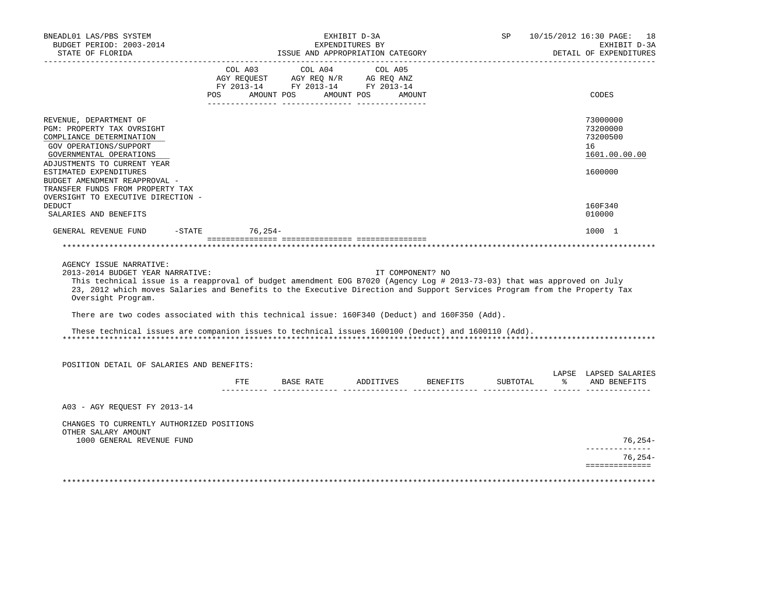| BNEADL01 LAS/PBS SYSTEM<br>BUDGET PERIOD: 2003-2014<br>STATE OF FLORIDA                                                                                                                                                                                                                                                                 |     | ISSUE AND APPROPRIATION CATEGORY                                                                                                                                                                     | EXHIBIT D-3A<br>EXPENDITURES BY                                            |                  | SP <sub>2</sub>                      | 10/15/2012 16:30 PAGE: 18<br>EXHIBIT D-3A<br>DETAIL OF EXPENDITURES |
|-----------------------------------------------------------------------------------------------------------------------------------------------------------------------------------------------------------------------------------------------------------------------------------------------------------------------------------------|-----|------------------------------------------------------------------------------------------------------------------------------------------------------------------------------------------------------|----------------------------------------------------------------------------|------------------|--------------------------------------|---------------------------------------------------------------------|
|                                                                                                                                                                                                                                                                                                                                         |     | COL A03 COL A04 COL A05                                                                                                                                                                              |                                                                            |                  |                                      |                                                                     |
|                                                                                                                                                                                                                                                                                                                                         |     |                                                                                                                                                                                                      |                                                                            |                  |                                      |                                                                     |
|                                                                                                                                                                                                                                                                                                                                         |     | $\begin{tabular}{lllllllll} \bf AGY & \bf REQUEST & \bf AGY & \bf REQ & \bf N/R & \bf AG & \bf REQ & \bf ANZ \\ \bf FY & \tt 2013-14 & \bf FY & \tt 2013-14 & \bf FY & \tt 2013-14 \\ \end{tabular}$ |                                                                            |                  |                                      |                                                                     |
|                                                                                                                                                                                                                                                                                                                                         | POS | AMOUNT POS                                                                                                                                                                                           | AMOUNT POS                                                                 | AMOUNT           |                                      | CODES                                                               |
|                                                                                                                                                                                                                                                                                                                                         |     |                                                                                                                                                                                                      |                                                                            |                  |                                      |                                                                     |
| REVENUE, DEPARTMENT OF<br>PGM: PROPERTY TAX OVRSIGHT                                                                                                                                                                                                                                                                                    |     |                                                                                                                                                                                                      |                                                                            |                  |                                      | 73000000<br>73200000                                                |
| COMPLIANCE DETERMINATION                                                                                                                                                                                                                                                                                                                |     |                                                                                                                                                                                                      |                                                                            |                  |                                      | 73200500                                                            |
| GOV OPERATIONS/SUPPORT                                                                                                                                                                                                                                                                                                                  |     |                                                                                                                                                                                                      |                                                                            |                  |                                      | 16                                                                  |
| GOVERNMENTAL OPERATIONS                                                                                                                                                                                                                                                                                                                 |     |                                                                                                                                                                                                      |                                                                            |                  |                                      | 1601.00.00.00                                                       |
| ADJUSTMENTS TO CURRENT YEAR                                                                                                                                                                                                                                                                                                             |     |                                                                                                                                                                                                      |                                                                            |                  |                                      |                                                                     |
| ESTIMATED EXPENDITURES                                                                                                                                                                                                                                                                                                                  |     |                                                                                                                                                                                                      |                                                                            |                  |                                      | 1600000                                                             |
| BUDGET AMENDMENT REAPPROVAL -                                                                                                                                                                                                                                                                                                           |     |                                                                                                                                                                                                      |                                                                            |                  |                                      |                                                                     |
| TRANSFER FUNDS FROM PROPERTY TAX                                                                                                                                                                                                                                                                                                        |     |                                                                                                                                                                                                      |                                                                            |                  |                                      |                                                                     |
| OVERSIGHT TO EXECUTIVE DIRECTION -<br><b>DEDUCT</b>                                                                                                                                                                                                                                                                                     |     |                                                                                                                                                                                                      |                                                                            |                  |                                      | 160F340                                                             |
| SALARIES AND BENEFITS                                                                                                                                                                                                                                                                                                                   |     |                                                                                                                                                                                                      |                                                                            |                  |                                      | 010000                                                              |
|                                                                                                                                                                                                                                                                                                                                         |     |                                                                                                                                                                                                      |                                                                            |                  |                                      |                                                                     |
| GENERAL REVENUE FUND -STATE 76,254-                                                                                                                                                                                                                                                                                                     |     |                                                                                                                                                                                                      |                                                                            |                  |                                      | 1000 1                                                              |
|                                                                                                                                                                                                                                                                                                                                         |     |                                                                                                                                                                                                      |                                                                            |                  |                                      |                                                                     |
|                                                                                                                                                                                                                                                                                                                                         |     |                                                                                                                                                                                                      |                                                                            |                  |                                      |                                                                     |
| AGENCY ISSUE NARRATIVE:<br>2013-2014 BUDGET YEAR NARRATIVE:<br>This technical issue is a reapproval of budget amendment EOG B7020 (Agency Log # 2013-73-03) that was approved on July<br>23, 2012 which moves Salaries and Benefits to the Executive Direction and Support Services Program from the Property Tax<br>Oversight Program. |     |                                                                                                                                                                                                      |                                                                            | IT COMPONENT? NO |                                      |                                                                     |
|                                                                                                                                                                                                                                                                                                                                         |     |                                                                                                                                                                                                      |                                                                            |                  |                                      |                                                                     |
| There are two codes associated with this technical issue: 160F340 (Deduct) and 160F350 (Add).                                                                                                                                                                                                                                           |     |                                                                                                                                                                                                      |                                                                            |                  |                                      |                                                                     |
| These technical issues are companion issues to technical issues 1600100 (Deduct) and 1600110 (Add).                                                                                                                                                                                                                                     |     |                                                                                                                                                                                                      |                                                                            |                  |                                      |                                                                     |
| POSITION DETAIL OF SALARIES AND BENEFITS:                                                                                                                                                                                                                                                                                               |     |                                                                                                                                                                                                      |                                                                            |                  |                                      |                                                                     |
|                                                                                                                                                                                                                                                                                                                                         | ETE |                                                                                                                                                                                                      |                                                                            |                  |                                      | LAPSE LAPSED SALARIES<br>% AND BENEFITS                             |
|                                                                                                                                                                                                                                                                                                                                         |     |                                                                                                                                                                                                      | $\begin{array}{ccccccccc} - & - & - & - & - & - & - \\ \hline \end{array}$ |                  | -------- --------------- ----- ----- |                                                                     |
| A03 - AGY REQUEST FY 2013-14                                                                                                                                                                                                                                                                                                            |     |                                                                                                                                                                                                      |                                                                            |                  |                                      |                                                                     |
| CHANGES TO CURRENTLY AUTHORIZED POSITIONS<br>OTHER SALARY AMOUNT                                                                                                                                                                                                                                                                        |     |                                                                                                                                                                                                      |                                                                            |                  |                                      |                                                                     |
| 1000 GENERAL REVENUE FUND                                                                                                                                                                                                                                                                                                               |     |                                                                                                                                                                                                      |                                                                            |                  |                                      | $76,254-$                                                           |
|                                                                                                                                                                                                                                                                                                                                         |     |                                                                                                                                                                                                      |                                                                            |                  |                                      | $76,254-$                                                           |
|                                                                                                                                                                                                                                                                                                                                         |     |                                                                                                                                                                                                      |                                                                            |                  |                                      | ==============                                                      |
|                                                                                                                                                                                                                                                                                                                                         |     |                                                                                                                                                                                                      |                                                                            |                  |                                      |                                                                     |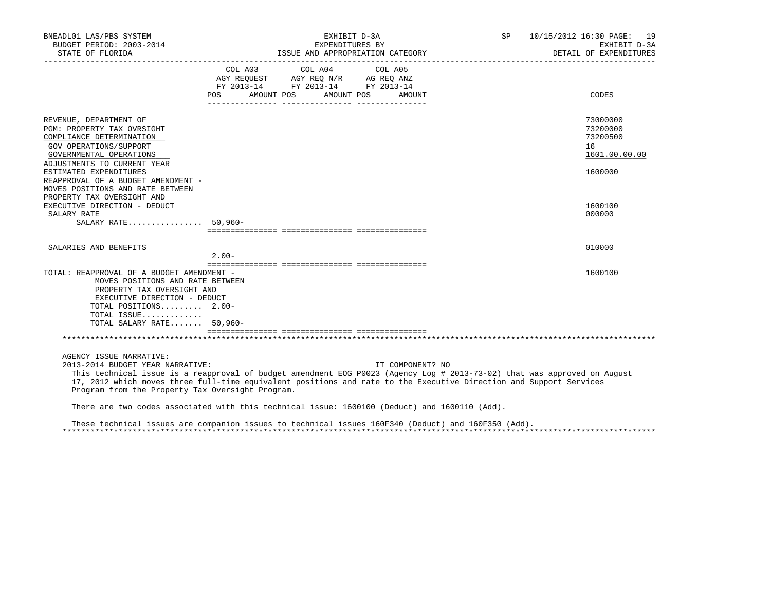| BNEADL01 LAS/PBS SYSTEM<br>BUDGET PERIOD: 2003-2014                                                                                                                                                                                                                                                                                                               |         | EXHIBIT D-3A<br>EXPENDITURES BY                                                                                       |         |                  | SP | 10/15/2012 16:30 PAGE: 19<br>EXHIBIT D-3A<br>DETAIL OF EXPENDITURES |
|-------------------------------------------------------------------------------------------------------------------------------------------------------------------------------------------------------------------------------------------------------------------------------------------------------------------------------------------------------------------|---------|-----------------------------------------------------------------------------------------------------------------------|---------|------------------|----|---------------------------------------------------------------------|
|                                                                                                                                                                                                                                                                                                                                                                   | COL A03 | COL A04<br>AGY REQUEST AGY REQ N/R AG REQ ANZ<br>FY 2013-14 FY 2013-14 FY 2013-14<br>POS AMOUNT POS AMOUNT POS AMOUNT | COL A05 |                  |    | CODES                                                               |
| REVENUE, DEPARTMENT OF<br>PGM: PROPERTY TAX OVRSIGHT<br>COMPLIANCE DETERMINATION<br>GOV OPERATIONS/SUPPORT<br>GOVERNMENTAL OPERATIONS<br>ADJUSTMENTS TO CURRENT YEAR<br>ESTIMATED EXPENDITURES                                                                                                                                                                    |         |                                                                                                                       |         |                  |    | 73000000<br>73200000<br>73200500<br>16<br>1601.00.00.00<br>1600000  |
| REAPPROVAL OF A BUDGET AMENDMENT -<br>MOVES POSITIONS AND RATE BETWEEN<br>PROPERTY TAX OVERSIGHT AND<br>EXECUTIVE DIRECTION - DEDUCT<br>SALARY RATE<br>SALARY RATE 50,960-                                                                                                                                                                                        |         |                                                                                                                       |         |                  |    | 1600100<br>000000                                                   |
| SALARIES AND BENEFITS                                                                                                                                                                                                                                                                                                                                             | $2.00-$ |                                                                                                                       |         |                  |    | 010000                                                              |
| TOTAL: REAPPROVAL OF A BUDGET AMENDMENT -<br>MOVES POSITIONS AND RATE BETWEEN<br>PROPERTY TAX OVERSIGHT AND<br>EXECUTIVE DIRECTION - DEDUCT<br>TOTAL POSITIONS 2.00-<br>TOTAL ISSUE<br>TOTAL SALARY RATE 50,960-                                                                                                                                                  |         |                                                                                                                       |         |                  |    | 1600100                                                             |
|                                                                                                                                                                                                                                                                                                                                                                   |         |                                                                                                                       |         |                  |    |                                                                     |
| AGENCY ISSUE NARRATIVE:<br>2013-2014 BUDGET YEAR NARRATIVE:<br>This technical issue is a reapproval of budget amendment EOG P0023 (Agency Log # 2013-73-02) that was approved on August<br>17, 2012 which moves three full-time equivalent positions and rate to the Executive Direction and Support Services<br>Program from the Property Tax Oversight Program. |         |                                                                                                                       |         | IT COMPONENT? NO |    |                                                                     |
| There are two codes associated with this technical issue: 1600100 (Deduct) and 1600110 (Add).                                                                                                                                                                                                                                                                     |         |                                                                                                                       |         |                  |    |                                                                     |
| These technical issues are companion issues to technical issues 160F340 (Deduct) and 160F350 (Add).                                                                                                                                                                                                                                                               |         |                                                                                                                       |         |                  |    |                                                                     |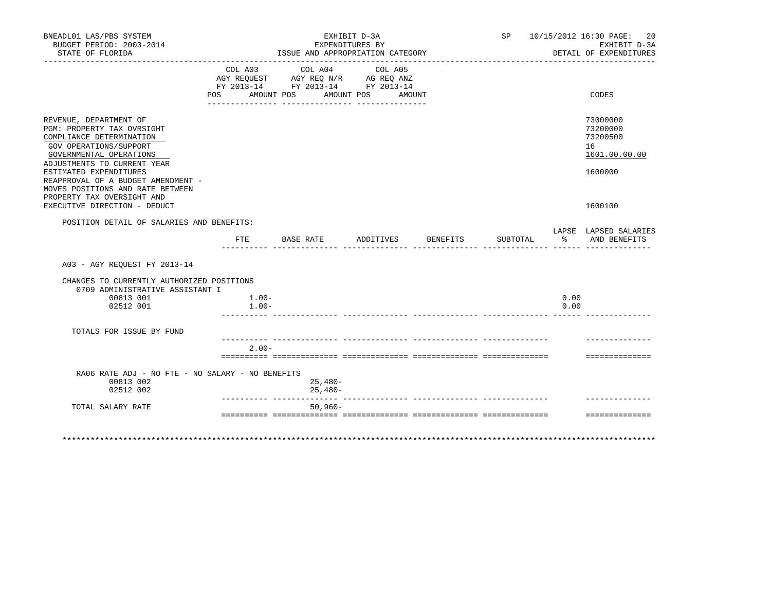| BNEADL01 LAS/PBS SYSTEM<br>BUDGET PERIOD: 2003-2014                                                                                                                                                                                                                                                           |                     | EXHIBIT D-3A<br>EXPENDITURES BY                                                                                                                     |                                  |          | SP 10/15/2012 16:30 PAGE:<br>20<br>EXHIBIT D-3A |                                                                    |
|---------------------------------------------------------------------------------------------------------------------------------------------------------------------------------------------------------------------------------------------------------------------------------------------------------------|---------------------|-----------------------------------------------------------------------------------------------------------------------------------------------------|----------------------------------|----------|-------------------------------------------------|--------------------------------------------------------------------|
| STATE OF FLORIDA                                                                                                                                                                                                                                                                                              |                     |                                                                                                                                                     | ISSUE AND APPROPRIATION CATEGORY |          |                                                 | DETAIL OF EXPENDITURES                                             |
|                                                                                                                                                                                                                                                                                                               | COL A03             | _________________________________<br>COL A04<br>AGY REQUEST AGY REQ N/R AG REQ ANZ<br>FY 2013-14 FY 2013-14 FY 2013-14<br>POS AMOUNT POS AMOUNT POS | COL A05<br>AMOUNT                |          |                                                 | CODES                                                              |
|                                                                                                                                                                                                                                                                                                               |                     |                                                                                                                                                     |                                  |          |                                                 |                                                                    |
| REVENUE, DEPARTMENT OF<br><b>PGM: PROPERTY TAX OVRSIGHT</b><br>COMPLIANCE DETERMINATION<br>GOV OPERATIONS/SUPPORT<br>GOVERNMENTAL OPERATIONS<br>ADJUSTMENTS TO CURRENT YEAR<br>ESTIMATED EXPENDITURES<br>REAPPROVAL OF A BUDGET AMENDMENT -<br>MOVES POSITIONS AND RATE BETWEEN<br>PROPERTY TAX OVERSIGHT AND |                     |                                                                                                                                                     |                                  |          |                                                 | 73000000<br>73200000<br>73200500<br>16<br>1601.00.00.00<br>1600000 |
| EXECUTIVE DIRECTION - DEDUCT                                                                                                                                                                                                                                                                                  |                     |                                                                                                                                                     |                                  |          |                                                 | 1600100                                                            |
| POSITION DETAIL OF SALARIES AND BENEFITS:                                                                                                                                                                                                                                                                     |                     |                                                                                                                                                     |                                  |          |                                                 | LAPSE LAPSED SALARIES                                              |
|                                                                                                                                                                                                                                                                                                               | FTE                 | BASE RATE ADDITIVES                                                                                                                                 |                                  | BENEFITS |                                                 | SUBTOTAL % AND BENEFITS                                            |
| A03 - AGY REOUEST FY 2013-14                                                                                                                                                                                                                                                                                  |                     |                                                                                                                                                     |                                  |          |                                                 |                                                                    |
| CHANGES TO CURRENTLY AUTHORIZED POSITIONS<br>0709 ADMINISTRATIVE ASSISTANT I<br>00813 001<br>02512 001                                                                                                                                                                                                        | $1.00-$<br>$1.00 -$ |                                                                                                                                                     |                                  |          |                                                 | 0.00<br>0.00                                                       |
| TOTALS FOR ISSUE BY FUND                                                                                                                                                                                                                                                                                      |                     |                                                                                                                                                     |                                  |          |                                                 |                                                                    |
|                                                                                                                                                                                                                                                                                                               | $2.00 -$            |                                                                                                                                                     |                                  |          |                                                 | ===============                                                    |
| RA06 RATE ADJ - NO FTE - NO SALARY - NO BENEFITS<br>00813 002<br>02512 002                                                                                                                                                                                                                                    |                     | $25,480-$<br>$25,480-$                                                                                                                              |                                  |          |                                                 |                                                                    |
| TOTAL SALARY RATE                                                                                                                                                                                                                                                                                             |                     | $50.960 -$                                                                                                                                          |                                  |          |                                                 |                                                                    |
|                                                                                                                                                                                                                                                                                                               |                     |                                                                                                                                                     |                                  |          |                                                 | --------------                                                     |
|                                                                                                                                                                                                                                                                                                               |                     |                                                                                                                                                     |                                  |          |                                                 |                                                                    |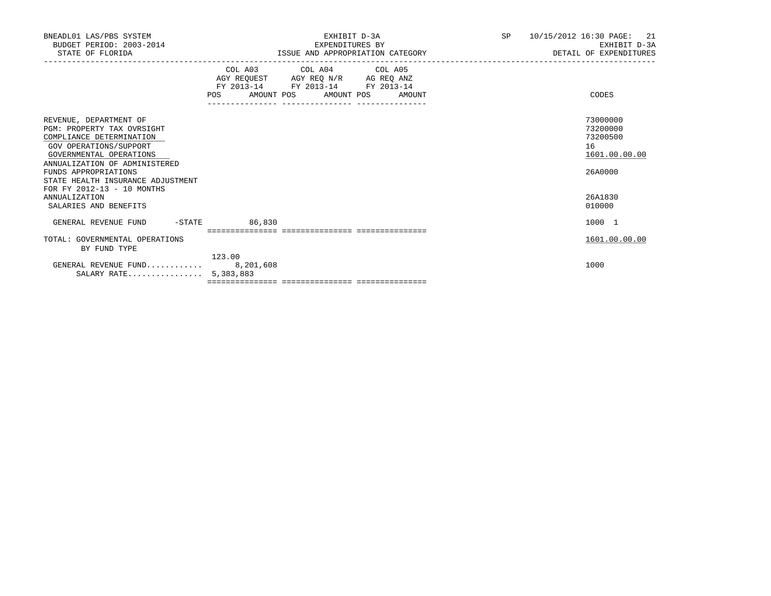| BNEADL01 LAS/PBS SYSTEM<br>BUDGET PERIOD: 2003-2014<br>STATE OF FLORIDA                                                                                                                                                                                                  | EXHIBIT D-3A<br>EXPENDITURES BY<br>ISSUE AND APPROPRIATION CATEGORY                                                                                                                                                                                                                                                 | <b>SP</b><br>10/15/2012 16:30 PAGE:<br>21<br>EXHIBIT D-3A<br>DETAIL OF EXPENDITURES |
|--------------------------------------------------------------------------------------------------------------------------------------------------------------------------------------------------------------------------------------------------------------------------|---------------------------------------------------------------------------------------------------------------------------------------------------------------------------------------------------------------------------------------------------------------------------------------------------------------------|-------------------------------------------------------------------------------------|
|                                                                                                                                                                                                                                                                          | COL A03 COL A04 COL A05<br>$\begin{tabular}{lllllll} \bf AGY \,\, &\bf REQUEST \,\, &\bf AGY \,\, &\bf REQ \,\, &\bf N/R \,\, &\bf AG \,\, &\bf REQ \,\, &\bf ANZ \,\, \\ \bf FY \,\, &\bf 2013-14 \,\, &\bf FY \,\, &\bf 2013-14 \,\, &\bf FY \,\, &\bf 2013-14 \end{tabular}$<br>POS AMOUNT POS AMOUNT POS AMOUNT | CODES                                                                               |
| REVENUE, DEPARTMENT OF<br><b>PGM: PROPERTY TAX OVRSIGHT</b><br>COMPLIANCE DETERMINATION<br>GOV OPERATIONS/SUPPORT<br>GOVERNMENTAL OPERATIONS<br>ANNUALIZATION OF ADMINISTERED<br>FUNDS APPROPRIATIONS<br>STATE HEALTH INSURANCE ADJUSTMENT<br>FOR FY 2012-13 - 10 MONTHS |                                                                                                                                                                                                                                                                                                                     | 73000000<br>73200000<br>73200500<br>16<br>1601.00.00.00<br>26A0000                  |
| <b>ANNUALIZATION</b><br>SALARIES AND BENEFITS                                                                                                                                                                                                                            |                                                                                                                                                                                                                                                                                                                     | 26A1830<br>010000                                                                   |
| GENERAL REVENUE FUND -STATE                                                                                                                                                                                                                                              | 86,830                                                                                                                                                                                                                                                                                                              | 1000 1                                                                              |
| TOTAL: GOVERNMENTAL OPERATIONS<br>BY FUND TYPE                                                                                                                                                                                                                           | 123.00                                                                                                                                                                                                                                                                                                              | 1601.00.00.00                                                                       |
| GENERAL REVENUE FUND 8,201,608<br>SALARY RATE 5,383,883                                                                                                                                                                                                                  |                                                                                                                                                                                                                                                                                                                     | 1000                                                                                |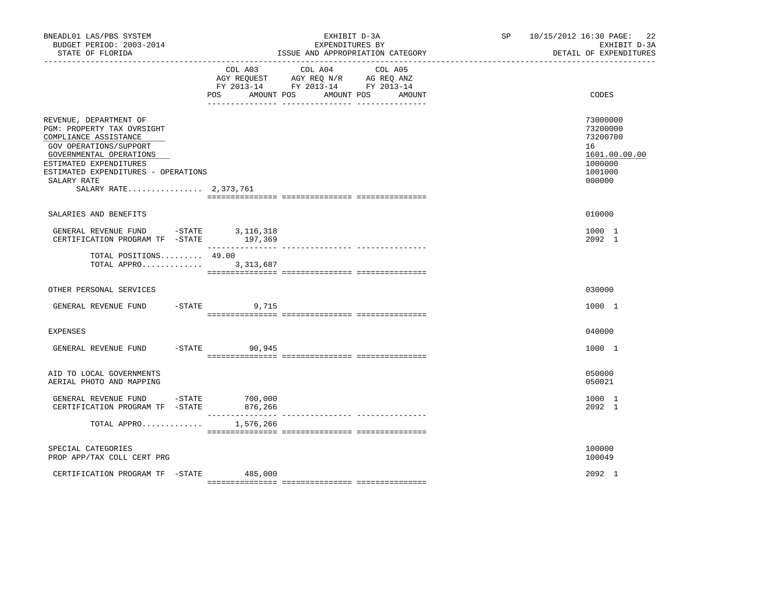| BNEADL01 LAS/PBS SYSTEM<br>BUDGET PERIOD: 2003-2014<br>STATE OF FLORIDA                                                                                                                                                                     |                                | EXHIBIT D-3A<br>EXPENDITURES BY<br>ISSUE AND APPROPRIATION CATEGORY                                                                                                                                                                             | SP <sub>2</sub> | 10/15/2012 16:30 PAGE: 22<br>EXHIBIT D-3A<br>DETAIL OF EXPENDITURES                     |
|---------------------------------------------------------------------------------------------------------------------------------------------------------------------------------------------------------------------------------------------|--------------------------------|-------------------------------------------------------------------------------------------------------------------------------------------------------------------------------------------------------------------------------------------------|-----------------|-----------------------------------------------------------------------------------------|
|                                                                                                                                                                                                                                             | POS AMOUNT POS                 | COL A03 COL A04 COL A05<br>$\begin{tabular}{lllllll} AGY & \texttt{REQUEST} & \texttt{AGY} & \texttt{REG} & \texttt{N/R} & \texttt{AG} & \texttt{REQ} & \texttt{ANZ} \end{tabular}$<br>FY 2013-14 FY 2013-14 FY 2013-14<br>AMOUNT POS<br>AMOUNT |                 | CODES                                                                                   |
| REVENUE, DEPARTMENT OF<br>PGM: PROPERTY TAX OVRSIGHT<br>COMPLIANCE ASSISTANCE<br>GOV OPERATIONS/SUPPORT<br>GOVERNMENTAL OPERATIONS<br>ESTIMATED EXPENDITURES<br>ESTIMATED EXPENDITURES - OPERATIONS<br>SALARY RATE<br>SALARY RATE 2,373,761 |                                |                                                                                                                                                                                                                                                 |                 | 73000000<br>73200000<br>73200700<br>16<br>1601.00.00.00<br>1000000<br>1001000<br>000000 |
| SALARIES AND BENEFITS                                                                                                                                                                                                                       |                                |                                                                                                                                                                                                                                                 |                 | 010000                                                                                  |
| GENERAL REVENUE FUND -STATE 3,116,318<br>CERTIFICATION PROGRAM TF - STATE 197,369                                                                                                                                                           |                                |                                                                                                                                                                                                                                                 |                 | 1000 1<br>2092 1                                                                        |
| TOTAL POSITIONS $49.00$<br>TOTAL APPRO 3,313,687                                                                                                                                                                                            |                                |                                                                                                                                                                                                                                                 |                 |                                                                                         |
| OTHER PERSONAL SERVICES                                                                                                                                                                                                                     |                                |                                                                                                                                                                                                                                                 |                 | 030000                                                                                  |
| GENERAL REVENUE FUND                                                                                                                                                                                                                        | $-$ STATE 9,715                |                                                                                                                                                                                                                                                 |                 | 1000 1                                                                                  |
| EXPENSES                                                                                                                                                                                                                                    |                                |                                                                                                                                                                                                                                                 |                 | 040000                                                                                  |
| GENERAL REVENUE FUND                                                                                                                                                                                                                        | $-$ STATE 90,945               |                                                                                                                                                                                                                                                 |                 | 1000 1                                                                                  |
| AID TO LOCAL GOVERNMENTS<br>AERIAL PHOTO AND MAPPING                                                                                                                                                                                        |                                |                                                                                                                                                                                                                                                 |                 | 050000<br>050021                                                                        |
| GENERAL REVENUE FUND -STATE 700,000<br>CERTIFICATION PROGRAM TF -STATE                                                                                                                                                                      | 876,266                        |                                                                                                                                                                                                                                                 |                 | 1000 1<br>2092 1                                                                        |
| TOTAL APPRO                                                                                                                                                                                                                                 | $- - - - - - - -$<br>1,576,266 | --------------- ---------------                                                                                                                                                                                                                 |                 |                                                                                         |
| SPECIAL CATEGORIES<br>PROP APP/TAX COLL CERT PRG                                                                                                                                                                                            |                                |                                                                                                                                                                                                                                                 |                 | 100000<br>100049                                                                        |
| CERTIFICATION PROGRAM TF -STATE                                                                                                                                                                                                             | 485,000                        |                                                                                                                                                                                                                                                 |                 | 2092 1                                                                                  |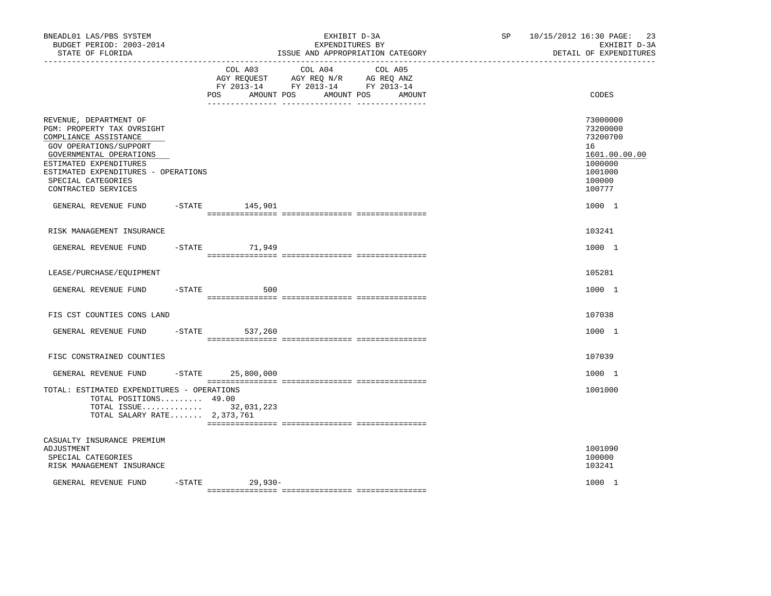| BNEADL01 LAS/PBS SYSTEM<br>BUDGET PERIOD: 2003-2014<br>STATE OF FLORIDA                                                                                                                                                                                 |           |                                     | EXHIBIT D-3A<br>EXPENDITURES BY<br>ISSUE AND APPROPRIATION CATEGORY                                                  | SP <sub>2</sub> | 10/15/2012 16:30 PAGE:<br>23<br>EXHIBIT D-3A<br>DETAIL OF EXPENDITURES                            |
|---------------------------------------------------------------------------------------------------------------------------------------------------------------------------------------------------------------------------------------------------------|-----------|-------------------------------------|----------------------------------------------------------------------------------------------------------------------|-----------------|---------------------------------------------------------------------------------------------------|
|                                                                                                                                                                                                                                                         |           | COL A03<br><b>POS</b><br>AMOUNT POS | COL A04<br>COL A05<br>AGY REQUEST AGY REQ N/R AG REQ ANZ<br>FY 2013-14 FY 2013-14 FY 2013-14<br>AMOUNT POS<br>AMOUNT |                 | CODES                                                                                             |
| REVENUE, DEPARTMENT OF<br>PGM: PROPERTY TAX OVRSIGHT<br>COMPLIANCE ASSISTANCE<br><b>GOV OPERATIONS/SUPPORT</b><br>GOVERNMENTAL OPERATIONS<br>ESTIMATED EXPENDITURES<br>ESTIMATED EXPENDITURES - OPERATIONS<br>SPECIAL CATEGORIES<br>CONTRACTED SERVICES |           |                                     |                                                                                                                      |                 | 73000000<br>73200000<br>73200700<br>16<br>1601.00.00.00<br>1000000<br>1001000<br>100000<br>100777 |
| GENERAL REVENUE FUND                                                                                                                                                                                                                                    |           | $-$ STATE 145,901                   |                                                                                                                      |                 | 1000 1                                                                                            |
| RISK MANAGEMENT INSURANCE                                                                                                                                                                                                                               |           |                                     |                                                                                                                      |                 | 103241                                                                                            |
| GENERAL REVENUE FUND                                                                                                                                                                                                                                    | $-$ STATE | 71,949                              |                                                                                                                      |                 | 1000 1                                                                                            |
| LEASE/PURCHASE/EQUIPMENT                                                                                                                                                                                                                                |           |                                     |                                                                                                                      |                 | 105281                                                                                            |
| GENERAL REVENUE FUND                                                                                                                                                                                                                                    | $-$ STATE | 500                                 |                                                                                                                      |                 | 1000 1                                                                                            |
| FIS CST COUNTIES CONS LAND                                                                                                                                                                                                                              |           |                                     |                                                                                                                      |                 | 107038                                                                                            |
| GENERAL REVENUE FUND                                                                                                                                                                                                                                    |           | -STATE 537,260                      |                                                                                                                      |                 | 1000 1                                                                                            |
| FISC CONSTRAINED COUNTIES                                                                                                                                                                                                                               |           |                                     |                                                                                                                      |                 | 107039                                                                                            |
| GENERAL REVENUE FUND                                                                                                                                                                                                                                    |           | $-$ STATE 25,800,000                |                                                                                                                      |                 | 1000 1                                                                                            |
| TOTAL: ESTIMATED EXPENDITURES - OPERATIONS<br>TOTAL POSITIONS 49.00<br>TOTAL ISSUE 32,031,223<br>TOTAL SALARY RATE 2,373,761                                                                                                                            |           |                                     |                                                                                                                      |                 | 1001000                                                                                           |
| CASUALTY INSURANCE PREMIUM<br>ADJUSTMENT<br>SPECIAL CATEGORIES<br>RISK MANAGEMENT INSURANCE                                                                                                                                                             |           |                                     |                                                                                                                      |                 | 1001090<br>100000<br>103241                                                                       |
| GENERAL REVENUE FUND                                                                                                                                                                                                                                    |           | $-STATE$ 29,930-                    |                                                                                                                      |                 | 1000 1                                                                                            |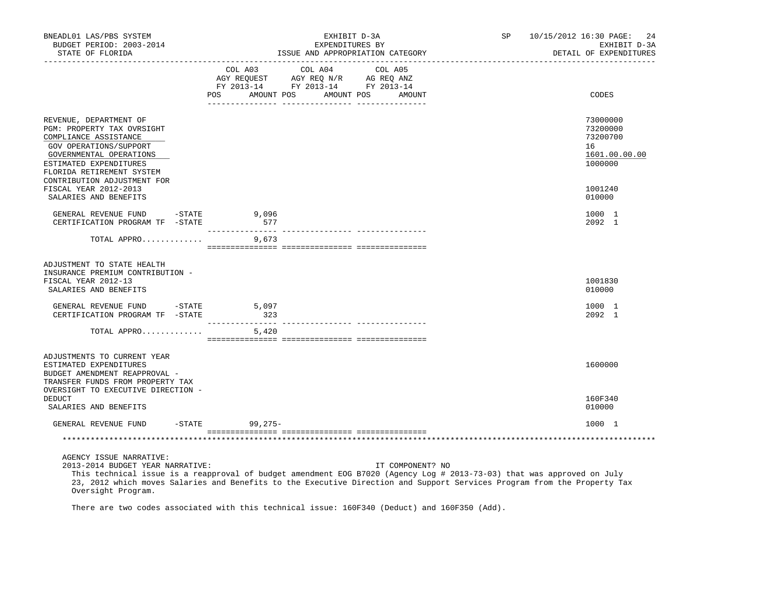| BNEADL01 LAS/PBS SYSTEM<br>BUDGET PERIOD: 2003-2014<br>STATE OF FLORIDA                                                                                                                   |                   | EXHIBIT D-3A<br>EXPENDITURES BY<br>ISSUE AND APPROPRIATION CATEGORY                                                                                                                                                                                                    | SP 10/15/2012 16:30 PAGE: 24 | EXHIBIT D-3A<br>DETAIL OF EXPENDITURES                             |  |
|-------------------------------------------------------------------------------------------------------------------------------------------------------------------------------------------|-------------------|------------------------------------------------------------------------------------------------------------------------------------------------------------------------------------------------------------------------------------------------------------------------|------------------------------|--------------------------------------------------------------------|--|
|                                                                                                                                                                                           | AMOUNT POS<br>POS | COL A03 COL A04 COL A05<br>AGY REQUEST AGY REQ N/R AG REQ ANZ<br>FY 2013-14 FY 2013-14 FY 2013-14<br>AMOUNT POS<br>AMOUNT                                                                                                                                              |                              | <b>CODES</b>                                                       |  |
|                                                                                                                                                                                           |                   | ____ ________________ _________                                                                                                                                                                                                                                        |                              |                                                                    |  |
| REVENUE, DEPARTMENT OF<br>PGM: PROPERTY TAX OVRSIGHT<br>COMPLIANCE ASSISTANCE<br>GOV OPERATIONS/SUPPORT<br>GOVERNMENTAL OPERATIONS<br>ESTIMATED EXPENDITURES<br>FLORIDA RETIREMENT SYSTEM |                   |                                                                                                                                                                                                                                                                        |                              | 73000000<br>73200000<br>73200700<br>16<br>1601.00.00.00<br>1000000 |  |
| CONTRIBUTION ADJUSTMENT FOR<br>FISCAL YEAR 2012-2013<br>SALARIES AND BENEFITS                                                                                                             |                   |                                                                                                                                                                                                                                                                        |                              | 1001240<br>010000                                                  |  |
| GENERAL REVENUE FUND -STATE<br>CERTIFICATION PROGRAM TF -STATE                                                                                                                            | 9,096<br>577      |                                                                                                                                                                                                                                                                        |                              | 1000 1<br>2092 1                                                   |  |
| TOTAL APPRO 9,673                                                                                                                                                                         |                   |                                                                                                                                                                                                                                                                        |                              |                                                                    |  |
| ADJUSTMENT TO STATE HEALTH<br>INSURANCE PREMIUM CONTRIBUTION -<br>FISCAL YEAR 2012-13<br>SALARIES AND BENEFITS                                                                            |                   |                                                                                                                                                                                                                                                                        |                              | 1001830<br>010000                                                  |  |
| GENERAL REVENUE FUND -STATE<br>CERTIFICATION PROGRAM TF -STATE                                                                                                                            | 5,097<br>323      |                                                                                                                                                                                                                                                                        |                              | 1000 1<br>2092 1                                                   |  |
| TOTAL APPRO                                                                                                                                                                               | 5,420             |                                                                                                                                                                                                                                                                        |                              |                                                                    |  |
| ADJUSTMENTS TO CURRENT YEAR<br>ESTIMATED EXPENDITURES<br>BUDGET AMENDMENT REAPPROVAL -<br>TRANSFER FUNDS FROM PROPERTY TAX                                                                |                   |                                                                                                                                                                                                                                                                        |                              | 1600000                                                            |  |
| OVERSIGHT TO EXECUTIVE DIRECTION -<br>DEDUCT<br>SALARIES AND BENEFITS                                                                                                                     |                   |                                                                                                                                                                                                                                                                        |                              | 160F340<br>010000                                                  |  |
| GENERAL REVENUE FUND -STATE 99,275-                                                                                                                                                       |                   |                                                                                                                                                                                                                                                                        |                              | 1000 1                                                             |  |
|                                                                                                                                                                                           |                   |                                                                                                                                                                                                                                                                        |                              |                                                                    |  |
| AGENCY ISSUE NARRATIVE:<br>2013-2014 BUDGET YEAR NARRATIVE:                                                                                                                               |                   | IT COMPONENT? NO<br>This technical issue is a reapproval of budget amendment EOG B7020 (Agency Log # 2013-73-03) that was approved on July<br>23, 2012 which moves Salaries and Benefits to the Executive Direction and Support Services Program from the Property Tax |                              |                                                                    |  |

Oversight Program.

There are two codes associated with this technical issue: 160F340 (Deduct) and 160F350 (Add).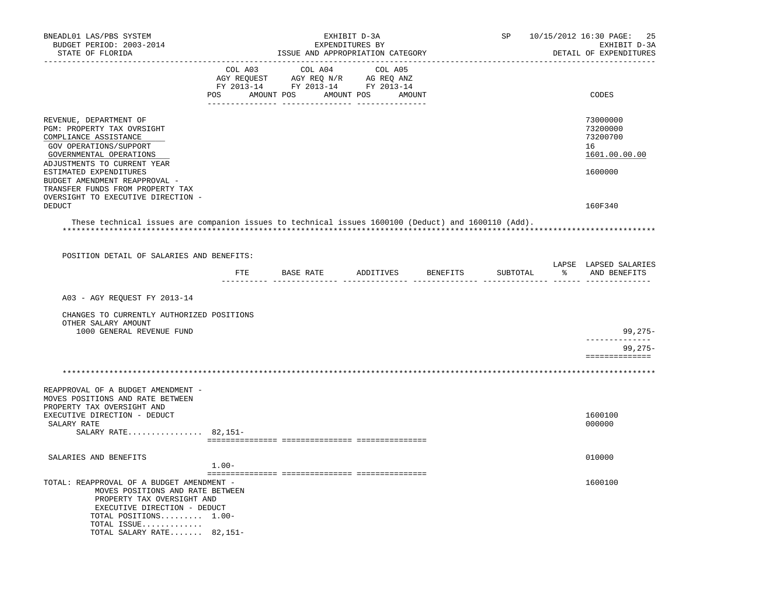| BNEADL01 LAS/PBS SYSTEM<br>BUDGET PERIOD: 2003-2014<br>STATE OF FLORIDA                                                                                                                                                                                                                                |         | ISSUE AND APPROPRIATION CATEGORY                                                                                                                                                                                                                                          | EXHIBIT D-3A<br>EXPENDITURES BY | SP       | 10/15/2012 16:30 PAGE: 25<br>EXHIBIT D-3A<br>DETAIL OF EXPENDITURES |
|--------------------------------------------------------------------------------------------------------------------------------------------------------------------------------------------------------------------------------------------------------------------------------------------------------|---------|---------------------------------------------------------------------------------------------------------------------------------------------------------------------------------------------------------------------------------------------------------------------------|---------------------------------|----------|---------------------------------------------------------------------|
|                                                                                                                                                                                                                                                                                                        | COL A03 | COL A04<br>$\begin{tabular}{lllllll} \bf AGY \;\; REQUEST \hspace{1cm} AGY \;\; REQ \;\; N/R \hspace{1cm} AG \;\; REQ \;\; ANZ \\ \hline \tt FY \;\; 2013-14 \hspace{1cm} FY \;\; 2013-14 \hspace{1cm} FY \;\; 2013-14 \end{tabular}$<br>POS AMOUNT POS AMOUNT POS AMOUNT | COL A05                         |          | CODES                                                               |
| REVENUE, DEPARTMENT OF<br>PGM: PROPERTY TAX OVRSIGHT<br>COMPLIANCE ASSISTANCE<br>GOV OPERATIONS/SUPPORT<br>GOVERNMENTAL OPERATIONS<br>ADJUSTMENTS TO CURRENT YEAR<br>ESTIMATED EXPENDITURES<br>BUDGET AMENDMENT REAPPROVAL -<br>TRANSFER FUNDS FROM PROPERTY TAX<br>OVERSIGHT TO EXECUTIVE DIRECTION - |         |                                                                                                                                                                                                                                                                           |                                 |          | 73000000<br>73200000<br>73200700<br>16<br>1601.00.00.00<br>1600000  |
| DEDUCT<br>These technical issues are companion issues to technical issues 1600100 (Deduct) and 1600110 (Add).                                                                                                                                                                                          |         |                                                                                                                                                                                                                                                                           |                                 |          | 160F340                                                             |
| POSITION DETAIL OF SALARIES AND BENEFITS:                                                                                                                                                                                                                                                              |         |                                                                                                                                                                                                                                                                           |                                 |          |                                                                     |
|                                                                                                                                                                                                                                                                                                        |         | FTE BASE RATE ADDITIVES BENEFITS                                                                                                                                                                                                                                          |                                 | SUBTOTAL | LAPSE LAPSED SALARIES<br>% AND BENEFITS                             |
| A03 - AGY REQUEST FY 2013-14<br>CHANGES TO CURRENTLY AUTHORIZED POSITIONS<br>OTHER SALARY AMOUNT<br>1000 GENERAL REVENUE FUND                                                                                                                                                                          |         |                                                                                                                                                                                                                                                                           |                                 |          | $99,275-$<br>$99,275-$                                              |
|                                                                                                                                                                                                                                                                                                        |         |                                                                                                                                                                                                                                                                           |                                 |          | ==============                                                      |
| REAPPROVAL OF A BUDGET AMENDMENT -<br>MOVES POSITIONS AND RATE BETWEEN<br>PROPERTY TAX OVERSIGHT AND<br>EXECUTIVE DIRECTION - DEDUCT<br>SALARY RATE<br>SALARY RATE 82,151-                                                                                                                             |         |                                                                                                                                                                                                                                                                           |                                 |          | 1600100<br>000000                                                   |
| SALARIES AND BENEFITS                                                                                                                                                                                                                                                                                  | $1.00-$ |                                                                                                                                                                                                                                                                           |                                 |          | 010000                                                              |
| TOTAL: REAPPROVAL OF A BUDGET AMENDMENT -<br>MOVES POSITIONS AND RATE BETWEEN<br>PROPERTY TAX OVERSIGHT AND<br>EXECUTIVE DIRECTION - DEDUCT<br>TOTAL POSITIONS 1.00-<br>TOTAL ISSUE<br>TOTAL SALARY RATE 82,151-                                                                                       |         |                                                                                                                                                                                                                                                                           |                                 |          | 1600100                                                             |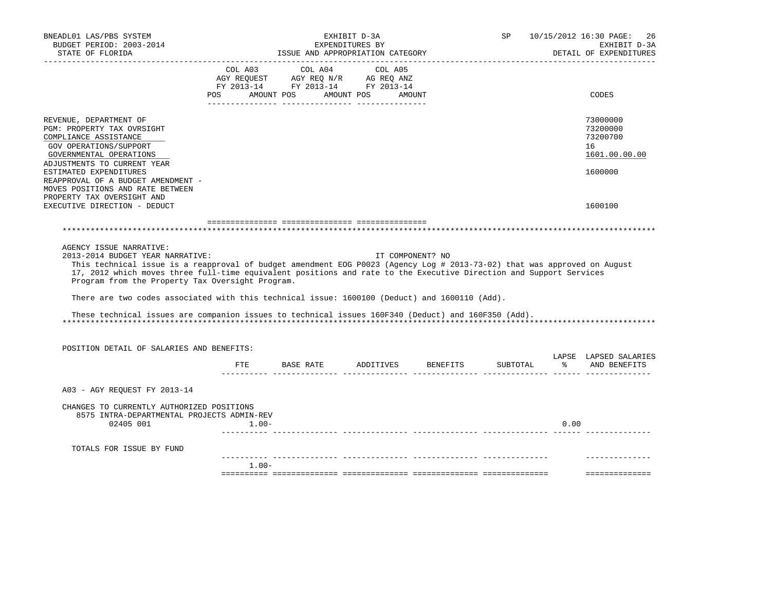| BNEADL01 LAS/PBS SYSTEM<br>BUDGET PERIOD: 2003-2014<br>STATE OF FLORIDA                                                                                                                                                                                                                                                                                                                                                                                                                                                                                                   |          |                                                                                                                                                                                                | EXHIBIT D-3A<br>EXPENDITURES BY | ISSUE AND APPROPRIATION CATEGORY | SP |      | 10/15/2012 16:30 PAGE:<br>-26<br>EXHIBIT D-3A<br>DETAIL OF EXPENDITURES |
|---------------------------------------------------------------------------------------------------------------------------------------------------------------------------------------------------------------------------------------------------------------------------------------------------------------------------------------------------------------------------------------------------------------------------------------------------------------------------------------------------------------------------------------------------------------------------|----------|------------------------------------------------------------------------------------------------------------------------------------------------------------------------------------------------|---------------------------------|----------------------------------|----|------|-------------------------------------------------------------------------|
|                                                                                                                                                                                                                                                                                                                                                                                                                                                                                                                                                                           |          | $\begin{tabular}{lcccc} COL A03 & COL A04 & COL A05 \\ AGY REQUEST & AGY REQ N/R & AG REQ ANZ \\ FY & 2013-14 & FY & 2013-14 & FY & 2013-14 \end{tabular}$<br>POS AMOUNT POS AMOUNT POS AMOUNT |                                 |                                  |    |      | CODES                                                                   |
| REVENUE, DEPARTMENT OF<br>PGM: PROPERTY TAX OVRSIGHT<br>COMPLIANCE ASSISTANCE<br>GOV OPERATIONS/SUPPORT<br>GOVERNMENTAL OPERATIONS<br>ADJUSTMENTS TO CURRENT YEAR                                                                                                                                                                                                                                                                                                                                                                                                         |          |                                                                                                                                                                                                |                                 |                                  |    |      | 73000000<br>73200000<br>73200700<br>16<br>1601.00.00.00                 |
| ESTIMATED EXPENDITURES<br>REAPPROVAL OF A BUDGET AMENDMENT -<br>MOVES POSITIONS AND RATE BETWEEN<br>PROPERTY TAX OVERSIGHT AND<br>EXECUTIVE DIRECTION - DEDUCT                                                                                                                                                                                                                                                                                                                                                                                                            |          |                                                                                                                                                                                                |                                 |                                  |    |      | 1600000<br>1600100                                                      |
|                                                                                                                                                                                                                                                                                                                                                                                                                                                                                                                                                                           |          |                                                                                                                                                                                                |                                 |                                  |    |      |                                                                         |
| AGENCY ISSUE NARRATIVE:<br>2013-2014 BUDGET YEAR NARRATIVE:<br>This technical issue is a reapproval of budget amendment EOG P0023 (Agency Log # 2013-73-02) that was approved on August<br>17, 2012 which moves three full-time equivalent positions and rate to the Executive Direction and Support Services<br>Program from the Property Tax Oversight Program.<br>There are two codes associated with this technical issue: 1600100 (Deduct) and 1600110 (Add).<br>These technical issues are companion issues to technical issues 160F340 (Deduct) and 160F350 (Add). |          |                                                                                                                                                                                                |                                 | IT COMPONENT? NO                 |    |      |                                                                         |
| POSITION DETAIL OF SALARIES AND BENEFITS:                                                                                                                                                                                                                                                                                                                                                                                                                                                                                                                                 |          |                                                                                                                                                                                                |                                 |                                  |    |      | LAPSE LAPSED SALARIES                                                   |
|                                                                                                                                                                                                                                                                                                                                                                                                                                                                                                                                                                           | ETE      | BASE RATE ADDITIVES BENEFITS                                                                                                                                                                   |                                 |                                  |    |      | SUBTOTAL % AND BENEFITS                                                 |
| A03 - AGY REOUEST FY 2013-14                                                                                                                                                                                                                                                                                                                                                                                                                                                                                                                                              |          |                                                                                                                                                                                                |                                 |                                  |    |      |                                                                         |
| CHANGES TO CURRENTLY AUTHORIZED POSITIONS<br>8575 INTRA-DEPARTMENTAL PROJECTS ADMIN-REV<br>02405 001                                                                                                                                                                                                                                                                                                                                                                                                                                                                      | $1.00-$  |                                                                                                                                                                                                |                                 |                                  |    | 0.00 |                                                                         |
| TOTALS FOR ISSUE BY FUND                                                                                                                                                                                                                                                                                                                                                                                                                                                                                                                                                  |          |                                                                                                                                                                                                |                                 |                                  |    |      |                                                                         |
|                                                                                                                                                                                                                                                                                                                                                                                                                                                                                                                                                                           | $1.00 -$ |                                                                                                                                                                                                |                                 |                                  |    |      | ==============                                                          |
|                                                                                                                                                                                                                                                                                                                                                                                                                                                                                                                                                                           |          |                                                                                                                                                                                                |                                 |                                  |    |      |                                                                         |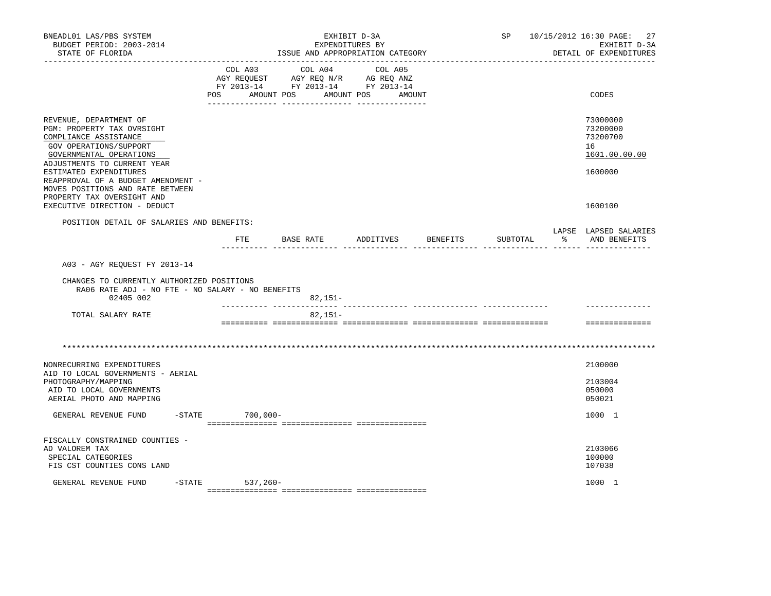| BNEADL01 LAS/PBS SYSTEM<br>BUDGET PERIOD: 2003-2014<br>STATE OF FLORIDA                                                                                           | EXHIBIT D-3A<br>EXPENDITURES BY<br>ISSUE AND APPROPRIATION CATEGORY |                                                                                                                 |            | SP     | 10/15/2012 16:30 PAGE:<br>27<br>EXHIBIT D-3A<br>DETAIL OF EXPENDITURES |                                                         |
|-------------------------------------------------------------------------------------------------------------------------------------------------------------------|---------------------------------------------------------------------|-----------------------------------------------------------------------------------------------------------------|------------|--------|------------------------------------------------------------------------|---------------------------------------------------------|
|                                                                                                                                                                   | POS                                                                 | COL A03 COL A04 COL A05<br>AGY REQUEST AGY REQ N/R AG REQ ANZ<br>FY 2013-14 FY 2013-14 FY 2013-14<br>AMOUNT POS | AMOUNT POS | AMOUNT |                                                                        | CODES                                                   |
| REVENUE, DEPARTMENT OF<br>PGM: PROPERTY TAX OVRSIGHT<br>COMPLIANCE ASSISTANCE<br>GOV OPERATIONS/SUPPORT<br>GOVERNMENTAL OPERATIONS<br>ADJUSTMENTS TO CURRENT YEAR |                                                                     |                                                                                                                 |            |        |                                                                        | 73000000<br>73200000<br>73200700<br>16<br>1601.00.00.00 |
| ESTIMATED EXPENDITURES<br>REAPPROVAL OF A BUDGET AMENDMENT -<br>MOVES POSITIONS AND RATE BETWEEN<br>PROPERTY TAX OVERSIGHT AND<br>EXECUTIVE DIRECTION - DEDUCT    |                                                                     |                                                                                                                 |            |        |                                                                        | 1600000<br>1600100                                      |
| POSITION DETAIL OF SALARIES AND BENEFITS:                                                                                                                         |                                                                     | FTE BASE RATE ADDITIVES BENEFITS                                                                                |            |        | SUBTOTAL                                                               | LAPSE LAPSED SALARIES<br>% AND BENEFITS                 |
| A03 - AGY REQUEST FY 2013-14<br>CHANGES TO CURRENTLY AUTHORIZED POSITIONS<br>RA06 RATE ADJ - NO FTE - NO SALARY - NO BENEFITS                                     |                                                                     |                                                                                                                 |            |        |                                                                        |                                                         |
| 02405 002<br>TOTAL SALARY RATE                                                                                                                                    |                                                                     | 82,151-<br>$82,151-$                                                                                            |            |        |                                                                        |                                                         |
|                                                                                                                                                                   |                                                                     |                                                                                                                 |            |        |                                                                        | ==============                                          |
|                                                                                                                                                                   |                                                                     |                                                                                                                 |            |        |                                                                        |                                                         |
| NONRECURRING EXPENDITURES<br>AID TO LOCAL GOVERNMENTS - AERIAL                                                                                                    |                                                                     |                                                                                                                 |            |        |                                                                        | 2100000                                                 |
| PHOTOGRAPHY/MAPPING<br>AID TO LOCAL GOVERNMENTS<br>AERIAL PHOTO AND MAPPING                                                                                       |                                                                     |                                                                                                                 |            |        |                                                                        | 2103004<br>050000<br>050021                             |
| GENERAL REVENUE FUND                                                                                                                                              | $-STATE$ 700,000-                                                   |                                                                                                                 |            |        |                                                                        | 1000 1                                                  |
| FISCALLY CONSTRAINED COUNTIES -<br>AD VALOREM TAX<br>SPECIAL CATEGORIES<br>FIS CST COUNTIES CONS LAND                                                             |                                                                     |                                                                                                                 |            |        |                                                                        | 2103066<br>100000<br>107038                             |
| GENERAL REVENUE FUND                                                                                                                                              | -STATE 537,260-                                                     |                                                                                                                 |            |        |                                                                        | 1000 1                                                  |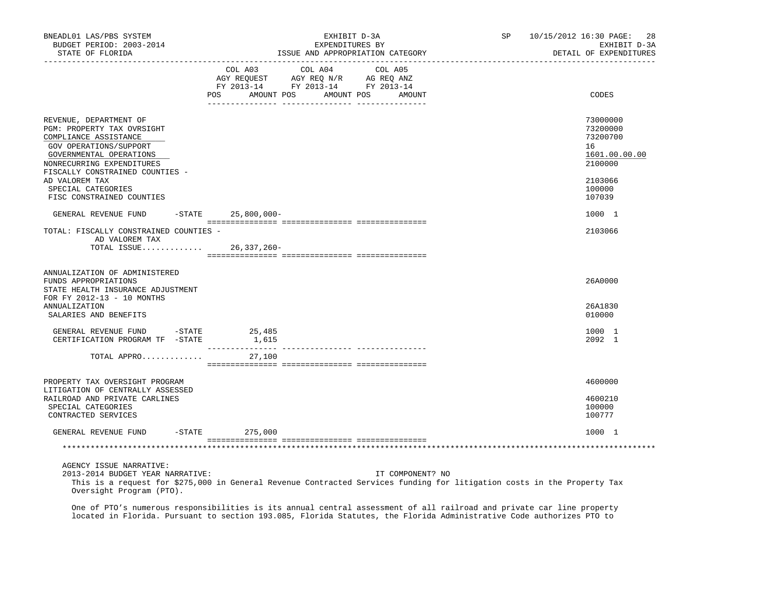| BNEADL01 LAS/PBS SYSTEM<br>BUDGET PERIOD: 2003-2014<br>STATE OF FLORIDA                                                                                                                            | EXHIBIT D-3A<br>SP<br>EXPENDITURES BY<br>ISSUE AND APPROPRIATION CATEGORY                                                                   | 10/15/2012 16:30 PAGE: 28<br>EXHIBIT D-3A<br>DETAIL OF EXPENDITURES |
|----------------------------------------------------------------------------------------------------------------------------------------------------------------------------------------------------|---------------------------------------------------------------------------------------------------------------------------------------------|---------------------------------------------------------------------|
|                                                                                                                                                                                                    | COL A03 COL A04 COL A05<br>AGY REQUEST AGY REQ N/R AG REQ ANZ<br>FY 2013-14 FY 2013-14 FY 2013-14<br>POS AMOUNT POS AMOUNT POS AMOUNT       | CODES                                                               |
| REVENUE, DEPARTMENT OF<br>PGM: PROPERTY TAX OVRSIGHT<br>COMPLIANCE ASSISTANCE<br>GOV OPERATIONS/SUPPORT<br>GOVERNMENTAL OPERATIONS<br>NONRECURRING EXPENDITURES<br>FISCALLY CONSTRAINED COUNTIES - |                                                                                                                                             | 73000000<br>73200000<br>73200700<br>16<br>1601.00.00.00<br>2100000  |
| AD VALOREM TAX<br>SPECIAL CATEGORIES<br>FISC CONSTRAINED COUNTIES                                                                                                                                  |                                                                                                                                             | 2103066<br>100000<br>107039                                         |
| GENERAL REVENUE FUND -STATE 25,800,000-                                                                                                                                                            |                                                                                                                                             | 1000 1                                                              |
| TOTAL: FISCALLY CONSTRAINED COUNTIES -<br>AD VALOREM TAX                                                                                                                                           | TOTAL ISSUE 26,337,260-                                                                                                                     | 2103066                                                             |
| ANNUALIZATION OF ADMINISTERED<br>FUNDS APPROPRIATIONS<br>STATE HEALTH INSURANCE ADJUSTMENT<br>FOR FY 2012-13 - 10 MONTHS<br><b>ANNUALIZATION</b><br>SALARIES AND BENEFITS                          |                                                                                                                                             | 26A0000<br>26A1830<br>010000                                        |
| GENERAL REVENUE FUND -STATE 25,485<br>CERTIFICATION PROGRAM TF -STATE                                                                                                                              | 1,615                                                                                                                                       | 1000 1<br>2092 1                                                    |
| TOTAL APPRO                                                                                                                                                                                        | 27,100                                                                                                                                      |                                                                     |
| PROPERTY TAX OVERSIGHT PROGRAM                                                                                                                                                                     |                                                                                                                                             | 4600000                                                             |
| LITIGATION OF CENTRALLY ASSESSED<br>RAILROAD AND PRIVATE CARLINES<br>SPECIAL CATEGORIES<br>CONTRACTED SERVICES                                                                                     |                                                                                                                                             | 4600210<br>100000<br>100777                                         |
| GENERAL REVENUE FUND -STATE                                                                                                                                                                        | 275,000                                                                                                                                     | 1000 1                                                              |
|                                                                                                                                                                                                    |                                                                                                                                             |                                                                     |
| AGENCY ISSUE NARRATIVE:<br>2013-2014 BUDGET YEAR NARRATIVE:<br>Oversight Program (PTO).                                                                                                            | IT COMPONENT? NO<br>This is a request for \$275,000 in General Revenue Contracted Services funding for litigation costs in the Property Tax |                                                                     |

 One of PTO's numerous responsibilities is its annual central assessment of all railroad and private car line property located in Florida. Pursuant to section 193.085, Florida Statutes, the Florida Administrative Code authorizes PTO to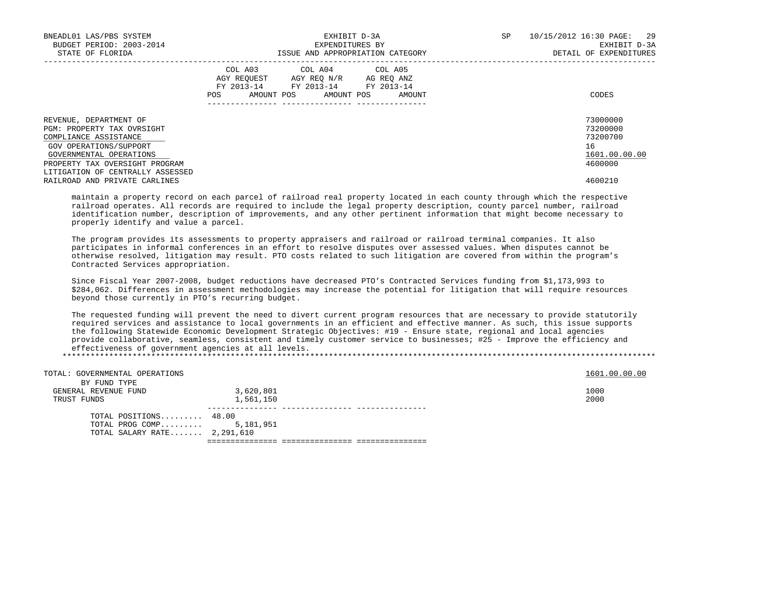| BNEADL01 LAS/PBS SYSTEM<br>BUDGET PERIOD: 2003-2014<br>STATE OF FLORIDA                                                                                                                                  | EXHIBIT D-3A<br>EXPENDITURES BY<br>ISSUE AND APPROPRIATION CATEGORY                                                                            | SP<br>10/15/2012 16:30 PAGE: 29<br>EXHIBIT D-3A<br>DETAIL OF EXPENDITURES |
|----------------------------------------------------------------------------------------------------------------------------------------------------------------------------------------------------------|------------------------------------------------------------------------------------------------------------------------------------------------|---------------------------------------------------------------------------|
|                                                                                                                                                                                                          | COL A03 COL A04 COL A05<br>AGY REQUEST AGY REO N/R AG REO ANZ<br>FY 2013-14 FY 2013-14 FY 2013-14<br>AMOUNT POS<br>AMOUNT POS<br>POS<br>AMOUNT | CODES                                                                     |
| REVENUE, DEPARTMENT OF<br>PGM: PROPERTY TAX OVRSIGHT<br>COMPLIANCE ASSISTANCE<br>GOV OPERATIONS/SUPPORT<br>GOVERNMENTAL OPERATIONS<br>PROPERTY TAX OVERSIGHT PROGRAM<br>LITIGATION OF CENTRALLY ASSESSED |                                                                                                                                                | 73000000<br>73200000<br>73200700<br>16<br>1601.00.00.00<br>4600000        |
| RAILROAD AND PRIVATE CARLINES                                                                                                                                                                            |                                                                                                                                                | 4600210                                                                   |

 maintain a property record on each parcel of railroad real property located in each county through which the respective railroad operates. All records are required to include the legal property description, county parcel number, railroad identification number, description of improvements, and any other pertinent information that might become necessary to properly identify and value a parcel.

 The program provides its assessments to property appraisers and railroad or railroad terminal companies. It also participates in informal conferences in an effort to resolve disputes over assessed values. When disputes cannot be otherwise resolved, litigation may result. PTO costs related to such litigation are covered from within the program's Contracted Services appropriation.

 Since Fiscal Year 2007-2008, budget reductions have decreased PTO's Contracted Services funding from \$1,173,993 to \$284,062. Differences in assessment methodologies may increase the potential for litigation that will require resources beyond those currently in PTO's recurring budget.

 The requested funding will prevent the need to divert current program resources that are necessary to provide statutorily required services and assistance to local governments in an efficient and effective manner. As such, this issue supports the following Statewide Economic Development Strategic Objectives: #19 - Ensure state, regional and local agencies provide collaborative, seamless, consistent and timely customer service to businesses; #25 - Improve the efficiency and effectiveness of government agencies at all levels.

\*\*\*\*\*\*\*\*\*\*\*\*\*\*\*\*\*\*\*\*\*\*\*\*\*\*\*\*\*\*\*\*\*\*\*\*\*\*\*\*\*\*\*\*\*\*\*\*\*\*\*\*\*\*\*\*\*\*\*\*\*\*\*\*\*\*\*\*\*\*\*\*\*\*\*\*\*\*\*\*\*\*\*\*\*\*\*\*\*\*\*\*\*\*\*\*\*\*\*\*\*\*\*\*\*\*\*\*\*\*\*\*\*\*\*\*\*\*\*\*\*\*\*\*\*\*\*

| TOTAL: GOVERNMENTAL OPERATIONS<br>BY FUND TYPE |           | 1601.00.00.00 |
|------------------------------------------------|-----------|---------------|
|                                                |           | 1000          |
| GENERAL REVENUE FUND                           | 3,620,801 |               |
| TRUST FUNDS                                    | 1,561,150 | 2000          |
|                                                |           |               |
| TOTAL POSITIONS 48.00                          |           |               |
| TOTAL PROG COMP 5,181,951                      |           |               |
| TOTAL SALARY RATE 2,291,610                    |           |               |
|                                                |           |               |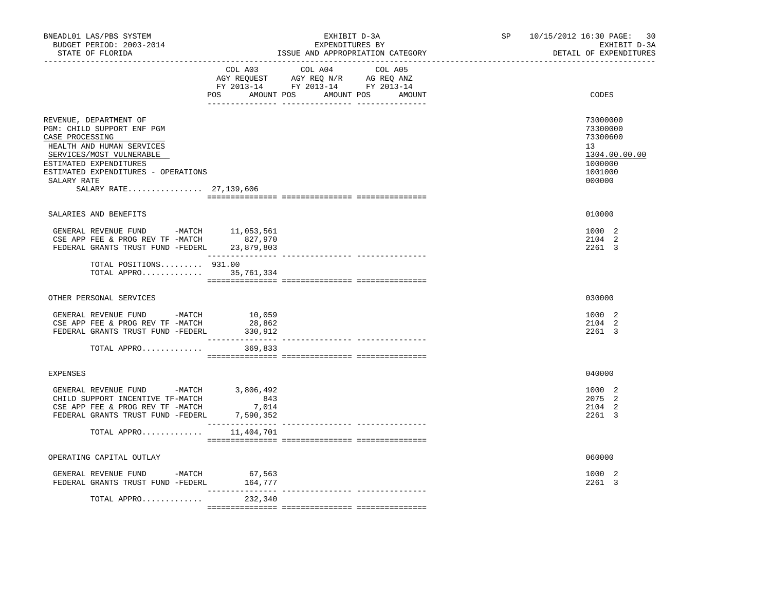| BNEADL01 LAS/PBS SYSTEM<br>BUDGET PERIOD: 2003-2014<br>STATE OF FLORIDA                                                                                                                                                                      | ____________________________                                                                                                                                                                                                                                                                                                                                                                                                                                                                      | EXHIBIT D-3A<br>EXPENDITURES BY<br>ISSUE AND APPROPRIATION CATEGORY |  | 10/15/2012 16:30 PAGE:<br>30<br>EXHIBIT D-3A<br>DETAIL OF EXPENDITURES                  |
|----------------------------------------------------------------------------------------------------------------------------------------------------------------------------------------------------------------------------------------------|---------------------------------------------------------------------------------------------------------------------------------------------------------------------------------------------------------------------------------------------------------------------------------------------------------------------------------------------------------------------------------------------------------------------------------------------------------------------------------------------------|---------------------------------------------------------------------|--|-----------------------------------------------------------------------------------------|
|                                                                                                                                                                                                                                              | COL A04<br>COL A03<br>AGY REQUEST AGY REQ N/R AG REQ ANZ<br>FY 2013-14 FY 2013-14 FY 2013-14<br>POS AMOUNT POS AMOUNT POS AMOUNT                                                                                                                                                                                                                                                                                                                                                                  | COL A05                                                             |  | CODES                                                                                   |
| REVENUE, DEPARTMENT OF<br>PGM: CHILD SUPPORT ENF PGM<br>CASE PROCESSING<br>HEALTH AND HUMAN SERVICES<br>SERVICES/MOST VULNERABLE<br>ESTIMATED EXPENDITURES<br>ESTIMATED EXPENDITURES - OPERATIONS<br>SALARY RATE<br>SALARY RATE 27, 139, 606 |                                                                                                                                                                                                                                                                                                                                                                                                                                                                                                   |                                                                     |  | 73000000<br>73300000<br>73300600<br>13<br>1304.00.00.00<br>1000000<br>1001000<br>000000 |
| SALARIES AND BENEFITS                                                                                                                                                                                                                        |                                                                                                                                                                                                                                                                                                                                                                                                                                                                                                   |                                                                     |  | 010000                                                                                  |
| GENERAL REVENUE FUND -MATCH 11,053,561<br>CSE APP FEE & PROG REV TF -MATCH<br>FEDERAL GRANTS TRUST FUND -FEDERL 23,879,803                                                                                                                   | 827,970<br>_________________                                                                                                                                                                                                                                                                                                                                                                                                                                                                      |                                                                     |  | 1000 2<br>2104 2<br>2261 3                                                              |
| TOTAL POSITIONS 931.00<br>TOTAL APPRO 35,761,334                                                                                                                                                                                             |                                                                                                                                                                                                                                                                                                                                                                                                                                                                                                   |                                                                     |  |                                                                                         |
| OTHER PERSONAL SERVICES                                                                                                                                                                                                                      |                                                                                                                                                                                                                                                                                                                                                                                                                                                                                                   |                                                                     |  | 030000                                                                                  |
| GENERAL REVENUE FUND -MATCH 10,059<br>CSE APP FEE & PROG REV TF -MATCH<br>FEDERAL GRANTS TRUST FUND -FEDERL                                                                                                                                  | 28,862<br>330,912<br>---------------                                                                                                                                                                                                                                                                                                                                                                                                                                                              |                                                                     |  | 1000 2<br>2104 2<br>2261 3                                                              |
| TOTAL APPRO                                                                                                                                                                                                                                  | 369,833                                                                                                                                                                                                                                                                                                                                                                                                                                                                                           |                                                                     |  |                                                                                         |
| <b>EXPENSES</b>                                                                                                                                                                                                                              |                                                                                                                                                                                                                                                                                                                                                                                                                                                                                                   |                                                                     |  | 040000                                                                                  |
| GENERAL REVENUE FUND -MATCH<br>CHILD SUPPORT INCENTIVE TF-MATCH<br>CSE APP FEE & PROG REV TF -MATCH<br>FEDERAL GRANTS TRUST FUND -FEDERL                                                                                                     | 3,806,492<br>843<br>7,014<br>7,590,352<br>________________                                                                                                                                                                                                                                                                                                                                                                                                                                        |                                                                     |  | 1000 2<br>2075 2<br>2104 2<br>2261 3                                                    |
| TOTAL APPRO $11,404,701$                                                                                                                                                                                                                     |                                                                                                                                                                                                                                                                                                                                                                                                                                                                                                   |                                                                     |  |                                                                                         |
| OPERATING CAPITAL OUTLAY                                                                                                                                                                                                                     |                                                                                                                                                                                                                                                                                                                                                                                                                                                                                                   |                                                                     |  | 060000                                                                                  |
| GENERAL REVENUE FUND -MATCH 67,563<br>FEDERAL GRANTS TRUST FUND -FEDERL                                                                                                                                                                      | 164,777<br>$\begin{array}{cccccccccc} \multicolumn{2}{c}{} & \multicolumn{2}{c}{} & \multicolumn{2}{c}{} & \multicolumn{2}{c}{} & \multicolumn{2}{c}{} & \multicolumn{2}{c}{} & \multicolumn{2}{c}{} & \multicolumn{2}{c}{} & \multicolumn{2}{c}{} & \multicolumn{2}{c}{} & \multicolumn{2}{c}{} & \multicolumn{2}{c}{} & \multicolumn{2}{c}{} & \multicolumn{2}{c}{} & \multicolumn{2}{c}{} & \multicolumn{2}{c}{} & \multicolumn{2}{c}{} & \multicolumn{2}{c}{} & \multicolumn{2}{c}{} & \mult$ |                                                                     |  | 1000 2<br>2261 3                                                                        |
| TOTAL APPRO                                                                                                                                                                                                                                  | 232,340                                                                                                                                                                                                                                                                                                                                                                                                                                                                                           |                                                                     |  |                                                                                         |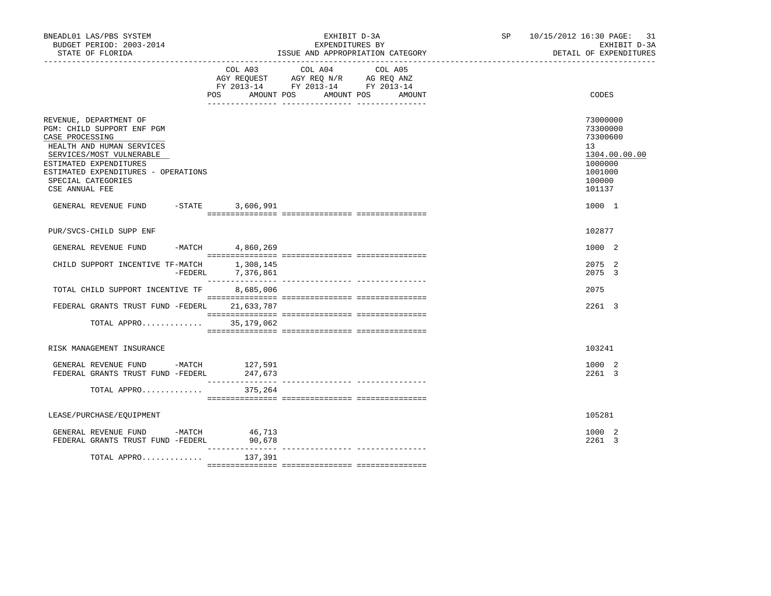| BNEADL01 LAS/PBS SYSTEM<br>BUDGET PERIOD: 2003-2014<br>STATE OF FLORIDA                                                                                                                                                                   | EXHIBIT D-3A<br>EXPENDITURES BY<br>ISSUE AND APPROPRIATION CATEGORY |                                                                                                                                          | SP 10/15/2012 16:30 PAGE: 31<br>EXHIBIT D-3A<br>DETAIL OF EXPENDITURES                            |
|-------------------------------------------------------------------------------------------------------------------------------------------------------------------------------------------------------------------------------------------|---------------------------------------------------------------------|------------------------------------------------------------------------------------------------------------------------------------------|---------------------------------------------------------------------------------------------------|
|                                                                                                                                                                                                                                           |                                                                     | COL A03 COL A04 COL A05<br>AGY REQUEST AGY REQ N/R AG REQ ANZ<br>FY 2013-14 FY 2013-14 FY 2013-14<br>POS AMOUNT POS AMOUNT POS<br>AMOUNT | CODES                                                                                             |
| REVENUE, DEPARTMENT OF<br>PGM: CHILD SUPPORT ENF PGM<br>CASE PROCESSING<br>HEALTH AND HUMAN SERVICES<br>SERVICES/MOST VULNERABLE<br>ESTIMATED EXPENDITURES<br>ESTIMATED EXPENDITURES - OPERATIONS<br>SPECIAL CATEGORIES<br>CSE ANNUAL FEE |                                                                     |                                                                                                                                          | 73000000<br>73300000<br>73300600<br>13<br>1304.00.00.00<br>1000000<br>1001000<br>100000<br>101137 |
| GENERAL REVENUE FUND -STATE                                                                                                                                                                                                               | 3,606,991                                                           |                                                                                                                                          | 1000 1                                                                                            |
| PUR/SVCS-CHILD SUPP ENF                                                                                                                                                                                                                   |                                                                     |                                                                                                                                          | 102877                                                                                            |
| $-MATCH$<br>GENERAL REVENUE FUND                                                                                                                                                                                                          | 4,860,269                                                           |                                                                                                                                          | 1000 2                                                                                            |
| CHILD SUPPORT INCENTIVE TF-MATCH<br>$-FEDERL$                                                                                                                                                                                             | 1,308,145<br>7,376,861                                              |                                                                                                                                          | 2075 2<br>2075 3                                                                                  |
| TOTAL CHILD SUPPORT INCENTIVE TF                                                                                                                                                                                                          | 8,685,006                                                           |                                                                                                                                          | 2075                                                                                              |
| FEDERAL GRANTS TRUST FUND -FEDERL                                                                                                                                                                                                         | 21,633,787                                                          |                                                                                                                                          | 2261 3                                                                                            |
| TOTAL APPRO                                                                                                                                                                                                                               | 35,179,062                                                          |                                                                                                                                          |                                                                                                   |
| RISK MANAGEMENT INSURANCE                                                                                                                                                                                                                 |                                                                     |                                                                                                                                          | 103241                                                                                            |
| GENERAL REVENUE FUND -MATCH<br>FEDERAL GRANTS TRUST FUND -FEDERL                                                                                                                                                                          | 127,591<br>247,673                                                  |                                                                                                                                          | 1000 2<br>2261 3                                                                                  |
| TOTAL APPRO                                                                                                                                                                                                                               | 375,264                                                             |                                                                                                                                          |                                                                                                   |
| LEASE/PURCHASE/EQUIPMENT                                                                                                                                                                                                                  |                                                                     |                                                                                                                                          | 105281                                                                                            |
| GENERAL REVENUE FUND -MATCH 46,713<br>FEDERAL GRANTS TRUST FUND -FEDERL                                                                                                                                                                   | 90,678<br><u> 11111111</u>                                          |                                                                                                                                          | 1000 2<br>2261 3                                                                                  |
| TOTAL APPRO                                                                                                                                                                                                                               | 137,391                                                             | ---------------- ----------------                                                                                                        |                                                                                                   |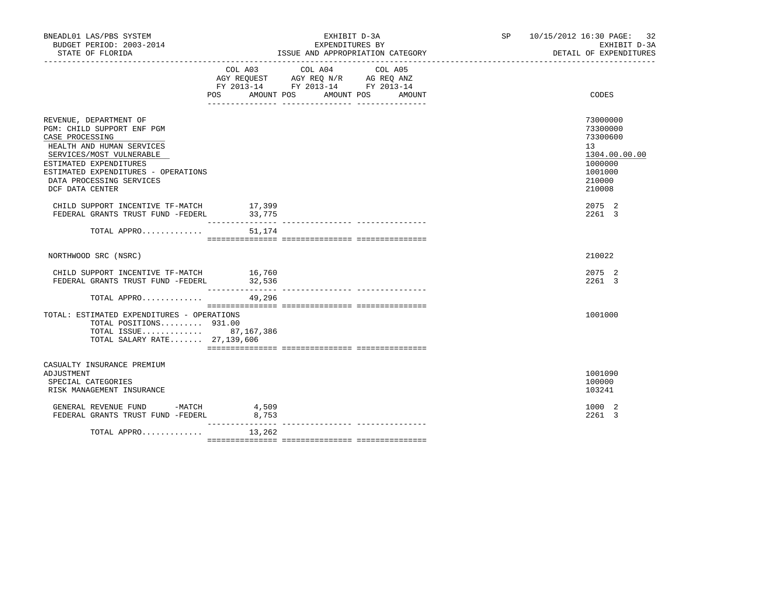| BUDGET PERIOD: 2003-2014<br>STATE OF FLORIDA                                                                                                                                                                                                     |                                      | ISSUE AND APPROPRIATION CATEGORY                                                  | EXPENDITURES BY                |  | EXHIBIT D-3A<br>DETAIL OF EXPENDITURES                                                            | SP 10/15/2012 16:30 PAGE: 32 |
|--------------------------------------------------------------------------------------------------------------------------------------------------------------------------------------------------------------------------------------------------|--------------------------------------|-----------------------------------------------------------------------------------|--------------------------------|--|---------------------------------------------------------------------------------------------------|------------------------------|
|                                                                                                                                                                                                                                                  | COL A03<br>POS AMOUNT POS AMOUNT POS | COL A04<br>AGY REQUEST AGY REQ N/R AG REQ ANZ<br>FY 2013-14 FY 2013-14 FY 2013-14 | COL A05<br>AMOUNT              |  | CODES                                                                                             |                              |
| REVENUE, DEPARTMENT OF<br>PGM: CHILD SUPPORT ENF PGM<br>CASE PROCESSING<br>HEALTH AND HUMAN SERVICES<br>SERVICES/MOST VULNERABLE<br>ESTIMATED EXPENDITURES<br>ESTIMATED EXPENDITURES - OPERATIONS<br>DATA PROCESSING SERVICES<br>DCF DATA CENTER |                                      |                                                                                   |                                |  | 73000000<br>73300000<br>73300600<br>13<br>1304.00.00.00<br>1000000<br>1001000<br>210000<br>210008 |                              |
| CHILD SUPPORT INCENTIVE TF-MATCH<br>FEDERAL GRANTS TRUST FUND -FEDERL 33,775                                                                                                                                                                     | 17,399                               |                                                                                   |                                |  | 2075 2<br>2261 3                                                                                  |                              |
| TOTAL APPRO                                                                                                                                                                                                                                      | 51,174                               |                                                                                   |                                |  |                                                                                                   |                              |
| NORTHWOOD SRC (NSRC)                                                                                                                                                                                                                             |                                      |                                                                                   |                                |  | 210022                                                                                            |                              |
| CHILD SUPPORT INCENTIVE TF-MATCH 16,760<br>FEDERAL GRANTS TRUST FUND -FEDERL                                                                                                                                                                     | 32,536                               |                                                                                   |                                |  | 2075 2<br>2261 3                                                                                  |                              |
| TOTAL APPRO                                                                                                                                                                                                                                      | 49,296                               |                                                                                   |                                |  |                                                                                                   |                              |
| TOTAL: ESTIMATED EXPENDITURES - OPERATIONS<br>TOTAL POSITIONS 931.00<br>TOTAL ISSUE 87,167,386<br>TOTAL SALARY RATE 27, 139, 606                                                                                                                 |                                      |                                                                                   |                                |  | 1001000                                                                                           |                              |
| CASUALTY INSURANCE PREMIUM<br>ADJUSTMENT<br>SPECIAL CATEGORIES<br>RISK MANAGEMENT INSURANCE                                                                                                                                                      |                                      |                                                                                   |                                |  | 1001090<br>100000<br>103241                                                                       |                              |
| GENERAL REVENUE FUND -MATCH 4,509<br>FEDERAL GRANTS TRUST FUND -FEDERL                                                                                                                                                                           | 8,753<br>__________                  |                                                                                   |                                |  | 1000 2<br>2261 3                                                                                  |                              |
| TOTAL APPRO                                                                                                                                                                                                                                      | 13,262                               |                                                                                   | ------------- ---------------- |  |                                                                                                   |                              |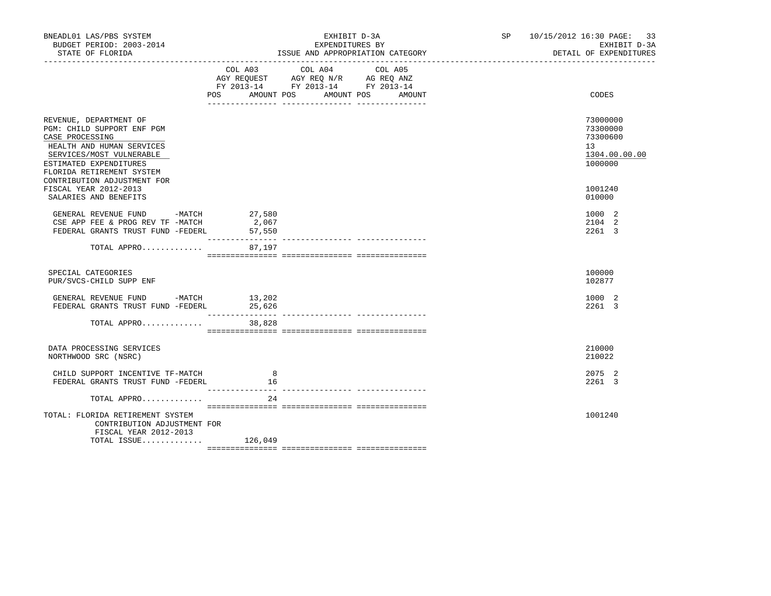| BNEADL01 LAS/PBS SYSTEM<br>BUDGET PERIOD: 2003-2014<br>STATE OF FLORIDA                                                                                                                                                                         | EXHIBIT D-3A<br>EXPENDITURES BY<br>ISSUE AND APPROPRIATION CATEGORY<br>----------------------------------                                                                                                                                    |                   | SP 10/15/2012 16:30 PAGE: 33<br>EXHIBIT D-3A<br>DETAIL OF EXPENDITURES        |
|-------------------------------------------------------------------------------------------------------------------------------------------------------------------------------------------------------------------------------------------------|----------------------------------------------------------------------------------------------------------------------------------------------------------------------------------------------------------------------------------------------|-------------------|-------------------------------------------------------------------------------|
|                                                                                                                                                                                                                                                 | COL A03 COL A04<br>$\begin{tabular}{lllllll} AGY & \texttt{REQUEST} & \texttt{AGY} & \texttt{REG} & \texttt{N/R} & \texttt{AG} & \texttt{REG} & \texttt{ANZ} \end{tabular}$<br>FY 2013-14 FY 2013-14 FY 2013-14<br>POS AMOUNT POS AMOUNT POS | COL A05<br>AMOUNT | CODES                                                                         |
| REVENUE, DEPARTMENT OF<br>PGM: CHILD SUPPORT ENF PGM<br>CASE PROCESSING<br>HEALTH AND HUMAN SERVICES<br>SERVICES/MOST VULNERABLE<br>ESTIMATED EXPENDITURES<br>FLORIDA RETIREMENT SYSTEM<br>CONTRIBUTION ADJUSTMENT FOR<br>FISCAL YEAR 2012-2013 |                                                                                                                                                                                                                                              |                   | 73000000<br>73300000<br>73300600<br>13<br>1304.00.00.00<br>1000000<br>1001240 |
| SALARIES AND BENEFITS<br>GENERAL REVENUE FUND -MATCH 27,580<br>CSE APP FEE & PROG REV TF -MATCH<br>FEDERAL GRANTS TRUST FUND -FEDERL                                                                                                            | 2,067<br>57,550                                                                                                                                                                                                                              |                   | 010000<br>1000 2<br>2104 2<br>2261 3                                          |
| TOTAL APPRO                                                                                                                                                                                                                                     | 87,197                                                                                                                                                                                                                                       |                   |                                                                               |
| SPECIAL CATEGORIES<br>PUR/SVCS-CHILD SUPP ENF                                                                                                                                                                                                   |                                                                                                                                                                                                                                              |                   | 100000<br>102877                                                              |
| GENERAL REVENUE FUND -MATCH 13,202<br>FEDERAL GRANTS TRUST FUND -FEDERL 25,626                                                                                                                                                                  |                                                                                                                                                                                                                                              |                   | 1000 2<br>2261 3                                                              |
| TOTAL APPRO                                                                                                                                                                                                                                     | 38,828                                                                                                                                                                                                                                       |                   |                                                                               |
| DATA PROCESSING SERVICES<br>NORTHWOOD SRC (NSRC)                                                                                                                                                                                                |                                                                                                                                                                                                                                              |                   | 210000<br>210022                                                              |
| CHILD SUPPORT INCENTIVE TF-MATCH<br>FEDERAL GRANTS TRUST FUND -FEDERL                                                                                                                                                                           | 8<br>16<br><u> --------------- ----</u>                                                                                                                                                                                                      |                   | 2075 2<br>2261 3                                                              |
| TOTAL APPRO                                                                                                                                                                                                                                     | 24                                                                                                                                                                                                                                           |                   |                                                                               |
| TOTAL: FLORIDA RETIREMENT SYSTEM<br>CONTRIBUTION ADJUSTMENT FOR<br>FISCAL YEAR 2012-2013<br>TOTAL ISSUE $126,049$                                                                                                                               |                                                                                                                                                                                                                                              |                   | 1001240                                                                       |
|                                                                                                                                                                                                                                                 |                                                                                                                                                                                                                                              |                   |                                                                               |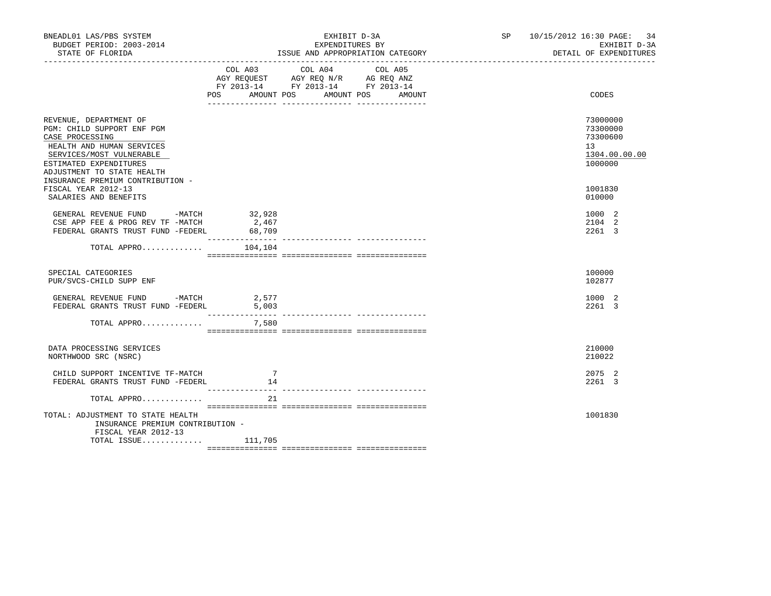| BNEADL01 LAS/PBS SYSTEM<br>BUDGET PERIOD: 2003-2014<br>STATE OF FLORIDA                                                                                                                                                                                                      | EXHIBIT D-3A<br>EXPENDITURES BY<br>ISSUE AND APPROPRIATION CATEGORY<br>------------------------------------- |                                                                                                                                                                                                                            | SP 10/15/2012 16:30 PAGE: 34<br>EXHIBIT D-3A<br>DETAIL OF EXPENDITURES                  |
|------------------------------------------------------------------------------------------------------------------------------------------------------------------------------------------------------------------------------------------------------------------------------|--------------------------------------------------------------------------------------------------------------|----------------------------------------------------------------------------------------------------------------------------------------------------------------------------------------------------------------------------|-----------------------------------------------------------------------------------------|
|                                                                                                                                                                                                                                                                              | COL A03 COL A04<br>POS AMOUNT POS AMOUNT POS<br>___________________________________                          | COL A05<br>$\begin{tabular}{lllllll} AGY & \texttt{REQUEST} & \texttt{AGY REQ} & \texttt{N/R} & \texttt{AG REQ} & \texttt{ANZ} \end{tabular}$<br>FY 2013-14 FY 2013-14 FY 2013-14<br>AMOUNT<br><u>-- ---------------</u> - | CODES                                                                                   |
| REVENUE, DEPARTMENT OF<br>PGM: CHILD SUPPORT ENF PGM<br>CASE PROCESSING<br>HEALTH AND HUMAN SERVICES<br>SERVICES/MOST VULNERABLE<br>ESTIMATED EXPENDITURES<br>ADJUSTMENT TO STATE HEALTH<br>INSURANCE PREMIUM CONTRIBUTION -<br>FISCAL YEAR 2012-13<br>SALARIES AND BENEFITS |                                                                                                              |                                                                                                                                                                                                                            | 73000000<br>73300000<br>73300600<br>13<br>1304.00.00.00<br>1000000<br>1001830<br>010000 |
| GENERAL REVENUE FUND -MATCH 32,928<br>CSE APP FEE & PROG REV TF -MATCH<br>FEDERAL GRANTS TRUST FUND -FEDERL                                                                                                                                                                  | 2,467<br>68,709                                                                                              |                                                                                                                                                                                                                            | 1000 2<br>2104 2<br>2261 3                                                              |
| TOTAL APPRO                                                                                                                                                                                                                                                                  | 104,104                                                                                                      |                                                                                                                                                                                                                            |                                                                                         |
| SPECIAL CATEGORIES<br>PUR/SVCS-CHILD SUPP ENF                                                                                                                                                                                                                                |                                                                                                              |                                                                                                                                                                                                                            | 100000<br>102877                                                                        |
| GENERAL REVENUE FUND -MATCH $2,577$<br>FEDERAL GRANTS TRUST FUND -FEDERL 5,003                                                                                                                                                                                               |                                                                                                              |                                                                                                                                                                                                                            | 1000 2<br>2261 3                                                                        |
| TOTAL APPRO                                                                                                                                                                                                                                                                  | 7,580                                                                                                        |                                                                                                                                                                                                                            |                                                                                         |
| DATA PROCESSING SERVICES<br>NORTHWOOD SRC (NSRC)                                                                                                                                                                                                                             |                                                                                                              |                                                                                                                                                                                                                            | 210000<br>210022                                                                        |
| CHILD SUPPORT INCENTIVE TF-MATCH<br>FEDERAL GRANTS TRUST FUND -FEDERL                                                                                                                                                                                                        | -7<br>14                                                                                                     |                                                                                                                                                                                                                            | 2075 2<br>2261 3                                                                        |
| TOTAL APPRO                                                                                                                                                                                                                                                                  | 21                                                                                                           |                                                                                                                                                                                                                            |                                                                                         |
| TOTAL: ADJUSTMENT TO STATE HEALTH<br>INSURANCE PREMIUM CONTRIBUTION -<br>FISCAL YEAR 2012-13<br>TOTAL ISSUE 111,705                                                                                                                                                          |                                                                                                              |                                                                                                                                                                                                                            | 1001830                                                                                 |
|                                                                                                                                                                                                                                                                              |                                                                                                              |                                                                                                                                                                                                                            |                                                                                         |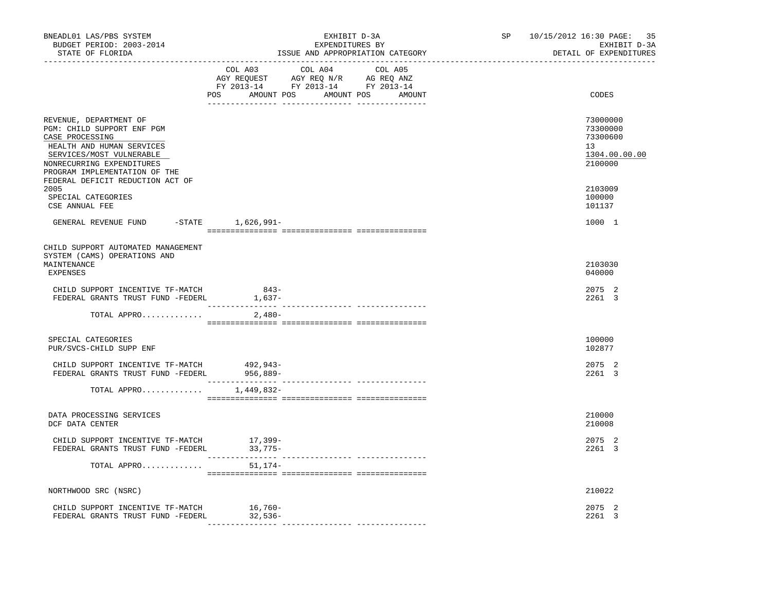| BNEADL01 LAS/PBS SYSTEM<br>BUDGET PERIOD: 2003-2014<br>STATE OF FLORIDA<br>---------------------------------                                                                                                                               | EXHIBIT D-3A<br>EXPENDITURES BY<br>ISSUE AND APPROPRIATION CATEGORY                                                                         | 35<br>SP <sub>2</sub><br>10/15/2012 16:30 PAGE:<br>EXHIBIT D-3A<br>DETAIL OF EXPENDITURES |
|--------------------------------------------------------------------------------------------------------------------------------------------------------------------------------------------------------------------------------------------|---------------------------------------------------------------------------------------------------------------------------------------------|-------------------------------------------------------------------------------------------|
|                                                                                                                                                                                                                                            | COL A03<br>COL A04<br>COL A05<br>AGY REQUEST AGY REQ N/R AG REQ ANZ<br>FY 2013-14 FY 2013-14 FY 2013-14<br>POS AMOUNT POS AMOUNT POS AMOUNT | CODES                                                                                     |
| REVENUE, DEPARTMENT OF<br>PGM: CHILD SUPPORT ENF PGM<br>CASE PROCESSING<br>HEALTH AND HUMAN SERVICES<br>SERVICES/MOST VULNERABLE<br>NONRECURRING EXPENDITURES<br>PROGRAM IMPLEMENTATION OF THE<br>FEDERAL DEFICIT REDUCTION ACT OF<br>2005 |                                                                                                                                             | 73000000<br>73300000<br>73300600<br>13<br>1304.00.00.00<br>2100000<br>2103009             |
| SPECIAL CATEGORIES<br>CSE ANNUAL FEE                                                                                                                                                                                                       |                                                                                                                                             | 100000<br>101137                                                                          |
| GENERAL REVENUE FUND -STATE 1,626,991-                                                                                                                                                                                                     |                                                                                                                                             | 1000 1                                                                                    |
| CHILD SUPPORT AUTOMATED MANAGEMENT<br>SYSTEM (CAMS) OPERATIONS AND<br>MAINTENANCE<br>EXPENSES                                                                                                                                              |                                                                                                                                             | 2103030<br>040000                                                                         |
| CHILD SUPPORT INCENTIVE TF-MATCH<br>FEDERAL GRANTS TRUST FUND -FEDERL                                                                                                                                                                      | 843-<br>1,637-                                                                                                                              | 2075 2<br>2261 3                                                                          |
| TOTAL APPRO                                                                                                                                                                                                                                | ___________________<br>------------- ---------------<br>2,480-                                                                              |                                                                                           |
| SPECIAL CATEGORIES<br>PUR/SVCS-CHILD SUPP ENF                                                                                                                                                                                              |                                                                                                                                             | 100000<br>102877                                                                          |
| CHILD SUPPORT INCENTIVE TF-MATCH<br>FEDERAL GRANTS TRUST FUND -FEDERL 956,889-                                                                                                                                                             | 492,943-                                                                                                                                    | 2075 2<br>2261 3                                                                          |
| TOTAL APPRO                                                                                                                                                                                                                                | 1,449,832-                                                                                                                                  |                                                                                           |
| DATA PROCESSING SERVICES<br>DCF DATA CENTER                                                                                                                                                                                                |                                                                                                                                             | 210000<br>210008                                                                          |
| CHILD SUPPORT INCENTIVE TF-MATCH<br>FEDERAL GRANTS TRUST FUND -FEDERL                                                                                                                                                                      | 17,399–<br>33,775–                                                                                                                          | 2075 2<br>2261 3                                                                          |
| TOTAL APPRO                                                                                                                                                                                                                                | 51,174-                                                                                                                                     |                                                                                           |
| NORTHWOOD SRC (NSRC)                                                                                                                                                                                                                       |                                                                                                                                             | 210022                                                                                    |
| CHILD SUPPORT INCENTIVE TF-MATCH<br>FEDERAL GRANTS TRUST FUND -FEDERL                                                                                                                                                                      | $16,760-$<br>32,536-                                                                                                                        | 2075 2<br>2261 3                                                                          |
|                                                                                                                                                                                                                                            |                                                                                                                                             |                                                                                           |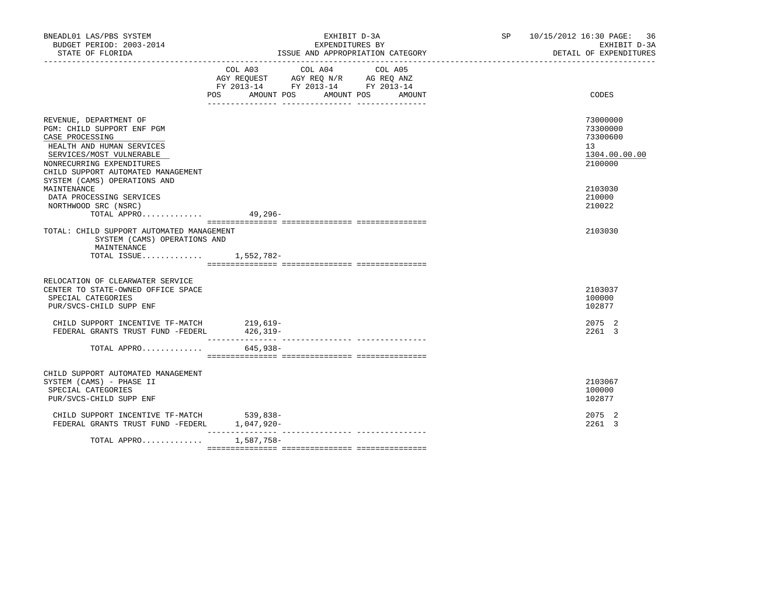| BNEADL01 LAS/PBS SYSTEM<br>BUDGET PERIOD: 2003-2014<br>STATE OF FLORIDA                                                                                                                             | EXHIBIT D-3A<br>EXPENDITURES BY<br>ISSUE AND APPROPRIATION CATEGORY |                                                                                                                                  | SP 10/15/2012 16:30 PAGE: 36<br>EXHIBIT D-3A<br>DETAIL OF EXPENDITURES |
|-----------------------------------------------------------------------------------------------------------------------------------------------------------------------------------------------------|---------------------------------------------------------------------|----------------------------------------------------------------------------------------------------------------------------------|------------------------------------------------------------------------|
|                                                                                                                                                                                                     | COL A03                                                             | COL A04<br>COL A05<br>AGY REQUEST AGY REQ N/R AG REQ ANZ<br>FY 2013-14 FY 2013-14 FY 2013-14<br>POS AMOUNT POS AMOUNT POS AMOUNT | CODES                                                                  |
| REVENUE, DEPARTMENT OF<br>PGM: CHILD SUPPORT ENF PGM<br>CASE PROCESSING<br>HEALTH AND HUMAN SERVICES<br>SERVICES/MOST VULNERABLE<br>NONRECURRING EXPENDITURES<br>CHILD SUPPORT AUTOMATED MANAGEMENT |                                                                     |                                                                                                                                  | 73000000<br>73300000<br>73300600<br>13<br>1304.00.00.00<br>2100000     |
| SYSTEM (CAMS) OPERATIONS AND<br>MAINTENANCE<br>DATA PROCESSING SERVICES<br>NORTHWOOD SRC (NSRC)<br>TOTAL APPRO                                                                                      | $49,296-$                                                           |                                                                                                                                  | 2103030<br>210000<br>210022                                            |
| TOTAL: CHILD SUPPORT AUTOMATED MANAGEMENT<br>SYSTEM (CAMS) OPERATIONS AND<br>MAINTENANCE<br>TOTAL ISSUE 1,552,782-                                                                                  |                                                                     |                                                                                                                                  | 2103030                                                                |
| RELOCATION OF CLEARWATER SERVICE<br>CENTER TO STATE-OWNED OFFICE SPACE<br>SPECIAL CATEGORIES<br>PUR/SVCS-CHILD SUPP ENF                                                                             |                                                                     |                                                                                                                                  | 2103037<br>100000<br>102877                                            |
| CHILD SUPPORT INCENTIVE TF-MATCH<br>FEDERAL GRANTS TRUST FUND -FEDERL                                                                                                                               | $219,619-$<br>426,319-                                              |                                                                                                                                  | 2075 2<br>2261 3                                                       |
| TOTAL APPRO                                                                                                                                                                                         | 645,938-                                                            |                                                                                                                                  |                                                                        |
| CHILD SUPPORT AUTOMATED MANAGEMENT<br>SYSTEM (CAMS) - PHASE II<br>SPECIAL CATEGORIES<br>PUR/SVCS-CHILD SUPP ENF                                                                                     |                                                                     |                                                                                                                                  | 2103067<br>100000<br>102877                                            |
| CHILD SUPPORT INCENTIVE TF-MATCH 539,838-<br>FEDERAL GRANTS TRUST FUND -FEDERL                                                                                                                      | $1,047,920-$                                                        |                                                                                                                                  | 2075 2<br>2261 3                                                       |
| TOTAL APPRO                                                                                                                                                                                         | 1,587,758-                                                          |                                                                                                                                  |                                                                        |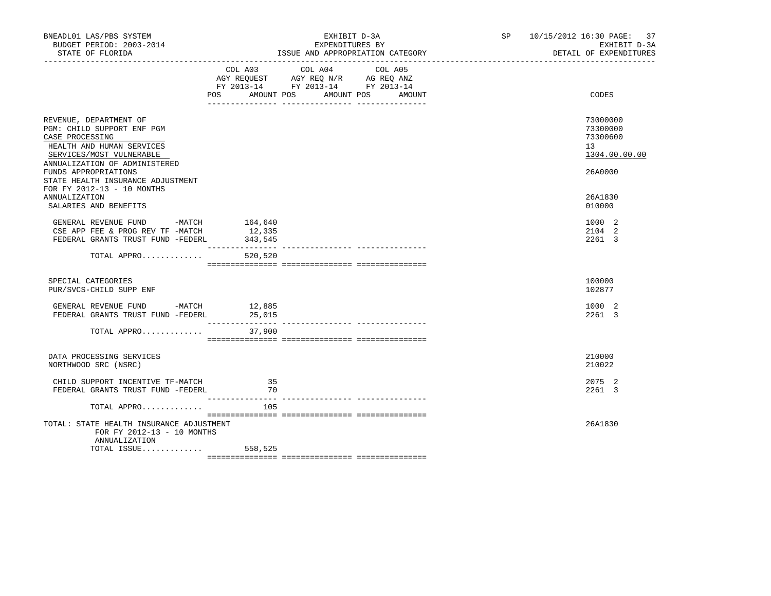| BNEADL01 LAS/PBS SYSTEM<br>BUDGET PERIOD: 2003-2014<br>STATE OF FLORIDA                                                                                                                                                                                      |                   | EXHIBIT D-3A<br>EXPENDITURES BY<br>ISSUE AND APPROPRIATION CATEGORY<br>__________________________________                        | SP 10/15/2012 16:30 PAGE: 37<br>EXHIBIT D-3A<br>DETAIL OF EXPENDITURES |  |
|--------------------------------------------------------------------------------------------------------------------------------------------------------------------------------------------------------------------------------------------------------------|-------------------|----------------------------------------------------------------------------------------------------------------------------------|------------------------------------------------------------------------|--|
|                                                                                                                                                                                                                                                              | COL A03           | COL A04<br>COL A05<br>AGY REQUEST AGY REQ N/R AG REQ ANZ<br>FY 2013-14 FY 2013-14 FY 2013-14<br>POS AMOUNT POS AMOUNT POS AMOUNT | CODES                                                                  |  |
| REVENUE, DEPARTMENT OF<br>PGM: CHILD SUPPORT ENF PGM<br>CASE PROCESSING<br>HEALTH AND HUMAN SERVICES<br>SERVICES/MOST VULNERABLE<br>ANNUALIZATION OF ADMINISTERED<br>FUNDS APPROPRIATIONS<br>STATE HEALTH INSURANCE ADJUSTMENT<br>FOR FY 2012-13 - 10 MONTHS |                   |                                                                                                                                  | 73000000<br>73300000<br>73300600<br>13<br>1304.00.00.00<br>26A0000     |  |
| <b>ANNUALIZATION</b><br>SALARIES AND BENEFITS                                                                                                                                                                                                                |                   |                                                                                                                                  | 26A1830<br>010000                                                      |  |
| GENERAL REVENUE FUND -MATCH 164,640<br>CSE APP FEE & PROG REV TF -MATCH<br>FEDERAL GRANTS TRUST FUND -FEDERL                                                                                                                                                 | 12,335<br>343,545 |                                                                                                                                  | 1000 2<br>2104 2<br>2261 3                                             |  |
| TOTAL APPRO                                                                                                                                                                                                                                                  | 520,520           |                                                                                                                                  |                                                                        |  |
| SPECIAL CATEGORIES<br>PUR/SVCS-CHILD SUPP ENF                                                                                                                                                                                                                |                   |                                                                                                                                  | 100000<br>102877                                                       |  |
| GENERAL REVENUE FUND -MATCH 12,885<br>FEDERAL GRANTS TRUST FUND -FEDERL                                                                                                                                                                                      | 25,015            |                                                                                                                                  | 1000 2<br>2261 3                                                       |  |
| TOTAL APPRO                                                                                                                                                                                                                                                  | 37,900            |                                                                                                                                  |                                                                        |  |
| DATA PROCESSING SERVICES<br>NORTHWOOD SRC (NSRC)                                                                                                                                                                                                             |                   |                                                                                                                                  | 210000<br>210022                                                       |  |
| CHILD SUPPORT INCENTIVE TF-MATCH<br>FEDERAL GRANTS TRUST FUND -FEDERL                                                                                                                                                                                        | 35<br>70          |                                                                                                                                  | 2075 2<br>2261 3                                                       |  |
| TOTAL APPRO                                                                                                                                                                                                                                                  | 105               |                                                                                                                                  |                                                                        |  |
| TOTAL: STATE HEALTH INSURANCE ADJUSTMENT<br>FOR FY 2012-13 - 10 MONTHS<br>ANNUALIZATION                                                                                                                                                                      |                   |                                                                                                                                  | 26A1830                                                                |  |
| TOTAL ISSUE $558,525$                                                                                                                                                                                                                                        |                   |                                                                                                                                  |                                                                        |  |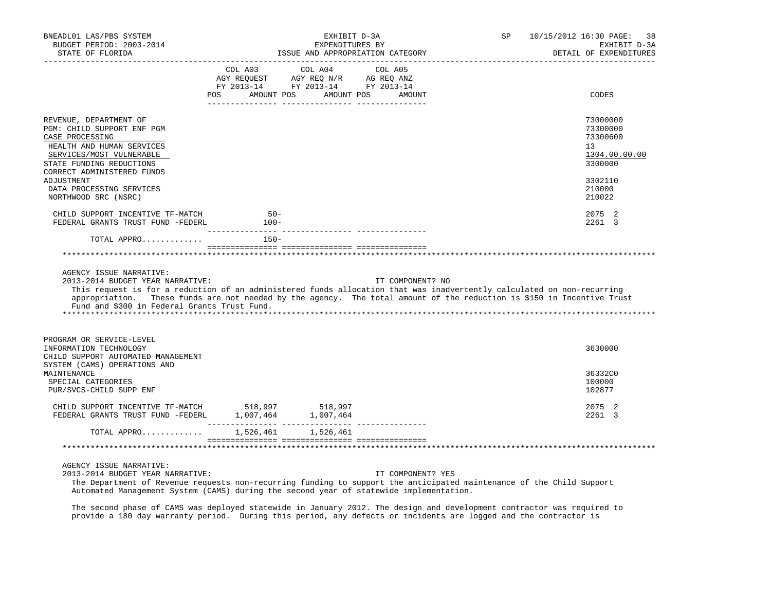| BNEADL01 LAS/PBS SYSTEM<br>BUDGET PERIOD: 2003-2014<br>STATE OF FLORIDA                                                                                                                                                                                                                                                                                         |                                                                                                                                                                                                                                                   | EXHIBIT D-3A<br>EXPENDITURES BY | ISSUE AND APPROPRIATION CATEGORY | SP | 10/15/2012 16:30 PAGE:<br>-38<br>EXHIBIT D-3A<br>DETAIL OF EXPENDITURES |
|-----------------------------------------------------------------------------------------------------------------------------------------------------------------------------------------------------------------------------------------------------------------------------------------------------------------------------------------------------------------|---------------------------------------------------------------------------------------------------------------------------------------------------------------------------------------------------------------------------------------------------|---------------------------------|----------------------------------|----|-------------------------------------------------------------------------|
|                                                                                                                                                                                                                                                                                                                                                                 | COL A03 COL A04 COL A05<br>$\begin{array}{ccccccccc}\n\text{AGY REQUEST} & & \text{AGY REQ} & \text{N/R} & & \text{AG REQ} & \text{ANZ} \\ \text{RY} & 2013-14 & & \text{FY} & 2013-14 & & \text{FY} & 2013-14\n\end{array}$<br>AMOUNT POS<br>POS | AMOUNT POS                      | AMOUNT                           |    | CODES                                                                   |
| REVENUE, DEPARTMENT OF<br>PGM: CHILD SUPPORT ENF PGM<br>CASE PROCESSING<br>HEALTH AND HUMAN SERVICES<br>SERVICES/MOST VULNERABLE<br>STATE FUNDING REDUCTIONS<br>CORRECT ADMINISTERED FUNDS                                                                                                                                                                      |                                                                                                                                                                                                                                                   |                                 |                                  |    | 73000000<br>73300000<br>73300600<br>13<br>1304.00.00.00<br>3300000      |
| ADJUSTMENT<br>DATA PROCESSING SERVICES<br>NORTHWOOD SRC (NSRC)                                                                                                                                                                                                                                                                                                  |                                                                                                                                                                                                                                                   |                                 |                                  |    | 3302110<br>210000<br>210022                                             |
| CHILD SUPPORT INCENTIVE TF-MATCH<br>FEDERAL GRANTS TRUST FUND -FEDERL                                                                                                                                                                                                                                                                                           | $50 -$<br>$100-$                                                                                                                                                                                                                                  |                                 |                                  |    | 2075 2<br>2261 3                                                        |
| TOTAL APPRO                                                                                                                                                                                                                                                                                                                                                     | $150 -$                                                                                                                                                                                                                                           |                                 |                                  |    |                                                                         |
|                                                                                                                                                                                                                                                                                                                                                                 |                                                                                                                                                                                                                                                   |                                 |                                  |    |                                                                         |
| AGENCY ISSUE NARRATIVE:<br>2013-2014 BUDGET YEAR NARRATIVE:<br>This request is for a reduction of an administered funds allocation that was inadvertently calculated on non-recurring<br>appropriation. These funds are not needed by the agency. The total amount of the reduction is \$150 in Incentive Trust<br>Fund and \$300 in Federal Grants Trust Fund. |                                                                                                                                                                                                                                                   |                                 | IT COMPONENT? NO                 |    |                                                                         |
| PROGRAM OR SERVICE-LEVEL<br>INFORMATION TECHNOLOGY<br>CHILD SUPPORT AUTOMATED MANAGEMENT<br>SYSTEM (CAMS) OPERATIONS AND                                                                                                                                                                                                                                        |                                                                                                                                                                                                                                                   |                                 |                                  |    | 3630000                                                                 |
| MAINTENANCE<br>SPECIAL CATEGORIES<br>PUR/SVCS-CHILD SUPP ENF                                                                                                                                                                                                                                                                                                    |                                                                                                                                                                                                                                                   |                                 |                                  |    | 36332C0<br>100000<br>102877                                             |
| CHILD SUPPORT INCENTIVE TF-MATCH 518,997 518,997                                                                                                                                                                                                                                                                                                                |                                                                                                                                                                                                                                                   |                                 |                                  |    | 2075 2<br>2261 3                                                        |
| TOTAL APPRO 1,526,461 1,526,461                                                                                                                                                                                                                                                                                                                                 |                                                                                                                                                                                                                                                   |                                 |                                  |    |                                                                         |
|                                                                                                                                                                                                                                                                                                                                                                 |                                                                                                                                                                                                                                                   |                                 |                                  |    |                                                                         |
| AGENCY ISSUE NARRATIVE:<br>2013-2014 BUDGET YEAR NARRATIVE:<br>The Department of Revenue requests non-recurring funding to support the anticipated maintenance of the Child Support                                                                                                                                                                             |                                                                                                                                                                                                                                                   |                                 | IT COMPONENT? YES                |    |                                                                         |

Automated Management System (CAMS) during the second year of statewide implementation.

 The second phase of CAMS was deployed statewide in January 2012. The design and development contractor was required to provide a 180 day warranty period. During this period, any defects or incidents are logged and the contractor is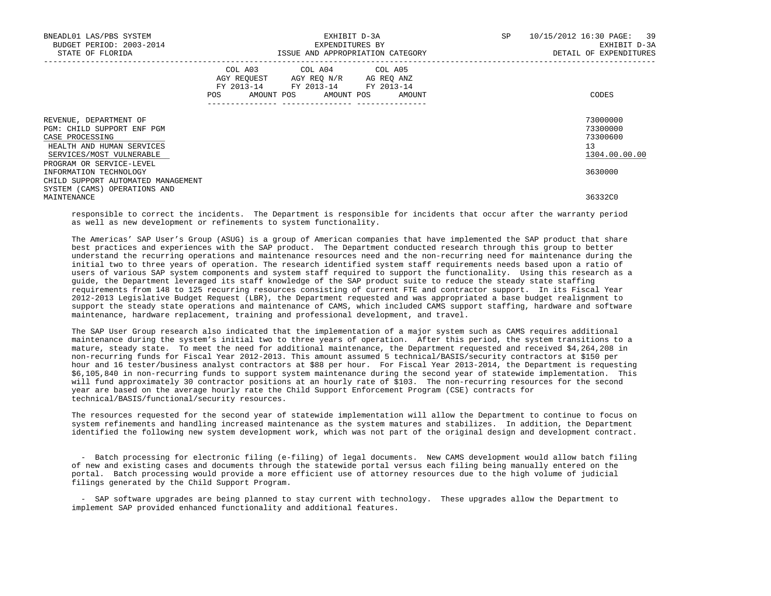| BNEADL01 LAS/PBS SYSTEM<br>BUDGET PERIOD: 2003-2014<br>STATE OF FLORIDA                                                          | EXHIBIT D-3A<br>EXPENDITURES BY<br>ISSUE AND APPROPRIATION CATEGORY |                                                                                                                            |        | <b>SP</b> | 10/15/2012 16:30 PAGE: 39<br>EXHIBIT D-3A<br>DETAIL OF EXPENDITURES |  |
|----------------------------------------------------------------------------------------------------------------------------------|---------------------------------------------------------------------|----------------------------------------------------------------------------------------------------------------------------|--------|-----------|---------------------------------------------------------------------|--|
|                                                                                                                                  | <b>POS</b>                                                          | COL A03 COL A04 COL A05<br>AGY REQUEST AGY REQ N/R AG REQ ANZ<br>FY 2013-14 FY 2013-14 FY 2013-14<br>AMOUNT POS AMOUNT POS | AMOUNT |           | CODES                                                               |  |
| REVENUE, DEPARTMENT OF<br>PGM: CHILD SUPPORT ENF PGM<br>CASE PROCESSING<br>HEALTH AND HUMAN SERVICES<br>SERVICES/MOST VULNERABLE |                                                                     |                                                                                                                            |        |           | 73000000<br>73300000<br>73300600<br>13<br>1304.00.00.00             |  |
| PROGRAM OR SERVICE-LEVEL<br>INFORMATION TECHNOLOGY<br>CHILD SUPPORT AUTOMATED MANAGEMENT                                         |                                                                     |                                                                                                                            |        |           | 3630000                                                             |  |
| SYSTEM (CAMS) OPERATIONS AND<br>MAINTENANCE                                                                                      |                                                                     |                                                                                                                            |        |           | 36332C0                                                             |  |

 responsible to correct the incidents. The Department is responsible for incidents that occur after the warranty period as well as new development or refinements to system functionality.

 The Americas' SAP User's Group (ASUG) is a group of American companies that have implemented the SAP product that share best practices and experiences with the SAP product. The Department conducted research through this group to better understand the recurring operations and maintenance resources need and the non-recurring need for maintenance during the initial two to three years of operation. The research identified system staff requirements needs based upon a ratio of users of various SAP system components and system staff required to support the functionality. Using this research as a guide, the Department leveraged its staff knowledge of the SAP product suite to reduce the steady state staffing requirements from 148 to 125 recurring resources consisting of current FTE and contractor support. In its Fiscal Year 2012-2013 Legislative Budget Request (LBR), the Department requested and was appropriated a base budget realignment to support the steady state operations and maintenance of CAMS, which included CAMS support staffing, hardware and software maintenance, hardware replacement, training and professional development, and travel.

 The SAP User Group research also indicated that the implementation of a major system such as CAMS requires additional maintenance during the system's initial two to three years of operation. After this period, the system transitions to a mature, steady state. To meet the need for additional maintenance, the Department requested and received \$4,264,208 in non-recurring funds for Fiscal Year 2012-2013. This amount assumed 5 technical/BASIS/security contractors at \$150 per hour and 16 tester/business analyst contractors at \$88 per hour. For Fiscal Year 2013-2014, the Department is requesting \$6,105,840 in non-recurring funds to support system maintenance during the second year of statewide implementation. This will fund approximately 30 contractor positions at an hourly rate of \$103. The non-recurring resources for the second year are based on the average hourly rate the Child Support Enforcement Program (CSE) contracts for technical/BASIS/functional/security resources.

 The resources requested for the second year of statewide implementation will allow the Department to continue to focus on system refinements and handling increased maintenance as the system matures and stabilizes. In addition, the Department identified the following new system development work, which was not part of the original design and development contract.

 - Batch processing for electronic filing (e-filing) of legal documents. New CAMS development would allow batch filing of new and existing cases and documents through the statewide portal versus each filing being manually entered on the portal. Batch processing would provide a more efficient use of attorney resources due to the high volume of judicial filings generated by the Child Support Program.

 - SAP software upgrades are being planned to stay current with technology. These upgrades allow the Department to implement SAP provided enhanced functionality and additional features.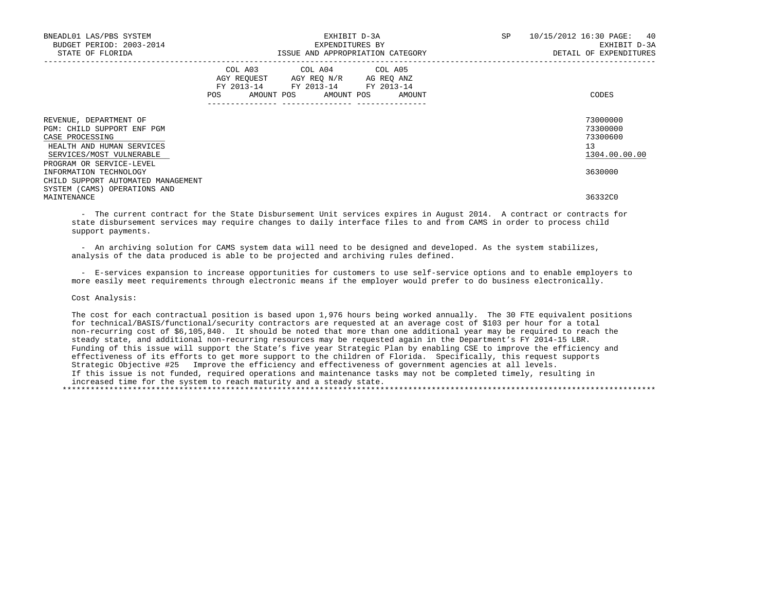| BNEADL01 LAS/PBS SYSTEM<br>BUDGET PERIOD: 2003-2014<br>STATE OF FLORIDA                                                          |            | EXHIBIT D-3A<br>EXPENDITURES BY<br>ISSUE AND APPROPRIATION CATEGORY                                                                                     | SP | 10/15/2012 16:30 PAGE: 40<br>EXHIBIT D-3A<br>DETAIL OF EXPENDITURES |
|----------------------------------------------------------------------------------------------------------------------------------|------------|---------------------------------------------------------------------------------------------------------------------------------------------------------|----|---------------------------------------------------------------------|
|                                                                                                                                  | <b>POS</b> | COL A03 COL A04 COL A05<br>AGY REQUEST AGY REO N/R AG REO ANZ<br>FY 2013-14 FY 2013-14 FY 2013-14<br>AMOUNT POS AMOUNT POS<br>AMOUNT<br>--------------- |    | CODES                                                               |
| REVENUE, DEPARTMENT OF<br>PGM: CHILD SUPPORT ENF PGM<br>CASE PROCESSING<br>HEALTH AND HUMAN SERVICES<br>SERVICES/MOST VULNERABLE |            |                                                                                                                                                         |    | 73000000<br>73300000<br>73300600<br>13<br>1304.00.00.00             |
| PROGRAM OR SERVICE-LEVEL<br>INFORMATION TECHNOLOGY<br>CHILD SUPPORT AUTOMATED MANAGEMENT<br>SYSTEM (CAMS) OPERATIONS AND         |            |                                                                                                                                                         |    | 3630000                                                             |
| MAINTENANCE                                                                                                                      |            |                                                                                                                                                         |    | 36332C0                                                             |

 - The current contract for the State Disbursement Unit services expires in August 2014. A contract or contracts for state disbursement services may require changes to daily interface files to and from CAMS in order to process child support payments.

 - An archiving solution for CAMS system data will need to be designed and developed. As the system stabilizes, analysis of the data produced is able to be projected and archiving rules defined.

 - E-services expansion to increase opportunities for customers to use self-service options and to enable employers to more easily meet requirements through electronic means if the employer would prefer to do business electronically.

Cost Analysis:

 The cost for each contractual position is based upon 1,976 hours being worked annually. The 30 FTE equivalent positions for technical/BASIS/functional/security contractors are requested at an average cost of \$103 per hour for a total non-recurring cost of \$6,105,840. It should be noted that more than one additional year may be required to reach the steady state, and additional non-recurring resources may be requested again in the Department's FY 2014-15 LBR. Funding of this issue will support the State's five year Strategic Plan by enabling CSE to improve the efficiency and effectiveness of its efforts to get more support to the children of Florida. Specifically, this request supports Strategic Objective #25 Improve the efficiency and effectiveness of government agencies at all levels. If this issue is not funded, required operations and maintenance tasks may not be completed timely, resulting in increased time for the system to reach maturity and a steady state. \*\*\*\*\*\*\*\*\*\*\*\*\*\*\*\*\*\*\*\*\*\*\*\*\*\*\*\*\*\*\*\*\*\*\*\*\*\*\*\*\*\*\*\*\*\*\*\*\*\*\*\*\*\*\*\*\*\*\*\*\*\*\*\*\*\*\*\*\*\*\*\*\*\*\*\*\*\*\*\*\*\*\*\*\*\*\*\*\*\*\*\*\*\*\*\*\*\*\*\*\*\*\*\*\*\*\*\*\*\*\*\*\*\*\*\*\*\*\*\*\*\*\*\*\*\*\*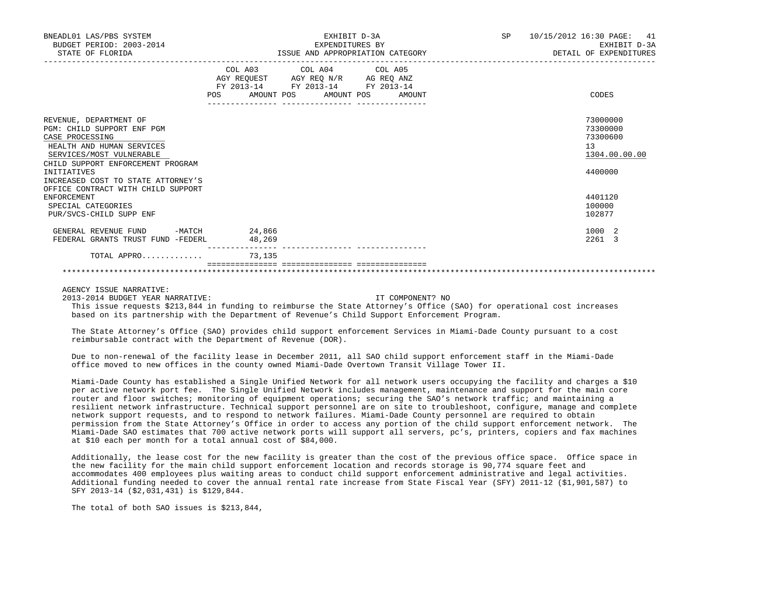| BNEADL01 LAS/PBS SYSTEM<br>BUDGET PERIOD: 2003-2014<br>STATE OF FLORIDA                                                                                                                                                                                                                                                                 | EXHIBIT D-3A<br>EXPENDITURES BY<br>ISSUE AND APPROPRIATION CATEGORY                                                                             | 10/15/2012 16:30 PAGE: 41<br>SP and the set of the set of the set of the set of the set of the set of the set of the set of the set of the set of the set of the set of the set of the set of the set of the set of the set of the set of the set of the se<br>EXHIBIT D-3A<br>DETAIL OF EXPENDITURES |
|-----------------------------------------------------------------------------------------------------------------------------------------------------------------------------------------------------------------------------------------------------------------------------------------------------------------------------------------|-------------------------------------------------------------------------------------------------------------------------------------------------|-------------------------------------------------------------------------------------------------------------------------------------------------------------------------------------------------------------------------------------------------------------------------------------------------------|
|                                                                                                                                                                                                                                                                                                                                         | COL A03 COL A04 COL A05<br>AGY REQUEST AGY REQ N/R AG REQ ANZ<br>FY 2013-14 FY 2013-14 FY 2013-14<br><b>POS</b><br>AMOUNT POS AMOUNT POS AMOUNT | CODES                                                                                                                                                                                                                                                                                                 |
| REVENUE, DEPARTMENT OF<br>PGM: CHILD SUPPORT ENF PGM<br>CASE PROCESSING<br>HEALTH AND HUMAN SERVICES<br>SERVICES/MOST VULNERABLE<br>CHILD SUPPORT ENFORCEMENT PROGRAM<br>INITIATIVES<br>INCREASED COST TO STATE ATTORNEY'S<br>OFFICE CONTRACT WITH CHILD SUPPORT<br><b>ENFORCEMENT</b><br>SPECIAL CATEGORIES<br>PUR/SVCS-CHILD SUPP ENF |                                                                                                                                                 | 73000000<br>73300000<br>73300600<br>13<br>1304.00.00.00<br>4400000<br>4401120<br>100000<br>102877                                                                                                                                                                                                     |
| GENERAL REVENUE FUND<br>FEDERAL GRANTS TRUST FUND -FEDERL<br>TOTAL APPRO                                                                                                                                                                                                                                                                | $-MATCH$ 24,866<br>48,269<br>73,135                                                                                                             | 1000 2<br>2261 3                                                                                                                                                                                                                                                                                      |
|                                                                                                                                                                                                                                                                                                                                         |                                                                                                                                                 |                                                                                                                                                                                                                                                                                                       |

AGENCY ISSUE NARRATIVE:

2013-2014 BUDGET YEAR NARRATIVE: IT COMPONENT? NO

 This issue requests \$213,844 in funding to reimburse the State Attorney's Office (SAO) for operational cost increases based on its partnership with the Department of Revenue's Child Support Enforcement Program.

\*\*\*\*\*\*\*\*\*\*\*\*\*\*\*\*\*\*\*\*\*\*\*\*\*\*\*\*\*\*\*\*\*\*\*\*\*\*\*\*\*\*\*\*\*\*\*\*\*\*\*\*\*\*\*\*\*\*\*\*\*\*\*\*\*\*\*\*\*\*\*\*\*\*\*\*\*\*\*\*\*\*\*\*\*\*\*\*\*\*\*\*\*\*\*\*\*\*\*\*\*\*\*\*\*\*\*\*\*\*\*\*\*\*\*\*\*\*\*\*\*\*\*\*\*\*\*

 The State Attorney's Office (SAO) provides child support enforcement Services in Miami-Dade County pursuant to a cost reimbursable contract with the Department of Revenue (DOR).

 Due to non-renewal of the facility lease in December 2011, all SAO child support enforcement staff in the Miami-Dade office moved to new offices in the county owned Miami-Dade Overtown Transit Village Tower II.

 Miami-Dade County has established a Single Unified Network for all network users occupying the facility and charges a \$10 per active network port fee. The Single Unified Network includes management, maintenance and support for the main core router and floor switches; monitoring of equipment operations; securing the SAO's network traffic; and maintaining a resilient network infrastructure. Technical support personnel are on site to troubleshoot, configure, manage and complete network support requests, and to respond to network failures. Miami-Dade County personnel are required to obtain permission from the State Attorney's Office in order to access any portion of the child support enforcement network. The Miami-Dade SAO estimates that 700 active network ports will support all servers, pc's, printers, copiers and fax machines at \$10 each per month for a total annual cost of \$84,000.

 Additionally, the lease cost for the new facility is greater than the cost of the previous office space. Office space in the new facility for the main child support enforcement location and records storage is 90,774 square feet and accommodates 400 employees plus waiting areas to conduct child support enforcement administrative and legal activities. Additional funding needed to cover the annual rental rate increase from State Fiscal Year (SFY) 2011-12 (\$1,901,587) to SFY 2013-14 (\$2,031,431) is \$129,844.

The total of both SAO issues is \$213,844,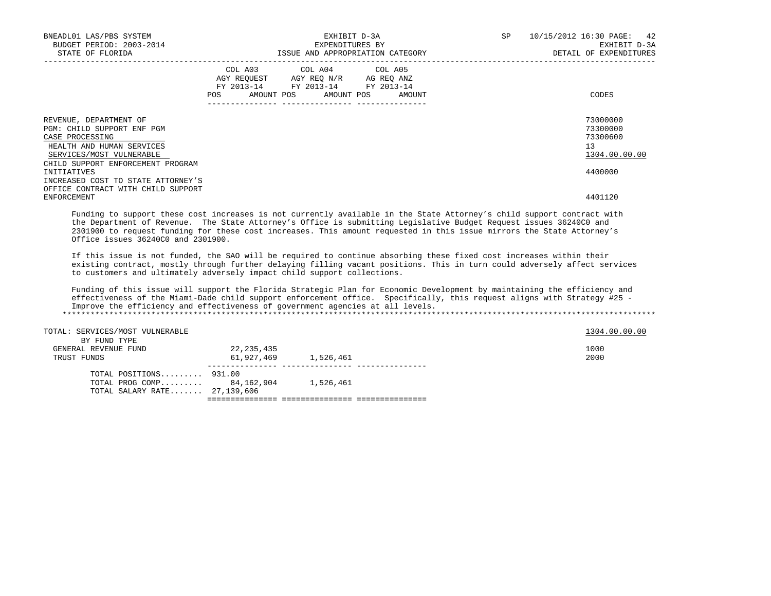| BNEADL01 LAS/PBS SYSTEM<br>BUDGET PERIOD: 2003-2014<br>STATE OF FLORIDA                                                                                               | EXHIBIT D-3A<br>EXPENDITURES BY<br>ISSUE AND APPROPRIATION CATEGORY                                                                   | SP<br>10/15/2012 16:30 PAGE: 42<br>EXHIBIT D-3A<br>DETAIL OF EXPENDITURES |
|-----------------------------------------------------------------------------------------------------------------------------------------------------------------------|---------------------------------------------------------------------------------------------------------------------------------------|---------------------------------------------------------------------------|
|                                                                                                                                                                       | COL A03 COL A04 COL A05<br>AGY REQUEST AGY REQ N/R AG REQ ANZ<br>FY 2013-14 FY 2013-14 FY 2013-14<br>POS AMOUNT POS AMOUNT POS AMOUNT | CODES                                                                     |
| REVENUE, DEPARTMENT OF<br>PGM: CHILD SUPPORT ENF PGM<br>CASE PROCESSING<br>HEALTH AND HUMAN SERVICES<br>SERVICES/MOST VULNERABLE<br>CHILD SUPPORT ENFORCEMENT PROGRAM |                                                                                                                                       | 73000000<br>73300000<br>73300600<br>13<br>1304.00.00.00                   |
| INITIATIVES<br>INCREASED COST TO STATE ATTORNEY'S<br>OFFICE CONTRACT WITH CHILD SUPPORT<br>ENFORCEMENT                                                                |                                                                                                                                       | 4400000<br>4401120                                                        |

 Funding to support these cost increases is not currently available in the State Attorney's child support contract with the Department of Revenue. The State Attorney's Office is submitting Legislative Budget Request issues 36240C0 and 2301900 to request funding for these cost increases. This amount requested in this issue mirrors the State Attorney's Office issues 36240C0 and 2301900.

 If this issue is not funded, the SAO will be required to continue absorbing these fixed cost increases within their existing contract, mostly through further delaying filling vacant positions. This in turn could adversely affect services to customers and ultimately adversely impact child support collections.

 Funding of this issue will support the Florida Strategic Plan for Economic Development by maintaining the efficiency and effectiveness of the Miami-Dade child support enforcement office. Specifically, this request aligns with Strategy #25 - Improve the efficiency and effectiveness of government agencies at all levels. \*\*\*\*\*\*\*\*\*\*\*\*\*\*\*\*\*\*\*\*\*\*\*\*\*\*\*\*\*\*\*\*\*\*\*\*\*\*\*\*\*\*\*\*\*\*\*\*\*\*\*\*\*\*\*\*\*\*\*\*\*\*\*\*\*\*\*\*\*\*\*\*\*\*\*\*\*\*\*\*\*\*\*\*\*\*\*\*\*\*\*\*\*\*\*\*\*\*\*\*\*\*\*\*\*\*\*\*\*\*\*\*\*\*\*\*\*\*\*\*\*\*\*\*\*\*\*

| TOTAL: SERVICES/MOST VULNERABLE<br>BY FUND TYPE                                      |                          |           | 1304.00.00.00 |
|--------------------------------------------------------------------------------------|--------------------------|-----------|---------------|
| GENERAL REVENUE FUND<br>TRUST FUNDS                                                  | 22,235,435<br>61,927,469 | 1,526,461 | 1000<br>2000  |
| TOTAL POSITIONS 931.00<br>TOTAL PROG COMP 84,162,904<br>TOTAL SALARY RATE 27,139,606 |                          | 1,526,461 |               |

=============== =============== ===============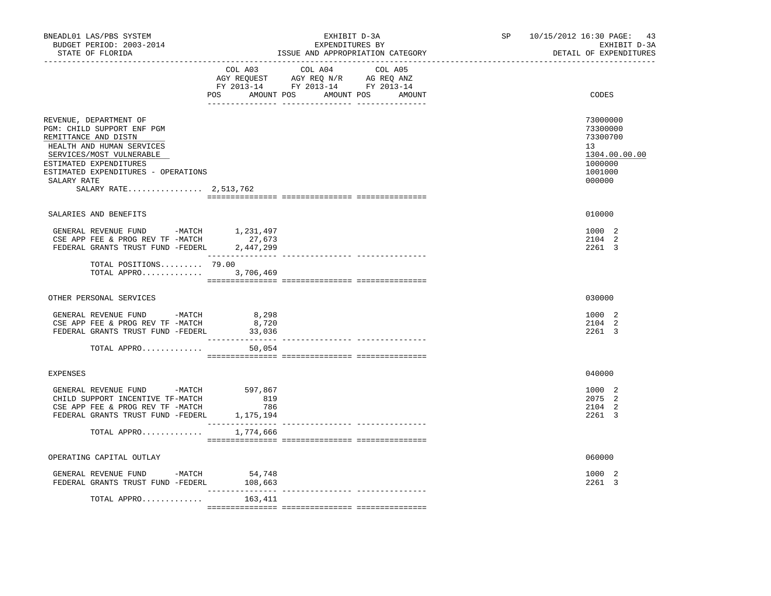| BUDGET PERIOD: 2003-2014<br>STATE OF FLORIDA                                                                                                                                                                                                   | _____________________________                                                                                                                                                                                                                                                                                                                                                                                                       | EXHIBIT D-3A<br>EXPENDITURES BY<br>ISSUE AND APPROPRIATION CATEGORY                                                   |         | SP <sub>2</sub> | 10/15/2012 16:30 PAGE:<br>43<br>EXHIBIT D-3A<br>DETAIL OF EXPENDITURES                  |
|------------------------------------------------------------------------------------------------------------------------------------------------------------------------------------------------------------------------------------------------|-------------------------------------------------------------------------------------------------------------------------------------------------------------------------------------------------------------------------------------------------------------------------------------------------------------------------------------------------------------------------------------------------------------------------------------|-----------------------------------------------------------------------------------------------------------------------|---------|-----------------|-----------------------------------------------------------------------------------------|
|                                                                                                                                                                                                                                                | COL A03                                                                                                                                                                                                                                                                                                                                                                                                                             | COL A04<br>AGY REQUEST AGY REQ N/R AG REQ ANZ<br>FY 2013-14 FY 2013-14 FY 2013-14<br>POS AMOUNT POS AMOUNT POS AMOUNT | COL A05 |                 | CODES                                                                                   |
| REVENUE, DEPARTMENT OF<br>PGM: CHILD SUPPORT ENF PGM<br>REMITTANCE AND DISTN<br>HEALTH AND HUMAN SERVICES<br>SERVICES/MOST VULNERABLE<br>ESTIMATED EXPENDITURES<br>ESTIMATED EXPENDITURES - OPERATIONS<br>SALARY RATE<br>SALARY RATE 2,513,762 |                                                                                                                                                                                                                                                                                                                                                                                                                                     |                                                                                                                       |         |                 | 73000000<br>73300000<br>73300700<br>13<br>1304.00.00.00<br>1000000<br>1001000<br>000000 |
| SALARIES AND BENEFITS                                                                                                                                                                                                                          |                                                                                                                                                                                                                                                                                                                                                                                                                                     |                                                                                                                       |         |                 | 010000                                                                                  |
| GENERAL REVENUE FUND -MATCH 1,231,497<br>CSE APP FEE & PROG REV TF -MATCH 27,673<br>FEDERAL GRANTS TRUST FUND -FEDERL 2,447,299                                                                                                                | _______________                                                                                                                                                                                                                                                                                                                                                                                                                     |                                                                                                                       |         |                 | 1000 2<br>2104 2<br>2261 3                                                              |
| TOTAL POSITIONS 79.00<br>TOTAL APPRO 3,706,469                                                                                                                                                                                                 | $\begin{minipage}{0.03\textwidth} \begin{tabular}{l} \textbf{1} & \textbf{2} & \textbf{3} & \textbf{5} & \textbf{5} & \textbf{6} & \textbf{6} & \textbf{7} & \textbf{8} & \textbf{9} & \textbf{9} & \textbf{9} & \textbf{9} & \textbf{9} & \textbf{9} & \textbf{9} & \textbf{9} & \textbf{9} & \textbf{9} & \textbf{9} & \textbf{9} & \textbf{9} & \textbf{9} & \textbf{9} & \textbf{9} & \textbf{9} & \textbf{9} & \textbf{9} & \$ |                                                                                                                       |         |                 |                                                                                         |
| OTHER PERSONAL SERVICES                                                                                                                                                                                                                        |                                                                                                                                                                                                                                                                                                                                                                                                                                     |                                                                                                                       |         |                 | 030000                                                                                  |
| GENERAL REVENUE FUND -MATCH<br>CSE APP FEE & PROG REV TF -MATCH<br>FEDERAL GRANTS TRUST FUND -FEDERL                                                                                                                                           | 8,298<br>8,720<br>33,036                                                                                                                                                                                                                                                                                                                                                                                                            |                                                                                                                       |         |                 | 1000 2<br>2104 2<br>2261 3                                                              |
| TOTAL APPRO                                                                                                                                                                                                                                    | 50,054                                                                                                                                                                                                                                                                                                                                                                                                                              |                                                                                                                       |         |                 |                                                                                         |
| <b>EXPENSES</b>                                                                                                                                                                                                                                |                                                                                                                                                                                                                                                                                                                                                                                                                                     |                                                                                                                       |         |                 | 040000                                                                                  |
| GENERAL REVENUE FUND -MATCH<br>CHILD SUPPORT INCENTIVE TF-MATCH<br>CSE APP FEE & PROG REV TF -MATCH<br>FEDERAL GRANTS TRUST FUND -FEDERL                                                                                                       | 597,867<br>819<br>786<br>1,175,194                                                                                                                                                                                                                                                                                                                                                                                                  |                                                                                                                       |         |                 | 1000 2<br>2075 2<br>2104 2<br>2261 3                                                    |
| TOTAL APPRO                                                                                                                                                                                                                                    | 1,774,666                                                                                                                                                                                                                                                                                                                                                                                                                           |                                                                                                                       |         |                 |                                                                                         |
| OPERATING CAPITAL OUTLAY                                                                                                                                                                                                                       |                                                                                                                                                                                                                                                                                                                                                                                                                                     |                                                                                                                       |         |                 | 060000                                                                                  |
| GENERAL REVENUE FUND -MATCH<br>FEDERAL GRANTS TRUST FUND -FEDERL                                                                                                                                                                               | 54,748<br>108,663                                                                                                                                                                                                                                                                                                                                                                                                                   |                                                                                                                       |         |                 | 1000 2<br>2261 3                                                                        |
| TOTAL APPRO                                                                                                                                                                                                                                    | $- - -$<br>163,411                                                                                                                                                                                                                                                                                                                                                                                                                  |                                                                                                                       |         |                 |                                                                                         |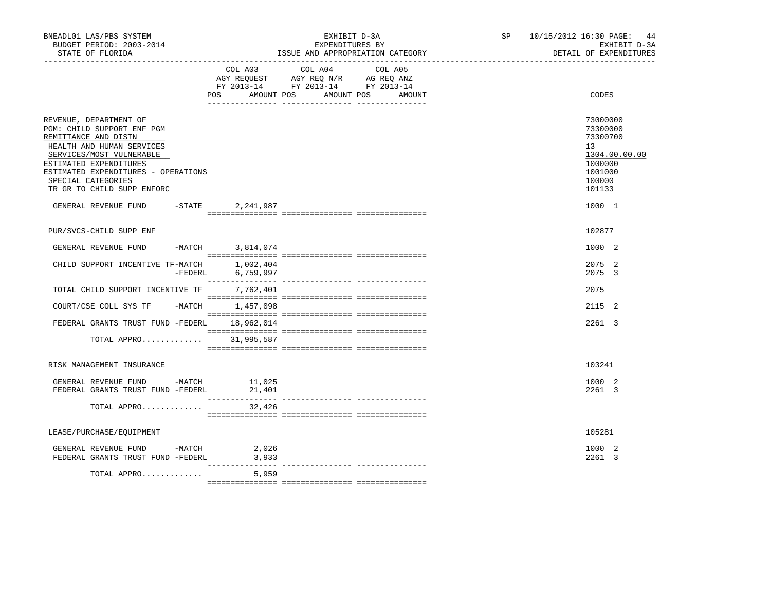| BNEADL01 LAS/PBS SYSTEM<br>BUDGET PERIOD: 2003-2014<br>STATE OF FLORIDA<br>. _ _ _ _ _ _ _ _ _ _ _ _ _ _ _ _ _                                                                                                                                             |           |                              | EXHIBIT D-3A<br>EXPENDITURES BY                                                                 | ISSUE AND APPROPRIATION CATEGORY |  | SP 10/15/2012 16:30 PAGE:<br>44<br>EXHIBIT D-3A<br>DETAIL OF EXPENDITURES                         |
|------------------------------------------------------------------------------------------------------------------------------------------------------------------------------------------------------------------------------------------------------------|-----------|------------------------------|-------------------------------------------------------------------------------------------------|----------------------------------|--|---------------------------------------------------------------------------------------------------|
|                                                                                                                                                                                                                                                            |           | COL A03<br>AMOUNT POS<br>POS | COL A04<br>AGY REQUEST AGY REQ N/R AG REQ ANZ<br>FY 2013-14 FY 2013-14 FY 2013-14<br>AMOUNT POS | COL A05<br>AMOUNT                |  | CODES                                                                                             |
| REVENUE, DEPARTMENT OF<br>PGM: CHILD SUPPORT ENF PGM<br>REMITTANCE AND DISTN<br>HEALTH AND HUMAN SERVICES<br>SERVICES/MOST VULNERABLE<br>ESTIMATED EXPENDITURES<br>ESTIMATED EXPENDITURES - OPERATIONS<br>SPECIAL CATEGORIES<br>TR GR TO CHILD SUPP ENFORC |           |                              |                                                                                                 |                                  |  | 73000000<br>73300000<br>73300700<br>13<br>1304.00.00.00<br>1000000<br>1001000<br>100000<br>101133 |
| GENERAL REVENUE FUND -STATE 2,241,987                                                                                                                                                                                                                      |           |                              |                                                                                                 |                                  |  | 1000 1                                                                                            |
| PUR/SVCS-CHILD SUPP ENF                                                                                                                                                                                                                                    |           |                              |                                                                                                 |                                  |  | 102877                                                                                            |
| GENERAL REVENUE FUND                                                                                                                                                                                                                                       | $-MATCH$  | 3,814,074                    |                                                                                                 |                                  |  | 1000 2                                                                                            |
| CHILD SUPPORT INCENTIVE TF-MATCH                                                                                                                                                                                                                           | $-FEDERL$ | 1,002,404<br>6,759,997       |                                                                                                 |                                  |  | 2075 2<br>2075 3                                                                                  |
| TOTAL CHILD SUPPORT INCENTIVE TF 7,762,401                                                                                                                                                                                                                 |           |                              |                                                                                                 |                                  |  | 2075                                                                                              |
| COURT/CSE COLL SYS TF -MATCH                                                                                                                                                                                                                               |           | 1,457,098                    |                                                                                                 |                                  |  | 2115 2                                                                                            |
| FEDERAL GRANTS TRUST FUND -FEDERL 18,962,014                                                                                                                                                                                                               |           |                              |                                                                                                 |                                  |  | 2261 3                                                                                            |
| TOTAL APPRO 31,995,587                                                                                                                                                                                                                                     |           |                              |                                                                                                 |                                  |  |                                                                                                   |
| RISK MANAGEMENT INSURANCE                                                                                                                                                                                                                                  |           |                              |                                                                                                 |                                  |  | 103241                                                                                            |
| GENERAL REVENUE FUND -MATCH<br>FEDERAL GRANTS TRUST FUND -FEDERL                                                                                                                                                                                           |           | 11,025<br>21,401             |                                                                                                 |                                  |  | 1000 2<br>2261 3                                                                                  |
| TOTAL APPRO                                                                                                                                                                                                                                                |           | 32,426                       |                                                                                                 |                                  |  |                                                                                                   |
| LEASE/PURCHASE/EQUIPMENT                                                                                                                                                                                                                                   |           |                              |                                                                                                 |                                  |  | 105281                                                                                            |
| GENERAL REVENUE FUND -MATCH<br>FEDERAL GRANTS TRUST FUND -FEDERL                                                                                                                                                                                           |           | 2,026<br>3,933<br>_________  |                                                                                                 | ------------- ----------------   |  | 1000 2<br>2261 3                                                                                  |
| TOTAL APPRO                                                                                                                                                                                                                                                |           | 5,959                        |                                                                                                 |                                  |  |                                                                                                   |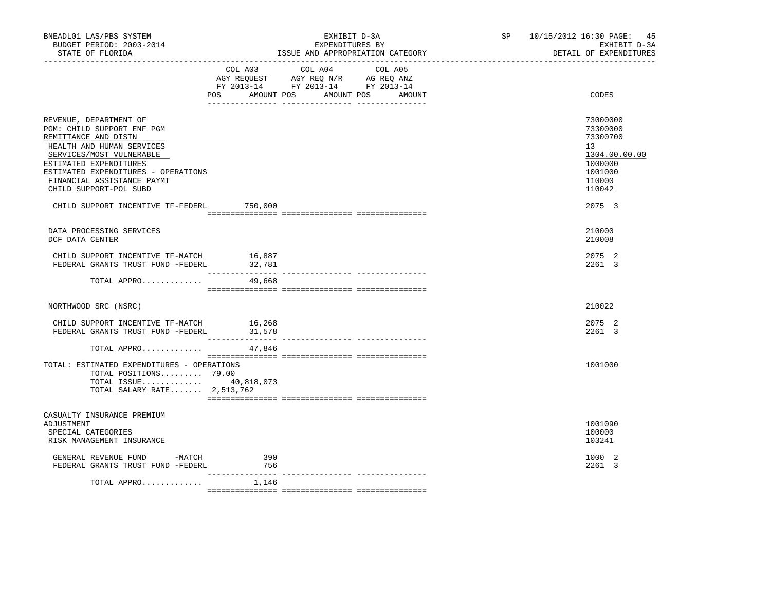| BNEADL01 LAS/PBS SYSTEM<br>BUDGET PERIOD: 2003-2014<br>STATE OF FLORIDA<br>------------------                                                                                                                                                                  |                            | EXHIBIT D-3A<br>EXPENDITURES BY<br>ISSUE AND APPROPRIATION CATEGORY                                                       | SP <sub>2</sub> | 10/15/2012 16:30 PAGE: 45<br>EXHIBIT D-3A<br>DETAIL OF EXPENDITURES                               |  |
|----------------------------------------------------------------------------------------------------------------------------------------------------------------------------------------------------------------------------------------------------------------|----------------------------|---------------------------------------------------------------------------------------------------------------------------|-----------------|---------------------------------------------------------------------------------------------------|--|
|                                                                                                                                                                                                                                                                | POS<br>AMOUNT POS          | COL A03 COL A04 COL A05<br>AGY REQUEST AGY REQ N/R AG REQ ANZ<br>FY 2013-14 FY 2013-14 FY 2013-14<br>AMOUNT POS<br>AMOUNT |                 | CODES                                                                                             |  |
| REVENUE, DEPARTMENT OF<br>PGM: CHILD SUPPORT ENF PGM<br>REMITTANCE AND DISTN<br>HEALTH AND HUMAN SERVICES<br>SERVICES/MOST VULNERABLE<br>ESTIMATED EXPENDITURES<br>ESTIMATED EXPENDITURES - OPERATIONS<br>FINANCIAL ASSISTANCE PAYMT<br>CHILD SUPPORT-POL SUBD |                            |                                                                                                                           |                 | 73000000<br>73300000<br>73300700<br>13<br>1304.00.00.00<br>1000000<br>1001000<br>110000<br>110042 |  |
| CHILD SUPPORT INCENTIVE TF-FEDERL                                                                                                                                                                                                                              | 750,000                    |                                                                                                                           |                 | 2075 3                                                                                            |  |
| DATA PROCESSING SERVICES<br>DCF DATA CENTER                                                                                                                                                                                                                    |                            |                                                                                                                           |                 | 210000<br>210008                                                                                  |  |
| CHILD SUPPORT INCENTIVE TF-MATCH 16,887<br>FEDERAL GRANTS TRUST FUND -FEDERL                                                                                                                                                                                   | 32,781<br>________________ |                                                                                                                           |                 | 2075 2<br>2261 3                                                                                  |  |
| TOTAL APPRO                                                                                                                                                                                                                                                    | 49,668                     |                                                                                                                           |                 |                                                                                                   |  |
| NORTHWOOD SRC (NSRC)                                                                                                                                                                                                                                           |                            |                                                                                                                           |                 | 210022                                                                                            |  |
| CHILD SUPPORT INCENTIVE TF-MATCH<br>FEDERAL GRANTS TRUST FUND -FEDERL                                                                                                                                                                                          | 16,268<br>31,578           |                                                                                                                           |                 | 2075 2<br>2261 3                                                                                  |  |
| TOTAL APPRO                                                                                                                                                                                                                                                    | 47,846                     |                                                                                                                           |                 |                                                                                                   |  |
| TOTAL: ESTIMATED EXPENDITURES - OPERATIONS<br>TOTAL POSITIONS 79.00<br>TOTAL ISSUE 40,818,073<br>TOTAL SALARY RATE $2,513,762$                                                                                                                                 |                            |                                                                                                                           |                 | 1001000                                                                                           |  |
| CASUALTY INSURANCE PREMIUM<br>ADJUSTMENT<br>SPECIAL CATEGORIES<br>RISK MANAGEMENT INSURANCE                                                                                                                                                                    |                            |                                                                                                                           |                 | 1001090<br>100000<br>103241                                                                       |  |
| GENERAL REVENUE FUND -MATCH<br>FEDERAL GRANTS TRUST FUND -FEDERL                                                                                                                                                                                               | 390<br>756                 |                                                                                                                           |                 | 1000 2<br>2261 3                                                                                  |  |
| TOTAL APPRO                                                                                                                                                                                                                                                    | 1,146                      |                                                                                                                           |                 |                                                                                                   |  |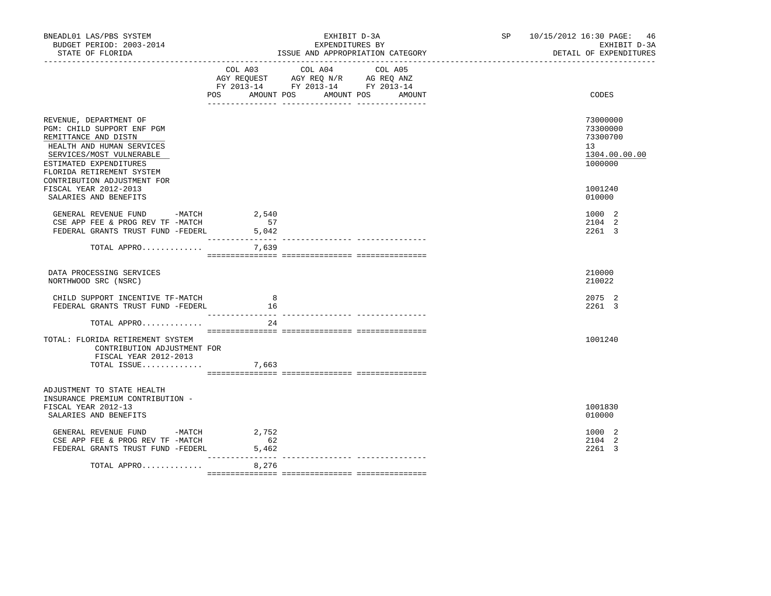| BNEADL01 LAS/PBS SYSTEM<br>BUDGET PERIOD: 2003-2014<br>STATE OF FLORIDA                                                                                                                      | EXHIBIT D-3A<br>EXPENDITURES BY<br>ISSUE AND APPROPRIATION CATEGORY                                                                         | SP 10/15/2012 16:30 PAGE: 46<br>EXHIBIT D-3A<br>DETAIL OF EXPENDITURES |
|----------------------------------------------------------------------------------------------------------------------------------------------------------------------------------------------|---------------------------------------------------------------------------------------------------------------------------------------------|------------------------------------------------------------------------|
|                                                                                                                                                                                              | COL A04<br>COL A03<br>COL A05<br>AGY REQUEST AGY REQ N/R AG REQ ANZ<br>FY 2013-14 FY 2013-14 FY 2013-14<br>POS AMOUNT POS AMOUNT POS AMOUNT | CODES                                                                  |
| REVENUE, DEPARTMENT OF<br>PGM: CHILD SUPPORT ENF PGM<br>REMITTANCE AND DISTN<br>HEALTH AND HUMAN SERVICES<br>SERVICES/MOST VULNERABLE<br>ESTIMATED EXPENDITURES<br>FLORIDA RETIREMENT SYSTEM |                                                                                                                                             | 73000000<br>73300000<br>73300700<br>13<br>1304.00.00.00<br>1000000     |
| CONTRIBUTION ADJUSTMENT FOR<br>FISCAL YEAR 2012-2013<br>SALARIES AND BENEFITS                                                                                                                |                                                                                                                                             | 1001240<br>010000                                                      |
| GENERAL REVENUE FUND -MATCH<br>CSE APP FEE & PROG REV TF -MATCH<br>FEDERAL GRANTS TRUST FUND -FEDERL                                                                                         | 2,540<br>57<br>5,042                                                                                                                        | 1000 2<br>2104 2<br>2261 3                                             |
| TOTAL APPRO                                                                                                                                                                                  | 7,639                                                                                                                                       |                                                                        |
| DATA PROCESSING SERVICES<br>NORTHWOOD SRC (NSRC)                                                                                                                                             |                                                                                                                                             | 210000<br>210022                                                       |
| CHILD SUPPORT INCENTIVE TF-MATCH<br>FEDERAL GRANTS TRUST FUND -FEDERL                                                                                                                        | 8<br>16                                                                                                                                     | 2075 2<br>2261 3                                                       |
| TOTAL APPRO                                                                                                                                                                                  | 24                                                                                                                                          |                                                                        |
| TOTAL: FLORIDA RETIREMENT SYSTEM<br>CONTRIBUTION ADJUSTMENT FOR<br>FISCAL YEAR 2012-2013<br>TOTAL ISSUE                                                                                      | 7,663                                                                                                                                       | 1001240                                                                |
| ADJUSTMENT TO STATE HEALTH<br>INSURANCE PREMIUM CONTRIBUTION -<br>FISCAL YEAR 2012-13                                                                                                        |                                                                                                                                             | 1001830                                                                |
| SALARIES AND BENEFITS<br>GENERAL REVENUE FUND -MATCH<br>CSE APP FEE & PROG REV TF -MATCH<br>FEDERAL GRANTS TRUST FUND -FEDERL                                                                | 2,752<br>62<br>5,462                                                                                                                        | 010000<br>1000 2<br>2104 2<br>2261 3                                   |
| TOTAL APPRO                                                                                                                                                                                  | 8,276                                                                                                                                       |                                                                        |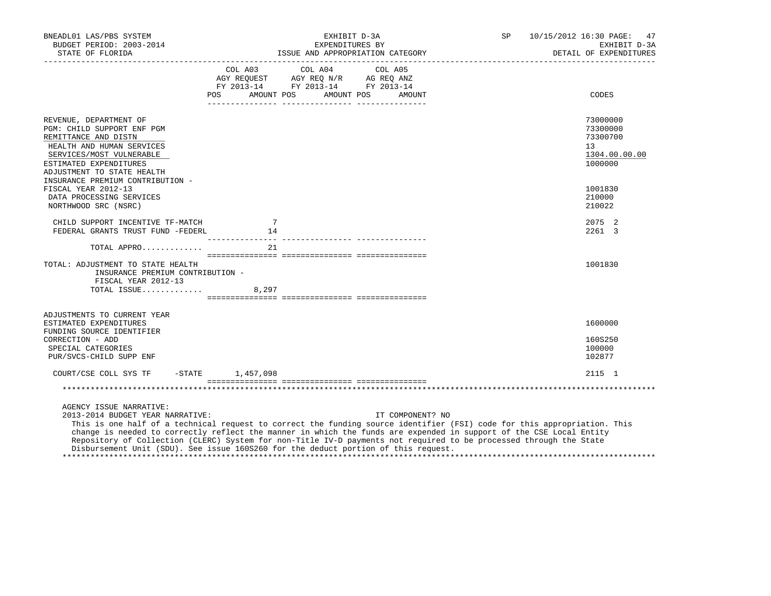| BNEADL01 LAS/PBS SYSTEM<br>BUDGET PERIOD: 2003-2014<br>STATE OF FLORIDA                                                                                                                                                                                                                                                                                                                                                                                                                                                    |                                                                                     | EXPENDITURES BY                                                                                   | EXHIBIT D-3A<br>ISSUE AND APPROPRIATION CATEGORY | SP<br>DETAIL OF EXPENDITURES | 10/15/2012 16:30 PAGE: 47<br>EXHIBIT D-3A                          |
|----------------------------------------------------------------------------------------------------------------------------------------------------------------------------------------------------------------------------------------------------------------------------------------------------------------------------------------------------------------------------------------------------------------------------------------------------------------------------------------------------------------------------|-------------------------------------------------------------------------------------|---------------------------------------------------------------------------------------------------|--------------------------------------------------|------------------------------|--------------------------------------------------------------------|
|                                                                                                                                                                                                                                                                                                                                                                                                                                                                                                                            |                                                                                     | COL A03 COL A04 COL A05<br>AGY REQUEST AGY REQ N/R AG REQ ANZ<br>FY 2013-14 FY 2013-14 FY 2013-14 | POS AMOUNT POS AMOUNT POS AMOUNT                 |                              | CODES                                                              |
| REVENUE, DEPARTMENT OF<br>PGM: CHILD SUPPORT ENF PGM<br>REMITTANCE AND DISTN<br>HEALTH AND HUMAN SERVICES<br>SERVICES/MOST VULNERABLE<br>ESTIMATED EXPENDITURES<br>ADJUSTMENT TO STATE HEALTH<br>INSURANCE PREMIUM CONTRIBUTION -                                                                                                                                                                                                                                                                                          |                                                                                     |                                                                                                   |                                                  |                              | 73000000<br>73300000<br>73300700<br>13<br>1304.00.00.00<br>1000000 |
| FISCAL YEAR 2012-13<br>DATA PROCESSING SERVICES<br>NORTHWOOD SRC (NSRC)                                                                                                                                                                                                                                                                                                                                                                                                                                                    |                                                                                     |                                                                                                   |                                                  |                              | 1001830<br>210000<br>210022                                        |
| CHILD SUPPORT INCENTIVE TF-MATCH<br>FEDERAL GRANTS TRUST FUND -FEDERL                                                                                                                                                                                                                                                                                                                                                                                                                                                      | $\overline{7}$<br>$\begin{array}{c} \n \overline{\phantom{0}} \\  14\n \end{array}$ |                                                                                                   |                                                  |                              | 2075 2<br>2261 3                                                   |
| TOTAL APPRO<br>TOTAL: ADJUSTMENT TO STATE HEALTH<br>INSURANCE PREMIUM CONTRIBUTION -<br>FISCAL YEAR 2012-13<br>TOTAL ISSUE 8,297                                                                                                                                                                                                                                                                                                                                                                                           | 21                                                                                  |                                                                                                   |                                                  |                              | 1001830                                                            |
| ADJUSTMENTS TO CURRENT YEAR<br>ESTIMATED EXPENDITURES<br>FUNDING SOURCE IDENTIFIER<br>CORRECTION - ADD<br>SPECIAL CATEGORIES<br>PUR/SVCS-CHILD SUPP ENF                                                                                                                                                                                                                                                                                                                                                                    |                                                                                     |                                                                                                   |                                                  |                              | 1600000<br>160S250<br>100000<br>102877                             |
| COURT/CSE COLL SYS TF -STATE 1,457,098                                                                                                                                                                                                                                                                                                                                                                                                                                                                                     |                                                                                     |                                                                                                   |                                                  |                              | 2115 1                                                             |
| AGENCY ISSUE NARRATIVE:<br>2013-2014 BUDGET YEAR NARRATIVE:<br>This is one half of a technical request to correct the funding source identifier (FSI) code for this appropriation. This<br>change is needed to correctly reflect the manner in which the funds are expended in support of the CSE Local Entity<br>Repository of Collection (CLERC) System for non-Title IV-D payments not required to be processed through the State<br>Disbursement Unit (SDU). See issue 160S260 for the deduct portion of this request. |                                                                                     |                                                                                                   | IT COMPONENT? NO                                 |                              |                                                                    |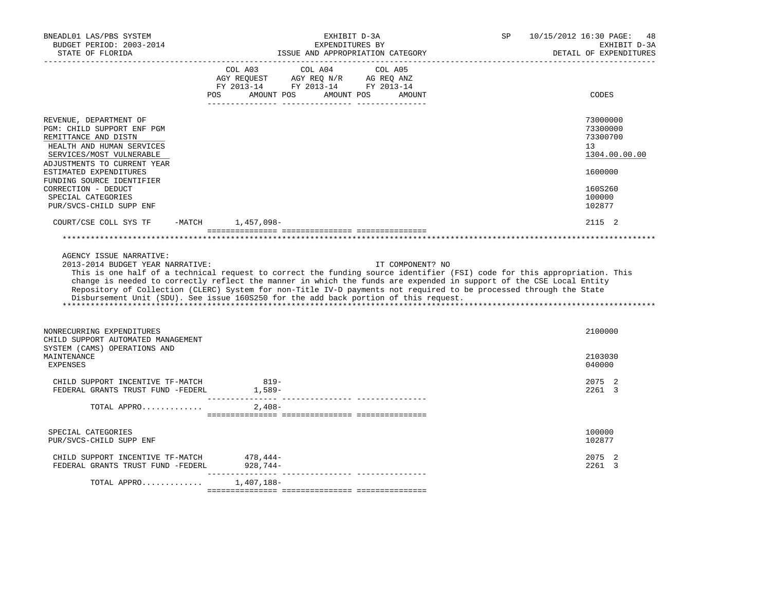| BNEADL01 LAS/PBS SYSTEM<br>BUDGET PERIOD: 2003-2014<br>STATE OF FLORIDA                                                                                              | EXHIBIT D-3A<br>EXPENDITURES BY<br>ISSUE AND APPROPRIATION CATEGORY                                                                                                                                                                                                                                                                                                                                                                                                               | 10/15/2012 16:30 PAGE:<br>SP<br>48<br>EXHIBIT D-3A<br>DETAIL OF EXPENDITURES |
|----------------------------------------------------------------------------------------------------------------------------------------------------------------------|-----------------------------------------------------------------------------------------------------------------------------------------------------------------------------------------------------------------------------------------------------------------------------------------------------------------------------------------------------------------------------------------------------------------------------------------------------------------------------------|------------------------------------------------------------------------------|
|                                                                                                                                                                      | FY 2013-14 FY 2013-14 FY 2013-14<br>AMOUNT POS<br>AMOUNT POS<br>POS.<br>AMOUNT                                                                                                                                                                                                                                                                                                                                                                                                    | <b>CODES</b>                                                                 |
| REVENUE, DEPARTMENT OF<br>PGM: CHILD SUPPORT ENF PGM<br>REMITTANCE AND DISTN<br>HEALTH AND HUMAN SERVICES<br>SERVICES/MOST VULNERABLE<br>ADJUSTMENTS TO CURRENT YEAR |                                                                                                                                                                                                                                                                                                                                                                                                                                                                                   | 73000000<br>73300000<br>73300700<br>13<br>1304.00.00.00                      |
| ESTIMATED EXPENDITURES<br>FUNDING SOURCE IDENTIFIER<br>CORRECTION - DEDUCT<br>SPECIAL CATEGORIES<br>PUR/SVCS-CHILD SUPP ENF                                          |                                                                                                                                                                                                                                                                                                                                                                                                                                                                                   | 1600000<br>160S260<br>100000<br>102877                                       |
| COURT/CSE COLL SYS TF                                                                                                                                                | -MATCH 1,457,098-                                                                                                                                                                                                                                                                                                                                                                                                                                                                 | 2115 2                                                                       |
|                                                                                                                                                                      |                                                                                                                                                                                                                                                                                                                                                                                                                                                                                   |                                                                              |
| AGENCY ISSUE NARRATIVE:<br>2013-2014 BUDGET YEAR NARRATIVE:                                                                                                          | IT COMPONENT? NO<br>This is one half of a technical request to correct the funding source identifier (FSI) code for this appropriation. This<br>change is needed to correctly reflect the manner in which the funds are expended in support of the CSE Local Entity<br>Repository of Collection (CLERC) System for non-Title IV-D payments not required to be processed through the State<br>Disbursement Unit (SDU). See issue 160S250 for the add back portion of this request. |                                                                              |
| NONRECURRING EXPENDITURES<br>CHILD SUPPORT AUTOMATED MANAGEMENT<br>SYSTEM (CAMS) OPERATIONS AND                                                                      |                                                                                                                                                                                                                                                                                                                                                                                                                                                                                   | 2100000                                                                      |
| MAINTENANCE<br><b>EXPENSES</b>                                                                                                                                       |                                                                                                                                                                                                                                                                                                                                                                                                                                                                                   | 2103030<br>040000                                                            |
| CHILD SUPPORT INCENTIVE TF-MATCH 819-<br>FEDERAL GRANTS TRUST FUND -FEDERL                                                                                           | 1,589-                                                                                                                                                                                                                                                                                                                                                                                                                                                                            | 2075 2<br>2261 3                                                             |
| TOTAL APPRO                                                                                                                                                          | 2,408-                                                                                                                                                                                                                                                                                                                                                                                                                                                                            |                                                                              |
| SPECIAL CATEGORIES<br>PUR/SVCS-CHILD SUPP ENF                                                                                                                        |                                                                                                                                                                                                                                                                                                                                                                                                                                                                                   | 100000<br>102877                                                             |
| CHILD SUPPORT INCENTIVE TF-MATCH 478,444-<br>FEDERAL GRANTS TRUST FUND -FEDERL 928,744-                                                                              |                                                                                                                                                                                                                                                                                                                                                                                                                                                                                   | 2075<br>2<br>$2261 \quad 3$                                                  |
| TOTAL APPRO                                                                                                                                                          | 1,407,188-                                                                                                                                                                                                                                                                                                                                                                                                                                                                        |                                                                              |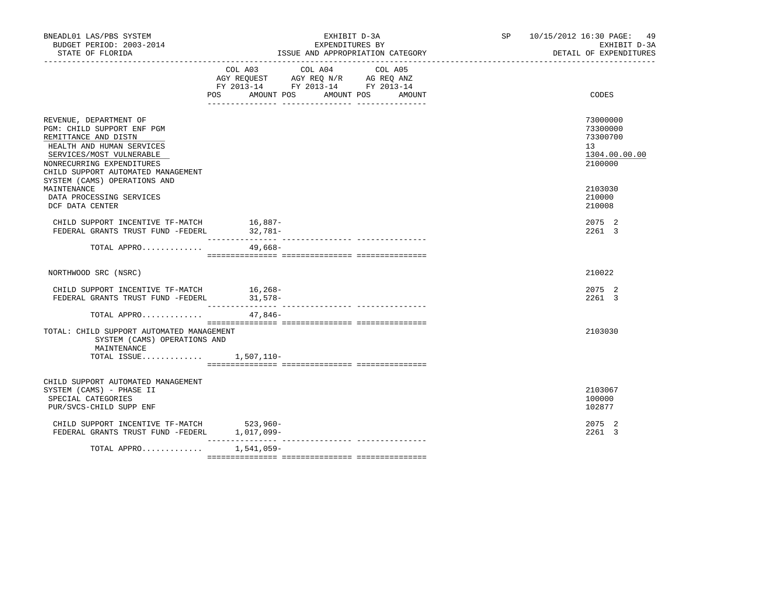| BNEADL01 LAS/PBS SYSTEM<br>BUDGET PERIOD: 2003-2014<br>STATE OF FLORIDA                                                                                                                                  | EXHIBIT D-3A<br>EXPENDITURES BY<br>ISSUE AND APPROPRIATION CATEGORY                                    |         |                                  | SP 10/15/2012 16:30 PAGE: 49<br>EXHIBIT D-3A<br>DETAIL OF EXPENDITURES |  |
|----------------------------------------------------------------------------------------------------------------------------------------------------------------------------------------------------------|--------------------------------------------------------------------------------------------------------|---------|----------------------------------|------------------------------------------------------------------------|--|
|                                                                                                                                                                                                          | COL A03<br>AGY REQUEST AGY REQ N/R AG REQ ANZ<br>FY 2013-14 FY 2013-14 FY 2013-14<br>POS<br>AMOUNT POS | COL A04 | COL A05<br>AMOUNT POS<br>AMOUNT  | CODES                                                                  |  |
| REVENUE, DEPARTMENT OF<br>PGM: CHILD SUPPORT ENF PGM<br>REMITTANCE AND DISTN<br>HEALTH AND HUMAN SERVICES<br>SERVICES/MOST VULNERABLE<br>NONRECURRING EXPENDITURES<br>CHILD SUPPORT AUTOMATED MANAGEMENT |                                                                                                        |         |                                  | 73000000<br>73300000<br>73300700<br>13<br>1304.00.00.00<br>2100000     |  |
| SYSTEM (CAMS) OPERATIONS AND<br>MAINTENANCE<br>DATA PROCESSING SERVICES<br>DCF DATA CENTER                                                                                                               |                                                                                                        |         |                                  | 2103030<br>210000<br>210008                                            |  |
| CHILD SUPPORT INCENTIVE TF-MATCH<br>FEDERAL GRANTS TRUST FUND -FEDERL                                                                                                                                    | $16,887-$<br>32,781-                                                                                   |         |                                  | 2075 2<br>2261 3                                                       |  |
| TOTAL APPRO                                                                                                                                                                                              | $49,668-$                                                                                              |         |                                  |                                                                        |  |
| NORTHWOOD SRC (NSRC)                                                                                                                                                                                     |                                                                                                        |         |                                  | 210022                                                                 |  |
| CHILD SUPPORT INCENTIVE TF-MATCH<br>FEDERAL GRANTS TRUST FUND -FEDERL                                                                                                                                    | $16, 268 -$<br>$31,578-$                                                                               |         |                                  | 2075 2<br>2261 3                                                       |  |
| TOTAL APPRO                                                                                                                                                                                              | $47,846-$                                                                                              |         |                                  |                                                                        |  |
| TOTAL: CHILD SUPPORT AUTOMATED MANAGEMENT<br>SYSTEM (CAMS) OPERATIONS AND<br>MAINTENANCE<br>TOTAL ISSUE $1,507,110-$                                                                                     |                                                                                                        |         |                                  | 2103030                                                                |  |
| CHILD SUPPORT AUTOMATED MANAGEMENT<br>SYSTEM (CAMS) - PHASE II<br>SPECIAL CATEGORIES<br>PUR/SVCS-CHILD SUPP ENF                                                                                          |                                                                                                        |         |                                  | 2103067<br>100000<br>102877                                            |  |
| CHILD SUPPORT INCENTIVE TF-MATCH 523,960-<br>FEDERAL GRANTS TRUST FUND -FEDERL 1,017,099-                                                                                                                |                                                                                                        |         |                                  | 2075 2<br>2261 3                                                       |  |
| TOTAL APPRO                                                                                                                                                                                              | 1,541,059-                                                                                             |         | -------------- ----------------- |                                                                        |  |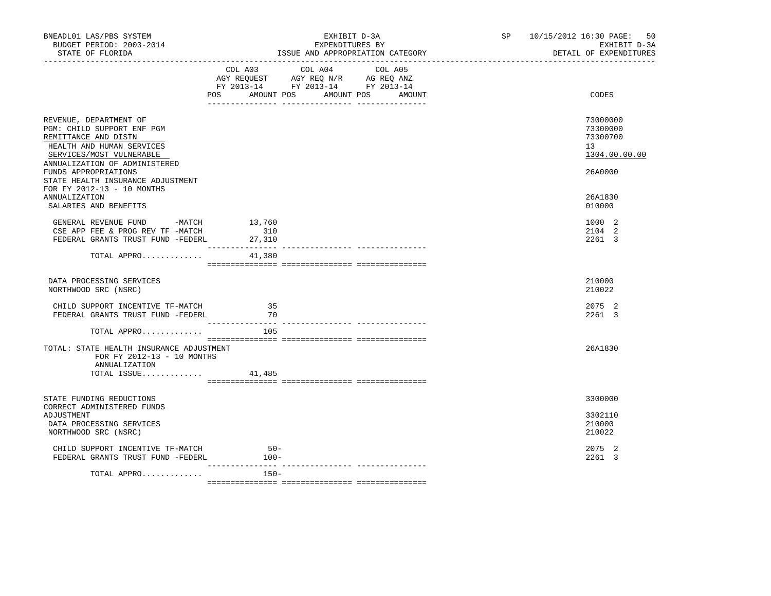| BNEADL01 LAS/PBS SYSTEM<br>BUDGET PERIOD: 2003-2014<br>STATE OF FLORIDA                                                                                                |                                            | EXHIBIT D-3A<br>EXPENDITURES BY<br>ISSUE AND APPROPRIATION CATEGORY                                    | SP | 10/15/2012 16:30 PAGE: 50<br>EXHIBIT D-3A<br>DETAIL OF EXPENDITURES |
|------------------------------------------------------------------------------------------------------------------------------------------------------------------------|--------------------------------------------|--------------------------------------------------------------------------------------------------------|----|---------------------------------------------------------------------|
|                                                                                                                                                                        | COL A03<br>POS AMOUNT POS AMOUNT POS       | COL A04<br>COL A05<br>AGY REQUEST AGY REQ N/R AG REQ ANZ<br>FY 2013-14 FY 2013-14 FY 2013-14<br>AMOUNT |    | CODES                                                               |
| REVENUE, DEPARTMENT OF<br>PGM: CHILD SUPPORT ENF PGM<br>REMITTANCE AND DISTN<br>HEALTH AND HUMAN SERVICES<br>SERVICES/MOST VULNERABLE<br>ANNUALIZATION OF ADMINISTERED |                                            |                                                                                                        |    | 73000000<br>73300000<br>73300700<br>13<br>1304.00.00.00             |
| FUNDS APPROPRIATIONS<br>STATE HEALTH INSURANCE ADJUSTMENT<br>FOR FY 2012-13 - 10 MONTHS<br>ANNUALIZATION<br>SALARIES AND BENEFITS                                      |                                            |                                                                                                        |    | 26A0000<br>26A1830<br>010000                                        |
| GENERAL REVENUE FUND -MATCH<br>CSE APP FEE & PROG REV TF -MATCH<br>FEDERAL GRANTS TRUST FUND -FEDERL                                                                   | 13,760<br>310<br>27,310<br>--------------- | ---------------- ----------------                                                                      |    | 1000 2<br>2104 2<br>2261 3                                          |
| TOTAL APPRO                                                                                                                                                            | 41,380                                     |                                                                                                        |    |                                                                     |
| DATA PROCESSING SERVICES<br>NORTHWOOD SRC (NSRC)                                                                                                                       |                                            |                                                                                                        |    | 210000<br>210022                                                    |
| CHILD SUPPORT INCENTIVE TF-MATCH<br>FEDERAL GRANTS TRUST FUND -FEDERL                                                                                                  | 35<br>70                                   |                                                                                                        |    | 2075 2<br>2261 3                                                    |
| TOTAL APPRO                                                                                                                                                            | 105                                        |                                                                                                        |    |                                                                     |
| TOTAL: STATE HEALTH INSURANCE ADJUSTMENT<br>FOR FY 2012-13 - 10 MONTHS<br>ANNUALIZATION<br>TOTAL ISSUE                                                                 | 41,485                                     |                                                                                                        |    | 26A1830                                                             |
| STATE FUNDING REDUCTIONS                                                                                                                                               |                                            |                                                                                                        |    | 3300000                                                             |
| CORRECT ADMINISTERED FUNDS<br>ADJUSTMENT<br>DATA PROCESSING SERVICES<br>NORTHWOOD SRC (NSRC)                                                                           |                                            |                                                                                                        |    | 3302110<br>210000<br>210022                                         |
| CHILD SUPPORT INCENTIVE TF-MATCH<br>FEDERAL GRANTS TRUST FUND -FEDERL                                                                                                  | $50 -$<br>$100-$                           |                                                                                                        |    | 2075 2<br>2261 3                                                    |
| TOTAL APPRO                                                                                                                                                            | $150 -$                                    |                                                                                                        |    |                                                                     |
|                                                                                                                                                                        |                                            |                                                                                                        |    |                                                                     |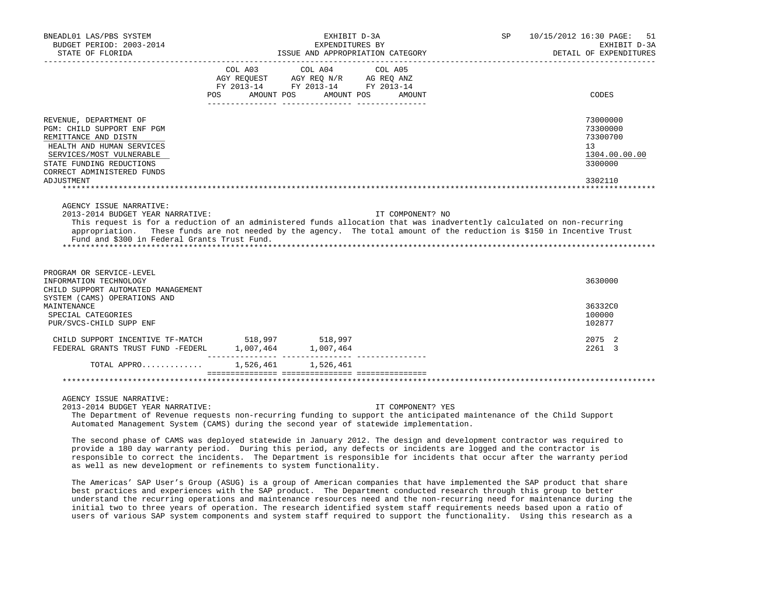| BNEADL01 LAS/PBS SYSTEM<br>BUDGET PERIOD: 2003-2014                                                                                                                                                                                                                                                                                  |                                     | EXHIBIT D-3A<br>EXPENDITURES BY                                                                                |                  | SP 10/15/2012 16:30 PAGE: 51<br>EXHIBIT D-3A                       |
|--------------------------------------------------------------------------------------------------------------------------------------------------------------------------------------------------------------------------------------------------------------------------------------------------------------------------------------|-------------------------------------|----------------------------------------------------------------------------------------------------------------|------------------|--------------------------------------------------------------------|
| STATE OF FLORIDA                                                                                                                                                                                                                                                                                                                     |                                     | ISSUE AND APPROPRIATION CATEGORY                                                                               |                  | DETAIL OF EXPENDITURES                                             |
|                                                                                                                                                                                                                                                                                                                                      | COL A03<br><b>POS</b><br>AMOUNT POS | COL A04 COL A05<br>AGY REQUEST AGY REQ N/R AG REQ ANZ<br>FY 2013-14 FY 2013-14 FY 2013-14<br>AMOUNT POS AMOUNT |                  | CODES                                                              |
| REVENUE, DEPARTMENT OF<br>PGM: CHILD SUPPORT ENF PGM<br>REMITTANCE AND DISTN<br>HEALTH AND HUMAN SERVICES<br>SERVICES/MOST VULNERABLE<br>STATE FUNDING REDUCTIONS<br>CORRECT ADMINISTERED FUNDS                                                                                                                                      |                                     |                                                                                                                |                  | 73000000<br>73300000<br>73300700<br>13<br>1304.00.00.00<br>3300000 |
| ADJUSTMENT                                                                                                                                                                                                                                                                                                                           |                                     |                                                                                                                |                  | 3302110                                                            |
| 2013-2014 BUDGET YEAR NARRATIVE:<br>This request is for a reduction of an administered funds allocation that was inadvertently calculated on non-recurring<br>appropriation. These funds are not needed by the agency. The total amount of the reduction is \$150 in Incentive Trust<br>Fund and \$300 in Federal Grants Trust Fund. |                                     |                                                                                                                | IT COMPONENT? NO |                                                                    |
| PROGRAM OR SERVICE-LEVEL<br>INFORMATION TECHNOLOGY<br>CHILD SUPPORT AUTOMATED MANAGEMENT<br>SYSTEM (CAMS) OPERATIONS AND                                                                                                                                                                                                             |                                     |                                                                                                                |                  | 3630000                                                            |
| MAINTENANCE<br>SPECIAL CATEGORIES<br>PUR/SVCS-CHILD SUPP ENF                                                                                                                                                                                                                                                                         |                                     |                                                                                                                |                  | 36332C0<br>100000<br>102877                                        |
| CHILD SUPPORT INCENTIVE TF-MATCH 518,997 518,997<br>FEDERAL GRANTS TRUST FUND -FEDERL                                                                                                                                                                                                                                                |                                     | 1,007,464 1,007,464                                                                                            |                  | 2075 2<br>2261 3                                                   |
| TOTAL APPRO                                                                                                                                                                                                                                                                                                                          |                                     | 1,526,461 1,526,461                                                                                            |                  |                                                                    |
|                                                                                                                                                                                                                                                                                                                                      |                                     |                                                                                                                |                  |                                                                    |
| ACEMOV ICCUR TRADDATIVE                                                                                                                                                                                                                                                                                                              |                                     |                                                                                                                |                  |                                                                    |

AGENCY ISSUE NARRATIVE:

2013-2014 BUDGET YEAR NARRATIVE: IT COMPONENT? YES

 The Department of Revenue requests non-recurring funding to support the anticipated maintenance of the Child Support Automated Management System (CAMS) during the second year of statewide implementation.

 The second phase of CAMS was deployed statewide in January 2012. The design and development contractor was required to provide a 180 day warranty period. During this period, any defects or incidents are logged and the contractor is responsible to correct the incidents. The Department is responsible for incidents that occur after the warranty period as well as new development or refinements to system functionality.

 The Americas' SAP User's Group (ASUG) is a group of American companies that have implemented the SAP product that share best practices and experiences with the SAP product. The Department conducted research through this group to better understand the recurring operations and maintenance resources need and the non-recurring need for maintenance during the initial two to three years of operation. The research identified system staff requirements needs based upon a ratio of users of various SAP system components and system staff required to support the functionality. Using this research as a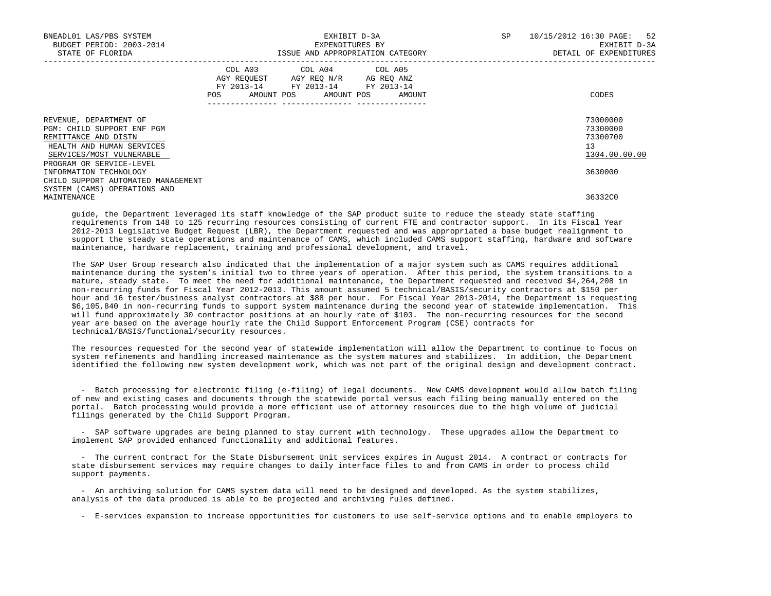| BNEADL01 LAS/PBS SYSTEM<br>BUDGET PERIOD: 2003-2014<br>STATE OF FLORIDA                                                               | EXPENDITURES BY                                                                                                       | EXHIBIT D-3A<br>ISSUE AND APPROPRIATION CATEGORY | SP | 52<br>10/15/2012 16:30 PAGE:<br>EXHIBIT D-3A<br>DETAIL OF EXPENDITURES |
|---------------------------------------------------------------------------------------------------------------------------------------|-----------------------------------------------------------------------------------------------------------------------|--------------------------------------------------|----|------------------------------------------------------------------------|
|                                                                                                                                       | COL A03 COL A04 COL A05<br>AGY REQUEST AGY REO N/R AG REO ANZ<br>FY 2013-14 FY 2013-14 FY 2013-14<br>---------------- | POS AMOUNT POS AMOUNT POS AMOUNT                 |    | CODES                                                                  |
| REVENUE, DEPARTMENT OF<br>PGM: CHILD SUPPORT ENF PGM<br>REMITTANCE AND DISTN<br>HEALTH AND HUMAN SERVICES<br>SERVICES/MOST VULNERABLE |                                                                                                                       |                                                  |    | 73000000<br>73300000<br>73300700<br>13<br>1304.00.00.00                |
| PROGRAM OR SERVICE-LEVEL<br>INFORMATION TECHNOLOGY<br>CHILD SUPPORT AUTOMATED MANAGEMENT<br>SYSTEM (CAMS) OPERATIONS AND              |                                                                                                                       |                                                  |    | 3630000                                                                |
| MAINTENANCE                                                                                                                           |                                                                                                                       |                                                  |    | 36332C0                                                                |

 guide, the Department leveraged its staff knowledge of the SAP product suite to reduce the steady state staffing requirements from 148 to 125 recurring resources consisting of current FTE and contractor support. In its Fiscal Year 2012-2013 Legislative Budget Request (LBR), the Department requested and was appropriated a base budget realignment to support the steady state operations and maintenance of CAMS, which included CAMS support staffing, hardware and software maintenance, hardware replacement, training and professional development, and travel.

 The SAP User Group research also indicated that the implementation of a major system such as CAMS requires additional maintenance during the system's initial two to three years of operation. After this period, the system transitions to a mature, steady state. To meet the need for additional maintenance, the Department requested and received \$4,264,208 in non-recurring funds for Fiscal Year 2012-2013. This amount assumed 5 technical/BASIS/security contractors at \$150 per hour and 16 tester/business analyst contractors at \$88 per hour. For Fiscal Year 2013-2014, the Department is requesting \$6,105,840 in non-recurring funds to support system maintenance during the second year of statewide implementation. This will fund approximately 30 contractor positions at an hourly rate of \$103. The non-recurring resources for the second year are based on the average hourly rate the Child Support Enforcement Program (CSE) contracts for technical/BASIS/functional/security resources.

 The resources requested for the second year of statewide implementation will allow the Department to continue to focus on system refinements and handling increased maintenance as the system matures and stabilizes. In addition, the Department identified the following new system development work, which was not part of the original design and development contract.

 - Batch processing for electronic filing (e-filing) of legal documents. New CAMS development would allow batch filing of new and existing cases and documents through the statewide portal versus each filing being manually entered on the portal. Batch processing would provide a more efficient use of attorney resources due to the high volume of judicial filings generated by the Child Support Program.

 - SAP software upgrades are being planned to stay current with technology. These upgrades allow the Department to implement SAP provided enhanced functionality and additional features.

 - The current contract for the State Disbursement Unit services expires in August 2014. A contract or contracts for state disbursement services may require changes to daily interface files to and from CAMS in order to process child support payments.

 - An archiving solution for CAMS system data will need to be designed and developed. As the system stabilizes, analysis of the data produced is able to be projected and archiving rules defined.

- E-services expansion to increase opportunities for customers to use self-service options and to enable employers to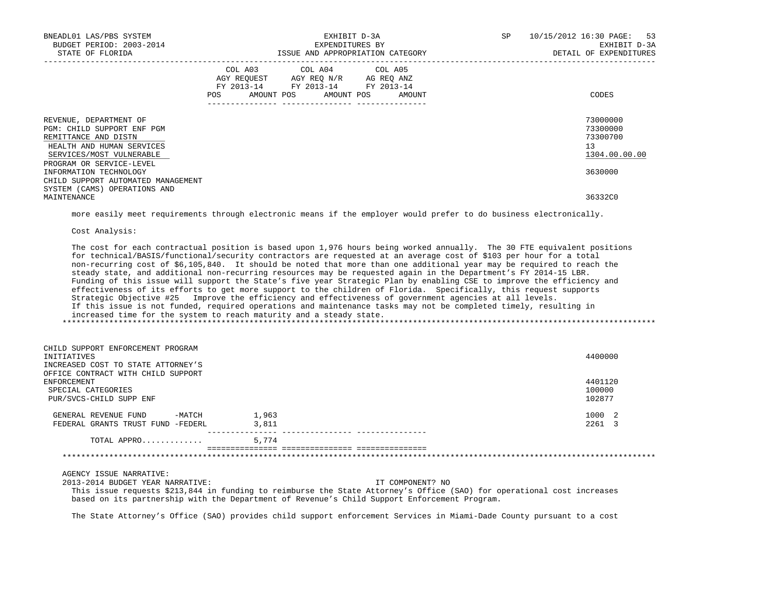| BNEADL01 LAS/PBS SYSTEM<br>BUDGET PERIOD: 2003-2014<br>STATE OF FLORIDA                                                                 |            |                                                                                                                                   | EXHIBIT D-3A<br>EXPENDITURES BY<br>ISSUE AND APPROPRIATION CATEGORY | SP | 10/15/2012 16:30 PAGE: 53<br>EXHIBIT D-3A<br>DETAIL OF EXPENDITURES |
|-----------------------------------------------------------------------------------------------------------------------------------------|------------|-----------------------------------------------------------------------------------------------------------------------------------|---------------------------------------------------------------------|----|---------------------------------------------------------------------|
|                                                                                                                                         | <b>POS</b> | COL A03 COL A04 COL A05<br>AGY REOUEST AGY REO N/R AG REO ANZ<br>FY 2013-14 FY 2013-14 FY 2013-14<br>AMOUNT POS AMOUNT POS AMOUNT |                                                                     |    | CODES                                                               |
| REVENUE, DEPARTMENT OF<br>PGM: CHILD SUPPORT ENF PGM<br>REMITTANCE AND DISTN<br>HEALTH AND HUMAN SERVICES<br>SERVICES/MOST VULNERABLE   |            |                                                                                                                                   |                                                                     |    | 73000000<br>73300000<br>73300700<br>13<br>1304.00.00.00             |
| PROGRAM OR SERVICE-LEVEL<br>INFORMATION TECHNOLOGY<br>CHILD SUPPORT AUTOMATED MANAGEMENT<br>SYSTEM (CAMS) OPERATIONS AND<br>MAINTENANCE |            |                                                                                                                                   |                                                                     |    | 3630000<br>36332C0                                                  |

more easily meet requirements through electronic means if the employer would prefer to do business electronically.

Cost Analysis:

 The cost for each contractual position is based upon 1,976 hours being worked annually. The 30 FTE equivalent positions for technical/BASIS/functional/security contractors are requested at an average cost of \$103 per hour for a total non-recurring cost of \$6,105,840. It should be noted that more than one additional year may be required to reach the steady state, and additional non-recurring resources may be requested again in the Department's FY 2014-15 LBR. Funding of this issue will support the State's five year Strategic Plan by enabling CSE to improve the efficiency and effectiveness of its efforts to get more support to the children of Florida. Specifically, this request supports Strategic Objective #25 Improve the efficiency and effectiveness of government agencies at all levels. If this issue is not funded, required operations and maintenance tasks may not be completed timely, resulting in increased time for the system to reach maturity and a steady state. \*\*\*\*\*\*\*\*\*\*\*\*\*\*\*\*\*\*\*\*\*\*\*\*\*\*\*\*\*\*\*\*\*\*\*\*\*\*\*\*\*\*\*\*\*\*\*\*\*\*\*\*\*\*\*\*\*\*\*\*\*\*\*\*\*\*\*\*\*\*\*\*\*\*\*\*\*\*\*\*\*\*\*\*\*\*\*\*\*\*\*\*\*\*\*\*\*\*\*\*\*\*\*\*\*\*\*\*\*\*\*\*\*\*\*\*\*\*\*\*\*\*\*\*\*\*\*

 CHILD SUPPORT ENFORCEMENT PROGRAM INITIATIVES 4400000 INCREASED COST TO STATE ATTORNEY'S OFFICE CONTRACT WITH CHILD SUPPORT<br>ENFORCEMENT ENFORCEMENT 4401120 SPECIAL CATEGORIES 100000 100000 100000 100000 100000 100000 100000 100000 100000 100000 100000 100000 100000 1<br>PUR/SVCS-CHILD SUPP ENF PUR/SVCS-CHILD SUPP ENF GENERAL REVENUE FUND -MATCH 1,963<br>FEDERAL GRANTS TRUST FUND -FEDERL 3.811 3.11 FEDERAL GRANTS TRUST FUND -FEDERL 3,811 TOTAL APPRO............. 5,774 =============== =============== =============== \*\*\*\*\*\*\*\*\*\*\*\*\*\*\*\*\*\*\*\*\*\*\*\*\*\*\*\*\*\*\*\*\*\*\*\*\*\*\*\*\*\*\*\*\*\*\*\*\*\*\*\*\*\*\*\*\*\*\*\*\*\*\*\*\*\*\*\*\*\*\*\*\*\*\*\*\*\*\*\*\*\*\*\*\*\*\*\*\*\*\*\*\*\*\*\*\*\*\*\*\*\*\*\*\*\*\*\*\*\*\*\*\*\*\*\*\*\*\*\*\*\*\*\*\*\*\*

AGENCY ISSUE NARRATIVE:

2013-2014 BUDGET YEAR NARRATIVE: IT COMPONENT? NO

 This issue requests \$213,844 in funding to reimburse the State Attorney's Office (SAO) for operational cost increases based on its partnership with the Department of Revenue's Child Support Enforcement Program.

The State Attorney's Office (SAO) provides child support enforcement Services in Miami-Dade County pursuant to a cost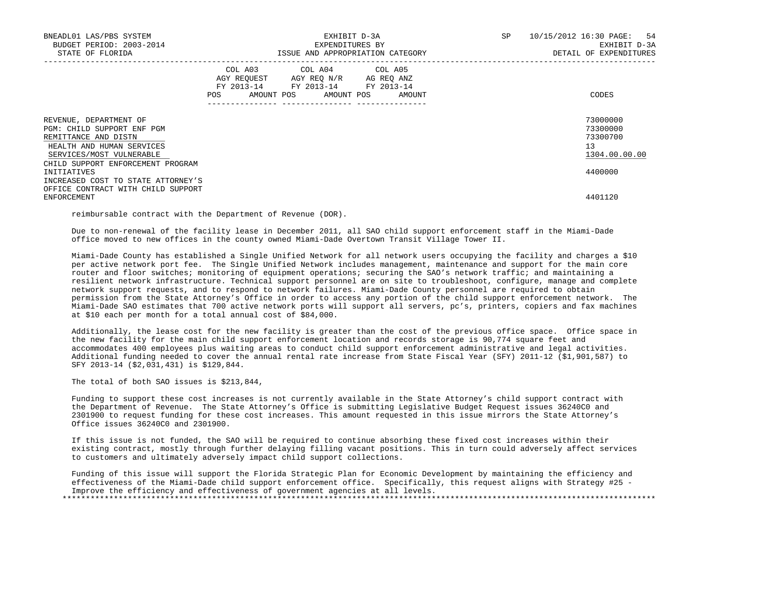| BNEADL01 LAS/PBS SYSTEM<br>BUDGET PERIOD: 2003-2014<br>STATE OF FLORIDA                                                                     | EXHIBIT D-3A<br>EXPENDITURES BY<br>ISSUE AND APPROPRIATION CATEGORY                                                                                            | SP<br>10/15/2012 16:30 PAGE: 54<br>EXHIBIT D-3A<br>DETAIL OF EXPENDITURES |
|---------------------------------------------------------------------------------------------------------------------------------------------|----------------------------------------------------------------------------------------------------------------------------------------------------------------|---------------------------------------------------------------------------|
|                                                                                                                                             | COL A03 COL A04 COL A05<br>AGY REQUEST AGY REQ N/R AG REQ ANZ<br>FY 2013-14 FY 2013-14 FY 2013-14<br>POS<br>AMOUNT POS AMOUNT POS<br>AMOUNT<br>--------------- | CODES                                                                     |
| REVENUE, DEPARTMENT OF<br>PGM: CHILD SUPPORT ENF PGM<br>REMITTANCE AND DISTN<br>HEALTH AND HUMAN SERVICES<br>SERVICES/MOST VULNERABLE       |                                                                                                                                                                | 73000000<br>73300000<br>73300700<br>13<br>1304.00.00.00                   |
| CHILD SUPPORT ENFORCEMENT PROGRAM<br>INITIATIVES<br>INCREASED COST TO STATE ATTORNEY'S<br>OFFICE CONTRACT WITH CHILD SUPPORT<br>ENFORCEMENT |                                                                                                                                                                | 4400000<br>4401120                                                        |

reimbursable contract with the Department of Revenue (DOR).

 Due to non-renewal of the facility lease in December 2011, all SAO child support enforcement staff in the Miami-Dade office moved to new offices in the county owned Miami-Dade Overtown Transit Village Tower II.

 Miami-Dade County has established a Single Unified Network for all network users occupying the facility and charges a \$10 per active network port fee. The Single Unified Network includes management, maintenance and support for the main core router and floor switches; monitoring of equipment operations; securing the SAO's network traffic; and maintaining a resilient network infrastructure. Technical support personnel are on site to troubleshoot, configure, manage and complete network support requests, and to respond to network failures. Miami-Dade County personnel are required to obtain permission from the State Attorney's Office in order to access any portion of the child support enforcement network. The Miami-Dade SAO estimates that 700 active network ports will support all servers, pc's, printers, copiers and fax machines at \$10 each per month for a total annual cost of \$84,000.

 Additionally, the lease cost for the new facility is greater than the cost of the previous office space. Office space in the new facility for the main child support enforcement location and records storage is 90,774 square feet and accommodates 400 employees plus waiting areas to conduct child support enforcement administrative and legal activities. Additional funding needed to cover the annual rental rate increase from State Fiscal Year (SFY) 2011-12 (\$1,901,587) to SFY 2013-14 (\$2,031,431) is \$129,844.

The total of both SAO issues is \$213,844,

 Funding to support these cost increases is not currently available in the State Attorney's child support contract with the Department of Revenue. The State Attorney's Office is submitting Legislative Budget Request issues 36240C0 and 2301900 to request funding for these cost increases. This amount requested in this issue mirrors the State Attorney's Office issues 36240C0 and 2301900.

 If this issue is not funded, the SAO will be required to continue absorbing these fixed cost increases within their existing contract, mostly through further delaying filling vacant positions. This in turn could adversely affect services to customers and ultimately adversely impact child support collections.

 Funding of this issue will support the Florida Strategic Plan for Economic Development by maintaining the efficiency and effectiveness of the Miami-Dade child support enforcement office. Specifically, this request aligns with Strategy #25 - Improve the efficiency and effectiveness of government agencies at all levels. \*\*\*\*\*\*\*\*\*\*\*\*\*\*\*\*\*\*\*\*\*\*\*\*\*\*\*\*\*\*\*\*\*\*\*\*\*\*\*\*\*\*\*\*\*\*\*\*\*\*\*\*\*\*\*\*\*\*\*\*\*\*\*\*\*\*\*\*\*\*\*\*\*\*\*\*\*\*\*\*\*\*\*\*\*\*\*\*\*\*\*\*\*\*\*\*\*\*\*\*\*\*\*\*\*\*\*\*\*\*\*\*\*\*\*\*\*\*\*\*\*\*\*\*\*\*\*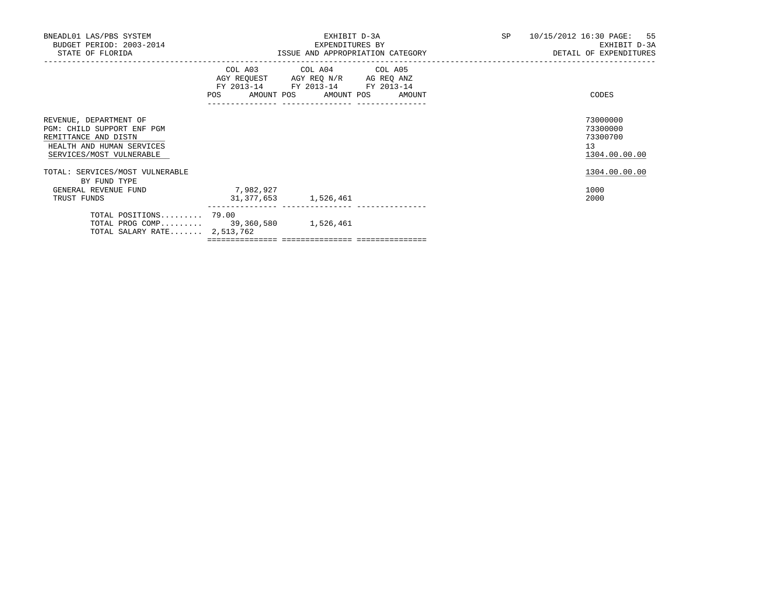| BNEADL01 LAS/PBS SYSTEM<br>BUDGET PERIOD: 2003-2014<br>STATE OF FLORIDA                                                               |                                       | EXHIBIT D-3A<br>EXPENDITURES BY                                                                                                       | ISSUE AND APPROPRIATION CATEGORY | SP 10/15/2012 16:30 PAGE: 55<br>EXHIBIT D-3A<br>DETAIL OF EXPENDITURES |
|---------------------------------------------------------------------------------------------------------------------------------------|---------------------------------------|---------------------------------------------------------------------------------------------------------------------------------------|----------------------------------|------------------------------------------------------------------------|
|                                                                                                                                       |                                       | COL A03 COL A04 COL A05<br>AGY REQUEST AGY REQ N/R AG REQ ANZ<br>FY 2013-14 FY 2013-14 FY 2013-14<br>POS AMOUNT POS AMOUNT POS AMOUNT |                                  | CODES                                                                  |
| REVENUE, DEPARTMENT OF<br>PGM: CHILD SUPPORT ENF PGM<br>REMITTANCE AND DISTN<br>HEALTH AND HUMAN SERVICES<br>SERVICES/MOST VULNERABLE |                                       |                                                                                                                                       |                                  | 73000000<br>73300000<br>73300700<br>13<br>1304.00.00.00                |
| TOTAL: SERVICES/MOST VULNERABLE<br>BY FUND TYPE                                                                                       |                                       |                                                                                                                                       |                                  | 1304.00.00.00                                                          |
| GENERAL REVENUE FUND<br>TRUST FUNDS                                                                                                   | 7,982,927<br>31, 377, 653 1, 526, 461 |                                                                                                                                       |                                  | 1000<br>2000                                                           |
| TOTAL POSITIONS 79.00<br>TOTAL PROG COMP 39,360,580 1,526,461<br>TOTAL SALARY RATE $2,513,762$                                        |                                       |                                                                                                                                       |                                  |                                                                        |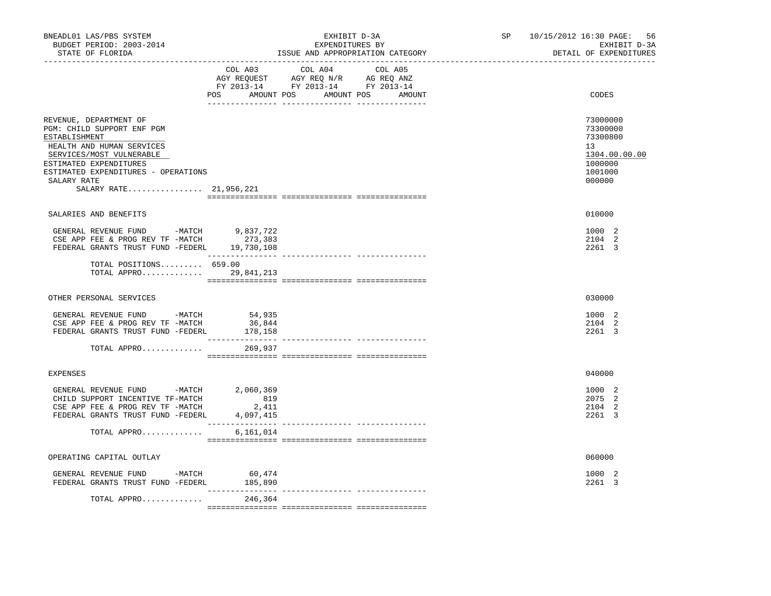| BNEADL01 LAS/PBS SYSTEM<br>BUDGET PERIOD: 2003-2014<br>STATE OF FLORIDA                                                                                                                                                                  | EXHIBIT D-3A<br>EXPENDITURES BY<br>ISSUE AND APPROPRIATION CATEGORY                                                                                                                                                                                                                                                                                                                                                                                                                                                                   | SP 10/15/2012 16:30 PAGE:<br>56<br>EXHIBIT D-3A<br>DETAIL OF EXPENDITURES               |
|------------------------------------------------------------------------------------------------------------------------------------------------------------------------------------------------------------------------------------------|---------------------------------------------------------------------------------------------------------------------------------------------------------------------------------------------------------------------------------------------------------------------------------------------------------------------------------------------------------------------------------------------------------------------------------------------------------------------------------------------------------------------------------------|-----------------------------------------------------------------------------------------|
|                                                                                                                                                                                                                                          | COL A03<br>COL A04<br>COL A05<br>AGY REQUEST AGY REQ N/R AG REQ ANZ<br>FY 2013-14 FY 2013-14 FY 2013-14<br>POS AMOUNT POS AMOUNT POS<br>AMOUNT                                                                                                                                                                                                                                                                                                                                                                                        | CODES                                                                                   |
| REVENUE, DEPARTMENT OF<br>PGM: CHILD SUPPORT ENF PGM<br>ESTABLISHMENT<br>HEALTH AND HUMAN SERVICES<br>SERVICES/MOST VULNERABLE<br>ESTIMATED EXPENDITURES<br>ESTIMATED EXPENDITURES - OPERATIONS<br>SALARY RATE<br>SALARY RATE 21,956,221 |                                                                                                                                                                                                                                                                                                                                                                                                                                                                                                                                       | 73000000<br>73300000<br>73300800<br>13<br>1304.00.00.00<br>1000000<br>1001000<br>000000 |
| SALARIES AND BENEFITS                                                                                                                                                                                                                    |                                                                                                                                                                                                                                                                                                                                                                                                                                                                                                                                       | 010000                                                                                  |
| GENERAL REVENUE FUND -MATCH 9,837,722<br>CSE APP FEE & PROG REV TF -MATCH<br>FEDERAL GRANTS TRUST FUND -FEDERL 19,730,108                                                                                                                | 273,383                                                                                                                                                                                                                                                                                                                                                                                                                                                                                                                               | 1000 2<br>2104 2<br>2261 3                                                              |
| TOTAL POSITIONS 659.00<br>TOTAL APPRO                                                                                                                                                                                                    | 29,841,213                                                                                                                                                                                                                                                                                                                                                                                                                                                                                                                            |                                                                                         |
| OTHER PERSONAL SERVICES                                                                                                                                                                                                                  |                                                                                                                                                                                                                                                                                                                                                                                                                                                                                                                                       | 030000                                                                                  |
| GENERAL REVENUE FUND -MATCH 54,935<br>CSE APP FEE & PROG REV TF -MATCH<br>FEDERAL GRANTS TRUST FUND -FEDERL<br>TOTAL APPRO                                                                                                               | 36,844<br>178,158<br>---------------<br>269,937                                                                                                                                                                                                                                                                                                                                                                                                                                                                                       | 1000 2<br>2104 2<br>2261 3                                                              |
| <b>EXPENSES</b>                                                                                                                                                                                                                          |                                                                                                                                                                                                                                                                                                                                                                                                                                                                                                                                       | 040000                                                                                  |
| GENERAL REVENUE FUND -MATCH<br>CHILD SUPPORT INCENTIVE TF-MATCH<br>CSE APP FEE & PROG REV TF -MATCH<br>FEDERAL GRANTS TRUST FUND -FEDERL                                                                                                 | 2,060,369<br>819<br>2,411<br>4,097,415<br>________________                                                                                                                                                                                                                                                                                                                                                                                                                                                                            | 1000 2<br>2075 2<br>2104 2<br>2261 3                                                    |
| TOTAL APPRO                                                                                                                                                                                                                              | 6,161,014                                                                                                                                                                                                                                                                                                                                                                                                                                                                                                                             |                                                                                         |
| OPERATING CAPITAL OUTLAY                                                                                                                                                                                                                 |                                                                                                                                                                                                                                                                                                                                                                                                                                                                                                                                       | 060000                                                                                  |
| GENERAL REVENUE FUND -MATCH 60,474<br>FEDERAL GRANTS TRUST FUND -FEDERL                                                                                                                                                                  | 185,890<br>$\begin{array}{cccccccccc} \multicolumn{2}{c}{} & \multicolumn{2}{c}{} & \multicolumn{2}{c}{} & \multicolumn{2}{c}{} & \multicolumn{2}{c}{} & \multicolumn{2}{c}{} & \multicolumn{2}{c}{} & \multicolumn{2}{c}{} & \multicolumn{2}{c}{} & \multicolumn{2}{c}{} & \multicolumn{2}{c}{} & \multicolumn{2}{c}{} & \multicolumn{2}{c}{} & \multicolumn{2}{c}{} & \multicolumn{2}{c}{} & \multicolumn{2}{c}{} & \multicolumn{2}{c}{} & \multicolumn{2}{c}{} & \multicolumn{2}{c}{} & \mult$<br>--------------- ---------------- | 1000 2<br>2261 3                                                                        |
| TOTAL APPRO                                                                                                                                                                                                                              | 246,364                                                                                                                                                                                                                                                                                                                                                                                                                                                                                                                               |                                                                                         |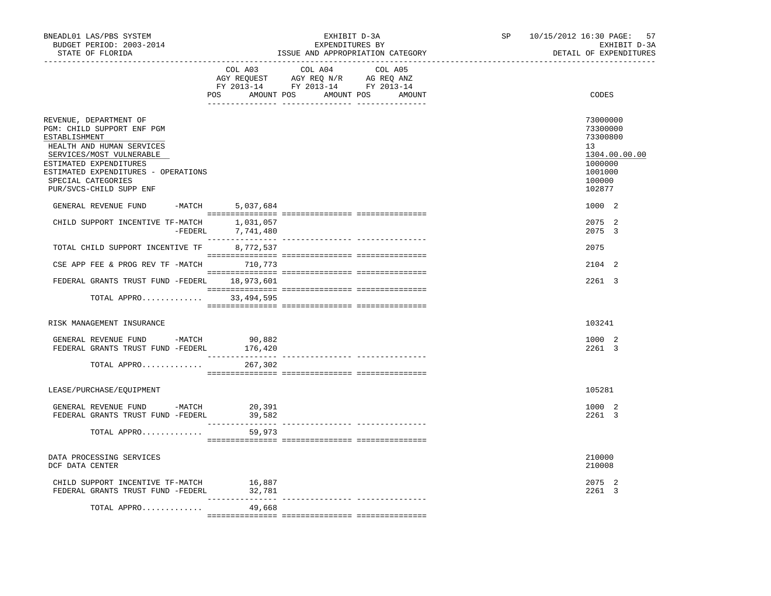| BNEADL01 LAS/PBS SYSTEM<br>BUDGET PERIOD: 2003-2014<br>STATE OF FLORIDA                                                                                                                                                                          | EXHIBIT D-3A<br>EXPENDITURES BY<br>ISSUE AND APPROPRIATION CATEGORY |                                                                                                                       |         | SP | 10/15/2012 16:30 PAGE:<br>57<br>EXHIBIT D-3A<br>DETAIL OF EXPENDITURES                                      |
|--------------------------------------------------------------------------------------------------------------------------------------------------------------------------------------------------------------------------------------------------|---------------------------------------------------------------------|-----------------------------------------------------------------------------------------------------------------------|---------|----|-------------------------------------------------------------------------------------------------------------|
|                                                                                                                                                                                                                                                  | COL A03                                                             | COL A04<br>AGY REQUEST AGY REQ N/R AG REQ ANZ<br>FY 2013-14 FY 2013-14 FY 2013-14<br>POS AMOUNT POS AMOUNT POS AMOUNT | COL A05 |    | CODES                                                                                                       |
| REVENUE, DEPARTMENT OF<br>PGM: CHILD SUPPORT ENF PGM<br>ESTABLISHMENT<br>HEALTH AND HUMAN SERVICES<br>SERVICES/MOST VULNERABLE<br>ESTIMATED EXPENDITURES<br>ESTIMATED EXPENDITURES - OPERATIONS<br>SPECIAL CATEGORIES<br>PUR/SVCS-CHILD SUPP ENF | -MATCH 5,037,684                                                    |                                                                                                                       |         |    | 73000000<br>73300000<br>73300800<br>13<br>1304.00.00.00<br>1000000<br>1001000<br>100000<br>102877<br>1000 2 |
| GENERAL REVENUE FUND                                                                                                                                                                                                                             |                                                                     |                                                                                                                       |         |    | 2075 2                                                                                                      |
| CHILD SUPPORT INCENTIVE TF-MATCH                                                                                                                                                                                                                 | 1,031,057<br>-FEDERL 7,741,480                                      |                                                                                                                       |         |    | 2075 3                                                                                                      |
| TOTAL CHILD SUPPORT INCENTIVE TF 8,772,537                                                                                                                                                                                                       |                                                                     |                                                                                                                       |         |    | 2075                                                                                                        |
| CSE APP FEE & PROG REV TF -MATCH 710,773                                                                                                                                                                                                         |                                                                     |                                                                                                                       |         |    | 2104 2                                                                                                      |
| FEDERAL GRANTS TRUST FUND -FEDERL 18,973,601                                                                                                                                                                                                     |                                                                     |                                                                                                                       |         |    | 2261 3                                                                                                      |
| TOTAL APPRO 33,494,595                                                                                                                                                                                                                           |                                                                     |                                                                                                                       |         |    |                                                                                                             |
| RISK MANAGEMENT INSURANCE                                                                                                                                                                                                                        |                                                                     |                                                                                                                       |         |    | 103241                                                                                                      |
| GENERAL REVENUE FUND -MATCH<br>FEDERAL GRANTS TRUST FUND -FEDERL                                                                                                                                                                                 | 90,882<br>176,420                                                   |                                                                                                                       |         |    | 1000 2<br>2261 3                                                                                            |
| TOTAL APPRO                                                                                                                                                                                                                                      | 267,302                                                             |                                                                                                                       |         |    |                                                                                                             |
| LEASE/PURCHASE/EOUIPMENT                                                                                                                                                                                                                         |                                                                     |                                                                                                                       |         |    | 105281                                                                                                      |
| GENERAL REVENUE FUND -MATCH<br>FEDERAL GRANTS TRUST FUND -FEDERL                                                                                                                                                                                 | 20,391<br>39,582                                                    |                                                                                                                       |         |    | 1000 2<br>2261 3                                                                                            |
| TOTAL APPRO                                                                                                                                                                                                                                      | 59,973                                                              |                                                                                                                       |         |    |                                                                                                             |
| DATA PROCESSING SERVICES<br>DCF DATA CENTER                                                                                                                                                                                                      |                                                                     |                                                                                                                       |         |    | 210000<br>210008                                                                                            |
| CHILD SUPPORT INCENTIVE TF-MATCH 16,887<br>FEDERAL GRANTS TRUST FUND -FEDERL                                                                                                                                                                     | 32,781                                                              |                                                                                                                       |         |    | 2075 2<br>2261 3                                                                                            |
| TOTAL APPRO                                                                                                                                                                                                                                      | 49,668                                                              |                                                                                                                       |         |    |                                                                                                             |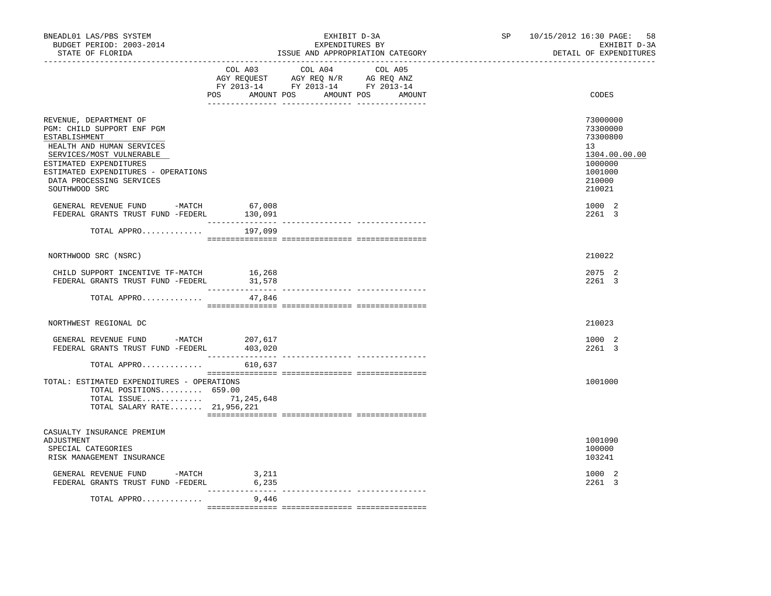| BNEADL01 LAS/PBS SYSTEM<br>BUDGET PERIOD: 2003-2014<br>STATE OF FLORIDA                                                                                                                                                                      |                          | EXHIBIT D-3A<br>EXPENDITURES BY<br>ISSUE AND APPROPRIATION CATEGORY                                                                      | SP 10/15/2012 16:30 PAGE:<br>58<br>EXHIBIT D-3A<br>DETAIL OF EXPENDITURES                         |
|----------------------------------------------------------------------------------------------------------------------------------------------------------------------------------------------------------------------------------------------|--------------------------|------------------------------------------------------------------------------------------------------------------------------------------|---------------------------------------------------------------------------------------------------|
|                                                                                                                                                                                                                                              |                          | COL A03 COL A04<br>COL A05<br>AGY REQUEST AGY REQ N/R AG REQ ANZ<br>FY 2013-14 FY 2013-14 FY 2013-14<br>POS AMOUNT POS AMOUNT POS AMOUNT | CODES                                                                                             |
| REVENUE, DEPARTMENT OF<br>PGM: CHILD SUPPORT ENF PGM<br>ESTABLISHMENT<br>HEALTH AND HUMAN SERVICES<br>SERVICES/MOST VULNERABLE<br>ESTIMATED EXPENDITURES<br>ESTIMATED EXPENDITURES - OPERATIONS<br>DATA PROCESSING SERVICES<br>SOUTHWOOD SRC |                          |                                                                                                                                          | 73000000<br>73300000<br>73300800<br>13<br>1304.00.00.00<br>1000000<br>1001000<br>210000<br>210021 |
| GENERAL REVENUE FUND -MATCH<br>FEDERAL GRANTS TRUST FUND -FEDERL                                                                                                                                                                             | 67,008<br>130,091        |                                                                                                                                          | 1000 2<br>2261 3                                                                                  |
| TOTAL APPRO $197,099$                                                                                                                                                                                                                        |                          |                                                                                                                                          |                                                                                                   |
| NORTHWOOD SRC (NSRC)                                                                                                                                                                                                                         |                          |                                                                                                                                          | 210022                                                                                            |
| CHILD SUPPORT INCENTIVE TF-MATCH<br>FEDERAL GRANTS TRUST FUND -FEDERL                                                                                                                                                                        | 16,268<br>31,578         |                                                                                                                                          | 2075 2<br>2261 3                                                                                  |
| TOTAL APPRO                                                                                                                                                                                                                                  | 47,846                   |                                                                                                                                          |                                                                                                   |
| NORTHWEST REGIONAL DC                                                                                                                                                                                                                        |                          |                                                                                                                                          | 210023                                                                                            |
| GENERAL REVENUE FUND -MATCH<br>FEDERAL GRANTS TRUST FUND -FEDERL                                                                                                                                                                             | 207,617<br>403,020       |                                                                                                                                          | 1000 2<br>2261 3                                                                                  |
| TOTAL APPRO                                                                                                                                                                                                                                  | 610,637                  |                                                                                                                                          |                                                                                                   |
| TOTAL: ESTIMATED EXPENDITURES - OPERATIONS<br>TOTAL POSITIONS 659.00<br>TOTAL ISSUE 71,245,648<br>TOTAL SALARY RATE 21,956,221                                                                                                               |                          |                                                                                                                                          | 1001000                                                                                           |
| CASUALTY INSURANCE PREMIUM<br>ADJUSTMENT<br>SPECIAL CATEGORIES<br>RISK MANAGEMENT INSURANCE                                                                                                                                                  |                          |                                                                                                                                          | 1001090<br>100000<br>103241                                                                       |
| GENERAL REVENUE FUND -MATCH<br>FEDERAL GRANTS TRUST FUND -FEDERL                                                                                                                                                                             | 3,211<br>6,235           |                                                                                                                                          | 1000 2<br>2261 3                                                                                  |
| TOTAL APPRO                                                                                                                                                                                                                                  | _______________<br>9,446 |                                                                                                                                          |                                                                                                   |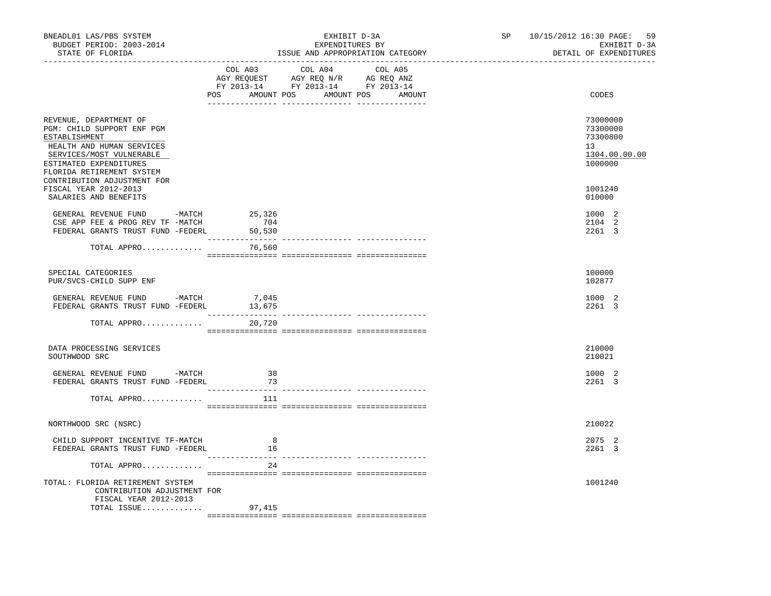| BNEADL01 LAS/PBS SYSTEM<br>BUDGET PERIOD: 2003-2014<br>STATE OF FLORIDA                                                                                                               |                                            | EXHIBIT D-3A<br>EXPENDITURES BY<br>ISSUE AND APPROPRIATION CATEGORY                                                                   | SP | 59<br>10/15/2012 16:30 PAGE:<br>EXHIBIT D-3A<br>DETAIL OF EXPENDITURES |
|---------------------------------------------------------------------------------------------------------------------------------------------------------------------------------------|--------------------------------------------|---------------------------------------------------------------------------------------------------------------------------------------|----|------------------------------------------------------------------------|
|                                                                                                                                                                                       |                                            | COL A03 COL A04 COL A05<br>AGY REQUEST AGY REQ N/R AG REQ ANZ<br>FY 2013-14 FY 2013-14 FY 2013-14<br>POS AMOUNT POS AMOUNT POS AMOUNT |    | CODES                                                                  |
| REVENUE, DEPARTMENT OF<br>PGM: CHILD SUPPORT ENF PGM<br>ESTABLISHMENT<br>HEALTH AND HUMAN SERVICES<br>SERVICES/MOST VULNERABLE<br>ESTIMATED EXPENDITURES<br>FLORIDA RETIREMENT SYSTEM |                                            |                                                                                                                                       |    | 73000000<br>73300000<br>73300800<br>13<br>1304.00.00.00<br>1000000     |
| CONTRIBUTION ADJUSTMENT FOR<br>FISCAL YEAR 2012-2013<br>SALARIES AND BENEFITS                                                                                                         |                                            |                                                                                                                                       |    | 1001240<br>010000                                                      |
| GENERAL REVENUE FUND -MATCH<br>CSE APP FEE & PROG REV TF -MATCH<br>FEDERAL GRANTS TRUST FUND -FEDERL                                                                                  | 25,326<br>704<br>50,530<br>_______________ |                                                                                                                                       |    | 1000 2<br>2104 2<br>2261 3                                             |
| TOTAL APPRO                                                                                                                                                                           | 76,560                                     |                                                                                                                                       |    |                                                                        |
| SPECIAL CATEGORIES<br>PUR/SVCS-CHILD SUPP ENF                                                                                                                                         |                                            |                                                                                                                                       |    | 100000<br>102877                                                       |
| GENERAL REVENUE FUND -MATCH<br>FEDERAL GRANTS TRUST FUND -FEDERL                                                                                                                      | 7,045<br>13,675                            |                                                                                                                                       |    | 1000 2<br>2261 3                                                       |
| TOTAL APPRO                                                                                                                                                                           | 20,720                                     |                                                                                                                                       |    |                                                                        |
| DATA PROCESSING SERVICES<br>SOUTHWOOD SRC                                                                                                                                             |                                            |                                                                                                                                       |    | 210000<br>210021                                                       |
| GENERAL REVENUE FUND -MATCH<br>FEDERAL GRANTS TRUST FUND -FEDERL                                                                                                                      | 38<br>73                                   |                                                                                                                                       |    | 1000 2<br>2261 3                                                       |
| TOTAL APPRO                                                                                                                                                                           | - 111                                      |                                                                                                                                       |    |                                                                        |
| NORTHWOOD SRC (NSRC)                                                                                                                                                                  |                                            |                                                                                                                                       |    | 210022                                                                 |
| CHILD SUPPORT INCENTIVE TF-MATCH<br>FEDERAL GRANTS TRUST FUND -FEDERL                                                                                                                 | 8<br>16                                    |                                                                                                                                       |    | 2075 2<br>2261 3                                                       |
| TOTAL APPRO<br>TOTAL: FLORIDA RETIREMENT SYSTEM<br>CONTRIBUTION ADJUSTMENT FOR<br>FISCAL YEAR 2012-2013                                                                               | 24                                         |                                                                                                                                       |    | 1001240                                                                |
| TOTAL ISSUE                                                                                                                                                                           | 97,415                                     |                                                                                                                                       |    |                                                                        |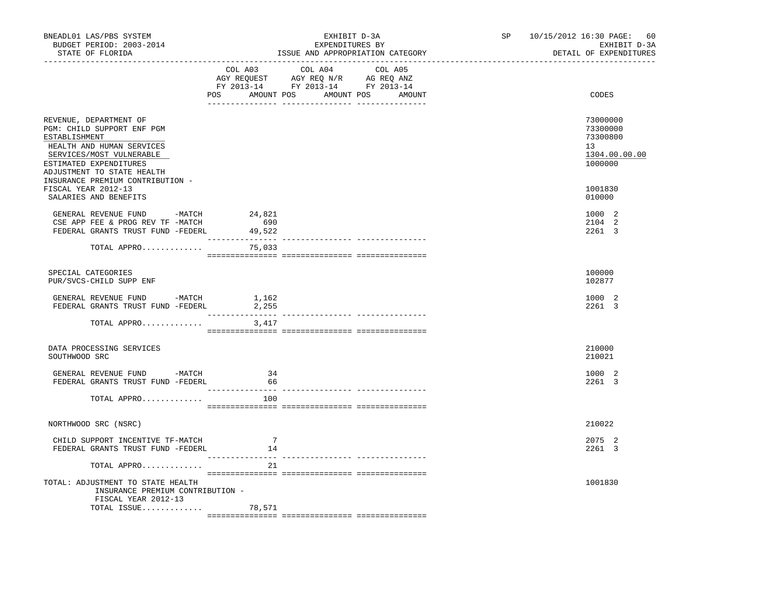| BNEADL01 LAS/PBS SYSTEM<br>BUDGET PERIOD: 2003-2014<br>STATE OF FLORIDA                                                                                                                                                    |                                                                                                                                  | EXHIBIT D-3A<br>EXPENDITURES BY<br>ISSUE AND APPROPRIATION CATEGORY | SP 10/15/2012 16:30 PAGE: 60<br>EXHIBIT D-3A<br>DETAIL OF EXPENDITURES          |
|----------------------------------------------------------------------------------------------------------------------------------------------------------------------------------------------------------------------------|----------------------------------------------------------------------------------------------------------------------------------|---------------------------------------------------------------------|---------------------------------------------------------------------------------|
|                                                                                                                                                                                                                            | COL A03<br>COL A04<br>AGY REQUEST AGY REQ N/R AG REQ ANZ<br>FY 2013-14 FY 2013-14 FY 2013-14<br>POS AMOUNT POS AMOUNT POS AMOUNT | COL A05                                                             | CODES                                                                           |
| REVENUE, DEPARTMENT OF<br>PGM: CHILD SUPPORT ENF PGM<br>ESTABLISHMENT<br>HEALTH AND HUMAN SERVICES<br>SERVICES/MOST VULNERABLE<br>ESTIMATED EXPENDITURES<br>ADJUSTMENT TO STATE HEALTH<br>INSURANCE PREMIUM CONTRIBUTION - |                                                                                                                                  |                                                                     | 73000000<br>73300000<br>73300800<br>13 <sup>7</sup><br>1304.00.00.00<br>1000000 |
| FISCAL YEAR 2012-13<br>SALARIES AND BENEFITS                                                                                                                                                                               |                                                                                                                                  |                                                                     | 1001830<br>010000                                                               |
| GENERAL REVENUE FUND -MATCH<br>CSE APP FEE & PROG REV TF -MATCH<br>FEDERAL GRANTS TRUST FUND -FEDERL                                                                                                                       | 24,821<br>690<br>49,522                                                                                                          |                                                                     | 1000 2<br>2104 2<br>2261 3                                                      |
| TOTAL APPRO                                                                                                                                                                                                                | 75,033                                                                                                                           |                                                                     |                                                                                 |
| SPECIAL CATEGORIES<br>PUR/SVCS-CHILD SUPP ENF                                                                                                                                                                              |                                                                                                                                  |                                                                     | 100000<br>102877                                                                |
| GENERAL REVENUE FUND -MATCH<br>FEDERAL GRANTS TRUST FUND -FEDERL                                                                                                                                                           | 1,162<br>2,255<br>$\frac{1}{2}$                                                                                                  | -------------- ------------                                         | 1000 2<br>2261 3                                                                |
| TOTAL APPRO                                                                                                                                                                                                                | 3,417                                                                                                                            |                                                                     |                                                                                 |
| DATA PROCESSING SERVICES<br>SOUTHWOOD SRC                                                                                                                                                                                  |                                                                                                                                  |                                                                     | 210000<br>210021                                                                |
| GENERAL REVENUE FUND -MATCH<br>FEDERAL GRANTS TRUST FUND -FEDERL                                                                                                                                                           | 34<br>66                                                                                                                         |                                                                     | 1000 2<br>2261 3                                                                |
| TOTAL APPRO                                                                                                                                                                                                                | 100                                                                                                                              |                                                                     |                                                                                 |
| NORTHWOOD SRC (NSRC)                                                                                                                                                                                                       |                                                                                                                                  |                                                                     | 210022                                                                          |
| CHILD SUPPORT INCENTIVE TF-MATCH<br>FEDERAL GRANTS TRUST FUND -FEDERL                                                                                                                                                      | 7<br>14                                                                                                                          |                                                                     | 2075 2<br>2261 3                                                                |
| TOTAL APPRO                                                                                                                                                                                                                | 21                                                                                                                               |                                                                     |                                                                                 |
| TOTAL: ADJUSTMENT TO STATE HEALTH<br>INSURANCE PREMIUM CONTRIBUTION -<br>FISCAL YEAR 2012-13                                                                                                                               |                                                                                                                                  |                                                                     | 1001830                                                                         |
| TOTAL ISSUE $78,571$                                                                                                                                                                                                       |                                                                                                                                  |                                                                     |                                                                                 |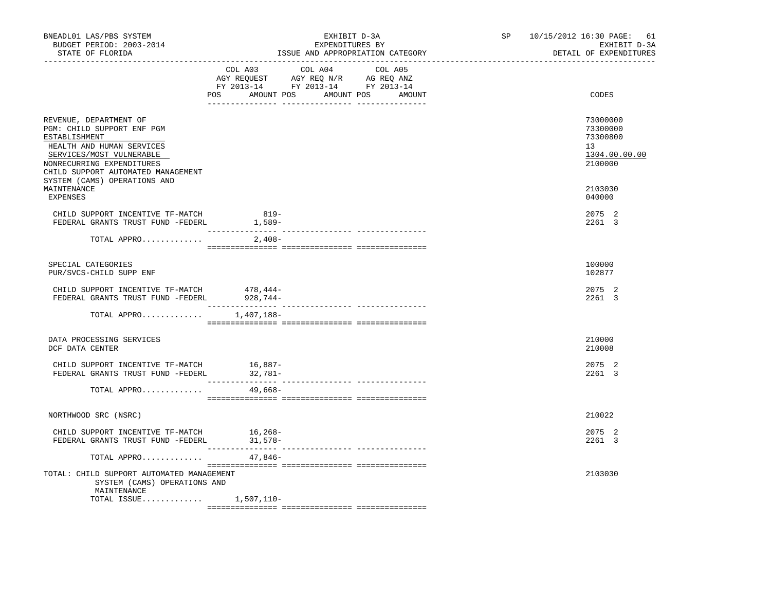| BNEADL01 LAS/PBS SYSTEM<br>BUDGET PERIOD: 2003-2014<br>STATE OF FLORIDA                                                                                                                           |                          | EXHIBIT D-3A<br>EXPENDITURES BY<br>ISSUE AND APPROPRIATION CATEGORY                                                                      | SP and the set of the set of the set of the set of the set of the set of the set of the set of the set of the set of the set of the set of the set of the set of the set of the set of the set of the set of the set of the se | 10/15/2012 16:30 PAGE: 61<br>EXHIBIT D-3A<br>DETAIL OF EXPENDITURES |
|---------------------------------------------------------------------------------------------------------------------------------------------------------------------------------------------------|--------------------------|------------------------------------------------------------------------------------------------------------------------------------------|--------------------------------------------------------------------------------------------------------------------------------------------------------------------------------------------------------------------------------|---------------------------------------------------------------------|
|                                                                                                                                                                                                   |                          | COL A03 COL A04<br>COL A05<br>AGY REQUEST AGY REQ N/R AG REQ ANZ<br>FY 2013-14 FY 2013-14 FY 2013-14<br>POS AMOUNT POS AMOUNT POS AMOUNT |                                                                                                                                                                                                                                | CODES                                                               |
| REVENUE, DEPARTMENT OF<br>PGM: CHILD SUPPORT ENF PGM<br>ESTABLISHMENT<br>HEALTH AND HUMAN SERVICES<br>SERVICES/MOST VULNERABLE<br>NONRECURRING EXPENDITURES<br>CHILD SUPPORT AUTOMATED MANAGEMENT |                          |                                                                                                                                          |                                                                                                                                                                                                                                | 73000000<br>73300000<br>73300800<br>13<br>1304.00.00.00<br>2100000  |
| SYSTEM (CAMS) OPERATIONS AND<br>MAINTENANCE<br>EXPENSES                                                                                                                                           |                          |                                                                                                                                          |                                                                                                                                                                                                                                | 2103030<br>040000                                                   |
| CHILD SUPPORT INCENTIVE TF-MATCH<br>-CHILD SUPPORT INCENTIVE IF-MAICH<br>FEDERAL GRANTS TRUST FUND -FEDERL 1,589-                                                                                 | 819-<br>________________ |                                                                                                                                          |                                                                                                                                                                                                                                | 2075 2<br>2261 3                                                    |
| TOTAL APPRO                                                                                                                                                                                       | 2,408-                   | ------------- ---------------                                                                                                            |                                                                                                                                                                                                                                |                                                                     |
| SPECIAL CATEGORIES<br>PUR/SVCS-CHILD SUPP ENF                                                                                                                                                     |                          |                                                                                                                                          |                                                                                                                                                                                                                                | 100000<br>102877                                                    |
| CHILD SUPPORT INCENTIVE TF-MATCH<br>FEDERAL GRANTS TRUST FUND -FEDERL 928,744-                                                                                                                    | 478,444-                 |                                                                                                                                          |                                                                                                                                                                                                                                | 2075 2<br>2261 3                                                    |
| TOTAL APPRO $1,407,188-$                                                                                                                                                                          |                          |                                                                                                                                          |                                                                                                                                                                                                                                |                                                                     |
| DATA PROCESSING SERVICES<br>DCF DATA CENTER                                                                                                                                                       |                          |                                                                                                                                          |                                                                                                                                                                                                                                | 210000<br>210008                                                    |
| CHILD SUPPORT INCENTIVE TF-MATCH<br>FEDERAL GRANTS TRUST FUND -FEDERL                                                                                                                             | $16,887-$<br>32,781-     |                                                                                                                                          |                                                                                                                                                                                                                                | 2075 2<br>2261 3                                                    |
| TOTAL APPRO                                                                                                                                                                                       | 49,668-                  |                                                                                                                                          |                                                                                                                                                                                                                                |                                                                     |
| NORTHWOOD SRC (NSRC)                                                                                                                                                                              |                          |                                                                                                                                          |                                                                                                                                                                                                                                | 210022                                                              |
| CHILD SUPPORT INCENTIVE TF-MATCH 16,268-<br>FEDERAL GRANTS TRUST FUND -FEDERL 31,578-                                                                                                             |                          |                                                                                                                                          |                                                                                                                                                                                                                                | 2075 2<br>2261 3                                                    |
| TOTAL APPRO                                                                                                                                                                                       | $47,846-$                |                                                                                                                                          |                                                                                                                                                                                                                                |                                                                     |
| TOTAL: CHILD SUPPORT AUTOMATED MANAGEMENT<br>SYSTEM (CAMS) OPERATIONS AND<br>MAINTENANCE                                                                                                          |                          |                                                                                                                                          |                                                                                                                                                                                                                                | 2103030                                                             |
| TOTAL ISSUE 1,507,110-                                                                                                                                                                            |                          |                                                                                                                                          |                                                                                                                                                                                                                                |                                                                     |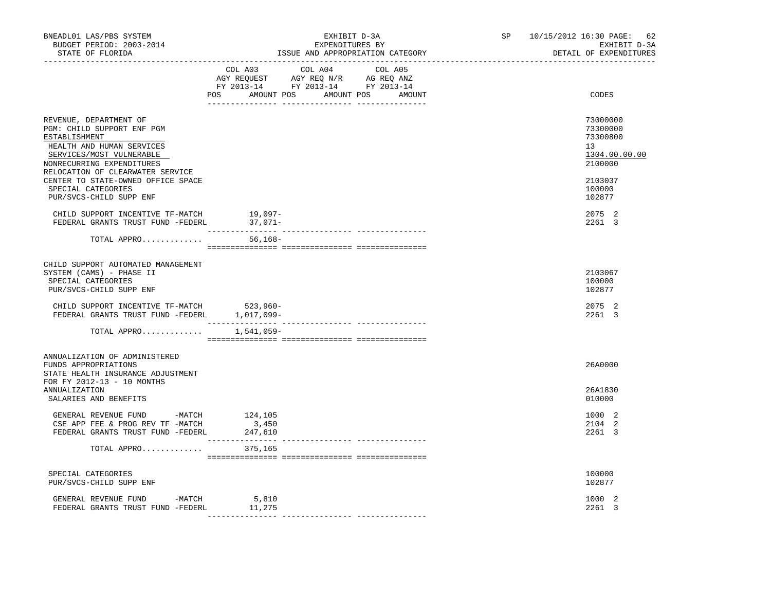| BNEADL01 LAS/PBS SYSTEM<br>BUDGET PERIOD: 2003-2014<br>STATE OF FLORIDA                                                                                                                                                                                     | EXHIBIT D-3A<br>EXPENDITURES BY<br>ISSUE AND APPROPRIATION CATEGORY<br>_______________________________                                      | SP<br>10/15/2012 16:30 PAGE:<br>-62<br>EXHIBIT D-3A<br>DETAIL OF EXPENDITURES<br>_______________________ |
|-------------------------------------------------------------------------------------------------------------------------------------------------------------------------------------------------------------------------------------------------------------|---------------------------------------------------------------------------------------------------------------------------------------------|----------------------------------------------------------------------------------------------------------|
|                                                                                                                                                                                                                                                             | COL A03<br>COL A04<br>COL A05<br>AGY REQUEST AGY REQ N/R AG REQ ANZ<br>FY 2013-14 FY 2013-14 FY 2013-14<br>POS AMOUNT POS AMOUNT POS AMOUNT | CODES                                                                                                    |
| REVENUE, DEPARTMENT OF<br>PGM: CHILD SUPPORT ENF PGM<br>ESTABLISHMENT<br>HEALTH AND HUMAN SERVICES<br>SERVICES/MOST VULNERABLE<br>NONRECURRING EXPENDITURES<br>RELOCATION OF CLEARWATER SERVICE<br>CENTER TO STATE-OWNED OFFICE SPACE<br>SPECIAL CATEGORIES |                                                                                                                                             | 73000000<br>73300000<br>73300800<br>13<br>1304.00.00.00<br>2100000<br>2103037<br>100000                  |
| PUR/SVCS-CHILD SUPP ENF<br>CHILD SUPPORT INCENTIVE TF-MATCH<br>FEDERAL GRANTS TRUST FUND -FEDERL                                                                                                                                                            | 19,097-<br>$37,071-$                                                                                                                        | 102877<br>2075 2<br>2261 3                                                                               |
| TOTAL APPRO                                                                                                                                                                                                                                                 | $56, 168 -$                                                                                                                                 |                                                                                                          |
| CHILD SUPPORT AUTOMATED MANAGEMENT<br>SYSTEM (CAMS) - PHASE II<br>SPECIAL CATEGORIES<br>PUR/SVCS-CHILD SUPP ENF                                                                                                                                             |                                                                                                                                             | 2103067<br>100000<br>102877                                                                              |
| CHILD SUPPORT INCENTIVE TF-MATCH<br>FEDERAL GRANTS TRUST FUND -FEDERL 1,017,099-                                                                                                                                                                            | 523,960-                                                                                                                                    | 2075 2<br>2261 3                                                                                         |
| TOTAL APPRO                                                                                                                                                                                                                                                 | 1,541,059–                                                                                                                                  |                                                                                                          |
| ANNUALIZATION OF ADMINISTERED<br>FUNDS APPROPRIATIONS<br>STATE HEALTH INSURANCE ADJUSTMENT<br>FOR FY 2012-13 - 10 MONTHS                                                                                                                                    |                                                                                                                                             | 26A0000                                                                                                  |
| ANNUALIZATION<br>SALARIES AND BENEFITS                                                                                                                                                                                                                      |                                                                                                                                             | 26A1830<br>010000                                                                                        |
| GENERAL REVENUE FUND -MATCH $124, 105$<br>CSE APP FEE & PROG REV TF -MATCH<br>FEDERAL GRANTS TRUST FUND -FEDERL                                                                                                                                             | 3,450<br>247,610                                                                                                                            | 1000 2<br>2104 2<br>2261 3                                                                               |
| TOTAL APPRO                                                                                                                                                                                                                                                 | 375,165                                                                                                                                     |                                                                                                          |
| SPECIAL CATEGORIES<br>PUR/SVCS-CHILD SUPP ENF                                                                                                                                                                                                               |                                                                                                                                             | 100000<br>102877                                                                                         |
| GENERAL REVENUE FUND<br>-MATCH<br>FEDERAL GRANTS TRUST FUND -FEDERL                                                                                                                                                                                         | 5,810<br>11,275                                                                                                                             | 1000 2<br>2261 3                                                                                         |
|                                                                                                                                                                                                                                                             |                                                                                                                                             |                                                                                                          |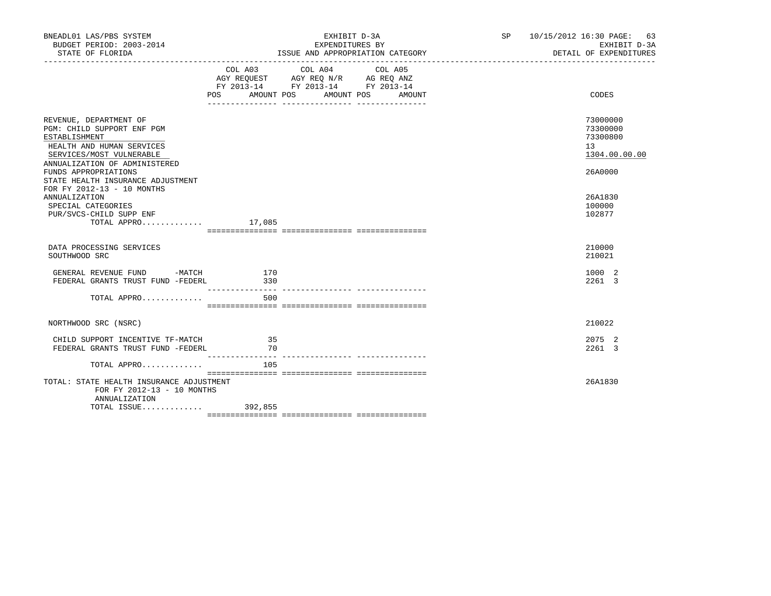| BNEADL01 LAS/PBS SYSTEM<br>BUDGET PERIOD: 2003-2014<br>STATE OF FLORIDA                                                        |                   | EXHIBIT D-3A<br>EXPENDITURES BY<br>ISSUE AND APPROPRIATION CATEGORY                                                       | SP 10/15/2012 16:30 PAGE: 63<br>EXHIBIT D-3A<br>DETAIL OF EXPENDITURES |
|--------------------------------------------------------------------------------------------------------------------------------|-------------------|---------------------------------------------------------------------------------------------------------------------------|------------------------------------------------------------------------|
|                                                                                                                                | AMOUNT POS<br>POS | COL A03 COL A04 COL A05<br>AGY REQUEST AGY REQ N/R AG REQ ANZ<br>FY 2013-14 FY 2013-14 FY 2013-14<br>AMOUNT POS<br>AMOUNT | CODES                                                                  |
| REVENUE, DEPARTMENT OF<br>PGM: CHILD SUPPORT ENF PGM<br>ESTABLISHMENT<br>HEALTH AND HUMAN SERVICES<br>SERVICES/MOST VULNERABLE |                   |                                                                                                                           | 73000000<br>73300000<br>73300800<br>13<br>1304.00.00.00                |
| ANNUALIZATION OF ADMINISTERED<br>FUNDS APPROPRIATIONS<br>STATE HEALTH INSURANCE ADJUSTMENT<br>FOR FY 2012-13 - 10 MONTHS       |                   |                                                                                                                           | 26A0000                                                                |
| ANNUALIZATION<br>SPECIAL CATEGORIES<br>PUR/SVCS-CHILD SUPP ENF<br>TOTAL APPRO $17,085$                                         |                   |                                                                                                                           | 26A1830<br>100000<br>102877                                            |
|                                                                                                                                |                   |                                                                                                                           |                                                                        |
| DATA PROCESSING SERVICES<br>SOUTHWOOD SRC                                                                                      |                   |                                                                                                                           | 210000<br>210021                                                       |
| GENERAL REVENUE FUND -MATCH 170<br>FEDERAL GRANTS TRUST FUND -FEDERL                                                           | 330               |                                                                                                                           | 1000 2<br>2261 3                                                       |
| TOTAL APPRO                                                                                                                    | 500               |                                                                                                                           |                                                                        |
|                                                                                                                                |                   |                                                                                                                           |                                                                        |
| NORTHWOOD SRC (NSRC)                                                                                                           |                   |                                                                                                                           | 210022                                                                 |
| CHILD SUPPORT INCENTIVE TF-MATCH<br>FEDERAL GRANTS TRUST FUND -FEDERL                                                          | 35<br>70          |                                                                                                                           | 2075 2<br>2261 3                                                       |
| TOTAL APPRO                                                                                                                    | 105               |                                                                                                                           |                                                                        |
| TOTAL: STATE HEALTH INSURANCE ADJUSTMENT<br>FOR FY 2012-13 - 10 MONTHS<br>ANNUALIZATION                                        |                   |                                                                                                                           | 26A1830                                                                |
| TOTAL ISSUE 392,855                                                                                                            |                   |                                                                                                                           |                                                                        |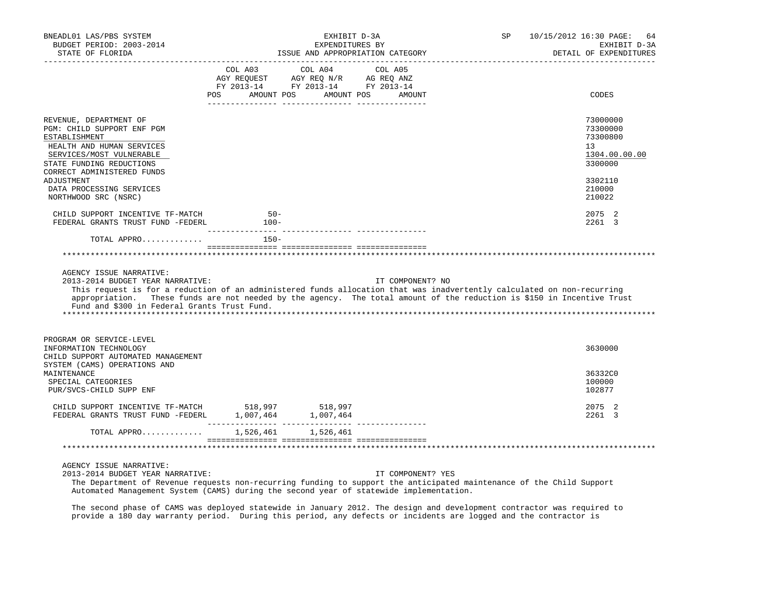| BNEADL01 LAS/PBS SYSTEM<br>BUDGET PERIOD: 2003-2014<br>STATE OF FLORIDA                                                                                                                                                                                                                                                                                         | EXHIBIT D-3A<br>EXPENDITURES BY<br>ISSUE AND APPROPRIATION CATEGORY                                                    |            | SP <sub>3</sub>   | 10/15/2012 16:30 PAGE:<br>64<br>EXHIBIT D-3A<br>DETAIL OF EXPENDITURES |                                                                    |
|-----------------------------------------------------------------------------------------------------------------------------------------------------------------------------------------------------------------------------------------------------------------------------------------------------------------------------------------------------------------|------------------------------------------------------------------------------------------------------------------------|------------|-------------------|------------------------------------------------------------------------|--------------------------------------------------------------------|
|                                                                                                                                                                                                                                                                                                                                                                 | COL A03 COL A04 COL A05<br>AGY REQUEST AGY REQ N/R AG REQ ANZ<br>FY 2013-14 FY 2013-14 FY 2013-14<br>AMOUNT POS<br>POS | AMOUNT POS | AMOUNT            |                                                                        | CODES                                                              |
| REVENUE, DEPARTMENT OF<br>PGM: CHILD SUPPORT ENF PGM<br>ESTABLISHMENT<br>HEALTH AND HUMAN SERVICES<br>SERVICES/MOST VULNERABLE<br>STATE FUNDING REDUCTIONS<br>CORRECT ADMINISTERED FUNDS                                                                                                                                                                        |                                                                                                                        |            |                   |                                                                        | 73000000<br>73300000<br>73300800<br>13<br>1304.00.00.00<br>3300000 |
| ADJUSTMENT<br>DATA PROCESSING SERVICES<br>NORTHWOOD SRC (NSRC)                                                                                                                                                                                                                                                                                                  |                                                                                                                        |            |                   |                                                                        | 3302110<br>210000<br>210022                                        |
| CHILD SUPPORT INCENTIVE TF-MATCH<br>FEDERAL GRANTS TRUST FUND -FEDERL                                                                                                                                                                                                                                                                                           | $50 -$<br>$100-$                                                                                                       |            |                   |                                                                        | 2075 2<br>2261 3                                                   |
| TOTAL APPRO                                                                                                                                                                                                                                                                                                                                                     | $150 -$                                                                                                                |            |                   |                                                                        |                                                                    |
|                                                                                                                                                                                                                                                                                                                                                                 |                                                                                                                        |            |                   |                                                                        |                                                                    |
| AGENCY ISSUE NARRATIVE:<br>2013-2014 BUDGET YEAR NARRATIVE:<br>This request is for a reduction of an administered funds allocation that was inadvertently calculated on non-recurring<br>appropriation. These funds are not needed by the agency. The total amount of the reduction is \$150 in Incentive Trust<br>Fund and \$300 in Federal Grants Trust Fund. |                                                                                                                        |            | IT COMPONENT? NO  |                                                                        |                                                                    |
| PROGRAM OR SERVICE-LEVEL<br>INFORMATION TECHNOLOGY<br>CHILD SUPPORT AUTOMATED MANAGEMENT<br>SYSTEM (CAMS) OPERATIONS AND                                                                                                                                                                                                                                        |                                                                                                                        |            |                   |                                                                        | 3630000                                                            |
| MAINTENANCE<br>SPECIAL CATEGORIES<br>PUR/SVCS-CHILD SUPP ENF                                                                                                                                                                                                                                                                                                    |                                                                                                                        |            |                   |                                                                        | 36332C0<br>100000<br>102877                                        |
| CHILD SUPPORT INCENTIVE TF-MATCH 518,997 518,997<br>FEDERAL GRANTS TRUST FUND -FEDERL 1,007,464 1,007,464                                                                                                                                                                                                                                                       |                                                                                                                        |            |                   |                                                                        | 2075 2<br>2261 3                                                   |
| TOTAL APPRO 1,526,461 1,526,461                                                                                                                                                                                                                                                                                                                                 |                                                                                                                        |            |                   |                                                                        |                                                                    |
|                                                                                                                                                                                                                                                                                                                                                                 |                                                                                                                        |            |                   |                                                                        |                                                                    |
| AGENCY ISSUE NARRATIVE:<br>2013-2014 BUDGET YEAR NARRATIVE:<br>The Department of Revenue requests non-recurring funding to support the anticipated maintenance of the Child Support                                                                                                                                                                             |                                                                                                                        |            | IT COMPONENT? YES |                                                                        |                                                                    |

The second phase of CAMS was deployed statewide in January 2012. The design and development contractor was required to

Automated Management System (CAMS) during the second year of statewide implementation.

provide a 180 day warranty period. During this period, any defects or incidents are logged and the contractor is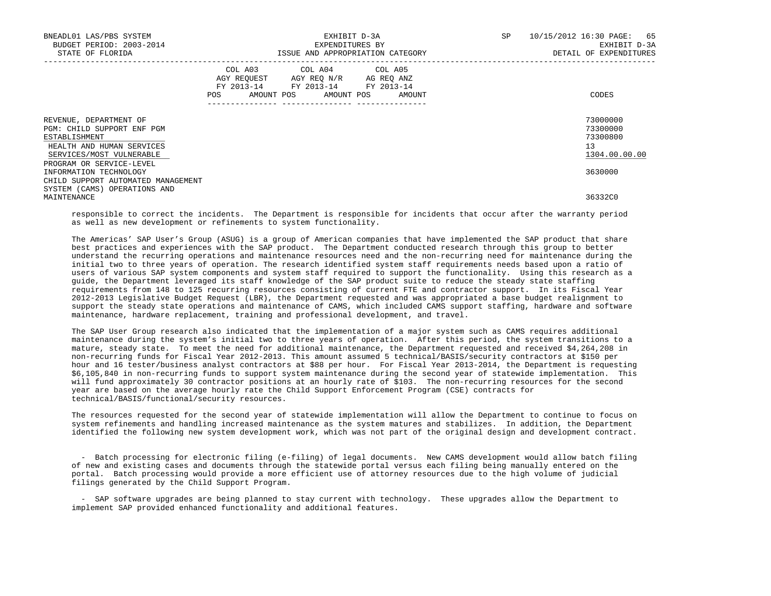| BNEADL01 LAS/PBS SYSTEM<br>BUDGET PERIOD: 2003-2014<br>STATE OF FLORIDA                                                        |         | EXPENDITURES BY                                                                                                            | EXHIBIT D-3A<br>ISSUE AND APPROPRIATION CATEGORY | SP | 65<br>10/15/2012 16:30 PAGE:<br>EXHIBIT D-3A<br>DETAIL OF EXPENDITURES |
|--------------------------------------------------------------------------------------------------------------------------------|---------|----------------------------------------------------------------------------------------------------------------------------|--------------------------------------------------|----|------------------------------------------------------------------------|
|                                                                                                                                | POS FOR | COL A03 COL A04 COL A05<br>AGY REQUEST AGY REQ N/R AG REQ ANZ<br>FY 2013-14 FY 2013-14 FY 2013-14<br>AMOUNT POS AMOUNT POS | AMOUNT                                           |    | CODES                                                                  |
| REVENUE, DEPARTMENT OF<br>PGM: CHILD SUPPORT ENF PGM<br>ESTABLISHMENT<br>HEALTH AND HUMAN SERVICES<br>SERVICES/MOST VULNERABLE |         |                                                                                                                            |                                                  |    | 73000000<br>73300000<br>73300800<br>13<br>1304.00.00.00                |
| PROGRAM OR SERVICE-LEVEL<br>INFORMATION TECHNOLOGY<br>CHILD SUPPORT AUTOMATED MANAGEMENT                                       |         |                                                                                                                            |                                                  |    | 3630000                                                                |
| SYSTEM (CAMS) OPERATIONS AND<br>MAINTENANCE                                                                                    |         |                                                                                                                            |                                                  |    | 36332C0                                                                |

 responsible to correct the incidents. The Department is responsible for incidents that occur after the warranty period as well as new development or refinements to system functionality.

 The Americas' SAP User's Group (ASUG) is a group of American companies that have implemented the SAP product that share best practices and experiences with the SAP product. The Department conducted research through this group to better understand the recurring operations and maintenance resources need and the non-recurring need for maintenance during the initial two to three years of operation. The research identified system staff requirements needs based upon a ratio of users of various SAP system components and system staff required to support the functionality. Using this research as a guide, the Department leveraged its staff knowledge of the SAP product suite to reduce the steady state staffing requirements from 148 to 125 recurring resources consisting of current FTE and contractor support. In its Fiscal Year 2012-2013 Legislative Budget Request (LBR), the Department requested and was appropriated a base budget realignment to support the steady state operations and maintenance of CAMS, which included CAMS support staffing, hardware and software maintenance, hardware replacement, training and professional development, and travel.

 The SAP User Group research also indicated that the implementation of a major system such as CAMS requires additional maintenance during the system's initial two to three years of operation. After this period, the system transitions to a mature, steady state. To meet the need for additional maintenance, the Department requested and received \$4,264,208 in non-recurring funds for Fiscal Year 2012-2013. This amount assumed 5 technical/BASIS/security contractors at \$150 per hour and 16 tester/business analyst contractors at \$88 per hour. For Fiscal Year 2013-2014, the Department is requesting \$6,105,840 in non-recurring funds to support system maintenance during the second year of statewide implementation. This will fund approximately 30 contractor positions at an hourly rate of \$103. The non-recurring resources for the second year are based on the average hourly rate the Child Support Enforcement Program (CSE) contracts for technical/BASIS/functional/security resources.

 The resources requested for the second year of statewide implementation will allow the Department to continue to focus on system refinements and handling increased maintenance as the system matures and stabilizes. In addition, the Department identified the following new system development work, which was not part of the original design and development contract.

 - Batch processing for electronic filing (e-filing) of legal documents. New CAMS development would allow batch filing of new and existing cases and documents through the statewide portal versus each filing being manually entered on the portal. Batch processing would provide a more efficient use of attorney resources due to the high volume of judicial filings generated by the Child Support Program.

 - SAP software upgrades are being planned to stay current with technology. These upgrades allow the Department to implement SAP provided enhanced functionality and additional features.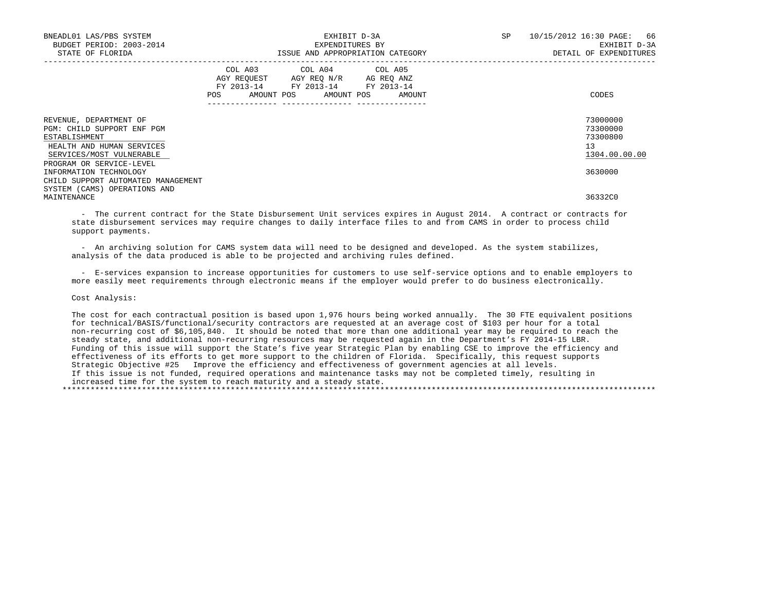| BNEADL01 LAS/PBS SYSTEM<br>BUDGET PERIOD: 2003-2014<br>STATE OF FLORIDA                                                        |     | EXPENDITURES BY                                                                                                            | EXHIBIT D-3A<br>ISSUE AND APPROPRIATION CATEGORY | SP | 10/15/2012 16:30 PAGE: 66<br>EXHIBIT D-3A<br>DETAIL OF EXPENDITURES |
|--------------------------------------------------------------------------------------------------------------------------------|-----|----------------------------------------------------------------------------------------------------------------------------|--------------------------------------------------|----|---------------------------------------------------------------------|
|                                                                                                                                | POS | COL A03 COL A04 COL A05<br>AGY REOUEST AGY REO N/R AG REO ANZ<br>FY 2013-14 FY 2013-14 FY 2013-14<br>AMOUNT POS AMOUNT POS | AMOUNT                                           |    | CODES                                                               |
| REVENUE, DEPARTMENT OF<br>PGM: CHILD SUPPORT ENF PGM<br>ESTABLISHMENT<br>HEALTH AND HUMAN SERVICES<br>SERVICES/MOST VULNERABLE |     |                                                                                                                            |                                                  |    | 73000000<br>73300000<br>73300800<br>13<br>1304.00.00.00             |
| PROGRAM OR SERVICE-LEVEL<br>INFORMATION TECHNOLOGY<br>CHILD SUPPORT AUTOMATED MANAGEMENT<br>SYSTEM (CAMS) OPERATIONS AND       |     |                                                                                                                            |                                                  |    | 3630000                                                             |
| MAINTENANCE                                                                                                                    |     |                                                                                                                            |                                                  |    | 36332C0                                                             |

 - The current contract for the State Disbursement Unit services expires in August 2014. A contract or contracts for state disbursement services may require changes to daily interface files to and from CAMS in order to process child support payments.

 - An archiving solution for CAMS system data will need to be designed and developed. As the system stabilizes, analysis of the data produced is able to be projected and archiving rules defined.

 - E-services expansion to increase opportunities for customers to use self-service options and to enable employers to more easily meet requirements through electronic means if the employer would prefer to do business electronically.

Cost Analysis:

 The cost for each contractual position is based upon 1,976 hours being worked annually. The 30 FTE equivalent positions for technical/BASIS/functional/security contractors are requested at an average cost of \$103 per hour for a total non-recurring cost of \$6,105,840. It should be noted that more than one additional year may be required to reach the steady state, and additional non-recurring resources may be requested again in the Department's FY 2014-15 LBR. Funding of this issue will support the State's five year Strategic Plan by enabling CSE to improve the efficiency and effectiveness of its efforts to get more support to the children of Florida. Specifically, this request supports Strategic Objective #25 Improve the efficiency and effectiveness of government agencies at all levels. If this issue is not funded, required operations and maintenance tasks may not be completed timely, resulting in increased time for the system to reach maturity and a steady state. \*\*\*\*\*\*\*\*\*\*\*\*\*\*\*\*\*\*\*\*\*\*\*\*\*\*\*\*\*\*\*\*\*\*\*\*\*\*\*\*\*\*\*\*\*\*\*\*\*\*\*\*\*\*\*\*\*\*\*\*\*\*\*\*\*\*\*\*\*\*\*\*\*\*\*\*\*\*\*\*\*\*\*\*\*\*\*\*\*\*\*\*\*\*\*\*\*\*\*\*\*\*\*\*\*\*\*\*\*\*\*\*\*\*\*\*\*\*\*\*\*\*\*\*\*\*\*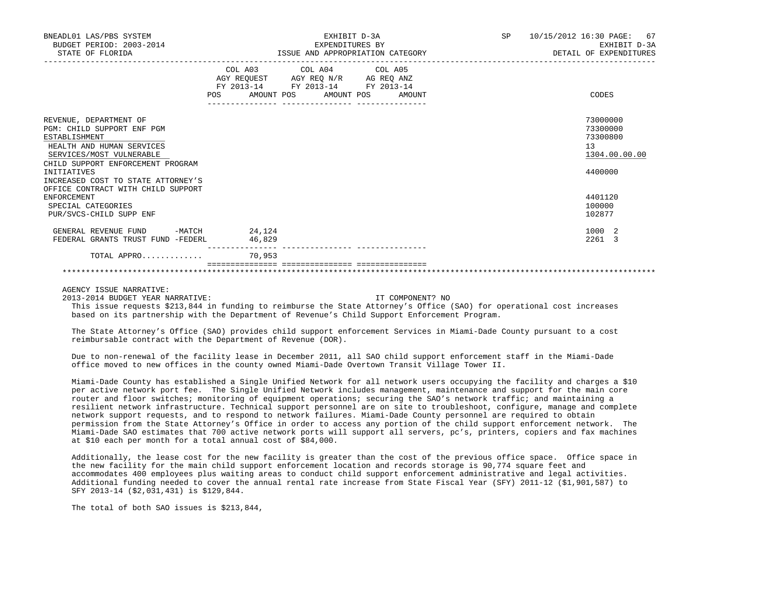| BNEADL01 LAS/PBS SYSTEM<br>BUDGET PERIOD: 2003-2014<br>STATE OF FLORIDA                                                                                                                                                                                                                                                               |                                      | EXHIBIT D-3A<br>EXPENDITURES BY<br>ISSUE AND APPROPRIATION CATEGORY                                                               | SP and the set of the set of the set of the set of the set of the set of the set of the set of the set of the set of the set of the set of the set of the set of the set of the set of the set of the set of the set of the se | 10/15/2012 16:30 PAGE: 67<br>EXHIBIT D-3A<br>DETAIL OF EXPENDITURES                               |
|---------------------------------------------------------------------------------------------------------------------------------------------------------------------------------------------------------------------------------------------------------------------------------------------------------------------------------------|--------------------------------------|-----------------------------------------------------------------------------------------------------------------------------------|--------------------------------------------------------------------------------------------------------------------------------------------------------------------------------------------------------------------------------|---------------------------------------------------------------------------------------------------|
|                                                                                                                                                                                                                                                                                                                                       | <b>POS</b>                           | COL A03 COL A04 COL A05<br>AGY REQUEST AGY REQ N/R AG REQ ANZ<br>FY 2013-14 FY 2013-14 FY 2013-14<br>AMOUNT POS AMOUNT POS AMOUNT |                                                                                                                                                                                                                                | CODES                                                                                             |
| REVENUE, DEPARTMENT OF<br>PGM: CHILD SUPPORT ENF PGM<br>ESTABLISHMENT<br>HEALTH AND HUMAN SERVICES<br>SERVICES/MOST VULNERABLE<br>CHILD SUPPORT ENFORCEMENT PROGRAM<br>INITIATIVES<br>INCREASED COST TO STATE ATTORNEY'S<br>OFFICE CONTRACT WITH CHILD SUPPORT<br><b>ENFORCEMENT</b><br>SPECIAL CATEGORIES<br>PUR/SVCS-CHILD SUPP ENF |                                      |                                                                                                                                   |                                                                                                                                                                                                                                | 73000000<br>73300000<br>73300800<br>13<br>1304.00.00.00<br>4400000<br>4401120<br>100000<br>102877 |
| GENERAL REVENUE FUND<br>FEDERAL GRANTS TRUST FUND -FEDERL<br>TOTAL APPRO                                                                                                                                                                                                                                                              | $-MATCH$ 24, 124<br>46,829<br>70,953 |                                                                                                                                   |                                                                                                                                                                                                                                | 1000 2<br>2261 3                                                                                  |
|                                                                                                                                                                                                                                                                                                                                       |                                      |                                                                                                                                   |                                                                                                                                                                                                                                |                                                                                                   |

\*\*\*\*\*\*\*\*\*\*\*\*\*\*\*\*\*\*\*\*\*\*\*\*\*\*\*\*\*\*\*\*\*\*\*\*\*\*\*\*\*\*\*\*\*\*\*\*\*\*\*\*\*\*\*\*\*\*\*\*\*\*\*\*\*\*\*\*\*\*\*\*\*\*\*\*\*\*\*\*\*\*\*\*\*\*\*\*\*\*\*\*\*\*\*\*\*\*\*\*\*\*\*\*\*\*\*\*\*\*\*\*\*\*\*\*\*\*\*\*\*\*\*\*\*\*\*

AGENCY ISSUE NARRATIVE:

2013-2014 BUDGET YEAR NARRATIVE: IT COMPONENT? NO

 This issue requests \$213,844 in funding to reimburse the State Attorney's Office (SAO) for operational cost increases based on its partnership with the Department of Revenue's Child Support Enforcement Program.

 The State Attorney's Office (SAO) provides child support enforcement Services in Miami-Dade County pursuant to a cost reimbursable contract with the Department of Revenue (DOR).

 Due to non-renewal of the facility lease in December 2011, all SAO child support enforcement staff in the Miami-Dade office moved to new offices in the county owned Miami-Dade Overtown Transit Village Tower II.

 Miami-Dade County has established a Single Unified Network for all network users occupying the facility and charges a \$10 per active network port fee. The Single Unified Network includes management, maintenance and support for the main core router and floor switches; monitoring of equipment operations; securing the SAO's network traffic; and maintaining a resilient network infrastructure. Technical support personnel are on site to troubleshoot, configure, manage and complete network support requests, and to respond to network failures. Miami-Dade County personnel are required to obtain permission from the State Attorney's Office in order to access any portion of the child support enforcement network. The Miami-Dade SAO estimates that 700 active network ports will support all servers, pc's, printers, copiers and fax machines at \$10 each per month for a total annual cost of \$84,000.

 Additionally, the lease cost for the new facility is greater than the cost of the previous office space. Office space in the new facility for the main child support enforcement location and records storage is 90,774 square feet and accommodates 400 employees plus waiting areas to conduct child support enforcement administrative and legal activities. Additional funding needed to cover the annual rental rate increase from State Fiscal Year (SFY) 2011-12 (\$1,901,587) to SFY 2013-14 (\$2,031,431) is \$129,844.

The total of both SAO issues is \$213,844,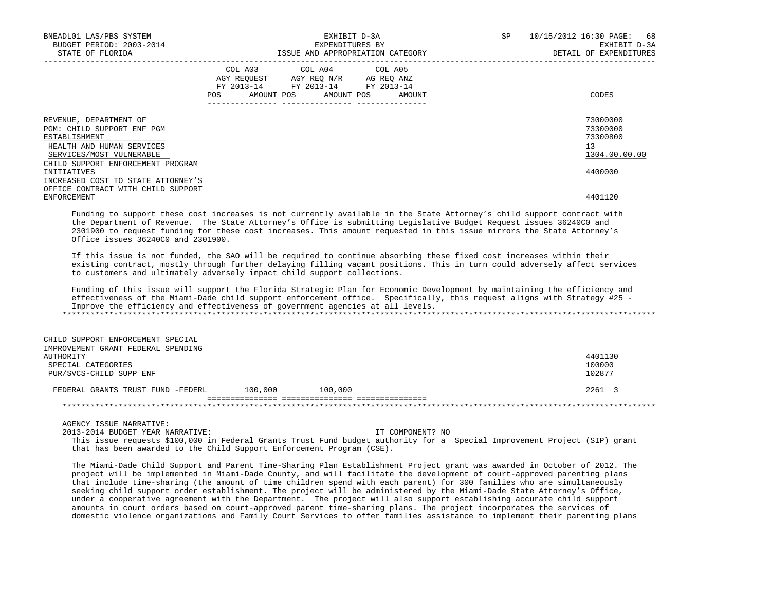| BNEADL01 LAS/PBS SYSTEM<br>BUDGET PERIOD: 2003-2014<br>STATE OF FLORIDA                                                        | EXHIBIT D-3A<br>EXPENDITURES BY<br>ISSUE AND APPROPRIATION CATEGORY                                                                                                                                                                                 | SP<br>10/15/2012 16:30 PAGE: 68<br>EXHIBIT D-3A<br>DETAIL OF EXPENDITURES |
|--------------------------------------------------------------------------------------------------------------------------------|-----------------------------------------------------------------------------------------------------------------------------------------------------------------------------------------------------------------------------------------------------|---------------------------------------------------------------------------|
|                                                                                                                                | COL A03 COL A04 COL A05<br>AGY REQUEST AGY REQ N/R AG REQ ANZ<br>FY 2013-14 FY 2013-14 FY 2013-14<br>POS FOR THE POST OF THE STATE STATE STATE STATE STATE STATE STATE STATE STATE STATE STATE STATE STATE STATE ST<br>AMOUNT POS AMOUNT POS AMOUNT | CODES                                                                     |
| REVENUE, DEPARTMENT OF<br>PGM: CHILD SUPPORT ENF PGM<br>ESTABLISHMENT<br>HEALTH AND HUMAN SERVICES<br>SERVICES/MOST VULNERABLE |                                                                                                                                                                                                                                                     | 73000000<br>73300000<br>73300800<br>13<br>1304.00.00.00                   |
| CHILD SUPPORT ENFORCEMENT PROGRAM<br>INITIATIVES<br>INCREASED COST TO STATE ATTORNEY'S<br>OFFICE CONTRACT WITH CHILD SUPPORT   |                                                                                                                                                                                                                                                     | 4400000                                                                   |
| ENFORCEMENT                                                                                                                    | Funding to support these cost increases is not currently available in the State Attorney's child support contract with                                                                                                                              | 4401120                                                                   |

 Funding to support these cost increases is not currently available in the State Attorney's child support contract with the Department of Revenue. The State Attorney's Office is submitting Legislative Budget Request issues 36240C0 and 2301900 to request funding for these cost increases. This amount requested in this issue mirrors the State Attorney's Office issues 36240C0 and 2301900.

 If this issue is not funded, the SAO will be required to continue absorbing these fixed cost increases within their existing contract, mostly through further delaying filling vacant positions. This in turn could adversely affect services to customers and ultimately adversely impact child support collections.

 Funding of this issue will support the Florida Strategic Plan for Economic Development by maintaining the efficiency and effectiveness of the Miami-Dade child support enforcement office. Specifically, this request aligns with Strategy #25 - Improve the efficiency and effectiveness of government agencies at all levels. \*\*\*\*\*\*\*\*\*\*\*\*\*\*\*\*\*\*\*\*\*\*\*\*\*\*\*\*\*\*\*\*\*\*\*\*\*\*\*\*\*\*\*\*\*\*\*\*\*\*\*\*\*\*\*\*\*\*\*\*\*\*\*\*\*\*\*\*\*\*\*\*\*\*\*\*\*\*\*\*\*\*\*\*\*\*\*\*\*\*\*\*\*\*\*\*\*\*\*\*\*\*\*\*\*\*\*\*\*\*\*\*\*\*\*\*\*\*\*\*\*\*\*\*\*\*\*

| CHILD SUPPORT ENFORCEMENT SPECIAL  |         |         |         |
|------------------------------------|---------|---------|---------|
| IMPROVEMENT GRANT FEDERAL SPENDING |         |         |         |
| AUTHORITY                          |         |         | 4401130 |
| SPECIAL CATEGORIES                 |         |         | 100000  |
| PUR/SVCS-CHILD SUPP ENF            |         |         | 102877  |
|                                    |         |         |         |
| FEDERAL GRANTS TRUST FUND -FEDERL  | 100.000 | 100,000 | 2261 3  |
|                                    |         |         |         |
|                                    |         |         |         |

AGENCY ISSUE NARRATIVE:

2013-2014 BUDGET YEAR NARRATIVE: IT COMPONENT? NO

 This issue requests \$100,000 in Federal Grants Trust Fund budget authority for a Special Improvement Project (SIP) grant that has been awarded to the Child Support Enforcement Program (CSE).

 The Miami-Dade Child Support and Parent Time-Sharing Plan Establishment Project grant was awarded in October of 2012. The project will be implemented in Miami-Dade County, and will facilitate the development of court-approved parenting plans that include time-sharing (the amount of time children spend with each parent) for 300 families who are simultaneously seeking child support order establishment. The project will be administered by the Miami-Dade State Attorney's Office, under a cooperative agreement with the Department. The project will also support establishing accurate child support amounts in court orders based on court-approved parent time-sharing plans. The project incorporates the services of domestic violence organizations and Family Court Services to offer families assistance to implement their parenting plans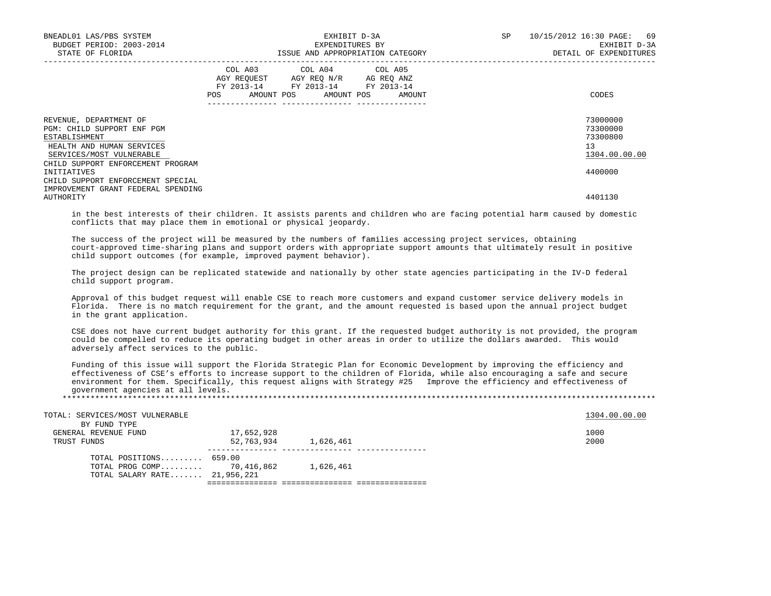| BNEADL01 LAS/PBS SYSTEM<br>BUDGET PERIOD: 2003-2014<br>STATE OF FLORIDA                                                        | EXPENDITURES BY                                                                                   | EXHIBIT D-3A<br>ISSUE AND APPROPRIATION CATEGORY | SP <sub>2</sub> | 10/15/2012 16:30 PAGE: 69<br>EXHIBIT D-3A<br>DETAIL OF EXPENDITURES |
|--------------------------------------------------------------------------------------------------------------------------------|---------------------------------------------------------------------------------------------------|--------------------------------------------------|-----------------|---------------------------------------------------------------------|
|                                                                                                                                | COL A03 COL A04 COL A05<br>AGY REQUEST AGY REQ N/R AG REQ ANZ<br>FY 2013-14 FY 2013-14 FY 2013-14 | POS AMOUNT POS AMOUNT POS AMOUNT                 |                 | CODES                                                               |
| REVENUE, DEPARTMENT OF<br>PGM: CHILD SUPPORT ENF PGM<br>ESTABLISHMENT<br>HEALTH AND HUMAN SERVICES<br>SERVICES/MOST VULNERABLE |                                                                                                   |                                                  |                 | 73000000<br>73300000<br>73300800<br>13<br>1304.00.00.00             |
| CHILD SUPPORT ENFORCEMENT PROGRAM<br>INITIATIVES<br>CHILD SUPPORT ENFORCEMENT SPECIAL<br>IMPROVEMENT GRANT FEDERAL SPENDING    |                                                                                                   |                                                  |                 | 4400000<br>4401130                                                  |
| AUTHORITY                                                                                                                      |                                                                                                   |                                                  |                 |                                                                     |

 in the best interests of their children. It assists parents and children who are facing potential harm caused by domestic conflicts that may place them in emotional or physical jeopardy.

 The success of the project will be measured by the numbers of families accessing project services, obtaining court-approved time-sharing plans and support orders with appropriate support amounts that ultimately result in positive child support outcomes (for example, improved payment behavior).

 The project design can be replicated statewide and nationally by other state agencies participating in the IV-D federal child support program.

 Approval of this budget request will enable CSE to reach more customers and expand customer service delivery models in Florida. There is no match requirement for the grant, and the amount requested is based upon the annual project budget in the grant application.

 CSE does not have current budget authority for this grant. If the requested budget authority is not provided, the program could be compelled to reduce its operating budget in other areas in order to utilize the dollars awarded. This would adversely affect services to the public.

 Funding of this issue will support the Florida Strategic Plan for Economic Development by improving the efficiency and effectiveness of CSE's efforts to increase support to the children of Florida, while also encouraging a safe and secure environment for them. Specifically, this request aligns with Strategy #25 Improve the efficiency and effectiveness of government agencies at all levels.

\*\*\*\*\*\*\*\*\*\*\*\*\*\*\*\*\*\*\*\*\*\*\*\*\*\*\*\*\*\*\*\*\*\*\*\*\*\*\*\*\*\*\*\*\*\*\*\*\*\*\*\*\*\*\*\*\*\*\*\*\*\*\*\*\*\*\*\*\*\*\*\*\*\*\*\*\*\*\*\*\*\*\*\*\*\*\*\*\*\*\*\*\*\*\*\*\*\*\*\*\*\*\*\*\*\*\*\*\*\*\*\*\*\*\*\*\*\*\*\*\*\*\*\*\*\*\*

| TOTAL: SERVICES/MOST VULNERABLE |            |           | 1304.00.00.00 |
|---------------------------------|------------|-----------|---------------|
| BY FUND TYPE                    |            |           |               |
| GENERAL REVENUE FUND            | 17,652,928 |           | 1000          |
| TRUST FUNDS                     | 52,763,934 | 1,626,461 | 2000          |
| TOTAL POSITIONS $659.00$        |            |           |               |
| TOTAL PROG COMP 70,416,862      |            | 1,626,461 |               |
| TOTAL SALARY RATE 21,956,221    |            |           |               |
|                                 |            |           |               |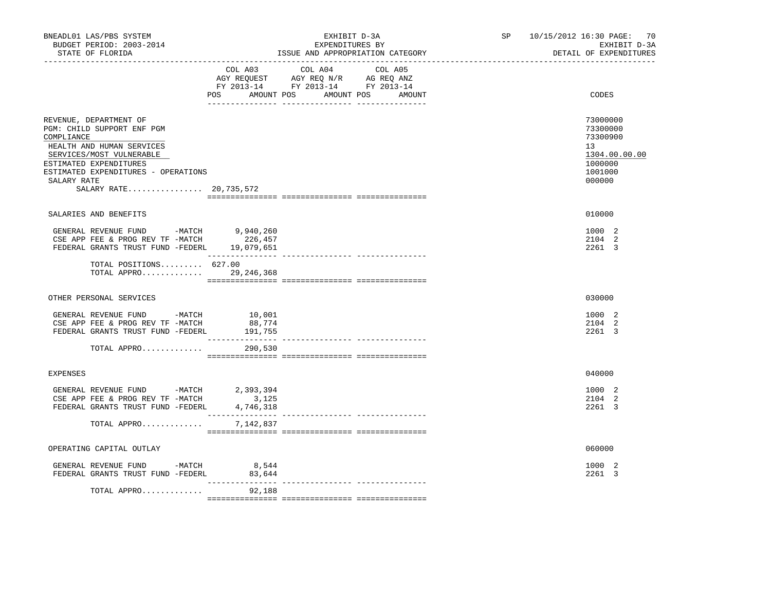| BNEADL01 LAS/PBS SYSTEM<br>BUDGET PERIOD: 2003-2014<br>STATE OF FLORIDA<br>-----------------                                                                                                                                          |                            | EXHIBIT D-3A<br>EXPENDITURES BY<br>ISSUE AND APPROPRIATION CATEGORY                                                                   | SP 10/15/2012 16:30 PAGE: 70<br>EXHIBIT D-3A<br>DETAIL OF EXPENDITURES                  |
|---------------------------------------------------------------------------------------------------------------------------------------------------------------------------------------------------------------------------------------|----------------------------|---------------------------------------------------------------------------------------------------------------------------------------|-----------------------------------------------------------------------------------------|
|                                                                                                                                                                                                                                       |                            | COL A03 COL A04 COL A05<br>AGY REQUEST AGY REQ N/R AG REQ ANZ<br>FY 2013-14 FY 2013-14 FY 2013-14<br>POS AMOUNT POS AMOUNT POS AMOUNT | CODES                                                                                   |
| REVENUE, DEPARTMENT OF<br>PGM: CHILD SUPPORT ENF PGM<br>COMPLIANCE<br>HEALTH AND HUMAN SERVICES<br>SERVICES/MOST VULNERABLE<br>ESTIMATED EXPENDITURES<br>ESTIMATED EXPENDITURES - OPERATIONS<br>SALARY RATE<br>SALARY RATE 20,735,572 |                            |                                                                                                                                       | 73000000<br>73300000<br>73300900<br>13<br>1304.00.00.00<br>1000000<br>1001000<br>000000 |
| SALARIES AND BENEFITS                                                                                                                                                                                                                 |                            |                                                                                                                                       | 010000                                                                                  |
| GENERAL REVENUE FUND -MATCH 9,940,260<br>CSE APP FEE & PROG REV TF -MATCH<br>FEDERAL GRANTS TRUST FUND -FEDERL 19,079,651                                                                                                             | 226,457                    |                                                                                                                                       | 1000 2<br>2104 2<br>2261 3                                                              |
| TOTAL POSITIONS 627.00<br>TOTAL APPRO 29, 246, 368                                                                                                                                                                                    |                            |                                                                                                                                       |                                                                                         |
| OTHER PERSONAL SERVICES                                                                                                                                                                                                               |                            |                                                                                                                                       | 030000                                                                                  |
| GENERAL REVENUE FUND -MATCH 10,001<br>CSE APP FEE & PROG REV TF -MATCH<br>FEDERAL GRANTS TRUST FUND -FEDERL                                                                                                                           | 88,774<br>191,755          |                                                                                                                                       | 1000 2<br>2104 2<br>2261 3                                                              |
| TOTAL APPRO                                                                                                                                                                                                                           | 290,530                    |                                                                                                                                       |                                                                                         |
| EXPENSES                                                                                                                                                                                                                              |                            |                                                                                                                                       | 040000                                                                                  |
| GENERAL REVENUE FUND -MATCH 2,393,394<br>CSE APP FEE & PROG REV TF -MATCH<br>FEDERAL GRANTS TRUST FUND -FEDERL                                                                                                                        | 3,125<br>4,746,318         |                                                                                                                                       | 1000 2<br>2104 2<br>2261 3                                                              |
| TOTAL APPRO                                                                                                                                                                                                                           | 7,142,837                  |                                                                                                                                       |                                                                                         |
| OPERATING CAPITAL OUTLAY                                                                                                                                                                                                              |                            |                                                                                                                                       | 060000                                                                                  |
| GENERAL REVENUE FUND -MATCH $8,544$<br>FEDERAL GRANTS TRUST FUND -FEDERL                                                                                                                                                              | 83,644                     |                                                                                                                                       | 1000 2<br>2261 3                                                                        |
| TOTAL APPRO                                                                                                                                                                                                                           | ________________<br>92,188 |                                                                                                                                       |                                                                                         |
|                                                                                                                                                                                                                                       |                            |                                                                                                                                       |                                                                                         |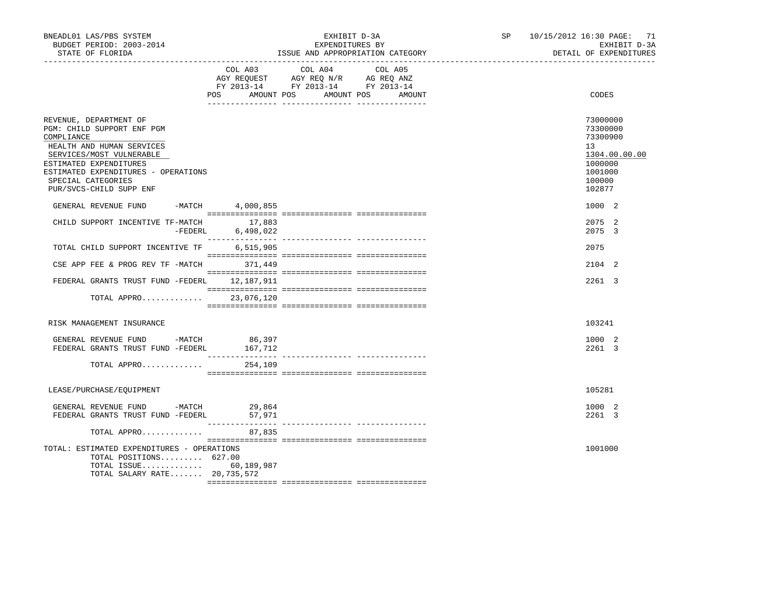| BNEADL01 LAS/PBS SYSTEM<br>BUDGET PERIOD: 2003-2014<br>STATE OF FLORIDA                                                                                                                                                                       |                  | EXHIBIT D-3A<br>EXPENDITURES BY<br>ISSUE AND APPROPRIATION CATEGORY                                                                                                                                                                                                                | SP <sub>2</sub> | 10/15/2012 16:30 PAGE: 71<br>EXHIBIT D-3A<br>DETAIL OF EXPENDITURES                               |
|-----------------------------------------------------------------------------------------------------------------------------------------------------------------------------------------------------------------------------------------------|------------------|------------------------------------------------------------------------------------------------------------------------------------------------------------------------------------------------------------------------------------------------------------------------------------|-----------------|---------------------------------------------------------------------------------------------------|
|                                                                                                                                                                                                                                               | POS              | COL A03 COL A04 COL A05<br>$\begin{tabular}{lllllllllll} \bf{AGY} & \bf{REQUEST} & \bf{AGY} & \bf{REQ} & \bf{N/R} & \bf{AG} & \bf{REQ} & \bf{ANZ} \\ \bf{FY} & \bf{2013-14} & \bf{FY} & \bf{2013-14} & \bf{FY} & \bf{2013-14} \\ \end{tabular}$<br>AMOUNT POS AMOUNT POS<br>AMOUNT |                 | CODES                                                                                             |
| REVENUE, DEPARTMENT OF<br>PGM: CHILD SUPPORT ENF PGM<br>COMPLIANCE<br>HEALTH AND HUMAN SERVICES<br>SERVICES/MOST VULNERABLE<br>ESTIMATED EXPENDITURES<br>ESTIMATED EXPENDITURES - OPERATIONS<br>SPECIAL CATEGORIES<br>PUR/SVCS-CHILD SUPP ENF |                  |                                                                                                                                                                                                                                                                                    |                 | 73000000<br>73300000<br>73300900<br>13<br>1304.00.00.00<br>1000000<br>1001000<br>100000<br>102877 |
| GENERAL REVENUE FUND -MATCH 4,000,855                                                                                                                                                                                                         |                  |                                                                                                                                                                                                                                                                                    |                 | 1000 2                                                                                            |
| CHILD SUPPORT INCENTIVE TF-MATCH $17,883$<br>-FEDERL $6,498,022$                                                                                                                                                                              |                  |                                                                                                                                                                                                                                                                                    |                 | 2075 2<br>2075 3                                                                                  |
| TOTAL CHILD SUPPORT INCENTIVE TF                                                                                                                                                                                                              | 6,515,905        |                                                                                                                                                                                                                                                                                    |                 | 2075                                                                                              |
| CSE APP FEE & PROG REV TF $-MATCH$ 371,449                                                                                                                                                                                                    |                  |                                                                                                                                                                                                                                                                                    |                 | 2104 2                                                                                            |
| FEDERAL GRANTS TRUST FUND -FEDERL 12,187,911                                                                                                                                                                                                  |                  |                                                                                                                                                                                                                                                                                    |                 | 2261 3                                                                                            |
| TOTAL APPRO 23,076,120                                                                                                                                                                                                                        |                  |                                                                                                                                                                                                                                                                                    |                 |                                                                                                   |
| RISK MANAGEMENT INSURANCE                                                                                                                                                                                                                     |                  |                                                                                                                                                                                                                                                                                    |                 | 103241                                                                                            |
| GENERAL REVENUE FUND -MATCH $86,397$<br>FEDERAL GRANTS TRUST FUND -FEDERL                                                                                                                                                                     | 167,712          |                                                                                                                                                                                                                                                                                    |                 | 1000 2<br>2261 3                                                                                  |
| TOTAL APPRO                                                                                                                                                                                                                                   | 254,109          |                                                                                                                                                                                                                                                                                    |                 |                                                                                                   |
| LEASE/PURCHASE/EQUIPMENT                                                                                                                                                                                                                      |                  |                                                                                                                                                                                                                                                                                    |                 | 105281                                                                                            |
| GENERAL REVENUE FUND -MATCH<br>FEDERAL GRANTS TRUST FUND -FEDERL                                                                                                                                                                              | 29,864<br>57,971 |                                                                                                                                                                                                                                                                                    |                 | 1000 2<br>2261 3                                                                                  |
| TOTAL APPRO                                                                                                                                                                                                                                   | 87,835           |                                                                                                                                                                                                                                                                                    |                 |                                                                                                   |
| TOTAL: ESTIMATED EXPENDITURES - OPERATIONS<br>TOTAL POSITIONS 627.00<br>TOTAL ISSUE 60,189,987<br>TOTAL SALARY RATE 20,735,572                                                                                                                |                  |                                                                                                                                                                                                                                                                                    |                 | 1001000                                                                                           |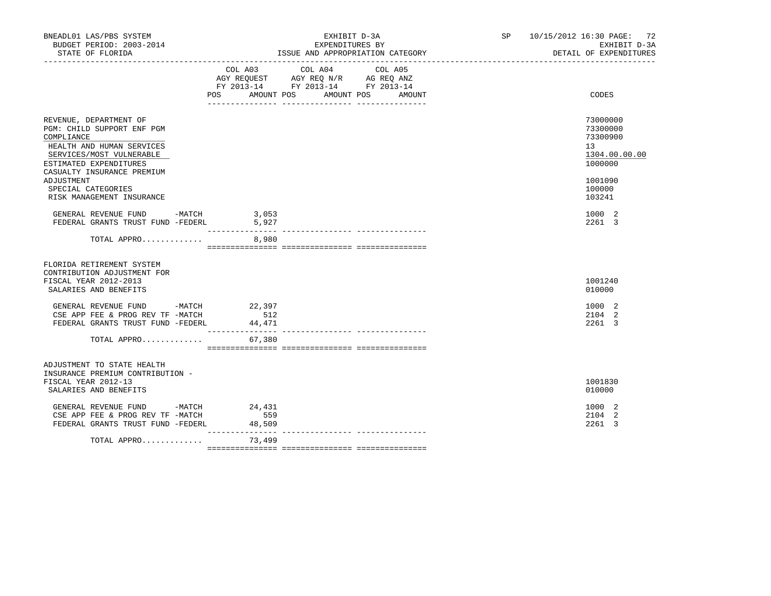| BNEADL01 LAS/PBS SYSTEM<br>BUDGET PERIOD: 2003-2014<br>STATE OF FLORIDA                                                                                                                                                                              |         | EXHIBIT D-3A<br>EXPENDITURES BY<br>ISSUE AND APPROPRIATION CATEGORY                                                                                                                                           |  |       | SP 10/15/2012 16:30 PAGE: 72<br>EXHIBIT D-3A<br>DETAIL OF EXPENDITURES                            |
|------------------------------------------------------------------------------------------------------------------------------------------------------------------------------------------------------------------------------------------------------|---------|---------------------------------------------------------------------------------------------------------------------------------------------------------------------------------------------------------------|--|-------|---------------------------------------------------------------------------------------------------|
|                                                                                                                                                                                                                                                      | COL A03 | COL A04<br>COL A05<br>$\begin{tabular}{lllllll} AGY & \texttt{REQUEST} & \texttt{AGY REQ N/R} & \texttt{AG REQ ANZ} \end{tabular}$<br>FY 2013-14 FY 2013-14 FY 2013-14<br>POS AMOUNT POS AMOUNT POS<br>AMOUNT |  | CODES |                                                                                                   |
| REVENUE, DEPARTMENT OF<br>PGM: CHILD SUPPORT ENF PGM<br>COMPLIANCE<br>HEALTH AND HUMAN SERVICES<br>SERVICES/MOST VULNERABLE<br>ESTIMATED EXPENDITURES<br>CASUALTY INSURANCE PREMIUM<br>ADJUSTMENT<br>SPECIAL CATEGORIES<br>RISK MANAGEMENT INSURANCE |         |                                                                                                                                                                                                               |  |       | 73000000<br>73300000<br>73300900<br>13<br>1304.00.00.00<br>1000000<br>1001090<br>100000<br>103241 |
| GENERAL REVENUE FUND -MATCH 3,053<br>FEDERAL GRANTS TRUST FUND -FEDERL                                                                                                                                                                               |         | 5,927                                                                                                                                                                                                         |  |       | 1000 2<br>2261 3                                                                                  |
| TOTAL APPRO                                                                                                                                                                                                                                          |         | 8,980                                                                                                                                                                                                         |  |       |                                                                                                   |
| FLORIDA RETIREMENT SYSTEM<br>CONTRIBUTION ADJUSTMENT FOR<br>FISCAL YEAR 2012-2013<br>SALARIES AND BENEFITS                                                                                                                                           |         |                                                                                                                                                                                                               |  |       | 1001240<br>010000                                                                                 |
| GENERAL REVENUE FUND -MATCH 22,397<br>CSE APP FEE & PROG REV TF -MATCH<br>FEDERAL GRANTS TRUST FUND -FEDERL                                                                                                                                          |         | 512<br>44,471<br>________________                                                                                                                                                                             |  |       | 1000 2<br>2104 2<br>2261 3                                                                        |
| TOTAL APPRO                                                                                                                                                                                                                                          |         | 67,380                                                                                                                                                                                                        |  |       |                                                                                                   |
| ADJUSTMENT TO STATE HEALTH<br>INSURANCE PREMIUM CONTRIBUTION -<br>FISCAL YEAR 2012-13<br>SALARIES AND BENEFITS                                                                                                                                       |         |                                                                                                                                                                                                               |  |       | 1001830<br>010000                                                                                 |
| GENERAL REVENUE FUND -MATCH 24,431<br>CSE APP FEE & PROG REV TF -MATCH<br>FEDERAL GRANTS TRUST FUND -FEDERL                                                                                                                                          |         | 559<br>48,509                                                                                                                                                                                                 |  |       | 1000 2<br>2104 2<br>2261 3                                                                        |
| TOTAL APPRO                                                                                                                                                                                                                                          |         | 73,499                                                                                                                                                                                                        |  |       |                                                                                                   |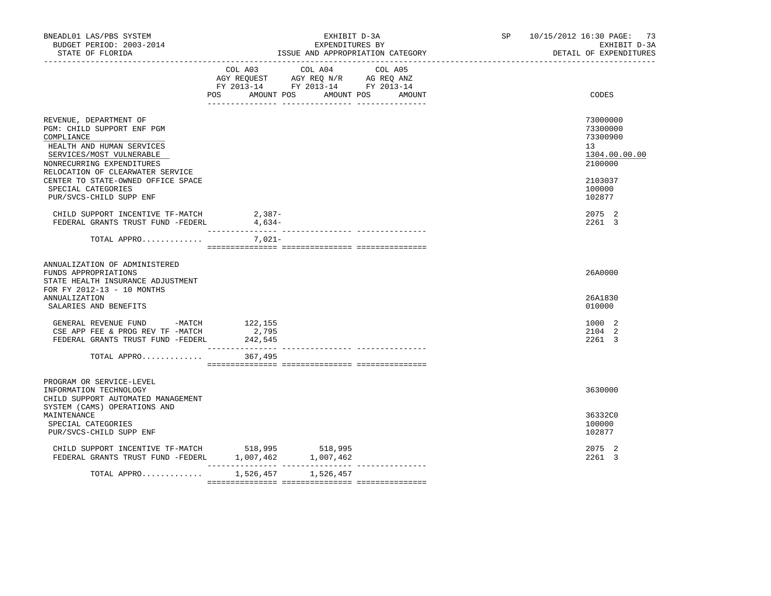| BNEADL01 LAS/PBS SYSTEM<br>BUDGET PERIOD: 2003-2014<br>STATE OF FLORIDA                                                                                                                                                                                  |                                                                                                                                                                                                                           | EXHIBIT D-3A<br>EXPENDITURES BY       | ISSUE AND APPROPRIATION CATEGORY | SP 10/15/2012 16:30 PAGE: 73<br>EXHIBIT D-3A<br>DETAIL OF EXPENDITURES                  |
|----------------------------------------------------------------------------------------------------------------------------------------------------------------------------------------------------------------------------------------------------------|---------------------------------------------------------------------------------------------------------------------------------------------------------------------------------------------------------------------------|---------------------------------------|----------------------------------|-----------------------------------------------------------------------------------------|
|                                                                                                                                                                                                                                                          | $\begin{tabular}{lllllll} \bf AGY \;\; RegUEST & \tt AGY \;\; REG \;\; N/R & \tt AG \;\; REG \;\; ANZ \\ \hline \tt FY \;\; 2013-14 & \tt FY \;\; 2013-14 & \tt FY \;\; 2013-14 \\ \end{tabular}$<br>POS DO<br>AMOUNT POS | COL A03 COL A04 COL A05<br>AMOUNT POS | AMOUNT                           | CODES                                                                                   |
| REVENUE, DEPARTMENT OF<br>PGM: CHILD SUPPORT ENF PGM<br>COMPLIANCE<br>HEALTH AND HUMAN SERVICES<br>SERVICES/MOST VULNERABLE<br>NONRECURRING EXPENDITURES<br>RELOCATION OF CLEARWATER SERVICE<br>CENTER TO STATE-OWNED OFFICE SPACE<br>SPECIAL CATEGORIES |                                                                                                                                                                                                                           |                                       |                                  | 73000000<br>73300000<br>73300900<br>13<br>1304.00.00.00<br>2100000<br>2103037<br>100000 |
| PUR/SVCS-CHILD SUPP ENF<br>CHILD SUPPORT INCENTIVE TF-MATCH<br>FEDERAL GRANTS TRUST FUND -FEDERL 4,634-<br>TOTAL APPRO                                                                                                                                   | 2,387-<br>7,021-                                                                                                                                                                                                          |                                       |                                  | 102877<br>2075 2<br>2261 3                                                              |
| ANNUALIZATION OF ADMINISTERED<br>FUNDS APPROPRIATIONS<br>STATE HEALTH INSURANCE ADJUSTMENT<br>FOR FY 2012-13 - 10 MONTHS<br>ANNUALIZATION<br>SALARIES AND BENEFITS                                                                                       |                                                                                                                                                                                                                           |                                       |                                  | 26A0000<br>26A1830<br>010000                                                            |
| GENERAL REVENUE FUND -MATCH<br>CSE APP FEE & PROG REV TF -MATCH<br>FEDERAL GRANTS TRUST FUND -FEDERL                                                                                                                                                     | 122,155<br>2,795<br>242,545                                                                                                                                                                                               |                                       |                                  | 1000 2<br>2104 2<br>2261 3                                                              |
| TOTAL APPRO 367,495                                                                                                                                                                                                                                      |                                                                                                                                                                                                                           |                                       |                                  |                                                                                         |
| PROGRAM OR SERVICE-LEVEL<br>INFORMATION TECHNOLOGY<br>CHILD SUPPORT AUTOMATED MANAGEMENT<br>SYSTEM (CAMS) OPERATIONS AND<br>MAINTENANCE<br>SPECIAL CATEGORIES<br>PUR/SVCS-CHILD SUPP ENF                                                                 |                                                                                                                                                                                                                           |                                       |                                  | 3630000<br>36332C0<br>100000<br>102877                                                  |
| CHILD SUPPORT INCENTIVE TF-MATCH 518,995<br>FEDERAL GRANTS TRUST FUND -FEDERL                                                                                                                                                                            | $1,007,462$ $1,007,462$                                                                                                                                                                                                   | 518,995                               |                                  | 2075 2<br>2261 3                                                                        |
| TOTAL APPRO                                                                                                                                                                                                                                              | ---------------- ----------------                                                                                                                                                                                         | 1,526,457 1,526,457                   |                                  |                                                                                         |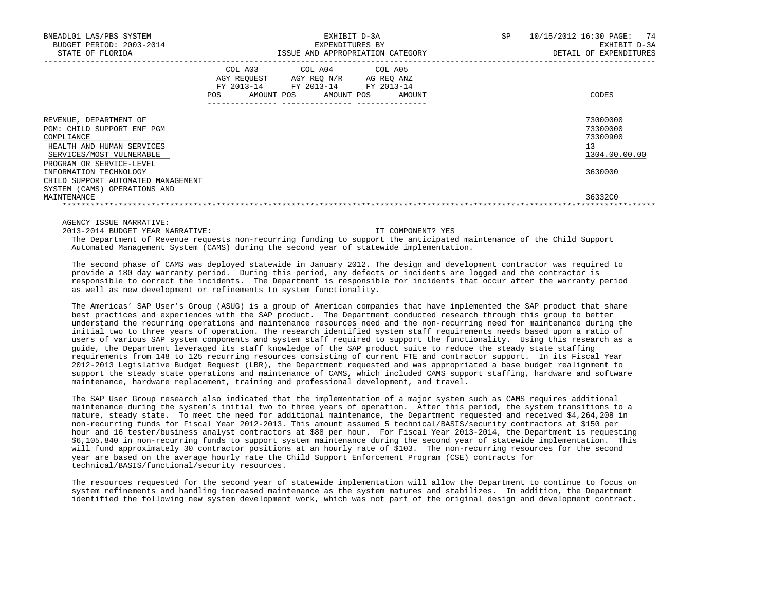| BNEADL01 LAS/PBS SYSTEM<br>BUDGET PERIOD: 2003-2014<br>STATE OF FLORIDA                                                                                 | EXHIBIT D-3A<br>EXPENDITURES BY<br>ISSUE AND APPROPRIATION CATEGORY                                                                                   |        |  | 10/15/2012 16:30 PAGE: 74<br>EXHIBIT D-3A<br>DETAIL OF EXPENDITURES |
|---------------------------------------------------------------------------------------------------------------------------------------------------------|-------------------------------------------------------------------------------------------------------------------------------------------------------|--------|--|---------------------------------------------------------------------|
|                                                                                                                                                         | COL A03 COL A04 COL A05<br>AGY REQUEST AGY REQ N/R AG REQ ANZ<br>FY 2013-14 FY 2013-14 FY 2013-14<br>AMOUNT POS AMOUNT POS<br>POS<br>---------------- | AMOUNT |  | CODES                                                               |
| REVENUE, DEPARTMENT OF<br>PGM: CHILD SUPPORT ENF PGM<br>COMPLIANCE<br>HEALTH AND HUMAN SERVICES<br>SERVICES/MOST VULNERABLE<br>PROGRAM OR SERVICE-LEVEL |                                                                                                                                                       |        |  | 73000000<br>73300000<br>73300900<br>13<br>1304.00.00.00             |
| INFORMATION TECHNOLOGY<br>CHILD SUPPORT AUTOMATED MANAGEMENT<br>SYSTEM (CAMS) OPERATIONS AND                                                            |                                                                                                                                                       |        |  | 3630000                                                             |
| MAINTENANCE                                                                                                                                             |                                                                                                                                                       |        |  | 36332C0                                                             |

AGENCY ISSUE NARRATIVE:

2013-2014 BUDGET YEAR NARRATIVE: IT COMPONENT? YES

 The Department of Revenue requests non-recurring funding to support the anticipated maintenance of the Child Support Automated Management System (CAMS) during the second year of statewide implementation.

 The second phase of CAMS was deployed statewide in January 2012. The design and development contractor was required to provide a 180 day warranty period. During this period, any defects or incidents are logged and the contractor is responsible to correct the incidents. The Department is responsible for incidents that occur after the warranty period as well as new development or refinements to system functionality.

 The Americas' SAP User's Group (ASUG) is a group of American companies that have implemented the SAP product that share best practices and experiences with the SAP product. The Department conducted research through this group to better understand the recurring operations and maintenance resources need and the non-recurring need for maintenance during the initial two to three years of operation. The research identified system staff requirements needs based upon a ratio of users of various SAP system components and system staff required to support the functionality. Using this research as a guide, the Department leveraged its staff knowledge of the SAP product suite to reduce the steady state staffing requirements from 148 to 125 recurring resources consisting of current FTE and contractor support. In its Fiscal Year 2012-2013 Legislative Budget Request (LBR), the Department requested and was appropriated a base budget realignment to support the steady state operations and maintenance of CAMS, which included CAMS support staffing, hardware and software maintenance, hardware replacement, training and professional development, and travel.

 The SAP User Group research also indicated that the implementation of a major system such as CAMS requires additional maintenance during the system's initial two to three years of operation. After this period, the system transitions to a mature, steady state. To meet the need for additional maintenance, the Department requested and received \$4,264,208 in non-recurring funds for Fiscal Year 2012-2013. This amount assumed 5 technical/BASIS/security contractors at \$150 per hour and 16 tester/business analyst contractors at \$88 per hour. For Fiscal Year 2013-2014, the Department is requesting \$6,105,840 in non-recurring funds to support system maintenance during the second year of statewide implementation. This will fund approximately 30 contractor positions at an hourly rate of \$103. The non-recurring resources for the second year are based on the average hourly rate the Child Support Enforcement Program (CSE) contracts for technical/BASIS/functional/security resources.

 The resources requested for the second year of statewide implementation will allow the Department to continue to focus on system refinements and handling increased maintenance as the system matures and stabilizes. In addition, the Department identified the following new system development work, which was not part of the original design and development contract.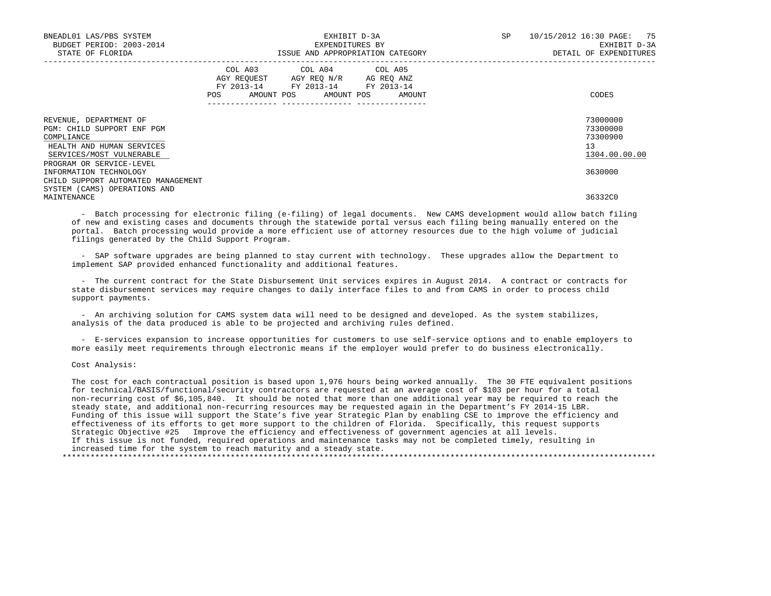| BNEADL01 LAS/PBS SYSTEM<br>BUDGET PERIOD: 2003-2014<br>STATE OF FLORIDA                                                                 | EXHIBIT D-3A<br>EXPENDITURES BY<br>ISSUE AND APPROPRIATION CATEGORY                                            |                                                                                                   |                              | SP<br>10/15/2012 16:30 PAGE: 75 | EXHIBIT D-3A<br>DETAIL OF EXPENDITURES            |
|-----------------------------------------------------------------------------------------------------------------------------------------|----------------------------------------------------------------------------------------------------------------|---------------------------------------------------------------------------------------------------|------------------------------|---------------------------------|---------------------------------------------------|
|                                                                                                                                         | POS FOR THE POST OF THE POST OF THE POST OF THE POST OF THE POST OF THE POST OF THE POST OF THE POST OF THE PO | COL A03 COL A04 COL A05<br>AGY REQUEST AGY REQ N/R AG REQ ANZ<br>FY 2013-14 FY 2013-14 FY 2013-14 | AMOUNT POS AMOUNT POS AMOUNT |                                 | CODES                                             |
| REVENUE, DEPARTMENT OF<br>PGM: CHILD SUPPORT ENF PGM<br>COMPLIANCE<br>HEALTH AND HUMAN SERVICES<br>SERVICES/MOST VULNERABLE             |                                                                                                                |                                                                                                   |                              | 13                              | 73000000<br>73300000<br>73300900<br>1304.00.00.00 |
| PROGRAM OR SERVICE-LEVEL<br>INFORMATION TECHNOLOGY<br>CHILD SUPPORT AUTOMATED MANAGEMENT<br>SYSTEM (CAMS) OPERATIONS AND<br>MAINTENANCE |                                                                                                                |                                                                                                   |                              |                                 | 3630000<br>36332C0                                |

 - Batch processing for electronic filing (e-filing) of legal documents. New CAMS development would allow batch filing of new and existing cases and documents through the statewide portal versus each filing being manually entered on the portal. Batch processing would provide a more efficient use of attorney resources due to the high volume of judicial filings generated by the Child Support Program.

 - SAP software upgrades are being planned to stay current with technology. These upgrades allow the Department to implement SAP provided enhanced functionality and additional features.

 - The current contract for the State Disbursement Unit services expires in August 2014. A contract or contracts for state disbursement services may require changes to daily interface files to and from CAMS in order to process child support payments.

 - An archiving solution for CAMS system data will need to be designed and developed. As the system stabilizes, analysis of the data produced is able to be projected and archiving rules defined.

 - E-services expansion to increase opportunities for customers to use self-service options and to enable employers to more easily meet requirements through electronic means if the employer would prefer to do business electronically.

Cost Analysis:

 The cost for each contractual position is based upon 1,976 hours being worked annually. The 30 FTE equivalent positions for technical/BASIS/functional/security contractors are requested at an average cost of \$103 per hour for a total non-recurring cost of \$6,105,840. It should be noted that more than one additional year may be required to reach the steady state, and additional non-recurring resources may be requested again in the Department's FY 2014-15 LBR. Funding of this issue will support the State's five year Strategic Plan by enabling CSE to improve the efficiency and effectiveness of its efforts to get more support to the children of Florida. Specifically, this request supports Strategic Objective #25 Improve the efficiency and effectiveness of government agencies at all levels. If this issue is not funded, required operations and maintenance tasks may not be completed timely, resulting in increased time for the system to reach maturity and a steady state. \*\*\*\*\*\*\*\*\*\*\*\*\*\*\*\*\*\*\*\*\*\*\*\*\*\*\*\*\*\*\*\*\*\*\*\*\*\*\*\*\*\*\*\*\*\*\*\*\*\*\*\*\*\*\*\*\*\*\*\*\*\*\*\*\*\*\*\*\*\*\*\*\*\*\*\*\*\*\*\*\*\*\*\*\*\*\*\*\*\*\*\*\*\*\*\*\*\*\*\*\*\*\*\*\*\*\*\*\*\*\*\*\*\*\*\*\*\*\*\*\*\*\*\*\*\*\*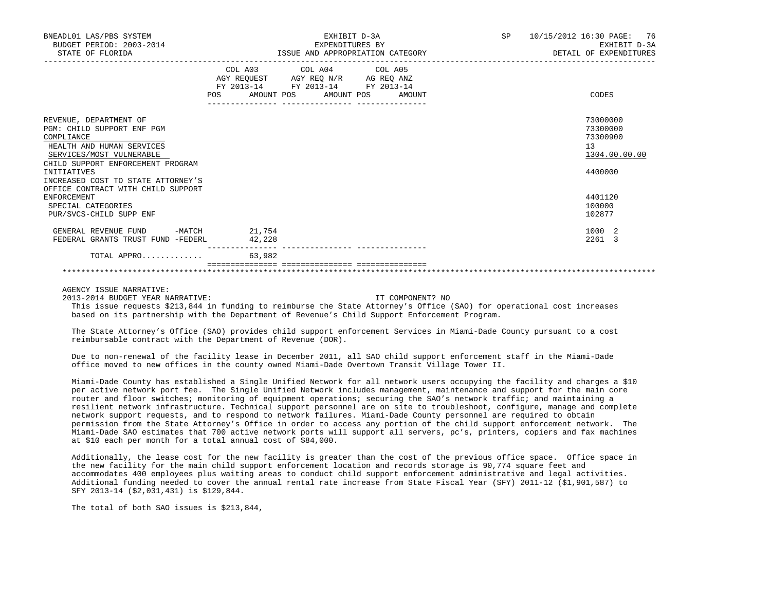| BNEADL01 LAS/PBS SYSTEM<br>BUDGET PERIOD: 2003-2014<br>STATE OF FLORIDA                                                                                                                                                                                                           | EXHIBIT D-3A<br>EXPENDITURES BY<br>ISSUE AND APPROPRIATION CATEGORY                                                                             | SP and the set of the set of the set of the set of the set of the set of the set of the set of the set of the set of the set of the set of the set of the set of the set of the set of the set of the set of the set of the se | 10/15/2012 16:30 PAGE: 76<br>EXHIBIT D-3A<br>DETAIL OF EXPENDITURES           |
|-----------------------------------------------------------------------------------------------------------------------------------------------------------------------------------------------------------------------------------------------------------------------------------|-------------------------------------------------------------------------------------------------------------------------------------------------|--------------------------------------------------------------------------------------------------------------------------------------------------------------------------------------------------------------------------------|-------------------------------------------------------------------------------|
|                                                                                                                                                                                                                                                                                   | COL A03 COL A04 COL A05<br>AGY REQUEST AGY REQ N/R AG REQ ANZ<br>FY 2013-14 FY 2013-14 FY 2013-14<br><b>POS</b><br>AMOUNT POS AMOUNT POS AMOUNT |                                                                                                                                                                                                                                | CODES                                                                         |
| REVENUE, DEPARTMENT OF<br>PGM: CHILD SUPPORT ENF PGM<br>COMPLIANCE<br>HEALTH AND HUMAN SERVICES<br>SERVICES/MOST VULNERABLE<br>CHILD SUPPORT ENFORCEMENT PROGRAM<br>INITIATIVES<br>INCREASED COST TO STATE ATTORNEY'S<br>OFFICE CONTRACT WITH CHILD SUPPORT<br><b>ENFORCEMENT</b> |                                                                                                                                                 |                                                                                                                                                                                                                                | 73000000<br>73300000<br>73300900<br>13<br>1304.00.00.00<br>4400000<br>4401120 |
| SPECIAL CATEGORIES<br>PUR/SVCS-CHILD SUPP ENF                                                                                                                                                                                                                                     |                                                                                                                                                 |                                                                                                                                                                                                                                | 100000<br>102877                                                              |
| GENERAL REVENUE FUND<br>FEDERAL GRANTS TRUST FUND -FEDERL                                                                                                                                                                                                                         | $-MATCH$ 21,754<br>42,228                                                                                                                       |                                                                                                                                                                                                                                | 1000 2<br>2261 3                                                              |
| TOTAL APPRO                                                                                                                                                                                                                                                                       | 63,982                                                                                                                                          |                                                                                                                                                                                                                                |                                                                               |

\*\*\*\*\*\*\*\*\*\*\*\*\*\*\*\*\*\*\*\*\*\*\*\*\*\*\*\*\*\*\*\*\*\*\*\*\*\*\*\*\*\*\*\*\*\*\*\*\*\*\*\*\*\*\*\*\*\*\*\*\*\*\*\*\*\*\*\*\*\*\*\*\*\*\*\*\*\*\*\*\*\*\*\*\*\*\*\*\*\*\*\*\*\*\*\*\*\*\*\*\*\*\*\*\*\*\*\*\*\*\*\*\*\*\*\*\*\*\*\*\*\*\*\*\*\*\*

AGENCY ISSUE NARRATIVE:

2013-2014 BUDGET YEAR NARRATIVE: IT COMPONENT? NO

 This issue requests \$213,844 in funding to reimburse the State Attorney's Office (SAO) for operational cost increases based on its partnership with the Department of Revenue's Child Support Enforcement Program.

 The State Attorney's Office (SAO) provides child support enforcement Services in Miami-Dade County pursuant to a cost reimbursable contract with the Department of Revenue (DOR).

 Due to non-renewal of the facility lease in December 2011, all SAO child support enforcement staff in the Miami-Dade office moved to new offices in the county owned Miami-Dade Overtown Transit Village Tower II.

 Miami-Dade County has established a Single Unified Network for all network users occupying the facility and charges a \$10 per active network port fee. The Single Unified Network includes management, maintenance and support for the main core router and floor switches; monitoring of equipment operations; securing the SAO's network traffic; and maintaining a resilient network infrastructure. Technical support personnel are on site to troubleshoot, configure, manage and complete network support requests, and to respond to network failures. Miami-Dade County personnel are required to obtain permission from the State Attorney's Office in order to access any portion of the child support enforcement network. The Miami-Dade SAO estimates that 700 active network ports will support all servers, pc's, printers, copiers and fax machines at \$10 each per month for a total annual cost of \$84,000.

 Additionally, the lease cost for the new facility is greater than the cost of the previous office space. Office space in the new facility for the main child support enforcement location and records storage is 90,774 square feet and accommodates 400 employees plus waiting areas to conduct child support enforcement administrative and legal activities. Additional funding needed to cover the annual rental rate increase from State Fiscal Year (SFY) 2011-12 (\$1,901,587) to SFY 2013-14 (\$2,031,431) is \$129,844.

The total of both SAO issues is \$213,844,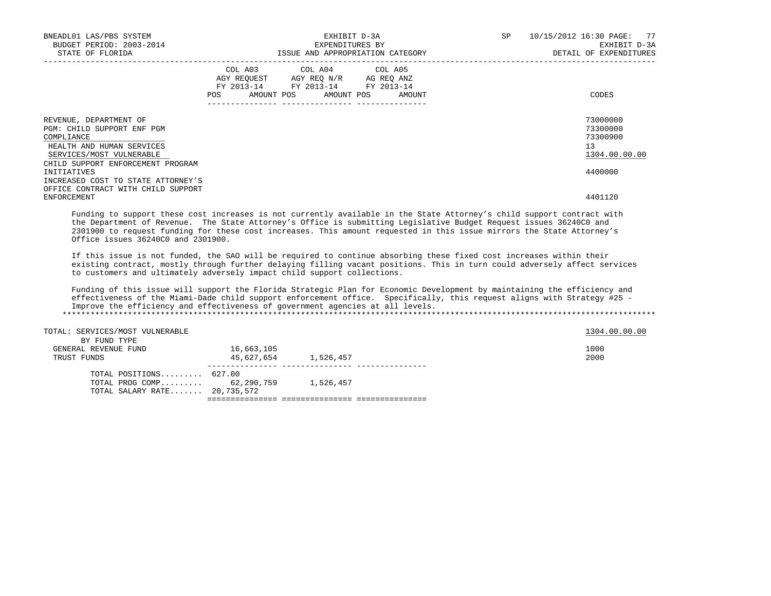| BNEADL01 LAS/PBS SYSTEM<br>BUDGET PERIOD: 2003-2014<br>STATE OF FLORIDA                                                                                          | EXHIBIT D-3A<br>EXPENDITURES BY<br>ISSUE AND APPROPRIATION CATEGORY |                                                                                                   |                              | SP | 10/15/2012 16:30 PAGE: 77<br>EXHIBIT D-3A<br>DETAIL OF EXPENDITURES |
|------------------------------------------------------------------------------------------------------------------------------------------------------------------|---------------------------------------------------------------------|---------------------------------------------------------------------------------------------------|------------------------------|----|---------------------------------------------------------------------|
|                                                                                                                                                                  | POS FOR                                                             | COL A03 COL A04 COL A05<br>AGY REQUEST AGY REO N/R AG REO ANZ<br>FY 2013-14 FY 2013-14 FY 2013-14 | AMOUNT POS AMOUNT POS AMOUNT |    | CODES                                                               |
| REVENUE, DEPARTMENT OF<br>PGM: CHILD SUPPORT ENF PGM<br>COMPLIANCE<br>HEALTH AND HUMAN SERVICES<br>SERVICES/MOST VULNERABLE<br>CHILD SUPPORT ENFORCEMENT PROGRAM |                                                                     |                                                                                                   |                              |    | 73000000<br>73300000<br>73300900<br>13<br>1304.00.00.00             |
| INITIATIVES<br>INCREASED COST TO STATE ATTORNEY'S                                                                                                                |                                                                     |                                                                                                   |                              |    | 4400000                                                             |
| OFFICE CONTRACT WITH CHILD SUPPORT<br>ENFORCEMENT                                                                                                                |                                                                     |                                                                                                   |                              |    | 4401120                                                             |

 Funding to support these cost increases is not currently available in the State Attorney's child support contract with the Department of Revenue. The State Attorney's Office is submitting Legislative Budget Request issues 36240C0 and 2301900 to request funding for these cost increases. This amount requested in this issue mirrors the State Attorney's Office issues 36240C0 and 2301900.

 If this issue is not funded, the SAO will be required to continue absorbing these fixed cost increases within their existing contract, mostly through further delaying filling vacant positions. This in turn could adversely affect services to customers and ultimately adversely impact child support collections.

 Funding of this issue will support the Florida Strategic Plan for Economic Development by maintaining the efficiency and effectiveness of the Miami-Dade child support enforcement office. Specifically, this request aligns with Strategy #25 - Improve the efficiency and effectiveness of government agencies at all levels. \*\*\*\*\*\*\*\*\*\*\*\*\*\*\*\*\*\*\*\*\*\*\*\*\*\*\*\*\*\*\*\*\*\*\*\*\*\*\*\*\*\*\*\*\*\*\*\*\*\*\*\*\*\*\*\*\*\*\*\*\*\*\*\*\*\*\*\*\*\*\*\*\*\*\*\*\*\*\*\*\*\*\*\*\*\*\*\*\*\*\*\*\*\*\*\*\*\*\*\*\*\*\*\*\*\*\*\*\*\*\*\*\*\*\*\*\*\*\*\*\*\*\*\*\*\*\*

| TOTAL: SERVICES/MOST VULNERABLE<br>BY FUND TYPE                                      |                          |           | 1304.00.00.00 |
|--------------------------------------------------------------------------------------|--------------------------|-----------|---------------|
| GENERAL REVENUE FUND<br>TRUST FUNDS                                                  | 16,663,105<br>45,627,654 | 1,526,457 | 1000<br>2000  |
| TOTAL POSITIONS 627.00<br>TOTAL PROG COMP 62,290,759<br>TOTAL SALARY RATE 20,735,572 |                          | 1,526,457 |               |

=============== =============== ===============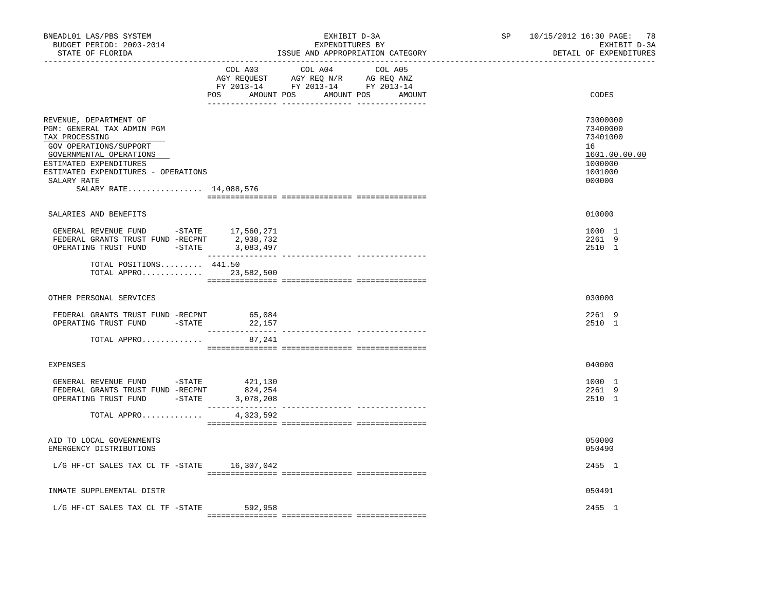| BNEADL01 LAS/PBS SYSTEM<br>BUDGET PERIOD: 2003-2014<br>STATE OF FLORIDA                                                                                                                                                               |                                 | EXHIBIT D-3A<br>EXPENDITURES BY<br>ISSUE AND APPROPRIATION CATEGORY                                                              | SP<br>______________________________ | 10/15/2012 16:30 PAGE: 78<br>EXHIBIT D-3A<br>DETAIL OF EXPENDITURES                     |
|---------------------------------------------------------------------------------------------------------------------------------------------------------------------------------------------------------------------------------------|---------------------------------|----------------------------------------------------------------------------------------------------------------------------------|--------------------------------------|-----------------------------------------------------------------------------------------|
|                                                                                                                                                                                                                                       | COL A03                         | COL A04<br>COL A05<br>AGY REQUEST AGY REQ N/R AG REQ ANZ<br>FY 2013-14 FY 2013-14 FY 2013-14<br>POS AMOUNT POS AMOUNT POS AMOUNT |                                      | CODES                                                                                   |
| REVENUE, DEPARTMENT OF<br>PGM: GENERAL TAX ADMIN PGM<br>TAX PROCESSING<br>GOV OPERATIONS/SUPPORT<br>GOVERNMENTAL OPERATIONS<br>ESTIMATED EXPENDITURES<br>ESTIMATED EXPENDITURES - OPERATIONS<br>SALARY RATE<br>SALARY RATE 14,088,576 |                                 |                                                                                                                                  |                                      | 73000000<br>73400000<br>73401000<br>16<br>1601.00.00.00<br>1000000<br>1001000<br>000000 |
| SALARIES AND BENEFITS                                                                                                                                                                                                                 |                                 |                                                                                                                                  |                                      | 010000                                                                                  |
| ${\small \tt GENERAL \;\; REVENUE \;\; FUND \;\; \;\; -STATE \;\; \;\; \;\; 17,560,271} \\ {\small \tt FEDERAL \;\; GRANTS \;\; FUND \;\; -RECPNT \;\; \;\; \;\; 2,938,732}$<br>OPERATING TRUST FUND -STATE 3,083,497                 |                                 |                                                                                                                                  |                                      | 1000 1<br>2261 9<br>2510 1                                                              |
| TOTAL POSITIONS 441.50<br>TOTAL APPRO 23,582,500                                                                                                                                                                                      |                                 |                                                                                                                                  |                                      |                                                                                         |
| OTHER PERSONAL SERVICES                                                                                                                                                                                                               |                                 |                                                                                                                                  |                                      | 030000                                                                                  |
| FEDERAL GRANTS TRUST FUND -RECPNT<br>OPERATING TRUST FUND -STATE                                                                                                                                                                      | 65,084<br>22,157                |                                                                                                                                  |                                      | 2261 9<br>2510 1                                                                        |
| TOTAL APPRO                                                                                                                                                                                                                           | 87,241                          |                                                                                                                                  |                                      |                                                                                         |
| <b>EXPENSES</b>                                                                                                                                                                                                                       |                                 |                                                                                                                                  |                                      | 040000                                                                                  |
| GENERAL REVENUE FUND -STATE<br>FEDERAL GRANTS TRUST FUND -RECPNT<br>OPERATING TRUST FUND -STATE                                                                                                                                       | 421,130<br>824,254<br>3,078,208 |                                                                                                                                  |                                      | 1000 1<br>2261 9<br>2510 1                                                              |
| TOTAL APPRO                                                                                                                                                                                                                           | 4,323,592                       |                                                                                                                                  |                                      |                                                                                         |
| AID TO LOCAL GOVERNMENTS<br>EMERGENCY DISTRIBUTIONS                                                                                                                                                                                   |                                 |                                                                                                                                  |                                      | 050000<br>050490                                                                        |
| $L/G$ HF-CT SALES TAX CL TF -STATE 16,307,042                                                                                                                                                                                         |                                 |                                                                                                                                  |                                      | 2455 1                                                                                  |
| INMATE SUPPLEMENTAL DISTR                                                                                                                                                                                                             |                                 |                                                                                                                                  |                                      | 050491                                                                                  |
| L/G HF-CT SALES TAX CL TF -STATE                                                                                                                                                                                                      | 592,958                         |                                                                                                                                  |                                      | 2455 1                                                                                  |
|                                                                                                                                                                                                                                       |                                 |                                                                                                                                  |                                      |                                                                                         |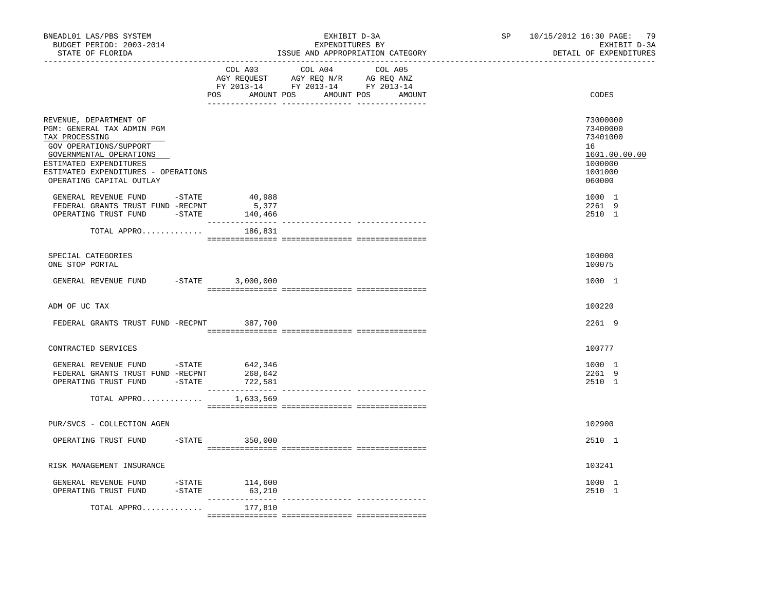| BNEADL01 LAS/PBS SYSTEM<br>BUDGET PERIOD: 2003-2014<br>STATE OF FLORIDA                                                                                                                                                  |                  |                                               | EXHIBIT D-3A<br>EXPENDITURES BY<br>ISSUE AND APPROPRIATION CATEGORY                                            |         |        | SP | 79<br>10/15/2012 16:30 PAGE:<br>EXHIBIT D-3A<br>DETAIL OF EXPENDITURES                  |
|--------------------------------------------------------------------------------------------------------------------------------------------------------------------------------------------------------------------------|------------------|-----------------------------------------------|----------------------------------------------------------------------------------------------------------------|---------|--------|----|-----------------------------------------------------------------------------------------|
|                                                                                                                                                                                                                          |                  | COL A03                                       | COL A04<br>AGY REQUEST AGY REQ N/R AG REQ ANZ<br>FY 2013-14 FY 2013-14 FY 2013-14<br>POS AMOUNT POS AMOUNT POS | COL A05 | AMOUNT |    | CODES                                                                                   |
| REVENUE, DEPARTMENT OF<br>PGM: GENERAL TAX ADMIN PGM<br>TAX PROCESSING<br>GOV OPERATIONS/SUPPORT<br>GOVERNMENTAL OPERATIONS<br>ESTIMATED EXPENDITURES<br>ESTIMATED EXPENDITURES - OPERATIONS<br>OPERATING CAPITAL OUTLAY |                  |                                               |                                                                                                                |         |        |    | 73000000<br>73400000<br>73401000<br>16<br>1601.00.00.00<br>1000000<br>1001000<br>060000 |
| GENERAL REVENUE FUND -STATE<br>FEDERAL GRANTS TRUST FUND -RECPNT<br>OPERATING TRUST FUND -STATE                                                                                                                          |                  | 40,988<br>5,377<br>140,466<br>_______________ |                                                                                                                |         |        |    | 1000 1<br>2261 9<br>2510 1                                                              |
| TOTAL APPRO                                                                                                                                                                                                              |                  | 186,831                                       |                                                                                                                |         |        |    |                                                                                         |
| SPECIAL CATEGORIES<br>ONE STOP PORTAL                                                                                                                                                                                    |                  |                                               |                                                                                                                |         |        |    | 100000<br>100075                                                                        |
| GENERAL REVENUE FUND                                                                                                                                                                                                     |                  | $-STATE$ 3,000,000                            |                                                                                                                |         |        |    | 1000 1                                                                                  |
| ADM OF UC TAX                                                                                                                                                                                                            |                  |                                               |                                                                                                                |         |        |    | 100220                                                                                  |
| FEDERAL GRANTS TRUST FUND -RECPNT 387,700                                                                                                                                                                                |                  |                                               |                                                                                                                |         |        |    | 2261 9                                                                                  |
| CONTRACTED SERVICES                                                                                                                                                                                                      |                  |                                               |                                                                                                                |         |        |    | 100777                                                                                  |
| GENERAL REVENUE FUND - STATE<br>FEDERAL GRANTS TRUST FUND -RECPNT<br>OPERATING TRUST FUND -STATE                                                                                                                         |                  | 642,346<br>268,642<br>722,581                 |                                                                                                                |         |        |    | 1000 1<br>2261 9<br>2510 1                                                              |
| TOTAL APPRO                                                                                                                                                                                                              |                  | 1,633,569                                     |                                                                                                                |         |        |    |                                                                                         |
| PUR/SVCS - COLLECTION AGEN                                                                                                                                                                                               |                  |                                               |                                                                                                                |         |        |    | 102900                                                                                  |
| OPERATING TRUST FUND                                                                                                                                                                                                     | $-$ STATE        | 350,000                                       |                                                                                                                |         |        |    | 2510 1                                                                                  |
| RISK MANAGEMENT INSURANCE                                                                                                                                                                                                |                  |                                               |                                                                                                                |         |        |    | 103241                                                                                  |
| GENERAL REVENUE FUND<br>OPERATING TRUST FUND                                                                                                                                                                             | -STATE<br>-STATE | 114,600<br>63,210                             |                                                                                                                |         |        |    | 1000 1<br>2510 1                                                                        |
| TOTAL APPRO                                                                                                                                                                                                              |                  | 177,810                                       |                                                                                                                |         |        |    |                                                                                         |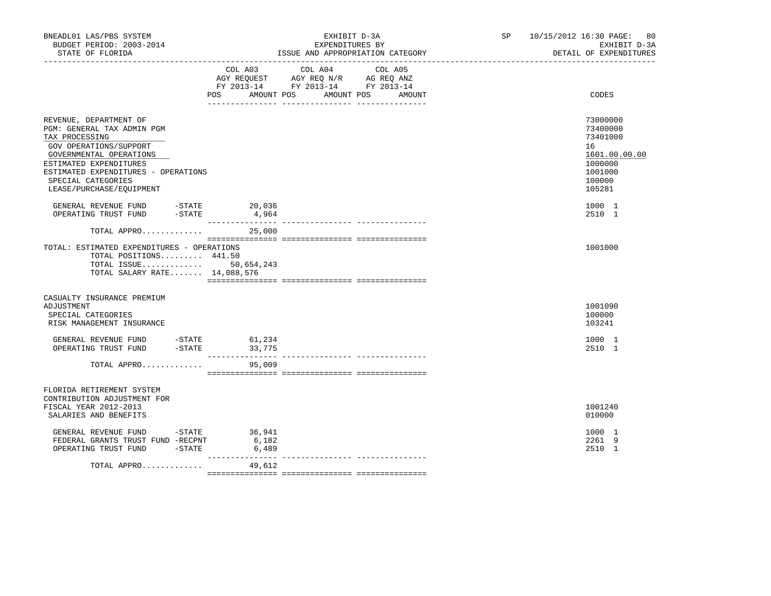| BNEADL01 LAS/PBS SYSTEM<br>BUDGET PERIOD: 2003-2014<br>STATE OF FLORIDA                                                                                                                                                                        | EXHIBIT D-3A<br>EXPENDITURES BY<br>ISSUE AND APPROPRIATION CATEGORY |                                                                                                         |                   | SP and the set of the set of the set of the set of the set of the set of the set of the set of the set of the set of the set of the set of the set of the set of the set of the set of the set of the set of the set of the se | 10/15/2012 16:30 PAGE:<br>80<br>EXHIBIT D-3A<br>DETAIL OF EXPENDITURES                            |
|------------------------------------------------------------------------------------------------------------------------------------------------------------------------------------------------------------------------------------------------|---------------------------------------------------------------------|---------------------------------------------------------------------------------------------------------|-------------------|--------------------------------------------------------------------------------------------------------------------------------------------------------------------------------------------------------------------------------|---------------------------------------------------------------------------------------------------|
|                                                                                                                                                                                                                                                | POS AMOUNT POS                                                      | COL A03 COL A04<br>AGY REQUEST AGY REQ N/R AG REQ ANZ<br>FY 2013-14 FY 2013-14 FY 2013-14<br>AMOUNT POS | COL A05<br>AMOUNT |                                                                                                                                                                                                                                | CODES                                                                                             |
| REVENUE, DEPARTMENT OF<br>PGM: GENERAL TAX ADMIN PGM<br>TAX PROCESSING<br>GOV OPERATIONS/SUPPORT<br>GOVERNMENTAL OPERATIONS<br>ESTIMATED EXPENDITURES<br>ESTIMATED EXPENDITURES - OPERATIONS<br>SPECIAL CATEGORIES<br>LEASE/PURCHASE/EQUIPMENT |                                                                     |                                                                                                         |                   |                                                                                                                                                                                                                                | 73000000<br>73400000<br>73401000<br>16<br>1601.00.00.00<br>1000000<br>1001000<br>100000<br>105281 |
| $-STATE$<br>GENERAL REVENUE FUND<br>$-STATE$<br>OPERATING TRUST FUND                                                                                                                                                                           | 20,036<br>4,964                                                     |                                                                                                         |                   |                                                                                                                                                                                                                                | 1000 1<br>2510 1                                                                                  |
| TOTAL APPRO                                                                                                                                                                                                                                    | 25,000                                                              |                                                                                                         |                   |                                                                                                                                                                                                                                |                                                                                                   |
| TOTAL: ESTIMATED EXPENDITURES - OPERATIONS<br>TOTAL POSITIONS 441.50<br>TOTAL ISSUE 50,654,243<br>TOTAL SALARY RATE 14,088,576                                                                                                                 |                                                                     |                                                                                                         |                   |                                                                                                                                                                                                                                | 1001000                                                                                           |
| CASUALTY INSURANCE PREMIUM<br>ADJUSTMENT<br>SPECIAL CATEGORIES<br>RISK MANAGEMENT INSURANCE                                                                                                                                                    |                                                                     |                                                                                                         |                   |                                                                                                                                                                                                                                | 1001090<br>100000<br>103241                                                                       |
| GENERAL REVENUE FUND -STATE $61,234$<br>OPERATING TRUST FUND -STATE 33,775                                                                                                                                                                     |                                                                     |                                                                                                         |                   |                                                                                                                                                                                                                                | 1000 1<br>2510 1                                                                                  |
| TOTAL APPRO                                                                                                                                                                                                                                    | 95,009                                                              |                                                                                                         |                   |                                                                                                                                                                                                                                |                                                                                                   |
| FLORIDA RETIREMENT SYSTEM<br>CONTRIBUTION ADJUSTMENT FOR<br>FISCAL YEAR 2012-2013<br>SALARIES AND BENEFITS                                                                                                                                     |                                                                     |                                                                                                         |                   |                                                                                                                                                                                                                                | 1001240<br>010000                                                                                 |
| GENERAL REVENUE FUND - STATE<br>FEDERAL GRANTS TRUST FUND -RECPNT<br>$-STATE$<br>OPERATING TRUST FUND                                                                                                                                          | 36,941<br>6,182<br>6,489                                            |                                                                                                         |                   |                                                                                                                                                                                                                                | 1000 1<br>2261 9<br>2510 1                                                                        |
| TOTAL APPRO                                                                                                                                                                                                                                    | 49,612                                                              |                                                                                                         |                   |                                                                                                                                                                                                                                |                                                                                                   |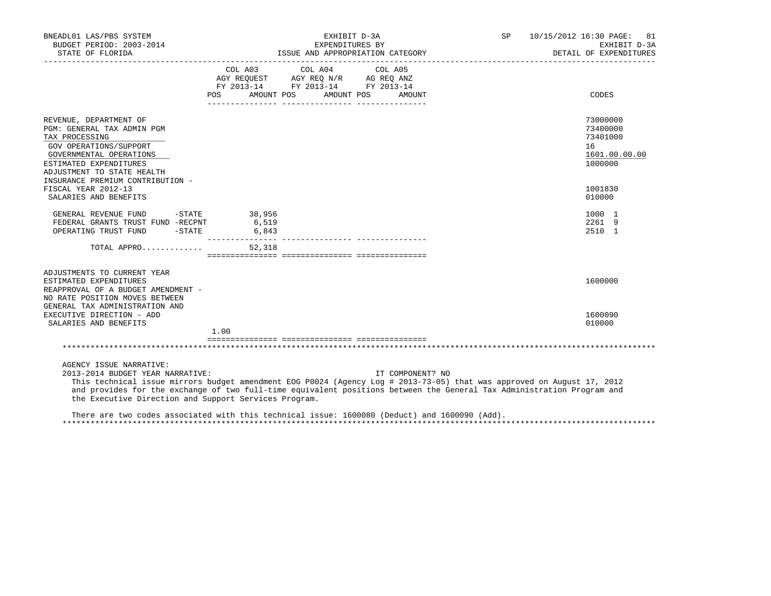|                          |                                                                                                                                                           |                                                                                                  | SP <sub>2</sub>                                                                                                                                                                                             | 10/15/2012 16:30 PAGE: 81<br>EXHIBIT D-3A<br>DETAIL OF EXPENDITURES                                                                                                                                                                                                                                      |
|--------------------------|-----------------------------------------------------------------------------------------------------------------------------------------------------------|--------------------------------------------------------------------------------------------------|-------------------------------------------------------------------------------------------------------------------------------------------------------------------------------------------------------------|----------------------------------------------------------------------------------------------------------------------------------------------------------------------------------------------------------------------------------------------------------------------------------------------------------|
|                          |                                                                                                                                                           | COL A05                                                                                          |                                                                                                                                                                                                             | CODES                                                                                                                                                                                                                                                                                                    |
|                          |                                                                                                                                                           |                                                                                                  |                                                                                                                                                                                                             |                                                                                                                                                                                                                                                                                                          |
|                          |                                                                                                                                                           |                                                                                                  |                                                                                                                                                                                                             | 73000000<br>73400000<br>73401000<br>16                                                                                                                                                                                                                                                                   |
|                          |                                                                                                                                                           |                                                                                                  |                                                                                                                                                                                                             | 1601.00.00.00<br>1000000                                                                                                                                                                                                                                                                                 |
|                          |                                                                                                                                                           |                                                                                                  |                                                                                                                                                                                                             | 1001830<br>010000                                                                                                                                                                                                                                                                                        |
| 38,956<br>6,519<br>6,843 |                                                                                                                                                           |                                                                                                  |                                                                                                                                                                                                             | 1000 1<br>2261 9<br>2510 1                                                                                                                                                                                                                                                                               |
|                          |                                                                                                                                                           |                                                                                                  |                                                                                                                                                                                                             |                                                                                                                                                                                                                                                                                                          |
|                          |                                                                                                                                                           |                                                                                                  |                                                                                                                                                                                                             | 1600000                                                                                                                                                                                                                                                                                                  |
| 1.00                     |                                                                                                                                                           |                                                                                                  |                                                                                                                                                                                                             | 1600090<br>010000                                                                                                                                                                                                                                                                                        |
|                          |                                                                                                                                                           |                                                                                                  |                                                                                                                                                                                                             |                                                                                                                                                                                                                                                                                                          |
|                          |                                                                                                                                                           |                                                                                                  |                                                                                                                                                                                                             |                                                                                                                                                                                                                                                                                                          |
|                          | POS<br>$-STATE$<br>FEDERAL GRANTS TRUST FUND -RECPNT<br>$-STATE$<br>TOTAL APPRO<br>REAPPROVAL OF A BUDGET AMENDMENT -<br>2013-2014 BUDGET YEAR NARRATIVE: | COL A03 COL A04<br>AMOUNT POS<br>52,318<br>the Executive Direction and Support Services Program. | EXHIBIT D-3A<br>EXPENDITURES BY<br>$\begin{tabular}{lllllll} AGY & \texttt{REQUEST} & \texttt{AGY REQ N/R} & \texttt{AG REQ ANZ} \end{tabular}$<br>FY 2013-14 FY 2013-14 FY 2013-14<br>AMOUNT POS<br>AMOUNT | ISSUE AND APPROPRIATION CATEGORY<br>IT COMPONENT? NO<br>This technical issue mirrors budget amendment EOG P0024 (Agency Log # 2013-73-05) that was approved on August 17, 2012<br>and provides for the exchange of two full-time equivalent positions between the General Tax Administration Program and |

 There are two codes associated with this technical issue: 1600080 (Deduct) and 1600090 (Add). \*\*\*\*\*\*\*\*\*\*\*\*\*\*\*\*\*\*\*\*\*\*\*\*\*\*\*\*\*\*\*\*\*\*\*\*\*\*\*\*\*\*\*\*\*\*\*\*\*\*\*\*\*\*\*\*\*\*\*\*\*\*\*\*\*\*\*\*\*\*\*\*\*\*\*\*\*\*\*\*\*\*\*\*\*\*\*\*\*\*\*\*\*\*\*\*\*\*\*\*\*\*\*\*\*\*\*\*\*\*\*\*\*\*\*\*\*\*\*\*\*\*\*\*\*\*\*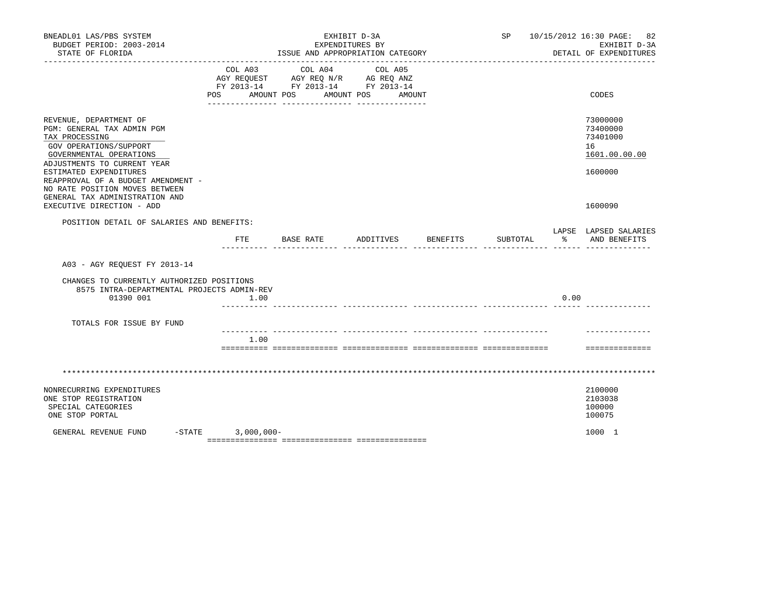| BNEADL01 LAS/PBS SYSTEM<br>BUDGET PERIOD: 2003-2014<br>STATE OF FLORIDA                                                                                                                                                                                                                                                     |                     | EXPENDITURES BY<br>ISSUE AND APPROPRIATION CATEGORY                                                                   | EXHIBIT D-3A |          | ______________________ | SP 10/15/2012 16:30 PAGE: 82<br>EXHIBIT D-3A<br>DETAIL OF EXPENDITURES        |
|-----------------------------------------------------------------------------------------------------------------------------------------------------------------------------------------------------------------------------------------------------------------------------------------------------------------------------|---------------------|-----------------------------------------------------------------------------------------------------------------------|--------------|----------|------------------------|-------------------------------------------------------------------------------|
|                                                                                                                                                                                                                                                                                                                             | COL A03             | COL A04<br>AGY REQUEST AGY REQ N/R AG REQ ANZ<br>FY 2013-14 FY 2013-14 FY 2013-14<br>POS AMOUNT POS AMOUNT POS AMOUNT | COL A05      |          |                        | CODES                                                                         |
| REVENUE, DEPARTMENT OF<br>PGM: GENERAL TAX ADMIN PGM<br>TAX PROCESSING<br>GOV OPERATIONS/SUPPORT<br>GOVERNMENTAL OPERATIONS<br>ADJUSTMENTS TO CURRENT YEAR<br>ESTIMATED EXPENDITURES<br>REAPPROVAL OF A BUDGET AMENDMENT -<br>NO RATE POSITION MOVES BETWEEN<br>GENERAL TAX ADMINISTRATION AND<br>EXECUTIVE DIRECTION - ADD |                     |                                                                                                                       |              |          |                        | 73000000<br>73400000<br>73401000<br>16<br>1601.00.00.00<br>1600000<br>1600090 |
| POSITION DETAIL OF SALARIES AND BENEFITS:                                                                                                                                                                                                                                                                                   |                     |                                                                                                                       |              |          |                        | LAPSE LAPSED SALARIES                                                         |
|                                                                                                                                                                                                                                                                                                                             | ETE                 | BASE RATE ADDITIVES BENEFITS                                                                                          |              | SUBTOTAL |                        | % AND BENEFITS                                                                |
| A03 - AGY REQUEST FY 2013-14                                                                                                                                                                                                                                                                                                |                     |                                                                                                                       |              |          |                        |                                                                               |
| CHANGES TO CURRENTLY AUTHORIZED POSITIONS<br>8575 INTRA-DEPARTMENTAL PROJECTS ADMIN-REV<br>01390 001                                                                                                                                                                                                                        | 1.00                |                                                                                                                       |              |          | 0.00                   |                                                                               |
| TOTALS FOR ISSUE BY FUND                                                                                                                                                                                                                                                                                                    |                     |                                                                                                                       |              |          |                        |                                                                               |
|                                                                                                                                                                                                                                                                                                                             | 1.00                |                                                                                                                       |              |          |                        | ==============                                                                |
|                                                                                                                                                                                                                                                                                                                             |                     |                                                                                                                       |              |          |                        |                                                                               |
| NONRECURRING EXPENDITURES<br>ONE STOP REGISTRATION<br>SPECIAL CATEGORIES<br>ONE STOP PORTAL                                                                                                                                                                                                                                 |                     |                                                                                                                       |              |          |                        | 2100000<br>2103038<br>100000<br>100075                                        |
| GENERAL REVENUE FUND                                                                                                                                                                                                                                                                                                        | $-STATE$ 3,000,000- |                                                                                                                       |              |          |                        | 1000 1                                                                        |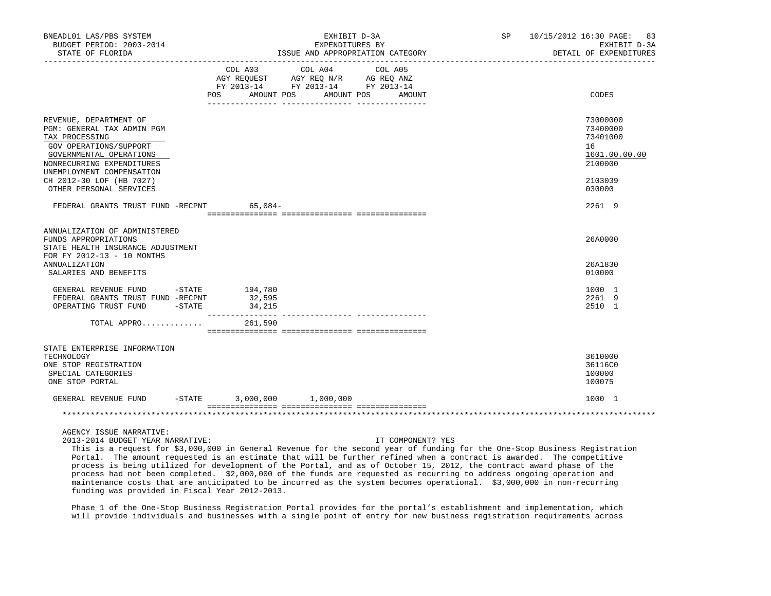| BNEADL01 LAS/PBS SYSTEM<br>BUDGET PERIOD: 2003-2014<br>STATE OF FLORIDA                                                                                                                                           |                                 | EXHIBIT D-3A<br>EXPENDITURES BY<br>ISSUE AND APPROPRIATION CATEGORY                                                                                                                                                                                       | SP 10/15/2012 16:30 PAGE: 83<br>EXHIBIT D-3A<br>DETAIL OF EXPENDITURES |                                                                               |
|-------------------------------------------------------------------------------------------------------------------------------------------------------------------------------------------------------------------|---------------------------------|-----------------------------------------------------------------------------------------------------------------------------------------------------------------------------------------------------------------------------------------------------------|------------------------------------------------------------------------|-------------------------------------------------------------------------------|
|                                                                                                                                                                                                                   | <b>POS</b>                      | COL A03 COL A04 COL A05<br>$\begin{tabular}{lllllll} \bf AGY & \bf REQUEST & \bf AGY & \bf REQ & \bf N/R & \bf AG & \bf REQ & \bf ANZ \\ \bf FY & \tt 2013-14 & \bf FY & \tt 2013-14 & \bf FY & \tt 2013-14 \\ \end{tabular}$<br>AMOUNT POS<br>. <u>.</u> | AMOUNT POS AMOUNT                                                      | CODES                                                                         |
| REVENUE, DEPARTMENT OF<br>PGM: GENERAL TAX ADMIN PGM<br>TAX PROCESSING<br>GOV OPERATIONS/SUPPORT<br>GOVERNMENTAL OPERATIONS<br>NONRECURRING EXPENDITURES<br>UNEMPLOYMENT COMPENSATION<br>CH 2012-30 LOF (HB 7027) |                                 |                                                                                                                                                                                                                                                           |                                                                        | 73000000<br>73400000<br>73401000<br>16<br>1601.00.00.00<br>2100000<br>2103039 |
| OTHER PERSONAL SERVICES<br>FEDERAL GRANTS TRUST FUND -RECPNT 65,084-                                                                                                                                              |                                 |                                                                                                                                                                                                                                                           |                                                                        | 030000<br>2261 9                                                              |
| ANNUALIZATION OF ADMINISTERED<br>FUNDS APPROPRIATIONS<br>STATE HEALTH INSURANCE ADJUSTMENT<br>FOR FY 2012-13 - 10 MONTHS<br><b>ANNUALIZATION</b><br>SALARIES AND BENEFITS                                         |                                 |                                                                                                                                                                                                                                                           |                                                                        | 26A0000<br>26A1830<br>010000                                                  |
| GENERAL REVENUE FUND -STATE 194,780<br>FEDERAL GRANTS TRUST FUND -RECPNT<br>$-STATE$<br>OPERATING TRUST FUND                                                                                                      | 32,595<br>34, 215               |                                                                                                                                                                                                                                                           |                                                                        | 1000 1<br>2261 9<br>2510 1                                                    |
| TOTAL APPRO                                                                                                                                                                                                       | 261,590                         |                                                                                                                                                                                                                                                           |                                                                        |                                                                               |
| STATE ENTERPRISE INFORMATION<br>TECHNOLOGY<br>ONE STOP REGISTRATION<br>SPECIAL CATEGORIES<br>ONE STOP PORTAL                                                                                                      |                                 |                                                                                                                                                                                                                                                           |                                                                        | 3610000<br>36116C0<br>100000<br>100075                                        |
| GENERAL REVENUE FUND                                                                                                                                                                                              | $-$ STATE 3,000,000 $1,000,000$ |                                                                                                                                                                                                                                                           |                                                                        | 1000 1                                                                        |
|                                                                                                                                                                                                                   |                                 |                                                                                                                                                                                                                                                           |                                                                        |                                                                               |
| AGENCY ISSUE NARRATIVE:<br>2013-2014 BUDGET YEAR NARRATIVE:                                                                                                                                                       |                                 |                                                                                                                                                                                                                                                           | IT COMPONENT? YES                                                      |                                                                               |

 This is a request for \$3,000,000 in General Revenue for the second year of funding for the One-Stop Business Registration Portal. The amount requested is an estimate that will be further refined when a contract is awarded. The competitive process is being utilized for development of the Portal, and as of October 15, 2012, the contract award phase of the process had not been completed. \$2,000,000 of the funds are requested as recurring to address ongoing operation and maintenance costs that are anticipated to be incurred as the system becomes operational. \$3,000,000 in non-recurring funding was provided in Fiscal Year 2012-2013.

 Phase 1 of the One-Stop Business Registration Portal provides for the portal's establishment and implementation, which will provide individuals and businesses with a single point of entry for new business registration requirements across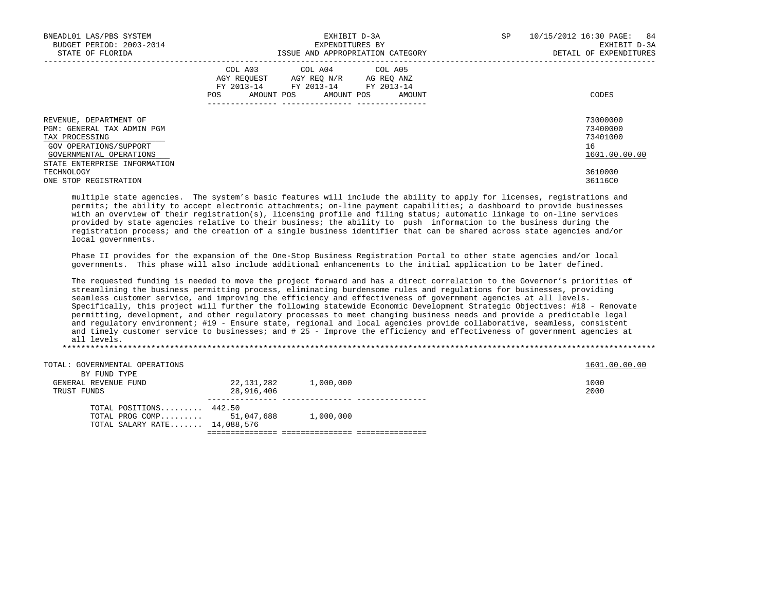| BNEADL01 LAS/PBS SYSTEM<br>BUDGET PERIOD: 2003-2014<br>STATE OF FLORIDA                                                                                     | EXHIBIT D-3A<br>EXPENDITURES BY<br>ISSUE AND APPROPRIATION CATEGORY                                                                                            | 10/15/2012 16:30 PAGE: 84<br>SP<br>EXHIBIT D-3A<br>DETAIL OF EXPENDITURES |
|-------------------------------------------------------------------------------------------------------------------------------------------------------------|----------------------------------------------------------------------------------------------------------------------------------------------------------------|---------------------------------------------------------------------------|
|                                                                                                                                                             | COL A03 COL A04 COL A05<br>AGY REQUEST AGY REQ N/R AG REQ ANZ<br>FY 2013-14 FY 2013-14 FY 2013-14<br>AMOUNT POS AMOUNT POS<br>POS<br>AMOUNT<br>--------------- | CODES                                                                     |
| REVENUE, DEPARTMENT OF<br>PGM: GENERAL TAX ADMIN PGM<br>TAX PROCESSING<br>GOV OPERATIONS/SUPPORT<br>GOVERNMENTAL OPERATIONS<br>STATE ENTERPRISE INFORMATION |                                                                                                                                                                | 73000000<br>73400000<br>73401000<br>16<br>1601.00.00.00                   |
| TECHNOLOGY<br>ONE STOP REGISTRATION                                                                                                                         |                                                                                                                                                                | 3610000<br>36116C0                                                        |

 multiple state agencies. The system's basic features will include the ability to apply for licenses, registrations and permits; the ability to accept electronic attachments; on-line payment capabilities; a dashboard to provide businesses with an overview of their registration(s), licensing profile and filing status; automatic linkage to on-line services provided by state agencies relative to their business; the ability to push information to the business during the registration process; and the creation of a single business identifier that can be shared across state agencies and/or local governments.

 Phase II provides for the expansion of the One-Stop Business Registration Portal to other state agencies and/or local governments. This phase will also include additional enhancements to the initial application to be later defined.

 The requested funding is needed to move the project forward and has a direct correlation to the Governor's priorities of streamlining the business permitting process, eliminating burdensome rules and regulations for businesses, providing seamless customer service, and improving the efficiency and effectiveness of government agencies at all levels. Specifically, this project will further the following statewide Economic Development Strategic Objectives: #18 - Renovate permitting, development, and other regulatory processes to meet changing business needs and provide a predictable legal and regulatory environment; #19 - Ensure state, regional and local agencies provide collaborative, seamless, consistent and timely customer service to businesses; and # 25 - Improve the efficiency and effectiveness of government agencies at all levels.

\*\*\*\*\*\*\*\*\*\*\*\*\*\*\*\*\*\*\*\*\*\*\*\*\*\*\*\*\*\*\*\*\*\*\*\*\*\*\*\*\*\*\*\*\*\*\*\*\*\*\*\*\*\*\*\*\*\*\*\*\*\*\*\*\*\*\*\*\*\*\*\*\*\*\*\*\*\*\*\*\*\*\*\*\*\*\*\*\*\*\*\*\*\*\*\*\*\*\*\*\*\*\*\*\*\*\*\*\*\*\*\*\*\*\*\*\*\*\*\*\*\*\*\*\*\*\*

| TOTAL: GOVERNMENTAL OPERATIONS |            |           | 1601.00.00.00 |
|--------------------------------|------------|-----------|---------------|
| BY FUND TYPE                   |            |           |               |
| GENERAL REVENUE FUND           | 22,131,282 | 1,000,000 | 1000          |
| TRUST FUNDS                    | 28,916,406 |           | 2000          |
| TOTAL POSITIONS $442.50$       |            |           |               |
| TOTAL PROG COMP $51,047,688$   |            | 1,000,000 |               |
| TOTAL SALARY RATE 14,088,576   |            |           |               |
|                                |            |           |               |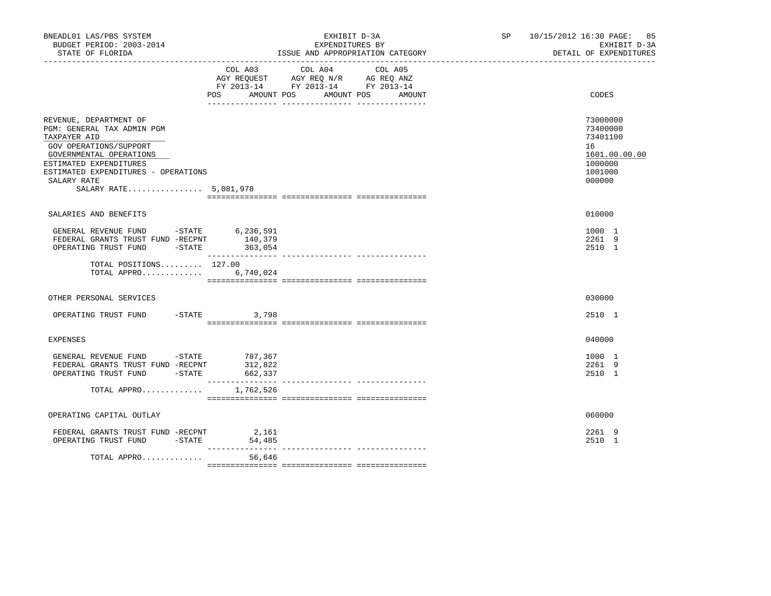| BNEADL01 LAS/PBS SYSTEM<br>BUDGET PERIOD: 2003-2014<br>STATE OF FLORIDA                                                                                                                                                            |                              | EXHIBIT D-3A<br>EXPENDITURES BY<br>ISSUE AND APPROPRIATION CATEGORY                                                                                               | SP 10/15/2012 16:30 PAGE: 85<br>EXHIBIT D-3A<br>DETAIL OF EXPENDITURES                  |
|------------------------------------------------------------------------------------------------------------------------------------------------------------------------------------------------------------------------------------|------------------------------|-------------------------------------------------------------------------------------------------------------------------------------------------------------------|-----------------------------------------------------------------------------------------|
|                                                                                                                                                                                                                                    | COL A03<br>POS               | COL A04<br>COL A05<br>AGY REQUEST AGY REQ N/R AG REQ ANZ<br>FY 2013-14 FY 2013-14 FY 2013-14<br>AMOUNT POS AMOUNT POS<br>AMOUNT<br>__ ________________ __________ | CODES                                                                                   |
| REVENUE, DEPARTMENT OF<br>PGM: GENERAL TAX ADMIN PGM<br>TAXPAYER AID<br>GOV OPERATIONS/SUPPORT<br>GOVERNMENTAL OPERATIONS<br>ESTIMATED EXPENDITURES<br>ESTIMATED EXPENDITURES - OPERATIONS<br>SALARY RATE<br>SALARY RATE 5,081,978 |                              |                                                                                                                                                                   | 73000000<br>73400000<br>73401100<br>16<br>1601.00.00.00<br>1000000<br>1001000<br>000000 |
| SALARIES AND BENEFITS                                                                                                                                                                                                              |                              |                                                                                                                                                                   | 010000                                                                                  |
| GENERAL REVENUE FUND -STATE $6, 236, 591$<br>FEDERAL GRANTS TRUST FUND -RECPNT 140,379<br>OPERATING TRUST FUND -STATE 363,054                                                                                                      |                              |                                                                                                                                                                   | 1000 1<br>2261 9<br>2510 1                                                              |
| TOTAL POSITIONS $127.00$<br>TOTAL APPRO                                                                                                                                                                                            | 6,740,024                    |                                                                                                                                                                   |                                                                                         |
| OTHER PERSONAL SERVICES                                                                                                                                                                                                            |                              |                                                                                                                                                                   | 030000                                                                                  |
| OPERATING TRUST FUND -STATE 3,798                                                                                                                                                                                                  |                              |                                                                                                                                                                   | 2510 1                                                                                  |
| EXPENSES                                                                                                                                                                                                                           |                              |                                                                                                                                                                   | 040000                                                                                  |
| GENERAL REVENUE FUND -STATE 787,367<br>FEDERAL GRANTS TRUST FUND -RECPNT<br>OPERATING TRUST FUND -STATE                                                                                                                            | 312,822<br>662,337           |                                                                                                                                                                   | 1000 1<br>2261 9<br>2510 1                                                              |
| TOTAL APPRO                                                                                                                                                                                                                        | ---------------<br>1,762,526 |                                                                                                                                                                   |                                                                                         |
| OPERATING CAPITAL OUTLAY                                                                                                                                                                                                           |                              |                                                                                                                                                                   | 060000                                                                                  |
| FEDERAL GRANTS TRUST FUND -RECPNT 2,161<br>OPERATING TRUST FUND -STATE                                                                                                                                                             | 54,485                       |                                                                                                                                                                   | 2261 9<br>2510 1                                                                        |
| TOTAL APPRO                                                                                                                                                                                                                        | ___________<br>56,646        | ________________________________                                                                                                                                  |                                                                                         |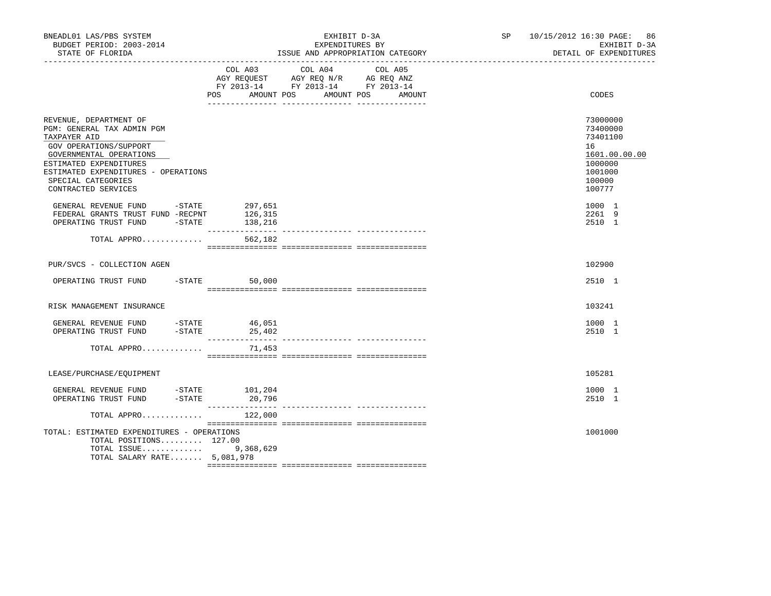| BNEADL01 LAS/PBS SYSTEM<br>BUDGET PERIOD: 2003-2014<br>STATE OF FLORIDA                                                                                                                                                                 |                  | EXHIBIT D-3A<br>EXPENDITURES BY<br>ISSUE AND APPROPRIATION CATEGORY                                                                                                                                                                                  | SP and the set of the set of the set of the set of the set of the set of the set of the set of the set of the set of the set of the set of the set of the set of the set of the set of the set of the set of the set of the se | 10/15/2012 16:30 PAGE: 86<br>EXHIBIT D-3A<br>DETAIL OF EXPENDITURES                               |
|-----------------------------------------------------------------------------------------------------------------------------------------------------------------------------------------------------------------------------------------|------------------|------------------------------------------------------------------------------------------------------------------------------------------------------------------------------------------------------------------------------------------------------|--------------------------------------------------------------------------------------------------------------------------------------------------------------------------------------------------------------------------------|---------------------------------------------------------------------------------------------------|
|                                                                                                                                                                                                                                         | COL A03<br>POS   | COL A04<br>COL A05<br>$\begin{tabular}{lllllll} \bf AGY \,\, REQUEST \,\, &\bf AGY \,\, REQ \,\, N/R &\bf AG \,\, REQ \,\, ANZ \\ \bf FY \,\, 2013-14 &\bf FY \,\, 2013-14 &\bf FY \,\, 2013-14 \\ \end{tabular}$<br>AMOUNT POS AMOUNT POS<br>AMOUNT |                                                                                                                                                                                                                                | CODES                                                                                             |
| REVENUE, DEPARTMENT OF<br>PGM: GENERAL TAX ADMIN PGM<br>TAXPAYER AID<br>GOV OPERATIONS/SUPPORT<br>GOVERNMENTAL OPERATIONS<br>ESTIMATED EXPENDITURES<br>ESTIMATED EXPENDITURES - OPERATIONS<br>SPECIAL CATEGORIES<br>CONTRACTED SERVICES |                  |                                                                                                                                                                                                                                                      |                                                                                                                                                                                                                                | 73000000<br>73400000<br>73401100<br>16<br>1601.00.00.00<br>1000000<br>1001000<br>100000<br>100777 |
| GENERAL REVENUE FUND -STATE<br>FEDERAL GRANTS TRUST FUND -RECPNT                                                                                                                                                                        | 297,651          |                                                                                                                                                                                                                                                      |                                                                                                                                                                                                                                | 1000 1<br>2261 9<br>2510 1                                                                        |
| TOTAL APPRO                                                                                                                                                                                                                             | 562,182          |                                                                                                                                                                                                                                                      |                                                                                                                                                                                                                                |                                                                                                   |
| PUR/SVCS - COLLECTION AGEN                                                                                                                                                                                                              |                  |                                                                                                                                                                                                                                                      |                                                                                                                                                                                                                                | 102900                                                                                            |
| OPERATING TRUST FUND -STATE                                                                                                                                                                                                             | 50,000           |                                                                                                                                                                                                                                                      |                                                                                                                                                                                                                                | 2510 1                                                                                            |
| RISK MANAGEMENT INSURANCE                                                                                                                                                                                                               |                  |                                                                                                                                                                                                                                                      |                                                                                                                                                                                                                                | 103241                                                                                            |
| GENERAL REVENUE FUND -STATE 46,051<br>OPERATING TRUST FUND                                                                                                                                                                              | $-$ STATE 25,402 |                                                                                                                                                                                                                                                      |                                                                                                                                                                                                                                | 1000 1<br>2510 1                                                                                  |
| TOTAL APPRO                                                                                                                                                                                                                             | 71,453           |                                                                                                                                                                                                                                                      |                                                                                                                                                                                                                                |                                                                                                   |
| LEASE/PURCHASE/EQUIPMENT                                                                                                                                                                                                                |                  |                                                                                                                                                                                                                                                      |                                                                                                                                                                                                                                | 105281                                                                                            |
| GENERAL REVENUE FUND -STATE $101, 204$<br>OPERATING TRUST FUND -STATE $20, 796$                                                                                                                                                         |                  |                                                                                                                                                                                                                                                      |                                                                                                                                                                                                                                | 1000 1<br>2510 1                                                                                  |
| TOTAL APPRO                                                                                                                                                                                                                             | 122,000          |                                                                                                                                                                                                                                                      |                                                                                                                                                                                                                                |                                                                                                   |
| TOTAL: ESTIMATED EXPENDITURES - OPERATIONS<br>TOTAL POSITIONS 127.00<br>TOTAL ISSUE<br>TOTAL SALARY RATE 5,081,978                                                                                                                      | 9,368,629        |                                                                                                                                                                                                                                                      |                                                                                                                                                                                                                                | 1001000                                                                                           |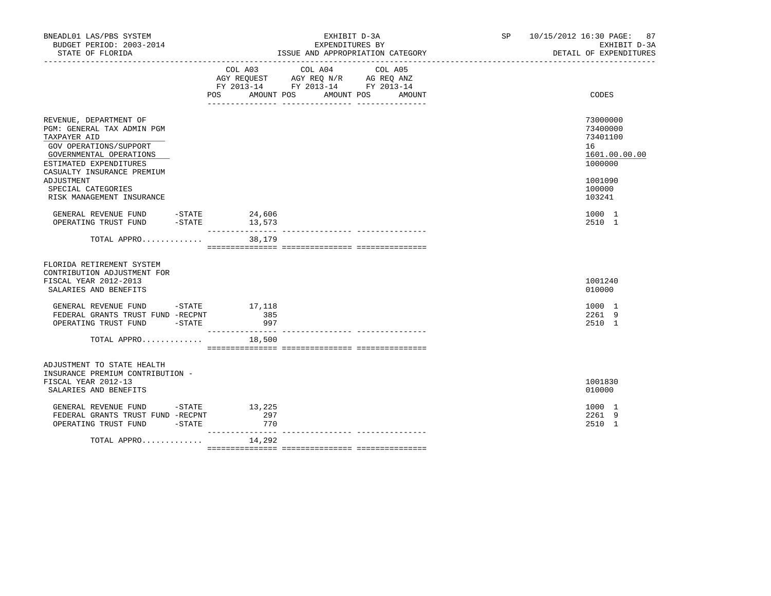| BNEADL01 LAS/PBS SYSTEM<br>BUDGET PERIOD: 2003-2014<br>STATE OF FLORIDA                                                                                                                                                                            |           |                                | EXHIBIT D-3A<br>EXPENDITURES BY<br>ISSUE AND APPROPRIATION CATEGORY<br>----------------------------------                           | SP 10/15/2012 16:30 PAGE:<br>87<br>EXHIBIT D-3A<br>DETAIL OF EXPENDITURES                         |
|----------------------------------------------------------------------------------------------------------------------------------------------------------------------------------------------------------------------------------------------------|-----------|--------------------------------|-------------------------------------------------------------------------------------------------------------------------------------|---------------------------------------------------------------------------------------------------|
|                                                                                                                                                                                                                                                    |           | COL A03                        | COL A04<br>COL A05<br>AGY REQUEST AGY REQ N/R AG REQ ANZ<br>FY 2013-14 FY 2013-14 FY 2013-14<br>POS AMOUNT POS AMOUNT POS<br>AMOUNT | CODES                                                                                             |
| REVENUE, DEPARTMENT OF<br>PGM: GENERAL TAX ADMIN PGM<br>TAXPAYER AID<br>GOV OPERATIONS/SUPPORT<br>GOVERNMENTAL OPERATIONS<br>ESTIMATED EXPENDITURES<br>CASUALTY INSURANCE PREMIUM<br>ADJUSTMENT<br>SPECIAL CATEGORIES<br>RISK MANAGEMENT INSURANCE |           |                                |                                                                                                                                     | 73000000<br>73400000<br>73401100<br>16<br>1601.00.00.00<br>1000000<br>1001090<br>100000<br>103241 |
| GENERAL REVENUE FUND -STATE 24,606<br>OPERATING TRUST FUND                                                                                                                                                                                         | $-$ STATE | 13,573<br>_________________    | --------------- ---------                                                                                                           | 1000 1<br>2510 1                                                                                  |
| TOTAL APPRO                                                                                                                                                                                                                                        |           | 38,179                         |                                                                                                                                     |                                                                                                   |
| FLORIDA RETIREMENT SYSTEM<br>CONTRIBUTION ADJUSTMENT FOR<br>FISCAL YEAR 2012-2013<br>SALARIES AND BENEFITS                                                                                                                                         |           |                                |                                                                                                                                     | 1001240<br>010000                                                                                 |
| GENERAL REVENUE FUND -STATE 17,118<br>FEDERAL GRANTS TRUST FUND -RECPNT<br>OPERATING TRUST FUND -STATE                                                                                                                                             |           | 385<br>997                     |                                                                                                                                     | 1000 1<br>2261 9<br>2510 1                                                                        |
| TOTAL APPRO                                                                                                                                                                                                                                        |           | 18,500                         |                                                                                                                                     |                                                                                                   |
| ADJUSTMENT TO STATE HEALTH<br>INSURANCE PREMIUM CONTRIBUTION -<br>FISCAL YEAR 2012-13<br>SALARIES AND BENEFITS<br>GENERAL REVENUE FUND -STATE 13,225                                                                                               |           |                                |                                                                                                                                     | 1001830<br>010000                                                                                 |
| FEDERAL GRANTS TRUST FUND -RECPNT<br>OPERATING TRUST FUND -STATE                                                                                                                                                                                   |           | 297<br>770<br>________________ |                                                                                                                                     | 1000 1<br>2261 9<br>2510 1                                                                        |
| TOTAL APPRO                                                                                                                                                                                                                                        |           | 14,292                         |                                                                                                                                     |                                                                                                   |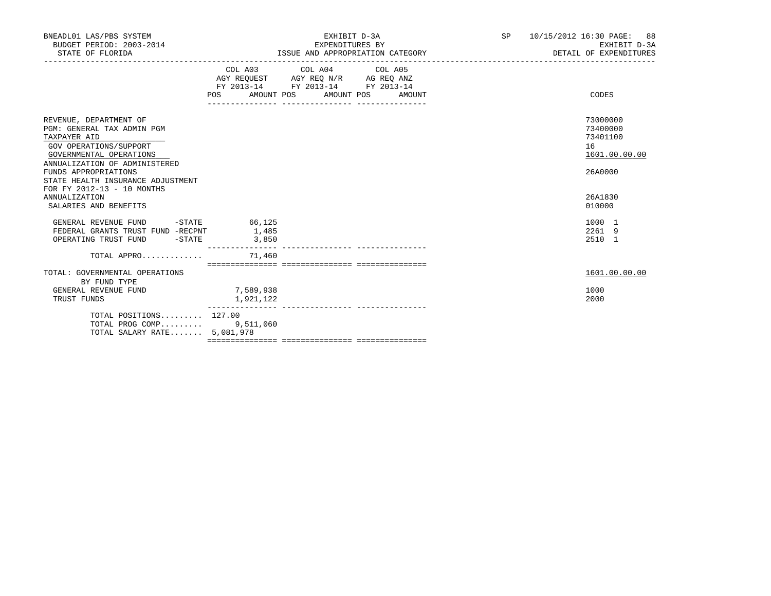| BNEADL01 LAS/PBS SYSTEM<br>BUDGET PERIOD: 2003-2014<br>STATE OF FLORIDA                                                                                                                                                                               |                           | EXHIBIT D-3A<br>EXPENDITURES BY<br>ISSUE AND APPROPRIATION CATEGORY                                                                   | SP <sub>2</sub> | 10/15/2012 16:30 PAGE: 88<br>EXHIBIT D-3A<br>DETAIL OF EXPENDITURES |
|-------------------------------------------------------------------------------------------------------------------------------------------------------------------------------------------------------------------------------------------------------|---------------------------|---------------------------------------------------------------------------------------------------------------------------------------|-----------------|---------------------------------------------------------------------|
|                                                                                                                                                                                                                                                       |                           | COL A03 COL A04 COL A05<br>AGY REQUEST AGY REQ N/R AG REQ ANZ<br>FY 2013-14 FY 2013-14 FY 2013-14<br>POS AMOUNT POS AMOUNT POS AMOUNT |                 | CODES                                                               |
| REVENUE, DEPARTMENT OF<br>PGM: GENERAL TAX ADMIN PGM<br>TAXPAYER AID<br>GOV OPERATIONS/SUPPORT<br>GOVERNMENTAL OPERATIONS<br>ANNUALIZATION OF ADMINISTERED<br>FUNDS APPROPRIATIONS<br>STATE HEALTH INSURANCE ADJUSTMENT<br>FOR FY 2012-13 - 10 MONTHS |                           |                                                                                                                                       |                 | 73000000<br>73400000<br>73401100<br>16<br>1601.00.00.00<br>26A0000  |
| ANNUALIZATION<br>SALARIES AND BENEFITS                                                                                                                                                                                                                |                           |                                                                                                                                       |                 | 26A1830<br>010000                                                   |
| GENERAL REVENUE FUND<br>FEDERAL GRANTS TRUST FUND -RECPNT 1,485<br>OPERATING TRUST FUND - STATE                                                                                                                                                       | $-$ STATE 66,125<br>3,850 |                                                                                                                                       |                 | 1000 1<br>2261 9<br>2510 1                                          |
| TOTAL APPRO $\ldots \ldots \ldots$                                                                                                                                                                                                                    |                           |                                                                                                                                       |                 |                                                                     |
| TOTAL: GOVERNMENTAL OPERATIONS<br>BY FUND TYPE                                                                                                                                                                                                        |                           |                                                                                                                                       |                 | 1601.00.00.00                                                       |
| GENERAL REVENUE FUND<br>TRUST FUNDS                                                                                                                                                                                                                   | 7,589,938<br>1,921,122    |                                                                                                                                       |                 | 1000<br>2000                                                        |
| TOTAL POSITIONS 127.00<br>TOTAL PROG COMP 9,511,060<br>TOTAL SALARY RATE 5,081,978                                                                                                                                                                    |                           |                                                                                                                                       |                 |                                                                     |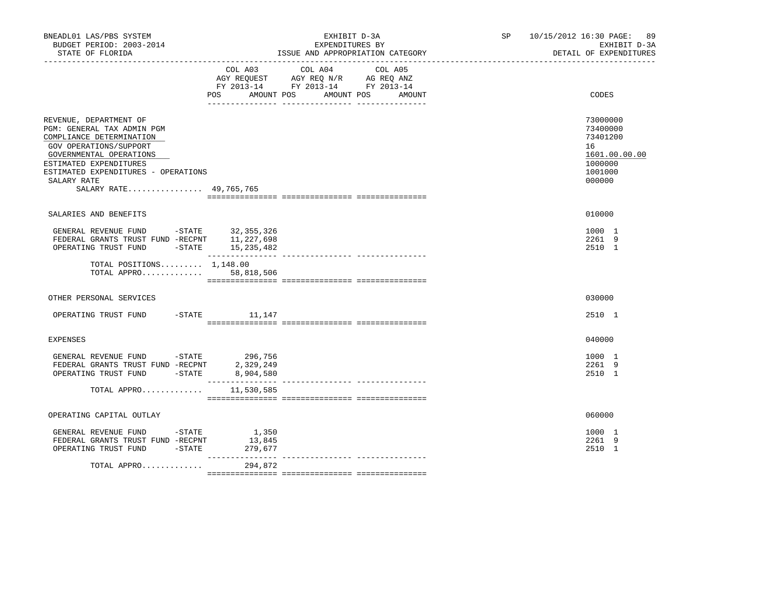| BNEADL01 LAS/PBS SYSTEM<br>BUDGET PERIOD: 2003-2014<br>STATE OF FLORIDA                                                                                                                                                                         |                                                   | EXHIBIT D-3A<br>EXPENDITURES BY<br>ISSUE AND APPROPRIATION CATEGORY                                                          | SP and the set of the set of the set of the set of the set of the set of the set of the set of the set of the set of the set of the set of the set of the set of the set of the set of the set of the set of the set of the se | 10/15/2012 16:30 PAGE: 89<br>EXHIBIT D-3A<br>DETAIL OF EXPENDITURES                     |
|-------------------------------------------------------------------------------------------------------------------------------------------------------------------------------------------------------------------------------------------------|---------------------------------------------------|------------------------------------------------------------------------------------------------------------------------------|--------------------------------------------------------------------------------------------------------------------------------------------------------------------------------------------------------------------------------|-----------------------------------------------------------------------------------------|
|                                                                                                                                                                                                                                                 | POS FOR<br>AMOUNT POS                             | COL A03 COL A04<br>COL A05<br>AGY REQUEST AGY REQ N/R AG REQ ANZ<br>FY 2013-14 FY 2013-14 FY 2013-14<br>AMOUNT POS<br>AMOUNT |                                                                                                                                                                                                                                | CODES                                                                                   |
| REVENUE, DEPARTMENT OF<br>PGM: GENERAL TAX ADMIN PGM<br>COMPLIANCE DETERMINATION<br>GOV OPERATIONS/SUPPORT<br>GOVERNMENTAL OPERATIONS<br>ESTIMATED EXPENDITURES<br>ESTIMATED EXPENDITURES - OPERATIONS<br>SALARY RATE<br>SALARY RATE 49,765,765 |                                                   |                                                                                                                              |                                                                                                                                                                                                                                | 73000000<br>73400000<br>73401200<br>16<br>1601.00.00.00<br>1000000<br>1001000<br>000000 |
| SALARIES AND BENEFITS                                                                                                                                                                                                                           |                                                   |                                                                                                                              |                                                                                                                                                                                                                                | 010000                                                                                  |
| GENERAL REVENUE FUND -STATE 32,355,326<br>FEDERAL GRANTS TRUST FUND -RECPNT 11,227,698<br>OPERATING TRUST FUND -STATE 15, 235, 482                                                                                                              |                                                   |                                                                                                                              |                                                                                                                                                                                                                                | 1000 1<br>2261 9<br>2510 1                                                              |
| TOTAL POSITIONS $1,148.00$<br>TOTAL APPRO 58,818,506                                                                                                                                                                                            |                                                   |                                                                                                                              |                                                                                                                                                                                                                                |                                                                                         |
| OTHER PERSONAL SERVICES                                                                                                                                                                                                                         |                                                   |                                                                                                                              |                                                                                                                                                                                                                                | 030000                                                                                  |
| OPERATING TRUST FUND                                                                                                                                                                                                                            | $-$ STATE $11, 147$                               |                                                                                                                              |                                                                                                                                                                                                                                | 2510 1                                                                                  |
| <b>EXPENSES</b>                                                                                                                                                                                                                                 |                                                   |                                                                                                                              |                                                                                                                                                                                                                                | 040000                                                                                  |
| GENERAL REVENUE FUND -STATE 296,756<br>FEDERAL GRANTS TRUST FUND -RECPNT<br>OPERATING TRUST FUND -STATE                                                                                                                                         | 2,329,249<br>8,904,580                            |                                                                                                                              |                                                                                                                                                                                                                                | 1000 1<br>2261 9<br>2510 1                                                              |
| TOTAL APPRO                                                                                                                                                                                                                                     | 11,530,585                                        |                                                                                                                              |                                                                                                                                                                                                                                |                                                                                         |
| OPERATING CAPITAL OUTLAY                                                                                                                                                                                                                        |                                                   |                                                                                                                              |                                                                                                                                                                                                                                | 060000                                                                                  |
| GENERAL REVENUE FUND - STATE<br>FEDERAL GRANTS TRUST FUND -RECPNT<br>$-STATE$<br>OPERATING TRUST FUND                                                                                                                                           | 1,350<br>13,845<br>279,677<br>$- - - - - - - - -$ |                                                                                                                              |                                                                                                                                                                                                                                | 1000 1<br>2261 9<br>2510 1                                                              |
| TOTAL APPRO                                                                                                                                                                                                                                     | 294,872                                           |                                                                                                                              |                                                                                                                                                                                                                                |                                                                                         |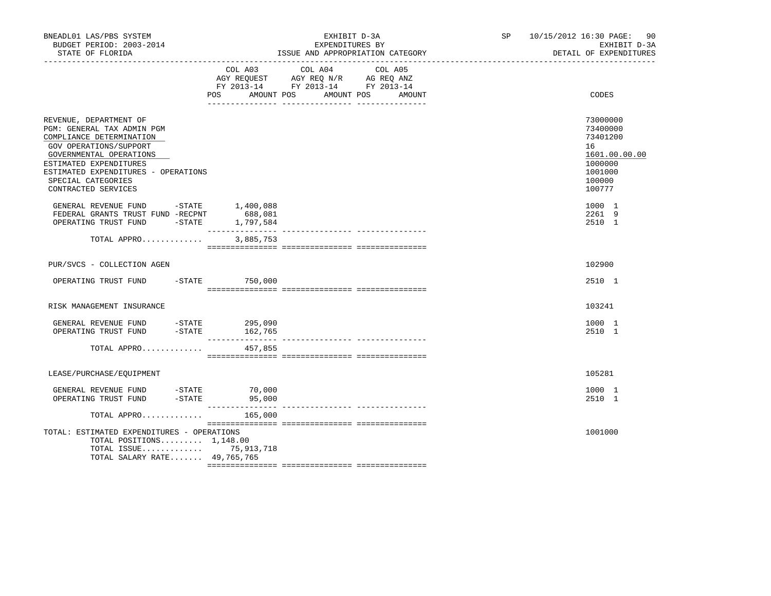| BNEADL01 LAS/PBS SYSTEM<br>BUDGET PERIOD: 2003-2014<br>STATE OF FLORIDA                                                                                                                                                                             |                                     | EXHIBIT D-3A<br>EXPENDITURES BY<br>ISSUE AND APPROPRIATION CATEGORY                                                  | SP and the set of the set of the set of the set of the set of the set of the set of the set of the set of the set of the set of the set of the set of the set of the set of the set of the set of the set of the set of the se | 10/15/2012 16:30 PAGE: 90<br>EXHIBIT D-3A<br>DETAIL OF EXPENDITURES                               |
|-----------------------------------------------------------------------------------------------------------------------------------------------------------------------------------------------------------------------------------------------------|-------------------------------------|----------------------------------------------------------------------------------------------------------------------|--------------------------------------------------------------------------------------------------------------------------------------------------------------------------------------------------------------------------------|---------------------------------------------------------------------------------------------------|
|                                                                                                                                                                                                                                                     | COL A03<br><b>POS</b><br>AMOUNT POS | COL A04<br>COL A05<br>AGY REQUEST AGY REQ N/R AG REQ ANZ<br>FY 2013-14 FY 2013-14 FY 2013-14<br>AMOUNT POS<br>AMOUNT |                                                                                                                                                                                                                                | CODES                                                                                             |
| REVENUE, DEPARTMENT OF<br>PGM: GENERAL TAX ADMIN PGM<br>COMPLIANCE DETERMINATION<br>GOV OPERATIONS/SUPPORT<br>GOVERNMENTAL OPERATIONS<br>ESTIMATED EXPENDITURES<br>ESTIMATED EXPENDITURES - OPERATIONS<br>SPECIAL CATEGORIES<br>CONTRACTED SERVICES |                                     |                                                                                                                      |                                                                                                                                                                                                                                | 73000000<br>73400000<br>73401200<br>16<br>1601.00.00.00<br>1000000<br>1001000<br>100000<br>100777 |
| GENERAL REVENUE FUND -STATE 1,400,088<br>FEDERAL GRANTS TRUST FUND -RECPNT<br>OPERATING TRUST FUND                                                                                                                                                  | 688,081<br>$-STATE$ 1,797,584       |                                                                                                                      |                                                                                                                                                                                                                                | 1000 1<br>2261 9<br>2510 1                                                                        |
| TOTAL APPRO                                                                                                                                                                                                                                         | 3,885,753                           |                                                                                                                      |                                                                                                                                                                                                                                |                                                                                                   |
| PUR/SVCS - COLLECTION AGEN                                                                                                                                                                                                                          |                                     |                                                                                                                      |                                                                                                                                                                                                                                | 102900                                                                                            |
| OPERATING TRUST FUND -STATE 750,000                                                                                                                                                                                                                 |                                     |                                                                                                                      |                                                                                                                                                                                                                                | 2510 1                                                                                            |
| RISK MANAGEMENT INSURANCE                                                                                                                                                                                                                           |                                     |                                                                                                                      |                                                                                                                                                                                                                                | 103241                                                                                            |
| GENERAL REVENUE FUND -STATE 295,090<br>OPERATING TRUST FUND                                                                                                                                                                                         | -STATE 162,765                      |                                                                                                                      |                                                                                                                                                                                                                                | 1000 1<br>2510 1                                                                                  |
| TOTAL APPRO                                                                                                                                                                                                                                         | 457,855                             |                                                                                                                      |                                                                                                                                                                                                                                |                                                                                                   |
| LEASE/PURCHASE/EQUIPMENT                                                                                                                                                                                                                            |                                     |                                                                                                                      |                                                                                                                                                                                                                                | 105281                                                                                            |
| GENERAL REVENUE FUND -STATE 70,000<br>OPERATING TRUST FUND -STATE 95,000                                                                                                                                                                            |                                     |                                                                                                                      |                                                                                                                                                                                                                                | 1000 1<br>2510 1                                                                                  |
| TOTAL APPRO                                                                                                                                                                                                                                         | 165,000                             |                                                                                                                      |                                                                                                                                                                                                                                |                                                                                                   |
| TOTAL: ESTIMATED EXPENDITURES - OPERATIONS<br>TOTAL POSITIONS 1,148.00<br>TOTAL ISSUE 75,913,718<br>TOTAL SALARY RATE 49,765,765                                                                                                                    |                                     |                                                                                                                      |                                                                                                                                                                                                                                | 1001000                                                                                           |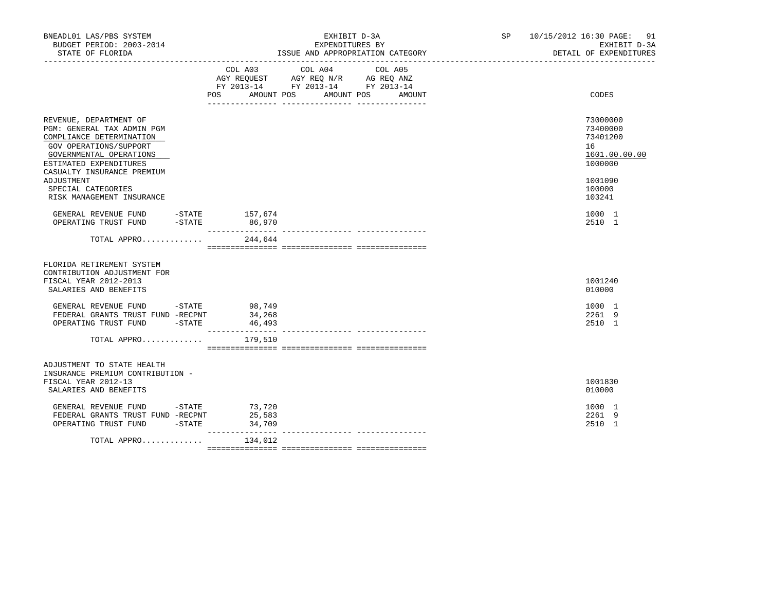| BNEADL01 LAS/PBS SYSTEM<br>BUDGET PERIOD: 2003-2014<br>STATE OF FLORIDA                                                                                                                       |           |                                      | EXHIBIT D-3A<br>EXPENDITURES BY<br>ISSUE AND APPROPRIATION CATEGORY<br>---------------------------------                            | SP 10/15/2012 16:30 PAGE:<br>91<br>EXHIBIT D-3A<br>DETAIL OF EXPENDITURES |
|-----------------------------------------------------------------------------------------------------------------------------------------------------------------------------------------------|-----------|--------------------------------------|-------------------------------------------------------------------------------------------------------------------------------------|---------------------------------------------------------------------------|
|                                                                                                                                                                                               |           | COL A03                              | COL A04<br>COL A05<br>AGY REQUEST AGY REQ N/R AG REQ ANZ<br>FY 2013-14 FY 2013-14 FY 2013-14<br>POS AMOUNT POS AMOUNT POS<br>AMOUNT | CODES                                                                     |
| REVENUE, DEPARTMENT OF<br>PGM: GENERAL TAX ADMIN PGM<br>COMPLIANCE DETERMINATION<br>GOV OPERATIONS/SUPPORT<br>GOVERNMENTAL OPERATIONS<br>ESTIMATED EXPENDITURES<br>CASUALTY INSURANCE PREMIUM |           |                                      |                                                                                                                                     | 73000000<br>73400000<br>73401200<br>16<br>1601.00.00.00<br>1000000        |
| ADJUSTMENT<br>SPECIAL CATEGORIES<br>RISK MANAGEMENT INSURANCE                                                                                                                                 |           |                                      |                                                                                                                                     | 1001090<br>100000<br>103241                                               |
| GENERAL REVENUE FUND -STATE 157,674<br>OPERATING TRUST FUND                                                                                                                                   | $-$ STATE | 86,970                               |                                                                                                                                     | 1000 1<br>2510 1                                                          |
| TOTAL APPRO                                                                                                                                                                                   |           | 244,644                              |                                                                                                                                     |                                                                           |
| FLORIDA RETIREMENT SYSTEM<br>CONTRIBUTION ADJUSTMENT FOR<br>FISCAL YEAR 2012-2013<br>SALARIES AND BENEFITS                                                                                    |           |                                      |                                                                                                                                     | 1001240<br>010000                                                         |
| GENERAL REVENUE FUND -STATE 98,749<br>FEDERAL GRANTS TRUST FUND -RECPNT<br>OPERATING TRUST FUND -STATE                                                                                        |           | 34,268<br>46,493<br>________________ |                                                                                                                                     | 1000 1<br>2261 9<br>2510 1                                                |
| TOTAL APPRO                                                                                                                                                                                   |           | 179,510                              |                                                                                                                                     |                                                                           |
| ADJUSTMENT TO STATE HEALTH<br>INSURANCE PREMIUM CONTRIBUTION -<br>FISCAL YEAR 2012-13<br>SALARIES AND BENEFITS                                                                                |           |                                      |                                                                                                                                     | 1001830<br>010000                                                         |
| GENERAL REVENUE FUND -STATE 73,720<br>FEDERAL GRANTS TRUST FUND -RECPNT<br>OPERATING TRUST FUND                                                                                               | $-$ STATE | 25,583<br>34,709<br>________________ |                                                                                                                                     | 1000 1<br>2261 9<br>2510 1                                                |
| TOTAL APPRO                                                                                                                                                                                   |           | 134,012                              |                                                                                                                                     |                                                                           |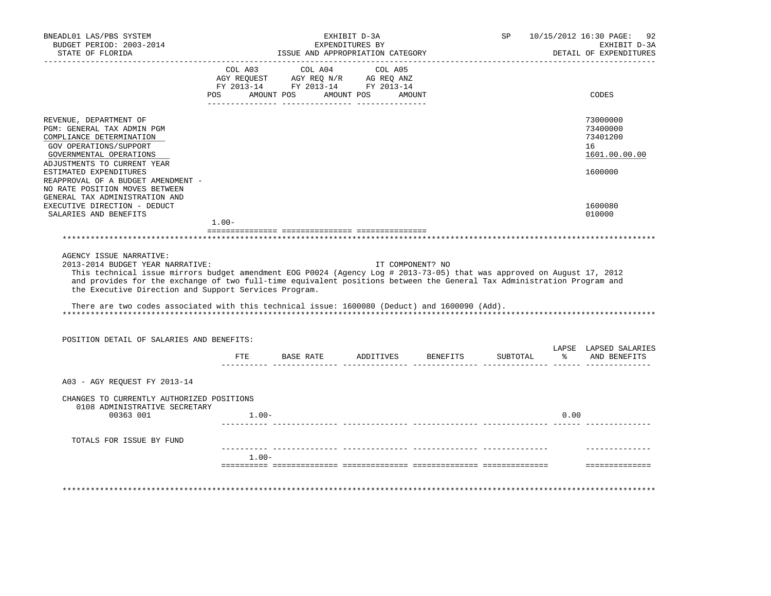| FY 2013-14 FY 2013-14 FY 2013-14<br>AMOUNT POS<br>AMOUNT POS<br>CODES<br>POS<br>AMOUNT<br>REVENUE, DEPARTMENT OF<br>73000000<br>PGM: GENERAL TAX ADMIN PGM<br>73400000<br>COMPLIANCE DETERMINATION<br>73401200<br>GOV OPERATIONS/SUPPORT<br>16<br>GOVERNMENTAL OPERATIONS<br>1601.00.00.00<br>ADJUSTMENTS TO CURRENT YEAR<br>ESTIMATED EXPENDITURES<br>1600000<br>REAPPROVAL OF A BUDGET AMENDMENT -<br>NO RATE POSITION MOVES BETWEEN<br>GENERAL TAX ADMINISTRATION AND<br>EXECUTIVE DIRECTION - DEDUCT<br>1600080<br>010000<br>SALARIES AND BENEFITS<br>$1.00 -$<br>AGENCY ISSUE NARRATIVE:<br>2013-2014 BUDGET YEAR NARRATIVE:<br>IT COMPONENT? NO<br>This technical issue mirrors budget amendment EOG P0024 (Agency Log # 2013-73-05) that was approved on August 17, 2012<br>and provides for the exchange of two full-time equivalent positions between the General Tax Administration Program and<br>the Executive Direction and Support Services Program.<br>There are two codes associated with this technical issue: 1600080 (Deduct) and 1600090 (Add).<br>POSITION DETAIL OF SALARIES AND BENEFITS:<br>LAPSE LAPSED SALARIES<br>% AND BENEFITS<br>ETE<br>BASE RATE ADDITIVES<br>BENEFITS<br>SUBTOTAL<br>A03 - AGY REOUEST FY 2013-14<br>CHANGES TO CURRENTLY AUTHORIZED POSITIONS<br>0108 ADMINISTRATIVE SECRETARY<br>00363 001<br>0.00<br>$1.00 -$<br>TOTALS FOR ISSUE BY FUND<br>$1.00 -$ | BNEADL01 LAS/PBS SYSTEM<br>BUDGET PERIOD: 2003-2014<br>STATE OF FLORIDA |  | EXHIBIT D-3A<br>EXPENDITURES BY<br>ISSUE AND APPROPRIATION CATEGORY | SP | 10/15/2012 16:30 PAGE:<br>92<br>EXHIBIT D-3A<br>DETAIL OF EXPENDITURES |
|----------------------------------------------------------------------------------------------------------------------------------------------------------------------------------------------------------------------------------------------------------------------------------------------------------------------------------------------------------------------------------------------------------------------------------------------------------------------------------------------------------------------------------------------------------------------------------------------------------------------------------------------------------------------------------------------------------------------------------------------------------------------------------------------------------------------------------------------------------------------------------------------------------------------------------------------------------------------------------------------------------------------------------------------------------------------------------------------------------------------------------------------------------------------------------------------------------------------------------------------------------------------------------------------------------------------------------------------------------------------------------------------------------|-------------------------------------------------------------------------|--|---------------------------------------------------------------------|----|------------------------------------------------------------------------|
|                                                                                                                                                                                                                                                                                                                                                                                                                                                                                                                                                                                                                                                                                                                                                                                                                                                                                                                                                                                                                                                                                                                                                                                                                                                                                                                                                                                                          |                                                                         |  |                                                                     |    |                                                                        |
|                                                                                                                                                                                                                                                                                                                                                                                                                                                                                                                                                                                                                                                                                                                                                                                                                                                                                                                                                                                                                                                                                                                                                                                                                                                                                                                                                                                                          |                                                                         |  |                                                                     |    |                                                                        |
|                                                                                                                                                                                                                                                                                                                                                                                                                                                                                                                                                                                                                                                                                                                                                                                                                                                                                                                                                                                                                                                                                                                                                                                                                                                                                                                                                                                                          |                                                                         |  |                                                                     |    |                                                                        |
|                                                                                                                                                                                                                                                                                                                                                                                                                                                                                                                                                                                                                                                                                                                                                                                                                                                                                                                                                                                                                                                                                                                                                                                                                                                                                                                                                                                                          |                                                                         |  |                                                                     |    |                                                                        |
|                                                                                                                                                                                                                                                                                                                                                                                                                                                                                                                                                                                                                                                                                                                                                                                                                                                                                                                                                                                                                                                                                                                                                                                                                                                                                                                                                                                                          |                                                                         |  |                                                                     |    |                                                                        |
|                                                                                                                                                                                                                                                                                                                                                                                                                                                                                                                                                                                                                                                                                                                                                                                                                                                                                                                                                                                                                                                                                                                                                                                                                                                                                                                                                                                                          |                                                                         |  |                                                                     |    |                                                                        |
|                                                                                                                                                                                                                                                                                                                                                                                                                                                                                                                                                                                                                                                                                                                                                                                                                                                                                                                                                                                                                                                                                                                                                                                                                                                                                                                                                                                                          |                                                                         |  |                                                                     |    |                                                                        |
|                                                                                                                                                                                                                                                                                                                                                                                                                                                                                                                                                                                                                                                                                                                                                                                                                                                                                                                                                                                                                                                                                                                                                                                                                                                                                                                                                                                                          |                                                                         |  |                                                                     |    |                                                                        |
|                                                                                                                                                                                                                                                                                                                                                                                                                                                                                                                                                                                                                                                                                                                                                                                                                                                                                                                                                                                                                                                                                                                                                                                                                                                                                                                                                                                                          |                                                                         |  |                                                                     |    |                                                                        |
|                                                                                                                                                                                                                                                                                                                                                                                                                                                                                                                                                                                                                                                                                                                                                                                                                                                                                                                                                                                                                                                                                                                                                                                                                                                                                                                                                                                                          |                                                                         |  |                                                                     |    |                                                                        |
|                                                                                                                                                                                                                                                                                                                                                                                                                                                                                                                                                                                                                                                                                                                                                                                                                                                                                                                                                                                                                                                                                                                                                                                                                                                                                                                                                                                                          |                                                                         |  |                                                                     |    |                                                                        |
|                                                                                                                                                                                                                                                                                                                                                                                                                                                                                                                                                                                                                                                                                                                                                                                                                                                                                                                                                                                                                                                                                                                                                                                                                                                                                                                                                                                                          |                                                                         |  |                                                                     |    |                                                                        |
|                                                                                                                                                                                                                                                                                                                                                                                                                                                                                                                                                                                                                                                                                                                                                                                                                                                                                                                                                                                                                                                                                                                                                                                                                                                                                                                                                                                                          |                                                                         |  |                                                                     |    |                                                                        |
|                                                                                                                                                                                                                                                                                                                                                                                                                                                                                                                                                                                                                                                                                                                                                                                                                                                                                                                                                                                                                                                                                                                                                                                                                                                                                                                                                                                                          |                                                                         |  |                                                                     |    |                                                                        |
|                                                                                                                                                                                                                                                                                                                                                                                                                                                                                                                                                                                                                                                                                                                                                                                                                                                                                                                                                                                                                                                                                                                                                                                                                                                                                                                                                                                                          |                                                                         |  |                                                                     |    |                                                                        |
|                                                                                                                                                                                                                                                                                                                                                                                                                                                                                                                                                                                                                                                                                                                                                                                                                                                                                                                                                                                                                                                                                                                                                                                                                                                                                                                                                                                                          |                                                                         |  |                                                                     |    |                                                                        |
|                                                                                                                                                                                                                                                                                                                                                                                                                                                                                                                                                                                                                                                                                                                                                                                                                                                                                                                                                                                                                                                                                                                                                                                                                                                                                                                                                                                                          |                                                                         |  |                                                                     |    |                                                                        |
|                                                                                                                                                                                                                                                                                                                                                                                                                                                                                                                                                                                                                                                                                                                                                                                                                                                                                                                                                                                                                                                                                                                                                                                                                                                                                                                                                                                                          |                                                                         |  |                                                                     |    |                                                                        |
|                                                                                                                                                                                                                                                                                                                                                                                                                                                                                                                                                                                                                                                                                                                                                                                                                                                                                                                                                                                                                                                                                                                                                                                                                                                                                                                                                                                                          |                                                                         |  |                                                                     |    |                                                                        |
|                                                                                                                                                                                                                                                                                                                                                                                                                                                                                                                                                                                                                                                                                                                                                                                                                                                                                                                                                                                                                                                                                                                                                                                                                                                                                                                                                                                                          |                                                                         |  |                                                                     |    |                                                                        |
|                                                                                                                                                                                                                                                                                                                                                                                                                                                                                                                                                                                                                                                                                                                                                                                                                                                                                                                                                                                                                                                                                                                                                                                                                                                                                                                                                                                                          |                                                                         |  |                                                                     |    |                                                                        |
|                                                                                                                                                                                                                                                                                                                                                                                                                                                                                                                                                                                                                                                                                                                                                                                                                                                                                                                                                                                                                                                                                                                                                                                                                                                                                                                                                                                                          |                                                                         |  |                                                                     |    |                                                                        |
|                                                                                                                                                                                                                                                                                                                                                                                                                                                                                                                                                                                                                                                                                                                                                                                                                                                                                                                                                                                                                                                                                                                                                                                                                                                                                                                                                                                                          |                                                                         |  |                                                                     |    |                                                                        |
|                                                                                                                                                                                                                                                                                                                                                                                                                                                                                                                                                                                                                                                                                                                                                                                                                                                                                                                                                                                                                                                                                                                                                                                                                                                                                                                                                                                                          |                                                                         |  |                                                                     |    |                                                                        |
|                                                                                                                                                                                                                                                                                                                                                                                                                                                                                                                                                                                                                                                                                                                                                                                                                                                                                                                                                                                                                                                                                                                                                                                                                                                                                                                                                                                                          |                                                                         |  |                                                                     |    |                                                                        |
|                                                                                                                                                                                                                                                                                                                                                                                                                                                                                                                                                                                                                                                                                                                                                                                                                                                                                                                                                                                                                                                                                                                                                                                                                                                                                                                                                                                                          |                                                                         |  |                                                                     |    | <b>==============</b>                                                  |
|                                                                                                                                                                                                                                                                                                                                                                                                                                                                                                                                                                                                                                                                                                                                                                                                                                                                                                                                                                                                                                                                                                                                                                                                                                                                                                                                                                                                          |                                                                         |  |                                                                     |    |                                                                        |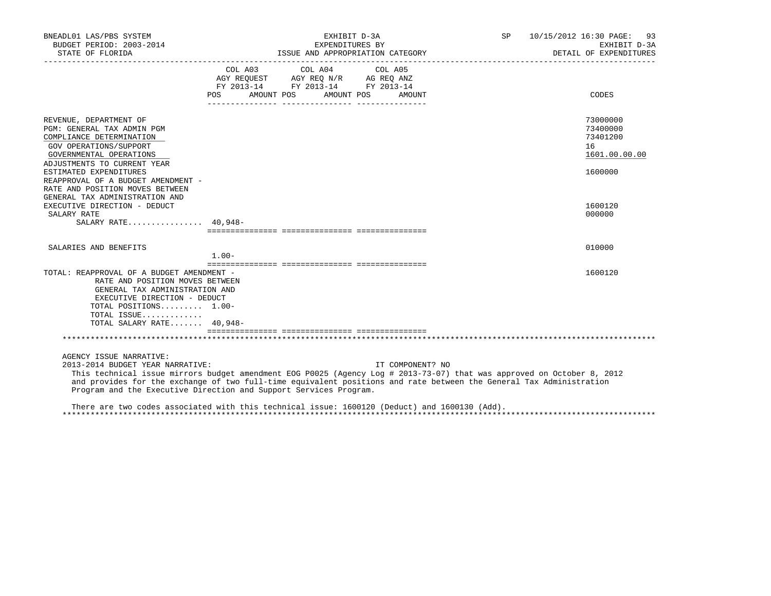| BNEADL01 LAS/PBS SYSTEM<br>BUDGET PERIOD: 2003-2014<br>STATE OF FLORIDA                                                                                                                                                                                                                                                                                                                                                                                                            |         | EXHIBIT D-3A<br>EXPENDITURES BY                                                                                                                                                                                                                                     | ISSUE AND APPROPRIATION CATEGORY | SP 10/15/2012 16:30 PAGE: 93<br>EXHIBIT D-3A<br>DETAIL OF EXPENDITURES |
|------------------------------------------------------------------------------------------------------------------------------------------------------------------------------------------------------------------------------------------------------------------------------------------------------------------------------------------------------------------------------------------------------------------------------------------------------------------------------------|---------|---------------------------------------------------------------------------------------------------------------------------------------------------------------------------------------------------------------------------------------------------------------------|----------------------------------|------------------------------------------------------------------------|
|                                                                                                                                                                                                                                                                                                                                                                                                                                                                                    | POS DO  | COL A03 COL A04 COL A05<br>$\begin{tabular}{lllllll} \bf AGY \;\; REQUEST \hspace{1cm} AGY \;\; REQ \;\; N/R \hspace{1cm} AG \;\; REQ \;\; ANZ \\ \hline \tt FY \;\; 2013-14 \hspace{1cm} FY \;\; 2013-14 \hspace{1cm} FY \;\; 2013-14 \end{tabular}$<br>AMOUNT POS | AMOUNT POS<br>AMOUNT             | CODES                                                                  |
|                                                                                                                                                                                                                                                                                                                                                                                                                                                                                    |         |                                                                                                                                                                                                                                                                     |                                  |                                                                        |
| REVENUE, DEPARTMENT OF<br>PGM: GENERAL TAX ADMIN PGM<br>COMPLIANCE DETERMINATION<br>GOV OPERATIONS/SUPPORT<br>GOVERNMENTAL OPERATIONS                                                                                                                                                                                                                                                                                                                                              |         |                                                                                                                                                                                                                                                                     |                                  | 73000000<br>73400000<br>73401200<br>16<br>1601.00.00.00                |
| ADJUSTMENTS TO CURRENT YEAR<br>ESTIMATED EXPENDITURES<br>REAPPROVAL OF A BUDGET AMENDMENT -<br>RATE AND POSITION MOVES BETWEEN<br>GENERAL TAX ADMINISTRATION AND                                                                                                                                                                                                                                                                                                                   |         |                                                                                                                                                                                                                                                                     |                                  | 1600000                                                                |
| EXECUTIVE DIRECTION - DEDUCT<br>SALARY RATE<br>SALARY RATE 40,948-                                                                                                                                                                                                                                                                                                                                                                                                                 |         |                                                                                                                                                                                                                                                                     |                                  | 1600120<br>000000                                                      |
| SALARIES AND BENEFITS                                                                                                                                                                                                                                                                                                                                                                                                                                                              | $1.00-$ |                                                                                                                                                                                                                                                                     |                                  | 010000                                                                 |
| TOTAL: REAPPROVAL OF A BUDGET AMENDMENT -<br>RATE AND POSITION MOVES BETWEEN<br>GENERAL TAX ADMINISTRATION AND<br>EXECUTIVE DIRECTION - DEDUCT<br>TOTAL POSITIONS 1.00-<br>TOTAL ISSUE<br>TOTAL SALARY RATE 40,948-                                                                                                                                                                                                                                                                |         |                                                                                                                                                                                                                                                                     |                                  | 1600120                                                                |
|                                                                                                                                                                                                                                                                                                                                                                                                                                                                                    |         |                                                                                                                                                                                                                                                                     |                                  |                                                                        |
| AGENCY ISSUE NARRATIVE:<br>2013-2014 BUDGET YEAR NARRATIVE:<br>This technical issue mirrors budget amendment EOG P0025 (Agency Log # 2013-73-07) that was approved on October 8, 2012<br>and provides for the exchange of two full-time equivalent positions and rate between the General Tax Administration<br>Program and the Executive Direction and Support Services Program.<br>There are two codes associated with this technical issue: 1600120 (Deduct) and 1600130 (Add). |         |                                                                                                                                                                                                                                                                     | IT COMPONENT? NO                 |                                                                        |

\*\*\*\*\*\*\*\*\*\*\*\*\*\*\*\*\*\*\*\*\*\*\*\*\*\*\*\*\*\*\*\*\*\*\*\*\*\*\*\*\*\*\*\*\*\*\*\*\*\*\*\*\*\*\*\*\*\*\*\*\*\*\*\*\*\*\*\*\*\*\*\*\*\*\*\*\*\*\*\*\*\*\*\*\*\*\*\*\*\*\*\*\*\*\*\*\*\*\*\*\*\*\*\*\*\*\*\*\*\*\*\*\*\*\*\*\*\*\*\*\*\*\*\*\*\*\*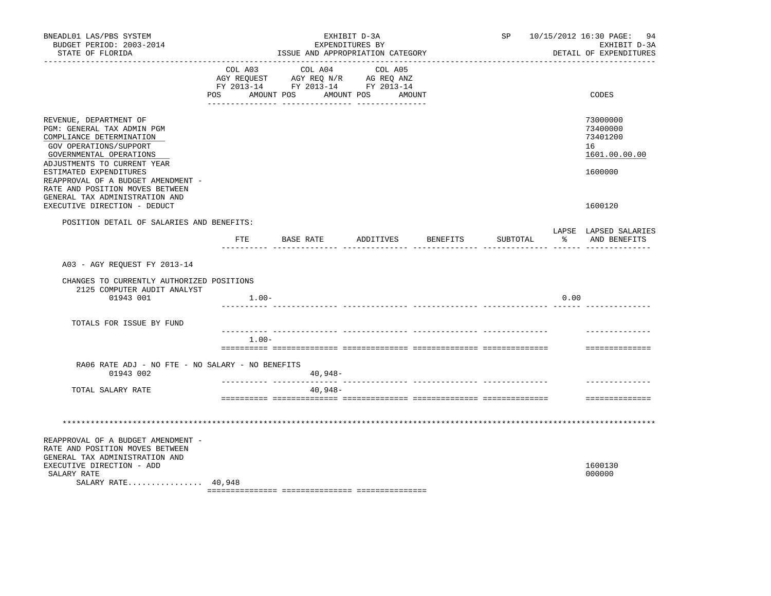| BNEADL01 LAS/PBS SYSTEM<br>BUDGET PERIOD: 2003-2014<br>STATE OF FLORIDA                                                                                                   | ISSUE AND APPROPRIATION CATEGORY |                                                                                                   |                      | SP 10/15/2012 16:30 PAGE: 94<br>EXHIBIT D-3A<br>DETAIL OF EXPENDITURES |          |      |                                                         |
|---------------------------------------------------------------------------------------------------------------------------------------------------------------------------|----------------------------------|---------------------------------------------------------------------------------------------------|----------------------|------------------------------------------------------------------------|----------|------|---------------------------------------------------------|
|                                                                                                                                                                           | POS AMOUNT POS                   | COL A03 COL A04 COL A05<br>AGY REQUEST AGY REQ N/R AG REQ ANZ<br>FY 2013-14 FY 2013-14 FY 2013-14 | AMOUNT POS<br>AMOUNT |                                                                        |          |      | CODES                                                   |
| REVENUE, DEPARTMENT OF<br>PGM: GENERAL TAX ADMIN PGM<br>COMPLIANCE DETERMINATION<br>GOV OPERATIONS/SUPPORT<br>GOVERNMENTAL OPERATIONS<br>ADJUSTMENTS TO CURRENT YEAR      |                                  |                                                                                                   |                      |                                                                        |          |      | 73000000<br>73400000<br>73401200<br>16<br>1601.00.00.00 |
| ESTIMATED EXPENDITURES<br>REAPPROVAL OF A BUDGET AMENDMENT -<br>RATE AND POSITION MOVES BETWEEN<br>GENERAL TAX ADMINISTRATION AND<br>EXECUTIVE DIRECTION - DEDUCT         |                                  |                                                                                                   |                      |                                                                        |          |      | 1600000<br>1600120                                      |
| POSITION DETAIL OF SALARIES AND BENEFITS:                                                                                                                                 | ETE                              | BASE RATE ADDITIVES BENEFITS<br>__________________________                                        |                      |                                                                        | SUBTOTAL |      | LAPSE LAPSED SALARIES<br>% AND BENEFITS                 |
| A03 - AGY REQUEST FY 2013-14                                                                                                                                              |                                  |                                                                                                   |                      |                                                                        |          |      |                                                         |
| CHANGES TO CURRENTLY AUTHORIZED POSITIONS<br>2125 COMPUTER AUDIT ANALYST<br>01943 001                                                                                     | $1.00-$                          |                                                                                                   |                      |                                                                        |          | 0.00 |                                                         |
| TOTALS FOR ISSUE BY FUND                                                                                                                                                  |                                  |                                                                                                   |                      |                                                                        |          |      |                                                         |
|                                                                                                                                                                           | $1.00 -$                         |                                                                                                   |                      |                                                                        |          |      | ==============                                          |
| RA06 RATE ADJ - NO FTE - NO SALARY - NO BENEFITS<br>01943 002                                                                                                             |                                  | $40,948-$                                                                                         |                      |                                                                        |          |      |                                                         |
| TOTAL SALARY RATE                                                                                                                                                         |                                  | $40,948-$                                                                                         |                      |                                                                        |          |      | ==============                                          |
|                                                                                                                                                                           |                                  |                                                                                                   |                      |                                                                        |          |      |                                                         |
| REAPPROVAL OF A BUDGET AMENDMENT -<br>RATE AND POSITION MOVES BETWEEN<br>GENERAL TAX ADMINISTRATION AND<br>EXECUTIVE DIRECTION - ADD<br>SALARY RATE<br>SALARY RATE 40,948 |                                  |                                                                                                   |                      |                                                                        |          |      | 1600130<br>000000                                       |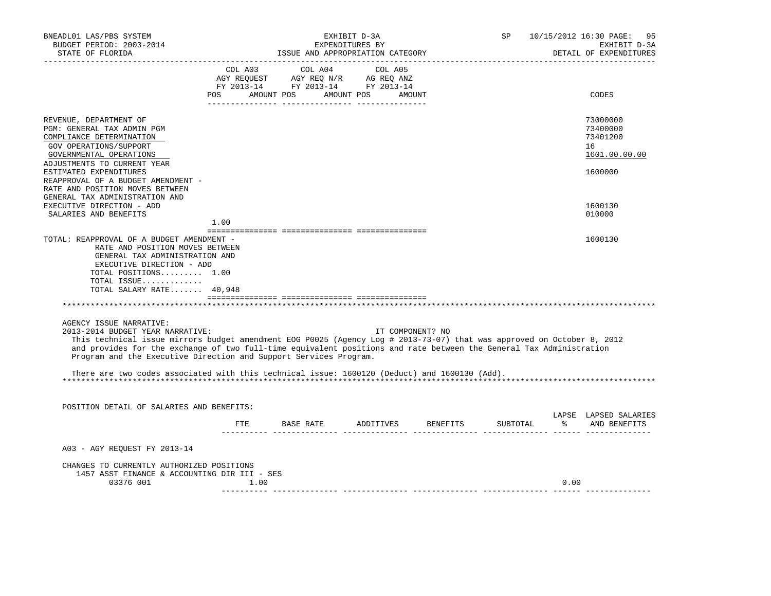| BNEADL01 LAS/PBS SYSTEM<br>BUDGET PERIOD: 2003-2014<br>STATE OF FLORIDA                                                                                                                                                                                                                                                                                                           | EXHIBIT D-3A<br>EXPENDITURES BY<br>ISSUE AND APPROPRIATION CATEGORY |      |  |  |                                                                                                                                                                                                                                                                                                                                                                                                                                                                                                   | SP                               |          | 10/15/2012 16:30 PAGE:<br>95<br>EXHIBIT D-3A<br>DETAIL OF EXPENDITURES |                                                         |
|-----------------------------------------------------------------------------------------------------------------------------------------------------------------------------------------------------------------------------------------------------------------------------------------------------------------------------------------------------------------------------------|---------------------------------------------------------------------|------|--|--|---------------------------------------------------------------------------------------------------------------------------------------------------------------------------------------------------------------------------------------------------------------------------------------------------------------------------------------------------------------------------------------------------------------------------------------------------------------------------------------------------|----------------------------------|----------|------------------------------------------------------------------------|---------------------------------------------------------|
|                                                                                                                                                                                                                                                                                                                                                                                   |                                                                     |      |  |  | COL A03 COL A04 COL A05<br>$\begin{array}{ccccccccc} \text{CUT} & \text{CUT} & \text{CUT} & \text{CUT} & \text{CUT} & \text{CUT} & \text{CUT} & \text{CUT} & \text{CUT} & \text{CUT} & \text{CUT} & \text{CUT} & \text{CUT} & \text{CUT} & \text{CUT} & \text{CUT} & \text{CUT} & \text{CUT} & \text{CUT} & \text{CUT} & \text{CUT} & \text{CUT} & \text{CUT} & \text{CUT} & \text{CUT} & \text{CUT} & \text{CUT} & \text{CUT} & \text{CUT} & \text{CUT} & \$<br>POS AMOUNT POS AMOUNT POS AMOUNT |                                  |          |                                                                        | CODES                                                   |
| REVENUE, DEPARTMENT OF<br>PGM: GENERAL TAX ADMIN PGM<br>COMPLIANCE DETERMINATION<br>GOV OPERATIONS/SUPPORT<br>GOVERNMENTAL OPERATIONS                                                                                                                                                                                                                                             |                                                                     |      |  |  |                                                                                                                                                                                                                                                                                                                                                                                                                                                                                                   |                                  |          |                                                                        | 73000000<br>73400000<br>73401200<br>16<br>1601.00.00.00 |
| ADJUSTMENTS TO CURRENT YEAR<br>ESTIMATED EXPENDITURES<br>REAPPROVAL OF A BUDGET AMENDMENT -<br>RATE AND POSITION MOVES BETWEEN<br>GENERAL TAX ADMINISTRATION AND                                                                                                                                                                                                                  |                                                                     |      |  |  |                                                                                                                                                                                                                                                                                                                                                                                                                                                                                                   |                                  |          |                                                                        | 1600000                                                 |
| EXECUTIVE DIRECTION - ADD<br>SALARIES AND BENEFITS                                                                                                                                                                                                                                                                                                                                | 1.00                                                                |      |  |  |                                                                                                                                                                                                                                                                                                                                                                                                                                                                                                   |                                  |          |                                                                        | 1600130<br>010000                                       |
| TOTAL: REAPPROVAL OF A BUDGET AMENDMENT -<br>RATE AND POSITION MOVES BETWEEN<br>GENERAL TAX ADMINISTRATION AND<br>EXECUTIVE DIRECTION - ADD<br>TOTAL POSITIONS 1.00<br>TOTAL ISSUE<br>TOTAL SALARY RATE 40,948                                                                                                                                                                    |                                                                     |      |  |  |                                                                                                                                                                                                                                                                                                                                                                                                                                                                                                   |                                  |          |                                                                        | 1600130                                                 |
| AGENCY ISSUE NARRATIVE:<br>2013-2014 BUDGET YEAR NARRATIVE:<br>This technical issue mirrors budget amendment EOG P0025 (Agency Log # 2013-73-07) that was approved on October 8, 2012<br>and provides for the exchange of two full-time equivalent positions and rate between the General Tax Administration<br>Program and the Executive Direction and Support Services Program. |                                                                     |      |  |  |                                                                                                                                                                                                                                                                                                                                                                                                                                                                                                   | IT COMPONENT? NO                 |          |                                                                        |                                                         |
| There are two codes associated with this technical issue: 1600120 (Deduct) and 1600130 (Add).                                                                                                                                                                                                                                                                                     |                                                                     |      |  |  |                                                                                                                                                                                                                                                                                                                                                                                                                                                                                                   |                                  |          |                                                                        |                                                         |
| POSITION DETAIL OF SALARIES AND BENEFITS:                                                                                                                                                                                                                                                                                                                                         |                                                                     |      |  |  |                                                                                                                                                                                                                                                                                                                                                                                                                                                                                                   |                                  |          |                                                                        | LAPSE LAPSED SALARIES                                   |
|                                                                                                                                                                                                                                                                                                                                                                                   |                                                                     |      |  |  |                                                                                                                                                                                                                                                                                                                                                                                                                                                                                                   | FTE BASE RATE ADDITIVES BENEFITS | SUBTOTAL |                                                                        | % AND BENEFITS                                          |
| A03 - AGY REQUEST FY 2013-14                                                                                                                                                                                                                                                                                                                                                      |                                                                     |      |  |  |                                                                                                                                                                                                                                                                                                                                                                                                                                                                                                   |                                  |          |                                                                        |                                                         |
| CHANGES TO CURRENTLY AUTHORIZED POSITIONS<br>1457 ASST FINANCE & ACCOUNTING DIR III - SES<br>03376 001                                                                                                                                                                                                                                                                            |                                                                     | 1.00 |  |  |                                                                                                                                                                                                                                                                                                                                                                                                                                                                                                   |                                  |          | 0.00                                                                   |                                                         |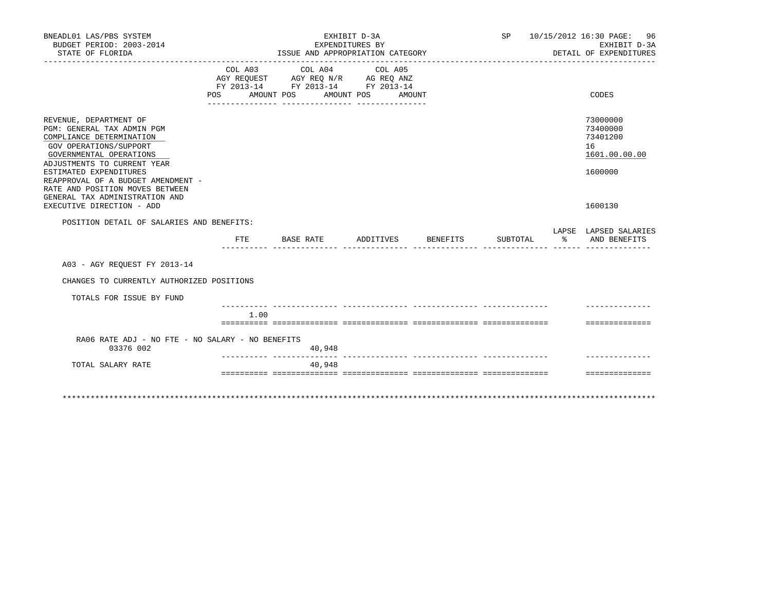| BNEADL01 LAS/PBS SYSTEM<br>BUDGET PERIOD: 2003-2014<br>STATE OF FLORIDA                                                                                                                                                                                                                                                                |                |           | EXHIBIT D-3A<br>EXPENDITURES BY | ISSUE AND APPROPRIATION CATEGORY                                                                                                                         |        |          |          |    | SP 10/15/2012 16:30 PAGE: 96<br>EXHIBIT D-3A<br>DETAIL OF EXPENDITURES        |
|----------------------------------------------------------------------------------------------------------------------------------------------------------------------------------------------------------------------------------------------------------------------------------------------------------------------------------------|----------------|-----------|---------------------------------|----------------------------------------------------------------------------------------------------------------------------------------------------------|--------|----------|----------|----|-------------------------------------------------------------------------------|
|                                                                                                                                                                                                                                                                                                                                        | POS AMOUNT POS |           |                                 | COL A03 COL A04 COL A05<br>AGY REQUEST AGY REQ N/R AG REQ ANZ<br>FY 2013-14 FY 2013-14 FY 2013-14<br>AMOUNT POS<br>--- ---------------- ---------------- | AMOUNT |          |          |    | CODES                                                                         |
| REVENUE, DEPARTMENT OF<br>PGM: GENERAL TAX ADMIN PGM<br>COMPLIANCE DETERMINATION<br>GOV OPERATIONS/SUPPORT<br>GOVERNMENTAL OPERATIONS<br>ADJUSTMENTS TO CURRENT YEAR<br>ESTIMATED EXPENDITURES<br>REAPPROVAL OF A BUDGET AMENDMENT -<br>RATE AND POSITION MOVES BETWEEN<br>GENERAL TAX ADMINISTRATION AND<br>EXECUTIVE DIRECTION - ADD |                |           |                                 |                                                                                                                                                          |        |          |          |    | 73000000<br>73400000<br>73401200<br>16<br>1601.00.00.00<br>1600000<br>1600130 |
| POSITION DETAIL OF SALARIES AND BENEFITS:                                                                                                                                                                                                                                                                                              |                |           |                                 |                                                                                                                                                          |        |          |          |    | LAPSE LAPSED SALARIES                                                         |
|                                                                                                                                                                                                                                                                                                                                        | FTE            | BASE RATE |                                 | ADDITIVES                                                                                                                                                |        | BENEFITS | SUBTOTAL | ႜၟ | AND BENEFITS                                                                  |
| A03 - AGY REOUEST FY 2013-14                                                                                                                                                                                                                                                                                                           |                |           |                                 |                                                                                                                                                          |        |          |          |    |                                                                               |
| CHANGES TO CURRENTLY AUTHORIZED POSITIONS                                                                                                                                                                                                                                                                                              |                |           |                                 |                                                                                                                                                          |        |          |          |    |                                                                               |
| TOTALS FOR ISSUE BY FUND                                                                                                                                                                                                                                                                                                               |                |           |                                 |                                                                                                                                                          |        |          |          |    |                                                                               |
|                                                                                                                                                                                                                                                                                                                                        | 1.00           |           |                                 |                                                                                                                                                          |        |          |          |    | ==============                                                                |
| RA06 RATE ADJ - NO FTE - NO SALARY - NO BENEFITS<br>03376 002                                                                                                                                                                                                                                                                          |                |           | 40,948                          |                                                                                                                                                          |        |          |          |    |                                                                               |
| TOTAL SALARY RATE                                                                                                                                                                                                                                                                                                                      |                |           | 40,948                          |                                                                                                                                                          |        |          |          |    |                                                                               |
|                                                                                                                                                                                                                                                                                                                                        |                |           |                                 |                                                                                                                                                          |        |          |          |    | ==============                                                                |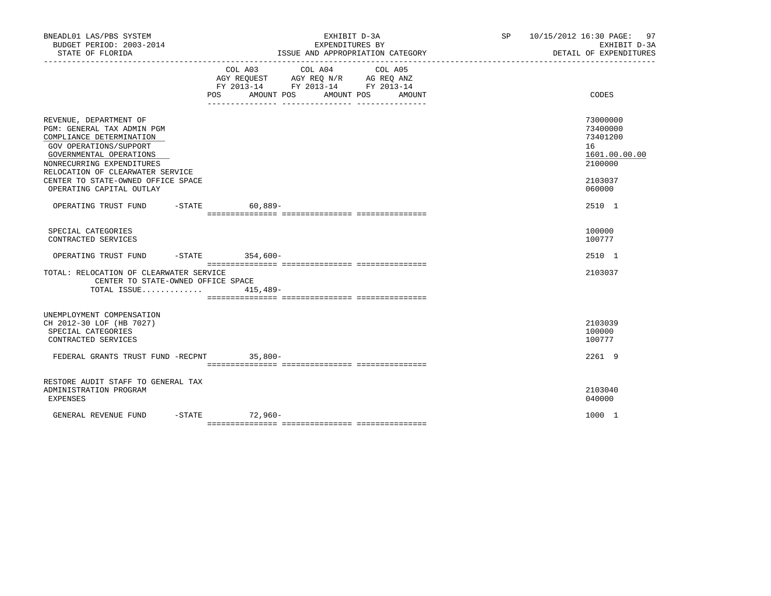| BNEADL01 LAS/PBS SYSTEM<br>BUDGET PERIOD: 2003-2014<br>STATE OF FLORIDA                                                                                                                                                                                                  | EXHIBIT D-3A<br>EXPENDITURES BY<br>ISSUE AND APPROPRIATION CATEGORY                                                                   | SP 10/15/2012 16:30 PAGE: 97<br>EXHIBIT D-3A<br>DETAIL OF EXPENDITURES                  |
|--------------------------------------------------------------------------------------------------------------------------------------------------------------------------------------------------------------------------------------------------------------------------|---------------------------------------------------------------------------------------------------------------------------------------|-----------------------------------------------------------------------------------------|
|                                                                                                                                                                                                                                                                          | COL A03 COL A04 COL A05<br>AGY REQUEST AGY REQ N/R AG REQ ANZ<br>FY 2013-14 FY 2013-14 FY 2013-14<br>POS AMOUNT POS AMOUNT POS AMOUNT | CODES                                                                                   |
| REVENUE, DEPARTMENT OF<br>PGM: GENERAL TAX ADMIN PGM<br>COMPLIANCE DETERMINATION<br>GOV OPERATIONS/SUPPORT<br>GOVERNMENTAL OPERATIONS<br>NONRECURRING EXPENDITURES<br>RELOCATION OF CLEARWATER SERVICE<br>CENTER TO STATE-OWNED OFFICE SPACE<br>OPERATING CAPITAL OUTLAY |                                                                                                                                       | 73000000<br>73400000<br>73401200<br>16<br>1601.00.00.00<br>2100000<br>2103037<br>060000 |
| OPERATING TRUST FUND -STATE 60,889-                                                                                                                                                                                                                                      |                                                                                                                                       | 2510 1                                                                                  |
| SPECIAL CATEGORIES<br>CONTRACTED SERVICES                                                                                                                                                                                                                                |                                                                                                                                       | 100000<br>100777                                                                        |
| OPERATING TRUST FUND -STATE 354,600-                                                                                                                                                                                                                                     |                                                                                                                                       | 2510 1                                                                                  |
| TOTAL: RELOCATION OF CLEARWATER SERVICE<br>CENTER TO STATE-OWNED OFFICE SPACE                                                                                                                                                                                            |                                                                                                                                       | 2103037                                                                                 |
|                                                                                                                                                                                                                                                                          | TOTAL ISSUE 415,489-                                                                                                                  |                                                                                         |
| UNEMPLOYMENT COMPENSATION<br>CH 2012-30 LOF (HB 7027)<br>SPECIAL CATEGORIES<br>CONTRACTED SERVICES                                                                                                                                                                       |                                                                                                                                       | 2103039<br>100000<br>100777                                                             |
| FEDERAL GRANTS TRUST FUND -RECPNT 35,800-                                                                                                                                                                                                                                |                                                                                                                                       | 2261 9                                                                                  |
| RESTORE AUDIT STAFF TO GENERAL TAX<br>ADMINISTRATION PROGRAM<br>EXPENSES                                                                                                                                                                                                 |                                                                                                                                       | 2103040<br>040000                                                                       |
| GENERAL REVENUE FUND                                                                                                                                                                                                                                                     | -STATE 72,960-                                                                                                                        | 1000 1                                                                                  |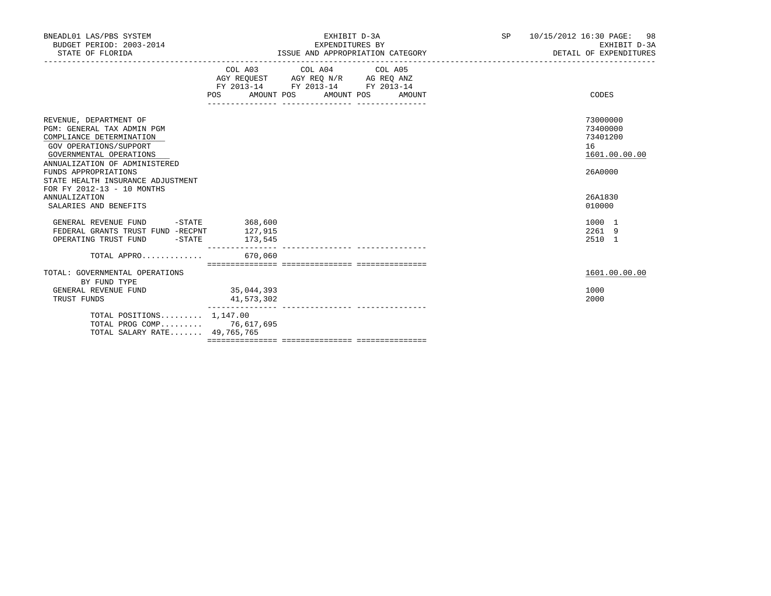| BNEADL01 LAS/PBS SYSTEM<br>BUDGET PERIOD: 2003-2014<br>STATE OF FLORIDA                                                                                                                                                                                           |                          | EXHIBIT D-3A<br>EXPENDITURES BY<br>ISSUE AND APPROPRIATION CATEGORY                                                                   | SP <sub>2</sub> | 10/15/2012 16:30 PAGE: 98<br>EXHIBIT D-3A<br>DETAIL OF EXPENDITURES |
|-------------------------------------------------------------------------------------------------------------------------------------------------------------------------------------------------------------------------------------------------------------------|--------------------------|---------------------------------------------------------------------------------------------------------------------------------------|-----------------|---------------------------------------------------------------------|
|                                                                                                                                                                                                                                                                   |                          | COL A03 COL A04 COL A05<br>AGY REQUEST AGY REQ N/R AG REQ ANZ<br>FY 2013-14 FY 2013-14 FY 2013-14<br>POS AMOUNT POS AMOUNT POS AMOUNT |                 | CODES                                                               |
| REVENUE, DEPARTMENT OF<br>PGM: GENERAL TAX ADMIN PGM<br>COMPLIANCE DETERMINATION<br>GOV OPERATIONS/SUPPORT<br>GOVERNMENTAL OPERATIONS<br>ANNUALIZATION OF ADMINISTERED<br>FUNDS APPROPRIATIONS<br>STATE HEALTH INSURANCE ADJUSTMENT<br>FOR FY 2012-13 - 10 MONTHS |                          |                                                                                                                                       |                 | 73000000<br>73400000<br>73401200<br>16<br>1601.00.00.00<br>26A0000  |
| <b>ANNUALIZATION</b><br>SALARIES AND BENEFITS                                                                                                                                                                                                                     |                          |                                                                                                                                       |                 | 26A1830<br>010000                                                   |
| GENERAL REVENUE FUND<br>FEDERAL GRANTS TRUST FUND -RECPNT 127,915<br>OPERATING TRUST FUND -STATE 173,545                                                                                                                                                          | $-STATE$ 368,600         |                                                                                                                                       |                 | 1000 1<br>2261 9<br>2510 1                                          |
|                                                                                                                                                                                                                                                                   |                          |                                                                                                                                       |                 |                                                                     |
| TOTAL: GOVERNMENTAL OPERATIONS<br>BY FUND TYPE                                                                                                                                                                                                                    |                          |                                                                                                                                       |                 | 1601.00.00.00                                                       |
| GENERAL REVENUE FUND<br>TRUST FUNDS                                                                                                                                                                                                                               | 35,044,393<br>41,573,302 |                                                                                                                                       |                 | 1000<br>2000                                                        |
| TOTAL POSITIONS $1.147.00$<br>TOTAL PROG COMP 76,617,695<br>TOTAL SALARY RATE 49,765,765                                                                                                                                                                          |                          |                                                                                                                                       |                 |                                                                     |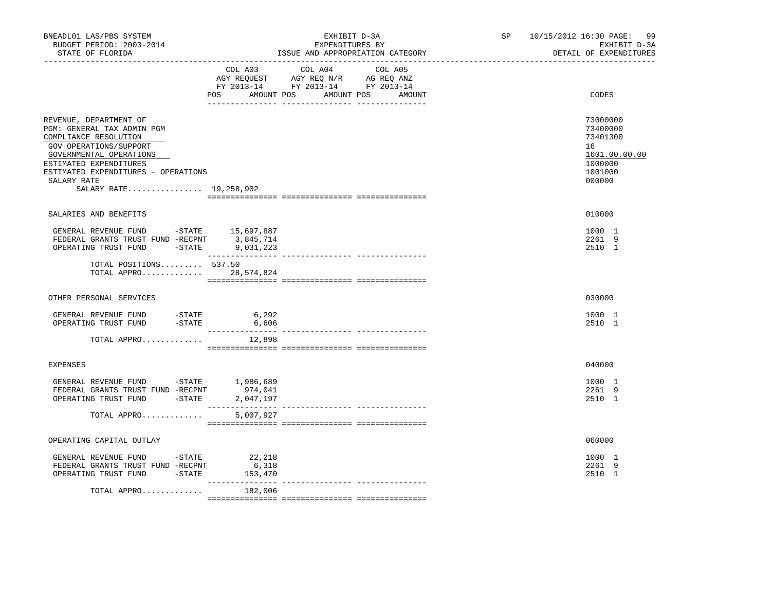| BNEADL01 LAS/PBS SYSTEM<br>BUDGET PERIOD: 2003-2014<br>STATE OF FLORIDA                                                                                                                                                                                                        |                            | EXHIBIT D-3A<br>EXPENDITURES BY<br>ISSUE AND APPROPRIATION CATEGORY                                                                   | SP | 10/15/2012 16:30 PAGE:<br>99<br>EXHIBIT D-3A<br>DETAIL OF EXPENDITURES                  |
|--------------------------------------------------------------------------------------------------------------------------------------------------------------------------------------------------------------------------------------------------------------------------------|----------------------------|---------------------------------------------------------------------------------------------------------------------------------------|----|-----------------------------------------------------------------------------------------|
|                                                                                                                                                                                                                                                                                |                            | COL A03 COL A04 COL A05<br>AGY REQUEST AGY REQ N/R AG REQ ANZ<br>FY 2013-14 FY 2013-14 FY 2013-14<br>POS AMOUNT POS AMOUNT POS AMOUNT |    | CODES                                                                                   |
| REVENUE, DEPARTMENT OF<br>PGM: GENERAL TAX ADMIN PGM<br>COMPLIANCE RESOLUTION<br>GOV OPERATIONS/SUPPORT<br>GOVERNMENTAL OPERATIONS<br>ESTIMATED EXPENDITURES<br>ESTIMATED EXPENDITURES - OPERATIONS<br>SALARY RATE<br>SALARY RATE 19,258,902                                   |                            |                                                                                                                                       |    | 73000000<br>73400000<br>73401300<br>16<br>1601.00.00.00<br>1000000<br>1001000<br>000000 |
| SALARIES AND BENEFITS                                                                                                                                                                                                                                                          |                            |                                                                                                                                       |    | 010000                                                                                  |
| GENERAL REVENUE FUND -STATE 15,697,887<br>FEDERAL GRANTS TRUST FUND -RECPNT 3,845,714<br>OPERATING TRUST FUND -STATE 9,031,223                                                                                                                                                 |                            |                                                                                                                                       |    | 1000 1<br>2261 9<br>2510 1                                                              |
| TOTAL POSITIONS 537.50<br>TOTAL APPRO 28,574,824                                                                                                                                                                                                                               |                            |                                                                                                                                       |    |                                                                                         |
| OTHER PERSONAL SERVICES                                                                                                                                                                                                                                                        |                            |                                                                                                                                       |    | 030000                                                                                  |
| GENERAL REVENUE FUND -STATE 6,292<br>$-STATE$<br>OPERATING TRUST FUND                                                                                                                                                                                                          | 6,606<br>_____________     |                                                                                                                                       |    | 1000 1<br>2510 1                                                                        |
| TOTAL APPRO                                                                                                                                                                                                                                                                    | 12,898                     |                                                                                                                                       |    |                                                                                         |
| <b>EXPENSES</b>                                                                                                                                                                                                                                                                |                            |                                                                                                                                       |    | 040000                                                                                  |
| $\begin{tabular}{lllllllllll} \multicolumn{2}{c}{\textbf{GENERAL}} & \textbf{REVENUE} & \textbf{FUND} & & -\textbf{STATE} & & 1,986,689 \\ \multicolumn{2}{c}{\textbf{FEDERAL GRANTS TRUST FUND} & -\textbf{RECPNT} & & 974,041} \end{tabular}$<br>OPERATING TRUST FUND -STATE | 2,047,197                  |                                                                                                                                       |    | 1000 1<br>2261 9<br>2510 1                                                              |
| TOTAL APPRO                                                                                                                                                                                                                                                                    | 5,007,927                  |                                                                                                                                       |    |                                                                                         |
| OPERATING CAPITAL OUTLAY                                                                                                                                                                                                                                                       |                            |                                                                                                                                       |    | 060000                                                                                  |
| GENERAL REVENUE FUND -STATE<br>FEDERAL GRANTS TRUST FUND -RECPNT<br>OPERATING TRUST FUND -STATE                                                                                                                                                                                | 22,218<br>6,318<br>153,470 |                                                                                                                                       |    | 1000 1<br>2261 9<br>2510 1                                                              |
| TOTAL APPRO                                                                                                                                                                                                                                                                    | _______________<br>182,006 |                                                                                                                                       |    |                                                                                         |
|                                                                                                                                                                                                                                                                                |                            |                                                                                                                                       |    |                                                                                         |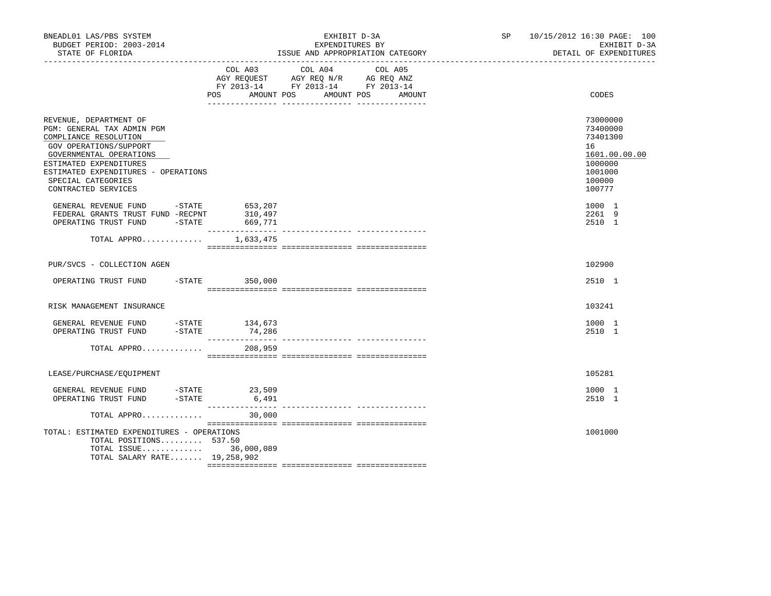| BNEADL01 LAS/PBS SYSTEM<br>BUDGET PERIOD: 2003-2014<br>STATE OF FLORIDA                                                                                                                                                                          |                                                   | EXHIBIT D-3A<br>EXPENDITURES BY<br>ISSUE AND APPROPRIATION CATEGORY                                                             | SP | 10/15/2012 16:30 PAGE: 100<br>EXHIBIT D-3A<br>DETAIL OF EXPENDITURES                              |
|--------------------------------------------------------------------------------------------------------------------------------------------------------------------------------------------------------------------------------------------------|---------------------------------------------------|---------------------------------------------------------------------------------------------------------------------------------|----|---------------------------------------------------------------------------------------------------|
|                                                                                                                                                                                                                                                  | COL A03<br>POS                                    | COL A04<br>COL A05<br>AGY REQUEST AGY REQ N/R AG REQ ANZ<br>FY 2013-14 FY 2013-14 FY 2013-14<br>AMOUNT POS AMOUNT POS<br>AMOUNT |    | CODES                                                                                             |
| REVENUE, DEPARTMENT OF<br>PGM: GENERAL TAX ADMIN PGM<br>COMPLIANCE RESOLUTION<br>GOV OPERATIONS/SUPPORT<br>GOVERNMENTAL OPERATIONS<br>ESTIMATED EXPENDITURES<br>ESTIMATED EXPENDITURES - OPERATIONS<br>SPECIAL CATEGORIES<br>CONTRACTED SERVICES |                                                   |                                                                                                                                 |    | 73000000<br>73400000<br>73401300<br>16<br>1601.00.00.00<br>1000000<br>1001000<br>100000<br>100777 |
| GENERAL REVENUE FUND -STATE<br>FEDERAL GRANTS TRUST FUND -RECPNT<br>OPERATING TRUST FUND                                                                                                                                                         | 653,207<br>FUND -RECPNT 310,497<br>-STATE 669,771 |                                                                                                                                 |    | 1000 1<br>2261 9<br>2510 1                                                                        |
| TOTAL APPRO                                                                                                                                                                                                                                      | 1,633,475                                         |                                                                                                                                 |    |                                                                                                   |
| PUR/SVCS - COLLECTION AGEN                                                                                                                                                                                                                       |                                                   |                                                                                                                                 |    | 102900                                                                                            |
| OPERATING TRUST FUND -STATE 350,000                                                                                                                                                                                                              |                                                   |                                                                                                                                 |    | 2510 1                                                                                            |
| RISK MANAGEMENT INSURANCE                                                                                                                                                                                                                        |                                                   |                                                                                                                                 |    | 103241                                                                                            |
| GENERAL REVENUE FUND -STATE 134,673<br>OPERATING TRUST FUND -STATE                                                                                                                                                                               | 74,286                                            |                                                                                                                                 |    | 1000 1<br>2510 1                                                                                  |
| TOTAL APPRO 208,959                                                                                                                                                                                                                              |                                                   |                                                                                                                                 |    |                                                                                                   |
| LEASE/PURCHASE/EQUIPMENT                                                                                                                                                                                                                         |                                                   |                                                                                                                                 |    | 105281                                                                                            |
| GENERAL REVENUE FUND $-$ STATE $23,509$<br>OPERATING TRUST FUND $-$ STATE 6,491                                                                                                                                                                  |                                                   |                                                                                                                                 |    | 1000 1<br>2510 1                                                                                  |
| TOTAL APPRO                                                                                                                                                                                                                                      | 30,000                                            |                                                                                                                                 |    |                                                                                                   |
| TOTAL: ESTIMATED EXPENDITURES - OPERATIONS<br>TOTAL POSITIONS 537.50<br>TOTAL ISSUE 36,000,089<br>TOTAL SALARY RATE 19,258,902                                                                                                                   |                                                   |                                                                                                                                 |    | 1001000                                                                                           |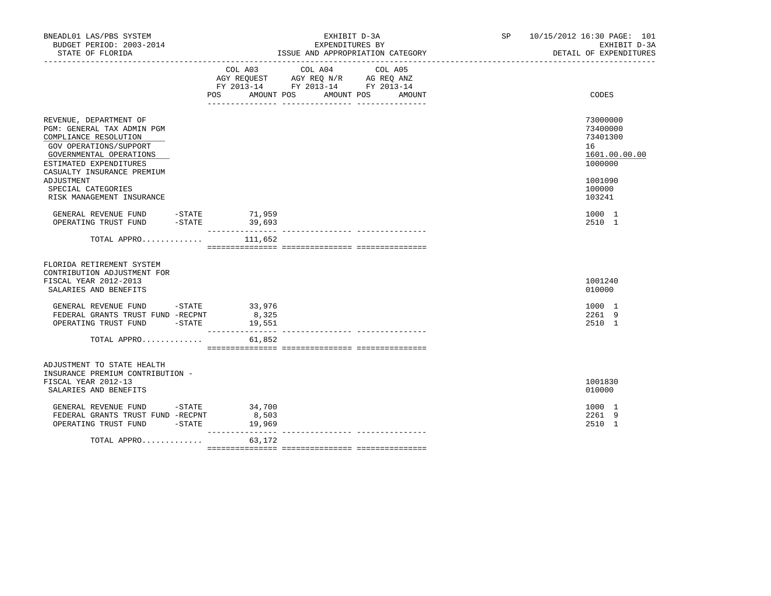| BNEADL01 LAS/PBS SYSTEM<br>BUDGET PERIOD: 2003-2014<br>STATE OF FLORIDA                                                                                                                    |           |                                                                                                                                     | EXHIBIT D-3A<br>EXPENDITURES BY<br>ISSUE AND APPROPRIATION CATEGORY<br>--------------------------------- | SP <sub>2</sub> | 10/15/2012 16:30 PAGE: 101<br>EXHIBIT D-3A<br>DETAIL OF EXPENDITURES |
|--------------------------------------------------------------------------------------------------------------------------------------------------------------------------------------------|-----------|-------------------------------------------------------------------------------------------------------------------------------------|----------------------------------------------------------------------------------------------------------|-----------------|----------------------------------------------------------------------|
|                                                                                                                                                                                            | COL A03   | COL A04<br>COL A05<br>AGY REQUEST AGY REQ N/R AG REQ ANZ<br>FY 2013-14 FY 2013-14 FY 2013-14<br>POS AMOUNT POS AMOUNT POS<br>AMOUNT |                                                                                                          | CODES           |                                                                      |
| REVENUE, DEPARTMENT OF<br>PGM: GENERAL TAX ADMIN PGM<br>COMPLIANCE RESOLUTION<br>GOV OPERATIONS/SUPPORT<br>GOVERNMENTAL OPERATIONS<br>ESTIMATED EXPENDITURES<br>CASUALTY INSURANCE PREMIUM |           |                                                                                                                                     |                                                                                                          |                 | 73000000<br>73400000<br>73401300<br>16<br>1601.00.00.00<br>1000000   |
| ADJUSTMENT<br>SPECIAL CATEGORIES<br>RISK MANAGEMENT INSURANCE                                                                                                                              |           |                                                                                                                                     |                                                                                                          |                 | 1001090<br>100000<br>103241                                          |
| GENERAL REVENUE FUND -STATE 71,959<br>OPERATING TRUST FUND                                                                                                                                 | $-$ STATE | 39,693<br>________________                                                                                                          |                                                                                                          |                 | 1000 1<br>2510 1                                                     |
| TOTAL APPRO                                                                                                                                                                                |           | 111,652                                                                                                                             | --------------- --------                                                                                 |                 |                                                                      |
| FLORIDA RETIREMENT SYSTEM<br>CONTRIBUTION ADJUSTMENT FOR<br>FISCAL YEAR 2012-2013<br>SALARIES AND BENEFITS                                                                                 |           |                                                                                                                                     |                                                                                                          |                 | 1001240<br>010000                                                    |
| GENERAL REVENUE FUND -STATE 33,976<br>FEDERAL GRANTS TRUST FUND -RECPNT<br>OPERATING TRUST FUND -STATE                                                                                     |           | 8,325<br>19,551                                                                                                                     |                                                                                                          |                 | 1000 1<br>2261 9<br>2510 1                                           |
| TOTAL APPRO                                                                                                                                                                                |           | 61,852                                                                                                                              |                                                                                                          |                 |                                                                      |
| ADJUSTMENT TO STATE HEALTH<br>INSURANCE PREMIUM CONTRIBUTION -<br>FISCAL YEAR 2012-13<br>SALARIES AND BENEFITS                                                                             |           |                                                                                                                                     |                                                                                                          |                 | 1001830<br>010000                                                    |
| GENERAL REVENUE FUND -STATE 34,700<br>FEDERAL GRANTS TRUST FUND -RECPNT<br>OPERATING TRUST FUND                                                                                            | $-STATE$  | 8,503<br>19,969<br>__________                                                                                                       |                                                                                                          |                 | 1000 1<br>2261 9<br>2510 1                                           |
| TOTAL APPRO                                                                                                                                                                                |           | 63,172                                                                                                                              |                                                                                                          |                 |                                                                      |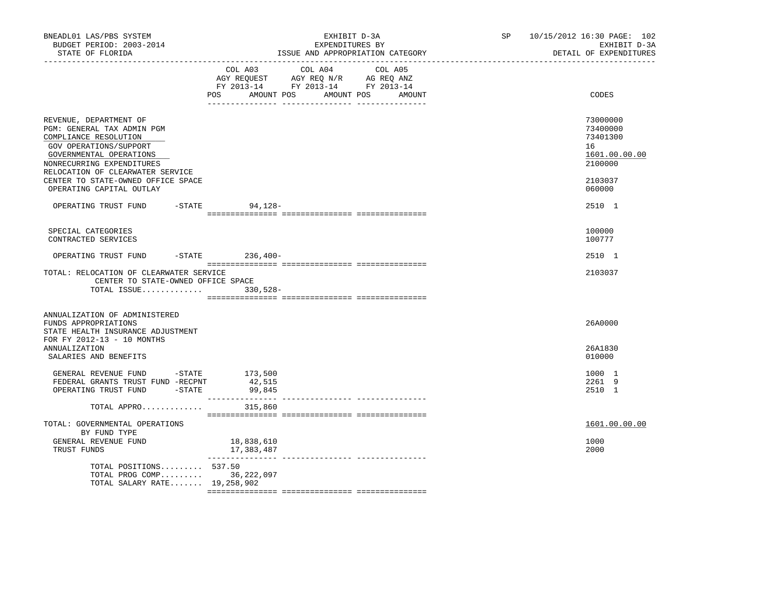| BNEADL01 LAS/PBS SYSTEM<br>BUDGET PERIOD: 2003-2014<br>STATE OF FLORIDA<br>. _ _ _ _ _ _ _ _ _ _ _ _ _ _ _ _ _                                                                                                                                                        | EXHIBIT D-3A<br>EXPENDITURES BY<br>ISSUE AND APPROPRIATION CATEGORY |        | SP 10/15/2012 16:30 PAGE: 102<br>EXHIBIT D-3A<br>DETAIL OF EXPENDITURES                 |
|-----------------------------------------------------------------------------------------------------------------------------------------------------------------------------------------------------------------------------------------------------------------------|---------------------------------------------------------------------|--------|-----------------------------------------------------------------------------------------|
|                                                                                                                                                                                                                                                                       | COL A03 COL A04 COL A05<br>AMOUNT POS AMOUNT POS<br>POS             | AMOUNT | CODES                                                                                   |
| REVENUE, DEPARTMENT OF<br>PGM: GENERAL TAX ADMIN PGM<br>COMPLIANCE RESOLUTION<br>GOV OPERATIONS/SUPPORT<br>GOVERNMENTAL OPERATIONS<br>NONRECURRING EXPENDITURES<br>RELOCATION OF CLEARWATER SERVICE<br>CENTER TO STATE-OWNED OFFICE SPACE<br>OPERATING CAPITAL OUTLAY |                                                                     |        | 73000000<br>73400000<br>73401300<br>16<br>1601.00.00.00<br>2100000<br>2103037<br>060000 |
| OPERATING TRUST FUND                                                                                                                                                                                                                                                  | -STATE 94,128-                                                      |        | 2510 1                                                                                  |
| SPECIAL CATEGORIES<br>CONTRACTED SERVICES                                                                                                                                                                                                                             |                                                                     |        | 100000<br>100777                                                                        |
| OPERATING TRUST FUND                                                                                                                                                                                                                                                  | -STATE 236,400-                                                     |        | 2510 1                                                                                  |
| TOTAL: RELOCATION OF CLEARWATER SERVICE<br>CENTER TO STATE-OWNED OFFICE SPACE<br>TOTAL ISSUE 330,528-                                                                                                                                                                 |                                                                     |        | 2103037                                                                                 |
| ANNUALIZATION OF ADMINISTERED<br>FUNDS APPROPRIATIONS<br>STATE HEALTH INSURANCE ADJUSTMENT                                                                                                                                                                            |                                                                     |        | 26A0000                                                                                 |
| FOR FY 2012-13 - 10 MONTHS<br>ANNUALIZATION<br>SALARIES AND BENEFITS                                                                                                                                                                                                  |                                                                     |        | 26A1830<br>010000                                                                       |
| GENERAL REVENUE FUND -STATE 173,500<br>FEDERAL GRANTS TRUST FUND -RECPNT<br>OPERATING TRUST FUND -STATE                                                                                                                                                               | 42,515<br>99,845                                                    |        | 1000 1<br>2261 9<br>2510 1                                                              |
| TOTAL APPRO                                                                                                                                                                                                                                                           | 315,860                                                             |        |                                                                                         |
| TOTAL: GOVERNMENTAL OPERATIONS<br>BY FUND TYPE<br>GENERAL REVENUE FUND<br>TRUST FUNDS                                                                                                                                                                                 | 18,838,610<br>17,383,487                                            |        | 1601.00.00.00<br>1000<br>2000                                                           |
| TOTAL POSITIONS 537.50<br>TOTAL PROG COMP 36,222,097<br>TOTAL SALARY RATE 19,258,902                                                                                                                                                                                  |                                                                     |        |                                                                                         |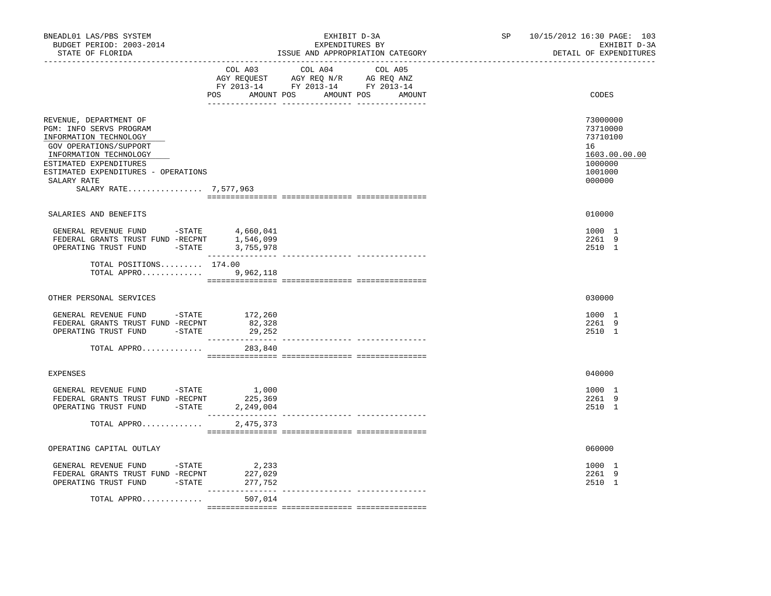| COL A03 COL A04 COL A05<br>AGY REQUEST AGY REQ N/R AG REQ ANZ<br>FY 2013-14 FY 2013-14 FY 2013-14<br>POS AMOUNT POS AMOUNT POS AMOUNT<br>CODES<br>73000000<br>REVENUE, DEPARTMENT OF<br>PGM: INFO SERVS PROGRAM<br>73710000<br>INFORMATION TECHNOLOGY<br>73710100<br>GOV OPERATIONS/SUPPORT<br>16<br>INFORMATION TECHNOLOGY<br>1603.00.00.00<br>ESTIMATED EXPENDITURES<br>1000000<br>ESTIMATED EXPENDITURES - OPERATIONS<br>1001000<br>000000<br>SALARY RATE<br>SALARY RATE 7,577,963<br>SALARIES AND BENEFITS<br>010000<br>GENERAL REVENUE FUND -STATE 4,660,041<br>1000 1<br>FEDERAL GRANTS TRUST FUND -RECENT 1,546,099<br>OPERATING TRUST FUND -STATE 3,755,978<br>2261 9<br>2510 1<br>TOTAL POSITIONS 174.00<br>TOTAL APPRO 9,962,118<br>OTHER PERSONAL SERVICES<br>030000<br>GENERAL REVENUE FUND - STATE 172,260<br>1000 1<br>FEDERAL GRANTS TRUST FUND -RECPNT<br>2261 9<br>82,328<br>OPERATING TRUST FUND -STATE<br>29,252<br>2510 1<br>TOTAL APPRO<br>283,840<br>040000<br><b>EXPENSES</b><br>GENERAL REVENUE FUND -STATE<br>1,000<br>1000 1<br>FEDERAL GRANTS TRUST FUND -RECPNT<br>225,369<br>2261 9<br>OPERATING TRUST FUND -STATE 2,249,004<br>2510 1<br>TOTAL APPRO<br>2,475,373<br>OPERATING CAPITAL OUTLAY<br>060000<br>GENERAL REVENUE FUND - STATE<br>2,233<br>1000 1<br>2261 9<br>FEDERAL GRANTS TRUST FUND -RECPNT<br>227,029<br>OPERATING TRUST FUND -STATE<br>277,752<br>2510 1<br>________<br>____________________________________<br>TOTAL APPRO<br>507,014 | BNEADL01 LAS/PBS SYSTEM<br>BUDGET PERIOD: 2003-2014<br>STATE OF FLORIDA<br>------------------ | EXHIBIT D-3A<br>EXPENDITURES BY<br>ISSUE AND APPROPRIATION CATEGORY | SP and the set of the set of the set of the set of the set of the set of the set of the set of the set of the set of the set of the set of the set of the set of the set of the set of the set of the set of the set of the se | 10/15/2012 16:30 PAGE: 103<br>EXHIBIT D-3A<br>DETAIL OF EXPENDITURES |
|--------------------------------------------------------------------------------------------------------------------------------------------------------------------------------------------------------------------------------------------------------------------------------------------------------------------------------------------------------------------------------------------------------------------------------------------------------------------------------------------------------------------------------------------------------------------------------------------------------------------------------------------------------------------------------------------------------------------------------------------------------------------------------------------------------------------------------------------------------------------------------------------------------------------------------------------------------------------------------------------------------------------------------------------------------------------------------------------------------------------------------------------------------------------------------------------------------------------------------------------------------------------------------------------------------------------------------------------------------------------------------------------------------------------------------------------------------------------------------------|-----------------------------------------------------------------------------------------------|---------------------------------------------------------------------|--------------------------------------------------------------------------------------------------------------------------------------------------------------------------------------------------------------------------------|----------------------------------------------------------------------|
|                                                                                                                                                                                                                                                                                                                                                                                                                                                                                                                                                                                                                                                                                                                                                                                                                                                                                                                                                                                                                                                                                                                                                                                                                                                                                                                                                                                                                                                                                      |                                                                                               |                                                                     |                                                                                                                                                                                                                                |                                                                      |
|                                                                                                                                                                                                                                                                                                                                                                                                                                                                                                                                                                                                                                                                                                                                                                                                                                                                                                                                                                                                                                                                                                                                                                                                                                                                                                                                                                                                                                                                                      |                                                                                               |                                                                     |                                                                                                                                                                                                                                |                                                                      |
|                                                                                                                                                                                                                                                                                                                                                                                                                                                                                                                                                                                                                                                                                                                                                                                                                                                                                                                                                                                                                                                                                                                                                                                                                                                                                                                                                                                                                                                                                      |                                                                                               |                                                                     |                                                                                                                                                                                                                                |                                                                      |
|                                                                                                                                                                                                                                                                                                                                                                                                                                                                                                                                                                                                                                                                                                                                                                                                                                                                                                                                                                                                                                                                                                                                                                                                                                                                                                                                                                                                                                                                                      |                                                                                               |                                                                     |                                                                                                                                                                                                                                |                                                                      |
|                                                                                                                                                                                                                                                                                                                                                                                                                                                                                                                                                                                                                                                                                                                                                                                                                                                                                                                                                                                                                                                                                                                                                                                                                                                                                                                                                                                                                                                                                      |                                                                                               |                                                                     |                                                                                                                                                                                                                                |                                                                      |
|                                                                                                                                                                                                                                                                                                                                                                                                                                                                                                                                                                                                                                                                                                                                                                                                                                                                                                                                                                                                                                                                                                                                                                                                                                                                                                                                                                                                                                                                                      |                                                                                               |                                                                     |                                                                                                                                                                                                                                |                                                                      |
|                                                                                                                                                                                                                                                                                                                                                                                                                                                                                                                                                                                                                                                                                                                                                                                                                                                                                                                                                                                                                                                                                                                                                                                                                                                                                                                                                                                                                                                                                      |                                                                                               |                                                                     |                                                                                                                                                                                                                                |                                                                      |
|                                                                                                                                                                                                                                                                                                                                                                                                                                                                                                                                                                                                                                                                                                                                                                                                                                                                                                                                                                                                                                                                                                                                                                                                                                                                                                                                                                                                                                                                                      |                                                                                               |                                                                     |                                                                                                                                                                                                                                |                                                                      |
|                                                                                                                                                                                                                                                                                                                                                                                                                                                                                                                                                                                                                                                                                                                                                                                                                                                                                                                                                                                                                                                                                                                                                                                                                                                                                                                                                                                                                                                                                      |                                                                                               |                                                                     |                                                                                                                                                                                                                                |                                                                      |
|                                                                                                                                                                                                                                                                                                                                                                                                                                                                                                                                                                                                                                                                                                                                                                                                                                                                                                                                                                                                                                                                                                                                                                                                                                                                                                                                                                                                                                                                                      |                                                                                               |                                                                     |                                                                                                                                                                                                                                |                                                                      |
|                                                                                                                                                                                                                                                                                                                                                                                                                                                                                                                                                                                                                                                                                                                                                                                                                                                                                                                                                                                                                                                                                                                                                                                                                                                                                                                                                                                                                                                                                      |                                                                                               |                                                                     |                                                                                                                                                                                                                                |                                                                      |
|                                                                                                                                                                                                                                                                                                                                                                                                                                                                                                                                                                                                                                                                                                                                                                                                                                                                                                                                                                                                                                                                                                                                                                                                                                                                                                                                                                                                                                                                                      |                                                                                               |                                                                     |                                                                                                                                                                                                                                |                                                                      |
|                                                                                                                                                                                                                                                                                                                                                                                                                                                                                                                                                                                                                                                                                                                                                                                                                                                                                                                                                                                                                                                                                                                                                                                                                                                                                                                                                                                                                                                                                      |                                                                                               |                                                                     |                                                                                                                                                                                                                                |                                                                      |
|                                                                                                                                                                                                                                                                                                                                                                                                                                                                                                                                                                                                                                                                                                                                                                                                                                                                                                                                                                                                                                                                                                                                                                                                                                                                                                                                                                                                                                                                                      |                                                                                               |                                                                     |                                                                                                                                                                                                                                |                                                                      |
|                                                                                                                                                                                                                                                                                                                                                                                                                                                                                                                                                                                                                                                                                                                                                                                                                                                                                                                                                                                                                                                                                                                                                                                                                                                                                                                                                                                                                                                                                      |                                                                                               |                                                                     |                                                                                                                                                                                                                                |                                                                      |
|                                                                                                                                                                                                                                                                                                                                                                                                                                                                                                                                                                                                                                                                                                                                                                                                                                                                                                                                                                                                                                                                                                                                                                                                                                                                                                                                                                                                                                                                                      |                                                                                               |                                                                     |                                                                                                                                                                                                                                |                                                                      |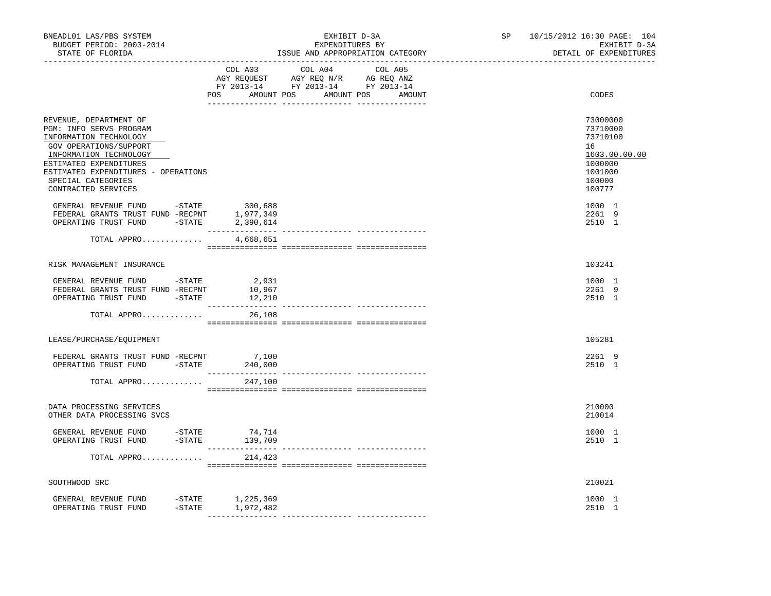| BNEADL01 LAS/PBS SYSTEM<br>BUDGET PERIOD: 2003-2014<br>STATE OF FLORIDA                                                                                                                                                                                                                                                                                                    |                                                                                                                                                                                                                                                                                                                                                                                                                                                                 | EXHIBIT D-3A<br>EXPENDITURES BY                                                      | ISSUE AND APPROPRIATION CATEGORY | SP | 10/15/2012 16:30 PAGE: 104<br>EXHIBIT D-3A<br>DETAIL OF EXPENDITURES                                                            |
|----------------------------------------------------------------------------------------------------------------------------------------------------------------------------------------------------------------------------------------------------------------------------------------------------------------------------------------------------------------------------|-----------------------------------------------------------------------------------------------------------------------------------------------------------------------------------------------------------------------------------------------------------------------------------------------------------------------------------------------------------------------------------------------------------------------------------------------------------------|--------------------------------------------------------------------------------------|----------------------------------|----|---------------------------------------------------------------------------------------------------------------------------------|
|                                                                                                                                                                                                                                                                                                                                                                            | COL A03<br>POS AMOUNT POS AMOUNT POS AMOUNT                                                                                                                                                                                                                                                                                                                                                                                                                     | COL A04<br>CO AGY REQUEST AGY REQ N/R AG REQ ANZ<br>FY 2013-14 FY 2013-14 FY 2013-14 | COL A05                          |    | CODES                                                                                                                           |
| REVENUE, DEPARTMENT OF<br>PGM: INFO SERVS PROGRAM<br>INFORMATION TECHNOLOGY<br>GOV OPERATIONS/SUPPORT<br>INFORMATION TECHNOLOGY<br>ESTIMATED EXPENDITURES<br>ESTIMATED EXPENDITURES - OPERATIONS<br>SPECIAL CATEGORIES<br>CONTRACTED SERVICES<br>GENERAL REVENUE FUND $-$ STATE 300,688<br>FEDERAL GRANTS TRUST FUND -RECPNT<br>OPERATING TRUST FUND -STATE<br>TOTAL APPRO | 1,977,349<br>2,390,614<br>4,668,651                                                                                                                                                                                                                                                                                                                                                                                                                             |                                                                                      |                                  |    | 73000000<br>73710000<br>73710100<br>16<br>1603.00.00.00<br>1000000<br>1001000<br>100000<br>100777<br>1000 1<br>2261 9<br>2510 1 |
|                                                                                                                                                                                                                                                                                                                                                                            | $\begin{minipage}{0.03\textwidth} \begin{tabular}{l} \textbf{0.04\textwidth} \textbf{0.04\textwidth} \textbf{0.04\textwidth} \textbf{0.04\textwidth} \textbf{0.04\textwidth} \textbf{0.04\textwidth} \textbf{0.04\textwidth} \textbf{0.04\textwidth} \textbf{0.04\textwidth} \textbf{0.04\textwidth} \textbf{0.04\textwidth} \textbf{0.04\textwidth} \textbf{0.04\textwidth} \textbf{0.04\textwidth} \textbf{0.04\textwidth} \textbf{0.04\textwidth} \textbf{0$ |                                                                                      |                                  |    |                                                                                                                                 |
| RISK MANAGEMENT INSURANCE                                                                                                                                                                                                                                                                                                                                                  |                                                                                                                                                                                                                                                                                                                                                                                                                                                                 |                                                                                      |                                  |    | 103241                                                                                                                          |
| GENERAL REVENUE FUND -STATE<br>FEDERAL GRANTS TRUST FUND -RECPNT<br>OPERATING TRUST FUND -STATE                                                                                                                                                                                                                                                                            | 2,931<br>10,967<br>12,210                                                                                                                                                                                                                                                                                                                                                                                                                                       |                                                                                      |                                  |    | 1000 1<br>2261 9<br>2510 1                                                                                                      |
| TOTAL APPRO                                                                                                                                                                                                                                                                                                                                                                | 26,108                                                                                                                                                                                                                                                                                                                                                                                                                                                          |                                                                                      |                                  |    |                                                                                                                                 |
| LEASE/PURCHASE/EQUIPMENT                                                                                                                                                                                                                                                                                                                                                   |                                                                                                                                                                                                                                                                                                                                                                                                                                                                 |                                                                                      |                                  |    | 105281                                                                                                                          |
|                                                                                                                                                                                                                                                                                                                                                                            |                                                                                                                                                                                                                                                                                                                                                                                                                                                                 |                                                                                      |                                  |    | 2261 9<br>2510 1                                                                                                                |
| TOTAL APPRO $247,100$                                                                                                                                                                                                                                                                                                                                                      |                                                                                                                                                                                                                                                                                                                                                                                                                                                                 |                                                                                      |                                  |    |                                                                                                                                 |
| DATA PROCESSING SERVICES<br>OTHER DATA PROCESSING SVCS                                                                                                                                                                                                                                                                                                                     |                                                                                                                                                                                                                                                                                                                                                                                                                                                                 |                                                                                      |                                  |    | 210000<br>210014                                                                                                                |
|                                                                                                                                                                                                                                                                                                                                                                            |                                                                                                                                                                                                                                                                                                                                                                                                                                                                 |                                                                                      |                                  |    | 1000 1<br>2510 1                                                                                                                |
| TOTAL APPRO                                                                                                                                                                                                                                                                                                                                                                | 214,423                                                                                                                                                                                                                                                                                                                                                                                                                                                         |                                                                                      |                                  |    |                                                                                                                                 |
| SOUTHWOOD SRC                                                                                                                                                                                                                                                                                                                                                              |                                                                                                                                                                                                                                                                                                                                                                                                                                                                 |                                                                                      |                                  |    | 210021                                                                                                                          |
| GENERAL REVENUE FUND<br>OPERATING TRUST FUND                                                                                                                                                                                                                                                                                                                               | STATE 1,225,369-<br>STATE 1,972,482-                                                                                                                                                                                                                                                                                                                                                                                                                            |                                                                                      |                                  |    | 1000 1<br>2510 1                                                                                                                |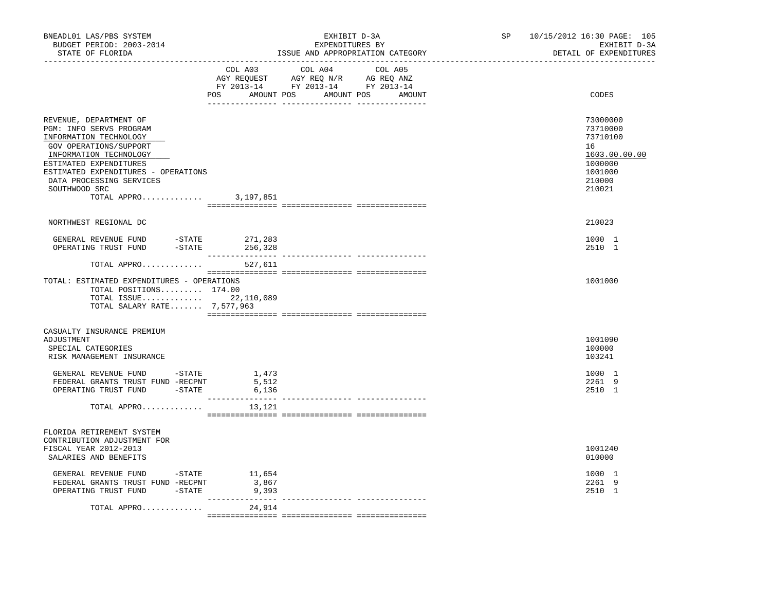| BNEADL01 LAS/PBS SYSTEM<br>BUDGET PERIOD: 2003-2014<br>STATE OF FLORIDA                                                                                                                                                                                      |                          | EXHIBIT D-3A<br>EXPENDITURES BY<br>ISSUE AND APPROPRIATION CATEGORY                                                           | SP and the set of the set of the set of the set of the set of the set of the set of the set of the set of the set of the set of the set of the set of the set of the set of the set of the set of the set of the set of the se<br>______________________________ | 10/15/2012 16:30 PAGE: 105<br>EXHIBIT D-3A<br>DETAIL OF EXPENDITURES                              |
|--------------------------------------------------------------------------------------------------------------------------------------------------------------------------------------------------------------------------------------------------------------|--------------------------|-------------------------------------------------------------------------------------------------------------------------------|------------------------------------------------------------------------------------------------------------------------------------------------------------------------------------------------------------------------------------------------------------------|---------------------------------------------------------------------------------------------------|
|                                                                                                                                                                                                                                                              | COL A03                  | COL A04 COL A05<br>AGY REQUEST AGY REQ N/R AG REQ ANZ<br>FY 2013-14 FY 2013-14 FY 2013-14<br>POS AMOUNT POS AMOUNT POS AMOUNT |                                                                                                                                                                                                                                                                  | CODES                                                                                             |
| REVENUE, DEPARTMENT OF<br>PGM: INFO SERVS PROGRAM<br>INFORMATION TECHNOLOGY<br>GOV OPERATIONS/SUPPORT<br>INFORMATION TECHNOLOGY<br>ESTIMATED EXPENDITURES<br>ESTIMATED EXPENDITURES - OPERATIONS<br>DATA PROCESSING SERVICES<br>SOUTHWOOD SRC<br>TOTAL APPRO | 3,197,851                |                                                                                                                               |                                                                                                                                                                                                                                                                  | 73000000<br>73710000<br>73710100<br>16<br>1603.00.00.00<br>1000000<br>1001000<br>210000<br>210021 |
|                                                                                                                                                                                                                                                              |                          |                                                                                                                               |                                                                                                                                                                                                                                                                  |                                                                                                   |
| NORTHWEST REGIONAL DC<br>GENERAL REVENUE FUND -STATE 271,283<br>OPERATING TRUST FUND -STATE                                                                                                                                                                  | 256,328                  |                                                                                                                               |                                                                                                                                                                                                                                                                  | 210023<br>1000 1<br>2510 1                                                                        |
| TOTAL APPRO                                                                                                                                                                                                                                                  | 527,611                  |                                                                                                                               |                                                                                                                                                                                                                                                                  |                                                                                                   |
| TOTAL: ESTIMATED EXPENDITURES - OPERATIONS<br>TOTAL POSITIONS 174.00<br>TOTAL ISSUE 22,110,089<br>TOTAL SALARY RATE 7,577,963                                                                                                                                |                          |                                                                                                                               |                                                                                                                                                                                                                                                                  | 1001000                                                                                           |
| CASUALTY INSURANCE PREMIUM<br>ADJUSTMENT<br>SPECIAL CATEGORIES<br>RISK MANAGEMENT INSURANCE                                                                                                                                                                  |                          |                                                                                                                               |                                                                                                                                                                                                                                                                  | 1001090<br>100000<br>103241                                                                       |
| GENERAL REVENUE FUND -STATE 1,473<br>FEDERAL GRANTS TRUST FUND -RECPNT<br>OPERATING TRUST FUND<br>$-STATE$                                                                                                                                                   | 5,512<br>6,136           |                                                                                                                               |                                                                                                                                                                                                                                                                  | 1000 1<br>2261 9<br>2510 1                                                                        |
| TOTAL APPRO                                                                                                                                                                                                                                                  | 13,121                   |                                                                                                                               |                                                                                                                                                                                                                                                                  |                                                                                                   |
| FLORIDA RETIREMENT SYSTEM<br>CONTRIBUTION ADJUSTMENT FOR<br>FISCAL YEAR 2012-2013<br>SALARIES AND BENEFITS                                                                                                                                                   |                          |                                                                                                                               |                                                                                                                                                                                                                                                                  | 1001240<br>010000                                                                                 |
| GENERAL REVENUE FUND -STATE<br>FEDERAL GRANTS TRUST FUND -RECPNT<br>OPERATING TRUST FUND -STATE                                                                                                                                                              | 11,654<br>3,867<br>9,393 |                                                                                                                               |                                                                                                                                                                                                                                                                  | 1000 1<br>2261 9<br>2510 1                                                                        |
| TOTAL APPRO                                                                                                                                                                                                                                                  | 24,914                   |                                                                                                                               |                                                                                                                                                                                                                                                                  |                                                                                                   |
|                                                                                                                                                                                                                                                              |                          |                                                                                                                               |                                                                                                                                                                                                                                                                  |                                                                                                   |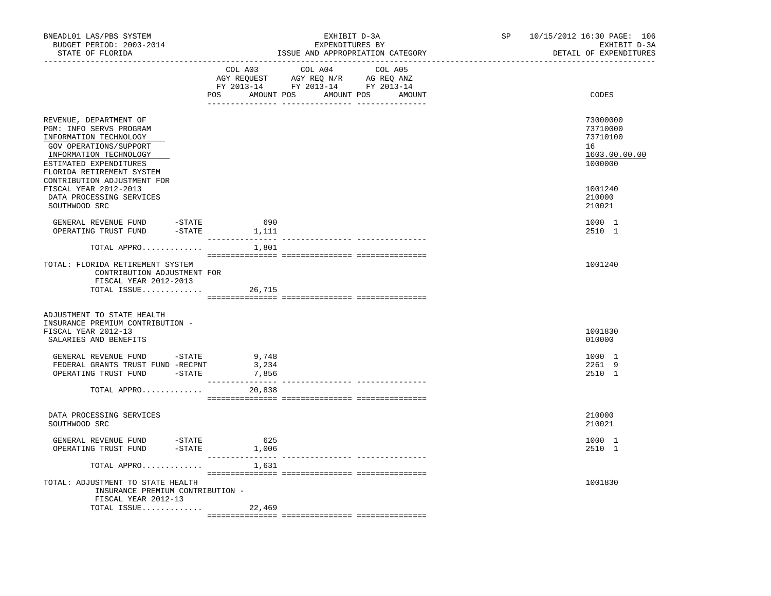| BNEADL01 LAS/PBS SYSTEM<br>BUDGET PERIOD: 2003-2014<br>STATE OF FLORIDA                                                                                                                                                                                                                                                                                                                                                                                                                                                    |                                   | EXHIBIT D-3A<br>EXPENDITURES BY<br>ISSUE AND APPROPRIATION CATEGORY | SP and the set of the set of the set of the set of the set of the set of the set of the set of the set of the set of the set of the set of the set of the set of the set of the set of the set of the set of the set of the se | 10/15/2012 16:30 PAGE: 106<br>EXHIBIT D-3A<br>DETAIL OF EXPENDITURES |
|----------------------------------------------------------------------------------------------------------------------------------------------------------------------------------------------------------------------------------------------------------------------------------------------------------------------------------------------------------------------------------------------------------------------------------------------------------------------------------------------------------------------------|-----------------------------------|---------------------------------------------------------------------|--------------------------------------------------------------------------------------------------------------------------------------------------------------------------------------------------------------------------------|----------------------------------------------------------------------|
|                                                                                                                                                                                                                                                                                                                                                                                                                                                                                                                            | COL A03                           | COL A04 COL A05<br>POS AMOUNT POS AMOUNT POS<br>AMOUNT              |                                                                                                                                                                                                                                | CODES                                                                |
| REVENUE, DEPARTMENT OF<br>PGM: INFO SERVS PROGRAM<br>INFORMATION TECHNOLOGY<br>GOV OPERATIONS/SUPPORT<br>INFORMATION TECHNOLOGY<br>ESTIMATED EXPENDITURES<br>FLORIDA RETIREMENT SYSTEM                                                                                                                                                                                                                                                                                                                                     |                                   |                                                                     |                                                                                                                                                                                                                                | 73000000<br>73710000<br>73710100<br>16<br>1603.00.00.00<br>1000000   |
| CONTRIBUTION ADJUSTMENT FOR<br>FISCAL YEAR 2012-2013<br>DATA PROCESSING SERVICES<br>SOUTHWOOD SRC                                                                                                                                                                                                                                                                                                                                                                                                                          |                                   |                                                                     |                                                                                                                                                                                                                                | 1001240<br>210000<br>210021                                          |
| $\begin{tabular}{lllll} \multicolumn{2}{l}{{\small\bf GENERAL}} & {\small\bf REVENUE} & {\small\bf FUND} & & \multicolumn{2}{l}{\small\bf -STATE} \end{tabular}$<br>$-$ STATE<br>OPERATING TRUST FUND                                                                                                                                                                                                                                                                                                                      | 690<br>1,111<br>_______________   |                                                                     |                                                                                                                                                                                                                                | 1000 1<br>2510 1                                                     |
| TOTAL APPRO                                                                                                                                                                                                                                                                                                                                                                                                                                                                                                                | 1,801                             |                                                                     |                                                                                                                                                                                                                                |                                                                      |
| TOTAL: FLORIDA RETIREMENT SYSTEM<br>CONTRIBUTION ADJUSTMENT FOR<br>FISCAL YEAR 2012-2013<br>TOTAL ISSUE                                                                                                                                                                                                                                                                                                                                                                                                                    | 26,715                            |                                                                     |                                                                                                                                                                                                                                | 1001240                                                              |
| ADJUSTMENT TO STATE HEALTH<br>INSURANCE PREMIUM CONTRIBUTION -<br>FISCAL YEAR 2012-13<br>SALARIES AND BENEFITS                                                                                                                                                                                                                                                                                                                                                                                                             |                                   |                                                                     |                                                                                                                                                                                                                                | 1001830<br>010000                                                    |
| $\begin{tabular}{lllllll} \multicolumn{2}{c}{\multicolumn{2}{c}{\multicolumn{2}{c}{\multicolumn{2}{c}{\multicolumn{2}{c}{\multicolumn{2}{c}{\multicolumn{2}{c}{\multicolumn{2}{c}{\multicolumn{2}{c}{\multicolumn{2}{c}{\multicolumn{2}{c}{\multicolumn{2}{c}{\multicolumn{2}{c}{\multicolumn{2}{c}{\multicolumn{2}{c}{\multicolumn{2}{c}{\multicolumn{2}{c}{\multicolumn{2}{c}{\multicolumn{2}{c}{\multicolumn{2}{c}{\multicolumn{2}{c}{\multicolumn{2}{c}{\multicolumn{2}{c}{\mult$<br>$-$ STATE<br>OPERATING TRUST FUND | 7,856                             |                                                                     |                                                                                                                                                                                                                                | 1000 1<br>2261 9<br>2510 1                                           |
| TOTAL APPRO                                                                                                                                                                                                                                                                                                                                                                                                                                                                                                                | 20,838                            |                                                                     |                                                                                                                                                                                                                                |                                                                      |
| DATA PROCESSING SERVICES<br>SOUTHWOOD SRC                                                                                                                                                                                                                                                                                                                                                                                                                                                                                  |                                   |                                                                     |                                                                                                                                                                                                                                | 210000<br>210021                                                     |
| GENERAL REVENUE FUND -STATE<br>$-$ STATE<br>OPERATING TRUST FUND                                                                                                                                                                                                                                                                                                                                                                                                                                                           | 625<br>1,006<br>_________________ |                                                                     |                                                                                                                                                                                                                                | 1000 1<br>2510 1                                                     |
| TOTAL APPRO                                                                                                                                                                                                                                                                                                                                                                                                                                                                                                                | 1,631                             |                                                                     |                                                                                                                                                                                                                                |                                                                      |
| TOTAL: ADJUSTMENT TO STATE HEALTH<br>INSURANCE PREMIUM CONTRIBUTION -<br>FISCAL YEAR 2012-13                                                                                                                                                                                                                                                                                                                                                                                                                               |                                   |                                                                     |                                                                                                                                                                                                                                | 1001830                                                              |
| TOTAL ISSUE                                                                                                                                                                                                                                                                                                                                                                                                                                                                                                                | 22,469                            |                                                                     |                                                                                                                                                                                                                                |                                                                      |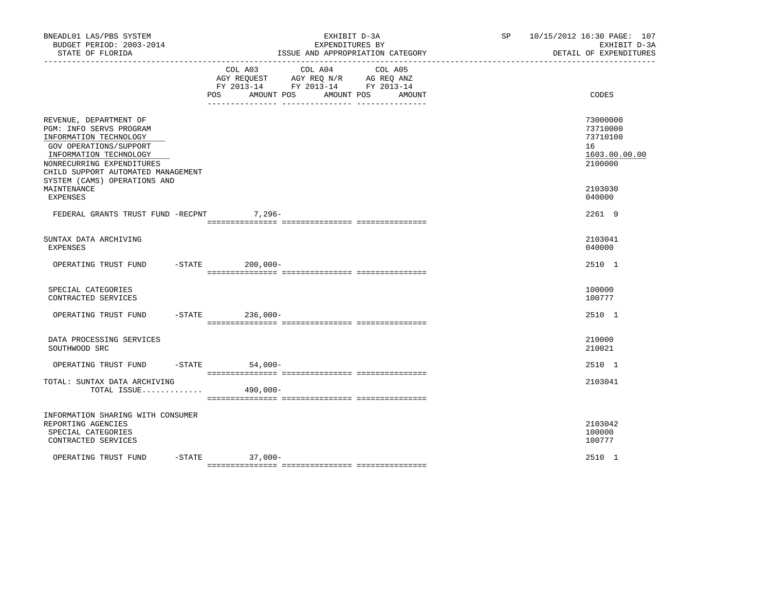| BNEADL01 LAS/PBS SYSTEM<br>BUDGET PERIOD: 2003-2014<br>STATE OF FLORIDA                                                                                                                                                            |                              | EXHIBIT D-3A<br>EXPENDITURES BY<br>ISSUE AND APPROPRIATION CATEGORY                                                  | SP | 10/15/2012 16:30 PAGE: 107<br>EXHIBIT D-3A<br>DETAIL OF EXPENDITURES |
|------------------------------------------------------------------------------------------------------------------------------------------------------------------------------------------------------------------------------------|------------------------------|----------------------------------------------------------------------------------------------------------------------|----|----------------------------------------------------------------------|
|                                                                                                                                                                                                                                    | COL A03<br>POS<br>AMOUNT POS | COL A04<br>COL A05<br>AGY REQUEST AGY REQ N/R AG REQ ANZ<br>FY 2013-14 FY 2013-14 FY 2013-14<br>AMOUNT POS<br>AMOUNT |    | CODES                                                                |
| REVENUE, DEPARTMENT OF<br>PGM: INFO SERVS PROGRAM<br>INFORMATION TECHNOLOGY<br>GOV OPERATIONS/SUPPORT<br>INFORMATION TECHNOLOGY<br>NONRECURRING EXPENDITURES<br>CHILD SUPPORT AUTOMATED MANAGEMENT<br>SYSTEM (CAMS) OPERATIONS AND |                              |                                                                                                                      |    | 73000000<br>73710000<br>73710100<br>16<br>1603.00.00.00<br>2100000   |
| MAINTENANCE<br>EXPENSES                                                                                                                                                                                                            |                              |                                                                                                                      |    | 2103030<br>040000                                                    |
| FEDERAL GRANTS TRUST FUND -RECPNT                                                                                                                                                                                                  | $7,296-$                     |                                                                                                                      |    | 2261 9                                                               |
| SUNTAX DATA ARCHIVING<br><b>EXPENSES</b>                                                                                                                                                                                           |                              |                                                                                                                      |    | 2103041<br>040000                                                    |
| OPERATING TRUST FUND                                                                                                                                                                                                               | $ STATE$<br>200,000-         |                                                                                                                      |    | 2510 1                                                               |
| SPECIAL CATEGORIES<br>CONTRACTED SERVICES                                                                                                                                                                                          |                              |                                                                                                                      |    | 100000<br>100777                                                     |
| OPERATING TRUST FUND -STATE 236,000-                                                                                                                                                                                               |                              |                                                                                                                      |    | 2510 1                                                               |
| DATA PROCESSING SERVICES<br>SOUTHWOOD SRC                                                                                                                                                                                          |                              |                                                                                                                      |    | 210000<br>210021                                                     |
| OPERATING TRUST FUND                                                                                                                                                                                                               | -STATE 54,000-               |                                                                                                                      |    | 2510 1                                                               |
| TOTAL: SUNTAX DATA ARCHIVING<br>TOTAL ISSUE                                                                                                                                                                                        | 490,000-                     |                                                                                                                      |    | 2103041                                                              |
| INFORMATION SHARING WITH CONSUMER<br>REPORTING AGENCIES<br>SPECIAL CATEGORIES<br>CONTRACTED SERVICES                                                                                                                               |                              |                                                                                                                      |    | 2103042<br>100000<br>100777                                          |
| OPERATING TRUST FUND                                                                                                                                                                                                               | $-STATE$ 37,000-             |                                                                                                                      |    | 2510 1                                                               |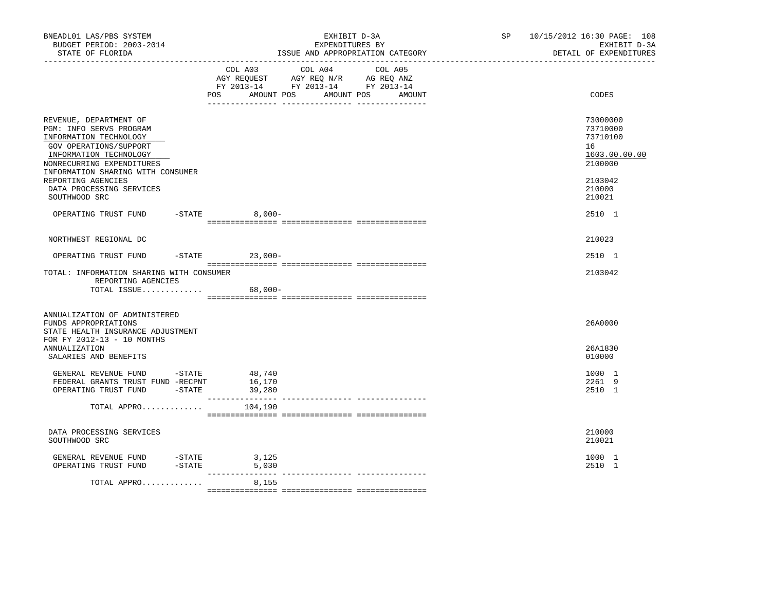| BNEADL01 LAS/PBS SYSTEM<br>BUDGET PERIOD: 2003-2014<br>STATE OF FLORIDA<br>. _ _ _ _ _ _ _ _ _ _ _ _ _ _ _ _                                                                                                                                                         |           | EXHIBIT D-3A<br>EXPENDITURES BY<br>ISSUE AND APPROPRIATION CATEGORY                                                                            | SP and the set of the set of the set of the set of the set of the set of the set of the set of the set of the set of the set of the set of the set of the set of the set of the set of the set of the set of the set of the se | 10/15/2012 16:30 PAGE: 108<br>EXHIBIT D-3A<br>DETAIL OF EXPENDITURES                              |
|----------------------------------------------------------------------------------------------------------------------------------------------------------------------------------------------------------------------------------------------------------------------|-----------|------------------------------------------------------------------------------------------------------------------------------------------------|--------------------------------------------------------------------------------------------------------------------------------------------------------------------------------------------------------------------------------|---------------------------------------------------------------------------------------------------|
|                                                                                                                                                                                                                                                                      |           | COL A03 COL A04 COL A05<br>AGY REQUEST AGY REQ N/R AG REQ ANZ<br>FY 2013-14 FY 2013-14 FY 2013-14<br>AMOUNT POS<br>AMOUNT POS<br>POS<br>AMOUNT |                                                                                                                                                                                                                                | CODES                                                                                             |
| REVENUE, DEPARTMENT OF<br>PGM: INFO SERVS PROGRAM<br>INFORMATION TECHNOLOGY<br>GOV OPERATIONS/SUPPORT<br>INFORMATION TECHNOLOGY<br>NONRECURRING EXPENDITURES<br>INFORMATION SHARING WITH CONSUMER<br>REPORTING AGENCIES<br>DATA PROCESSING SERVICES<br>SOUTHWOOD SRC |           |                                                                                                                                                |                                                                                                                                                                                                                                | 73000000<br>73710000<br>73710100<br>16<br>1603.00.00.00<br>2100000<br>2103042<br>210000<br>210021 |
| OPERATING TRUST FUND -STATE 8,000-                                                                                                                                                                                                                                   |           |                                                                                                                                                |                                                                                                                                                                                                                                | 2510 1                                                                                            |
| NORTHWEST REGIONAL DC                                                                                                                                                                                                                                                |           |                                                                                                                                                |                                                                                                                                                                                                                                | 210023                                                                                            |
| OPERATING TRUST FUND                                                                                                                                                                                                                                                 |           | $-$ STATE 23,000 -                                                                                                                             |                                                                                                                                                                                                                                | 2510 1                                                                                            |
| TOTAL: INFORMATION SHARING WITH CONSUMER<br>REPORTING AGENCIES<br>TOTAL ISSUE                                                                                                                                                                                        |           | $68,000-$                                                                                                                                      |                                                                                                                                                                                                                                | 2103042                                                                                           |
| ANNUALIZATION OF ADMINISTERED<br>FUNDS APPROPRIATIONS<br>STATE HEALTH INSURANCE ADJUSTMENT<br>FOR FY 2012-13 - 10 MONTHS                                                                                                                                             |           |                                                                                                                                                |                                                                                                                                                                                                                                | 26A0000                                                                                           |
| <b>ANNUALIZATION</b><br>SALARIES AND BENEFITS                                                                                                                                                                                                                        |           |                                                                                                                                                |                                                                                                                                                                                                                                | 26A1830<br>010000                                                                                 |
| GENERAL REVENUE FUND $-$ STATE 48,740<br>FEDERAL GRANTS TRUST FUND -RECPNT<br>OPERATING TRUST FUND -STATE                                                                                                                                                            |           | 16,170<br>39,280<br>________________<br>---------------- ----------------                                                                      |                                                                                                                                                                                                                                | 1000 1<br>2261 9<br>2510 1                                                                        |
| TOTAL APPRO                                                                                                                                                                                                                                                          |           | 104,190                                                                                                                                        |                                                                                                                                                                                                                                |                                                                                                   |
| DATA PROCESSING SERVICES<br>SOUTHWOOD SRC                                                                                                                                                                                                                            |           |                                                                                                                                                |                                                                                                                                                                                                                                | 210000<br>210021                                                                                  |
| GENERAL REVENUE FUND<br>OPERATING TRUST FUND                                                                                                                                                                                                                         | $-$ STATE | 3,125<br>$-STATE$<br>5,030                                                                                                                     |                                                                                                                                                                                                                                | 1000 1<br>2510 1                                                                                  |
| TOTAL APPRO                                                                                                                                                                                                                                                          |           | ________________<br>8,155                                                                                                                      |                                                                                                                                                                                                                                |                                                                                                   |
|                                                                                                                                                                                                                                                                      |           |                                                                                                                                                |                                                                                                                                                                                                                                |                                                                                                   |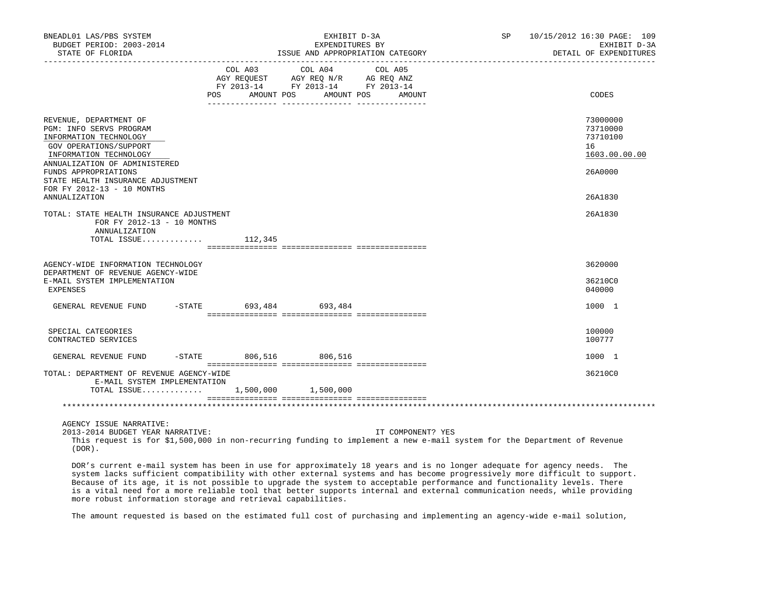| BNEADL01 LAS/PBS SYSTEM<br>BUDGET PERIOD: 2003-2014<br>STATE OF FLORIDA                                                                                                                  |                        | EXHIBIT D-3A<br>EXPENDITURES BY<br>ISSUE AND APPROPRIATION CATEGORY                                                                   | SP 10/15/2012 16:30 PAGE: 109<br>EXHIBIT D-3A<br>DETAIL OF EXPENDITURES |
|------------------------------------------------------------------------------------------------------------------------------------------------------------------------------------------|------------------------|---------------------------------------------------------------------------------------------------------------------------------------|-------------------------------------------------------------------------|
|                                                                                                                                                                                          |                        | COL A03 COL A04 COL A05<br>AGY REQUEST AGY REQ N/R AG REQ ANZ<br>FY 2013-14 FY 2013-14 FY 2013-14<br>POS AMOUNT POS AMOUNT POS AMOUNT | CODES                                                                   |
| REVENUE, DEPARTMENT OF<br>PGM: INFO SERVS PROGRAM<br>INFORMATION TECHNOLOGY<br>GOV OPERATIONS/SUPPORT<br>INFORMATION TECHNOLOGY<br>ANNUALIZATION OF ADMINISTERED<br>FUNDS APPROPRIATIONS |                        |                                                                                                                                       | 73000000<br>73710000<br>73710100<br>16<br>1603.00.00.00<br>26A0000      |
| STATE HEALTH INSURANCE ADJUSTMENT<br>FOR FY 2012-13 - 10 MONTHS<br><b>ANNUALIZATION</b>                                                                                                  |                        |                                                                                                                                       | 26A1830                                                                 |
| TOTAL: STATE HEALTH INSURANCE ADJUSTMENT<br>FOR FY 2012-13 - 10 MONTHS<br>ANNUALIZATION<br>TOTAL ISSUE $112,345$                                                                         |                        |                                                                                                                                       | 26A1830                                                                 |
| AGENCY-WIDE INFORMATION TECHNOLOGY<br>DEPARTMENT OF REVENUE AGENCY-WIDE<br>E-MAIL SYSTEM IMPLEMENTATION<br>EXPENSES                                                                      |                        |                                                                                                                                       | 3620000<br>36210C0<br>040000                                            |
| GENERAL REVENUE FUND                                                                                                                                                                     | -STATE 693,484 693,484 |                                                                                                                                       | 1000 1                                                                  |
| SPECIAL CATEGORIES<br>CONTRACTED SERVICES                                                                                                                                                |                        |                                                                                                                                       | 100000<br>100777                                                        |
| GENERAL REVENUE FUND                                                                                                                                                                     | -STATE 806,516 806,516 |                                                                                                                                       | 1000 1                                                                  |
| TOTAL: DEPARTMENT OF REVENUE AGENCY-WIDE<br>E-MAIL SYSTEM IMPLEMENTATION<br>TOTAL ISSUE 1,500,000 1,500,000                                                                              |                        |                                                                                                                                       | 36210C0                                                                 |
|                                                                                                                                                                                          |                        |                                                                                                                                       |                                                                         |
| AGENCY ISSUE NARRATIVE:<br>2013-2014 BUDGET YEAR NARRATIVE:                                                                                                                              |                        | IT COMPONENT? YES                                                                                                                     |                                                                         |

 This request is for \$1,500,000 in non-recurring funding to implement a new e-mail system for the Department of Revenue (DOR).

 DOR's current e-mail system has been in use for approximately 18 years and is no longer adequate for agency needs. The system lacks sufficient compatibility with other external systems and has become progressively more difficult to support. Because of its age, it is not possible to upgrade the system to acceptable performance and functionality levels. There is a vital need for a more reliable tool that better supports internal and external communication needs, while providing more robust information storage and retrieval capabilities.

The amount requested is based on the estimated full cost of purchasing and implementing an agency-wide e-mail solution,